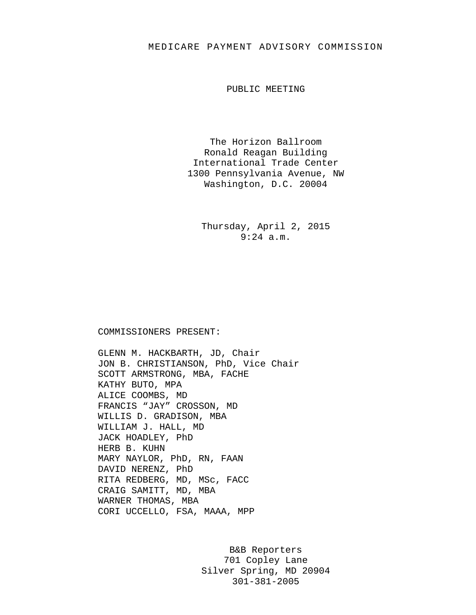## MEDICARE PAYMENT ADVISORY COMMISSION

PUBLIC MEETING

The Horizon Ballroom Ronald Reagan Building International Trade Center 1300 Pennsylvania Avenue, NW Washington, D.C. 20004

Thursday, April 2, 2015 9:24 a.m.

## COMMISSIONERS PRESENT:

GLENN M. HACKBARTH, JD, Chair JON B. CHRISTIANSON, PhD, Vice Chair SCOTT ARMSTRONG, MBA, FACHE KATHY BUTO, MPA ALICE COOMBS, MD FRANCIS "JAY" CROSSON, MD WILLIS D. GRADISON, MBA WILLIAM J. HALL, MD JACK HOADLEY, PhD HERB B. KUHN MARY NAYLOR, PhD, RN, FAAN DAVID NERENZ, PhD RITA REDBERG, MD, MSc, FACC CRAIG SAMITT, MD, MBA WARNER THOMAS, MBA CORI UCCELLO, FSA, MAAA, MPP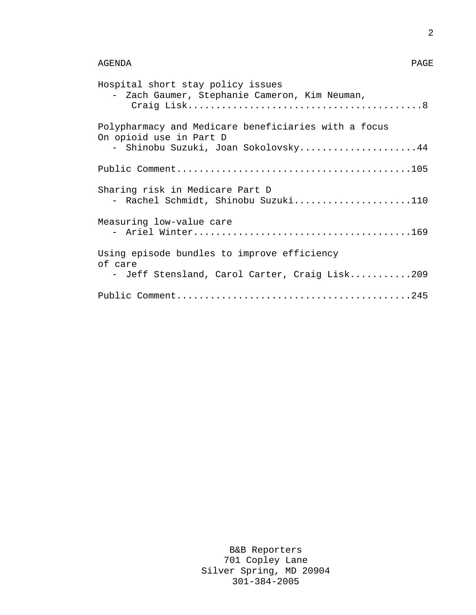| Hospital short stay policy issues<br>- Zach Gaumer, Stephanie Cameron, Kim Neuman,                                     |
|------------------------------------------------------------------------------------------------------------------------|
| Polypharmacy and Medicare beneficiaries with a focus<br>On opioid use in Part D<br>- Shinobu Suzuki, Joan Sokolovsky44 |
|                                                                                                                        |
| Sharing risk in Medicare Part D<br>- Rachel Schmidt, Shinobu Suzuki110                                                 |
| Measuring low-value care                                                                                               |
| Using episode bundles to improve efficiency                                                                            |
| of care<br>- Jeff Stensland, Carol Carter, Craig Lisk209                                                               |
|                                                                                                                        |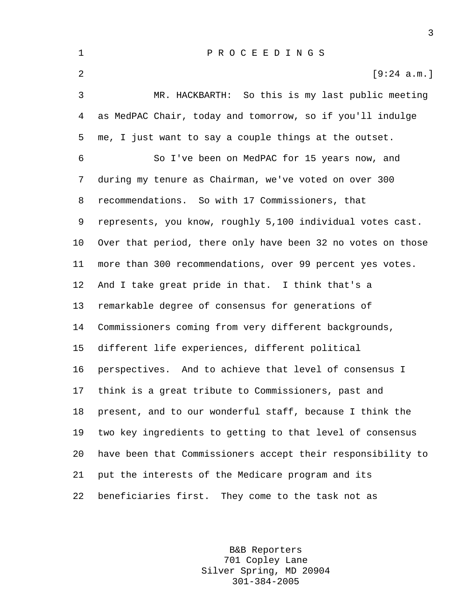| $\mathbf{1}$ | PROCEEDINGS                                                 |
|--------------|-------------------------------------------------------------|
| 2            | [9:24 a.m.]                                                 |
| 3            | MR. HACKBARTH: So this is my last public meeting            |
| 4            | as MedPAC Chair, today and tomorrow, so if you'll indulge   |
| 5            | me, I just want to say a couple things at the outset.       |
| 6            | So I've been on MedPAC for 15 years now, and                |
| 7            | during my tenure as Chairman, we've voted on over 300       |
| 8            | recommendations. So with 17 Commissioners, that             |
| 9            | represents, you know, roughly 5,100 individual votes cast.  |
| 10           | Over that period, there only have been 32 no votes on those |
| 11           | more than 300 recommendations, over 99 percent yes votes.   |
| 12           | And I take great pride in that. I think that's a            |
| 13           | remarkable degree of consensus for generations of           |
| 14           | Commissioners coming from very different backgrounds,       |
| 15           | different life experiences, different political             |
| 16           | perspectives. And to achieve that level of consensus I      |
| 17           | think is a great tribute to Commissioners, past and         |
| 18           | present, and to our wonderful staff, because I think the    |
| 19           | two key ingredients to getting to that level of consensus   |
| 20           | have been that Commissioners accept their responsibility to |
| 21           | put the interests of the Medicare program and its           |
| 22           | beneficiaries first. They come to the task not as           |

B&B Reporters 701 Copley Lane Silver Spring, MD 20904 301-384-2005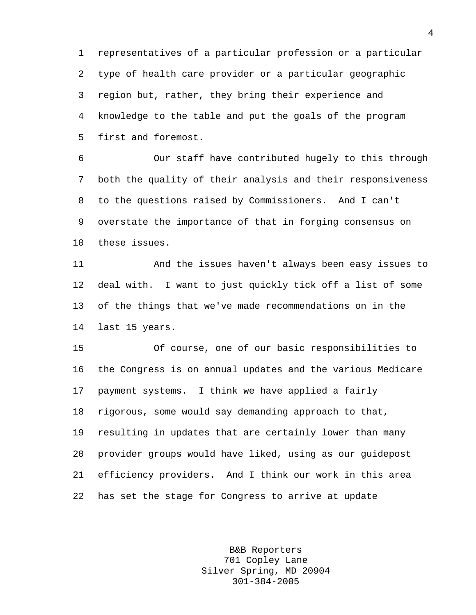1 representatives of a particular profession or a particular 2 type of health care provider or a particular geographic 3 region but, rather, they bring their experience and 4 knowledge to the table and put the goals of the program 5 first and foremost.

6 Our staff have contributed hugely to this through 7 both the quality of their analysis and their responsiveness 8 to the questions raised by Commissioners. And I can't 9 overstate the importance of that in forging consensus on 10 these issues.

11 And the issues haven't always been easy issues to 12 deal with. I want to just quickly tick off a list of some 13 of the things that we've made recommendations on in the 14 last 15 years.

15 Of course, one of our basic responsibilities to 16 the Congress is on annual updates and the various Medicare 17 payment systems. I think we have applied a fairly 18 rigorous, some would say demanding approach to that, 19 resulting in updates that are certainly lower than many 20 provider groups would have liked, using as our guidepost 21 efficiency providers. And I think our work in this area 22 has set the stage for Congress to arrive at update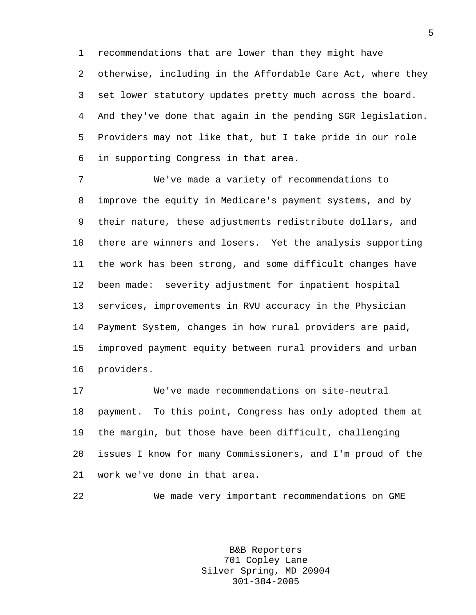1 recommendations that are lower than they might have 2 otherwise, including in the Affordable Care Act, where they 3 set lower statutory updates pretty much across the board. 4 And they've done that again in the pending SGR legislation. 5 Providers may not like that, but I take pride in our role 6 in supporting Congress in that area.

7 We've made a variety of recommendations to 8 improve the equity in Medicare's payment systems, and by 9 their nature, these adjustments redistribute dollars, and 10 there are winners and losers. Yet the analysis supporting 11 the work has been strong, and some difficult changes have 12 been made: severity adjustment for inpatient hospital 13 services, improvements in RVU accuracy in the Physician 14 Payment System, changes in how rural providers are paid, 15 improved payment equity between rural providers and urban 16 providers.

17 We've made recommendations on site-neutral 18 payment. To this point, Congress has only adopted them at 19 the margin, but those have been difficult, challenging 20 issues I know for many Commissioners, and I'm proud of the 21 work we've done in that area.

22 We made very important recommendations on GME

B&B Reporters 701 Copley Lane Silver Spring, MD 20904 301-384-2005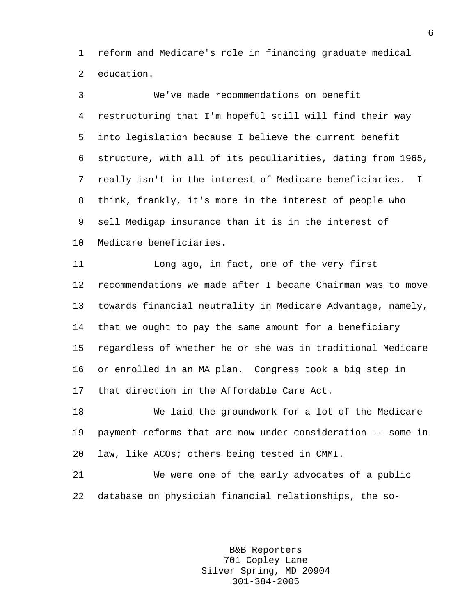1 reform and Medicare's role in financing graduate medical 2 education.

3 We've made recommendations on benefit 4 restructuring that I'm hopeful still will find their way 5 into legislation because I believe the current benefit 6 structure, with all of its peculiarities, dating from 1965, 7 really isn't in the interest of Medicare beneficiaries. I 8 think, frankly, it's more in the interest of people who 9 sell Medigap insurance than it is in the interest of 10 Medicare beneficiaries.

11 Long ago, in fact, one of the very first 12 recommendations we made after I became Chairman was to move 13 towards financial neutrality in Medicare Advantage, namely, 14 that we ought to pay the same amount for a beneficiary 15 regardless of whether he or she was in traditional Medicare 16 or enrolled in an MA plan. Congress took a big step in 17 that direction in the Affordable Care Act.

18 We laid the groundwork for a lot of the Medicare 19 payment reforms that are now under consideration -- some in 20 law, like ACOs; others being tested in CMMI.

21 We were one of the early advocates of a public 22 database on physician financial relationships, the so-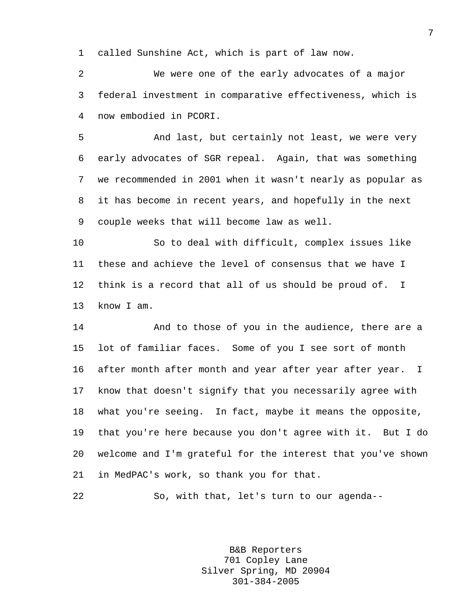1 called Sunshine Act, which is part of law now.

2 We were one of the early advocates of a major 3 federal investment in comparative effectiveness, which is 4 now embodied in PCORI.

5 And last, but certainly not least, we were very 6 early advocates of SGR repeal. Again, that was something 7 we recommended in 2001 when it wasn't nearly as popular as 8 it has become in recent years, and hopefully in the next 9 couple weeks that will become law as well.

10 So to deal with difficult, complex issues like 11 these and achieve the level of consensus that we have I 12 think is a record that all of us should be proud of. I 13 know I am.

14 And to those of you in the audience, there are a 15 lot of familiar faces. Some of you I see sort of month 16 after month after month and year after year after year. I 17 know that doesn't signify that you necessarily agree with 18 what you're seeing. In fact, maybe it means the opposite, 19 that you're here because you don't agree with it. But I do 20 welcome and I'm grateful for the interest that you've shown 21 in MedPAC's work, so thank you for that.

22 So, with that, let's turn to our agenda--

B&B Reporters 701 Copley Lane Silver Spring, MD 20904 301-384-2005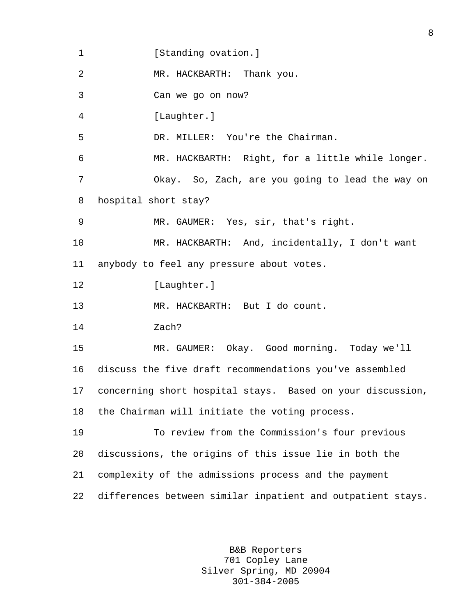1 [Standing ovation.] 2 MR. HACKBARTH: Thank you. 3 Can we go on now? 4 [Laughter.] 5 DR. MILLER: You're the Chairman. 6 MR. HACKBARTH: Right, for a little while longer. 7 Okay. So, Zach, are you going to lead the way on 8 hospital short stay? 9 MR. GAUMER: Yes, sir, that's right. 10 MR. HACKBARTH: And, incidentally, I don't want 11 anybody to feel any pressure about votes. 12 [Laughter.] 13 MR. HACKBARTH: But I do count. 14 Zach? 15 MR. GAUMER: Okay. Good morning. Today we'll 16 discuss the five draft recommendations you've assembled 17 concerning short hospital stays. Based on your discussion, 18 the Chairman will initiate the voting process. 19 To review from the Commission's four previous 20 discussions, the origins of this issue lie in both the 21 complexity of the admissions process and the payment 22 differences between similar inpatient and outpatient stays.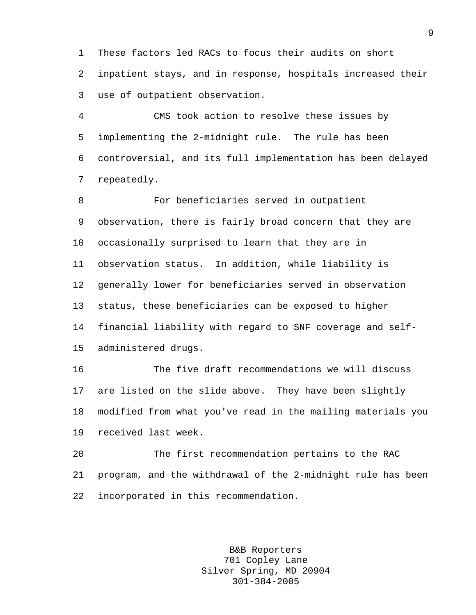1 These factors led RACs to focus their audits on short 2 inpatient stays, and in response, hospitals increased their 3 use of outpatient observation.

4 CMS took action to resolve these issues by 5 implementing the 2-midnight rule. The rule has been 6 controversial, and its full implementation has been delayed 7 repeatedly.

8 For beneficiaries served in outpatient 9 observation, there is fairly broad concern that they are 10 occasionally surprised to learn that they are in 11 observation status. In addition, while liability is 12 generally lower for beneficiaries served in observation 13 status, these beneficiaries can be exposed to higher 14 financial liability with regard to SNF coverage and self-15 administered drugs.

16 The five draft recommendations we will discuss 17 are listed on the slide above. They have been slightly 18 modified from what you've read in the mailing materials you 19 received last week.

20 The first recommendation pertains to the RAC 21 program, and the withdrawal of the 2-midnight rule has been 22 incorporated in this recommendation.

> B&B Reporters 701 Copley Lane Silver Spring, MD 20904 301-384-2005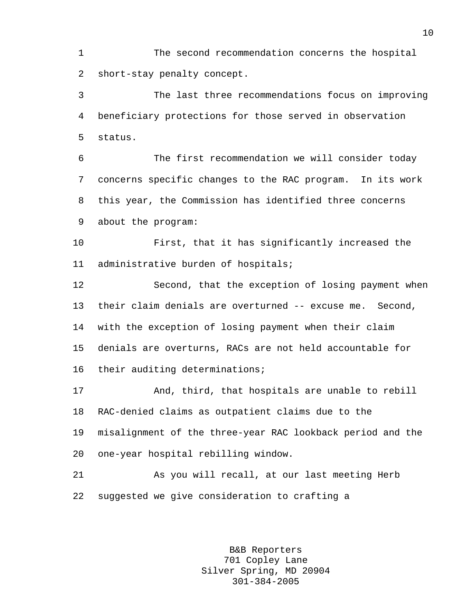1 The second recommendation concerns the hospital 2 short-stay penalty concept.

3 The last three recommendations focus on improving 4 beneficiary protections for those served in observation 5 status.

6 The first recommendation we will consider today 7 concerns specific changes to the RAC program. In its work 8 this year, the Commission has identified three concerns 9 about the program:

10 First, that it has significantly increased the 11 administrative burden of hospitals;

12 Second, that the exception of losing payment when 13 their claim denials are overturned -- excuse me. Second, 14 with the exception of losing payment when their claim 15 denials are overturns, RACs are not held accountable for 16 their auditing determinations;

17 And, third, that hospitals are unable to rebill 18 RAC-denied claims as outpatient claims due to the 19 misalignment of the three-year RAC lookback period and the 20 one-year hospital rebilling window.

21 As you will recall, at our last meeting Herb 22 suggested we give consideration to crafting a

> B&B Reporters 701 Copley Lane Silver Spring, MD 20904 301-384-2005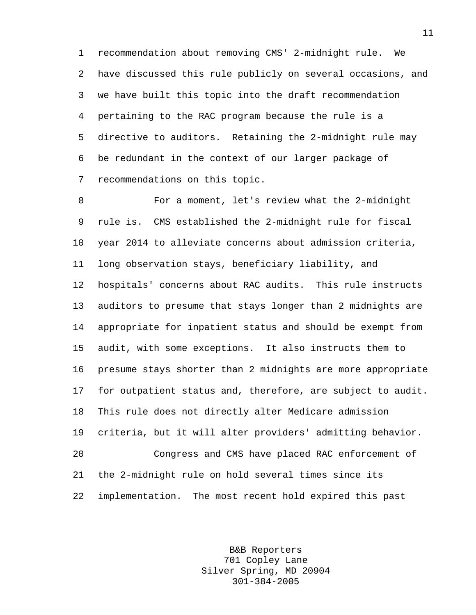1 recommendation about removing CMS' 2-midnight rule. We 2 have discussed this rule publicly on several occasions, and 3 we have built this topic into the draft recommendation 4 pertaining to the RAC program because the rule is a 5 directive to auditors. Retaining the 2-midnight rule may 6 be redundant in the context of our larger package of 7 recommendations on this topic.

8 For a moment, let's review what the 2-midnight 9 rule is. CMS established the 2-midnight rule for fiscal 10 year 2014 to alleviate concerns about admission criteria, 11 long observation stays, beneficiary liability, and 12 hospitals' concerns about RAC audits. This rule instructs 13 auditors to presume that stays longer than 2 midnights are 14 appropriate for inpatient status and should be exempt from 15 audit, with some exceptions. It also instructs them to 16 presume stays shorter than 2 midnights are more appropriate 17 for outpatient status and, therefore, are subject to audit. 18 This rule does not directly alter Medicare admission 19 criteria, but it will alter providers' admitting behavior. 20 Congress and CMS have placed RAC enforcement of 21 the 2-midnight rule on hold several times since its 22 implementation. The most recent hold expired this past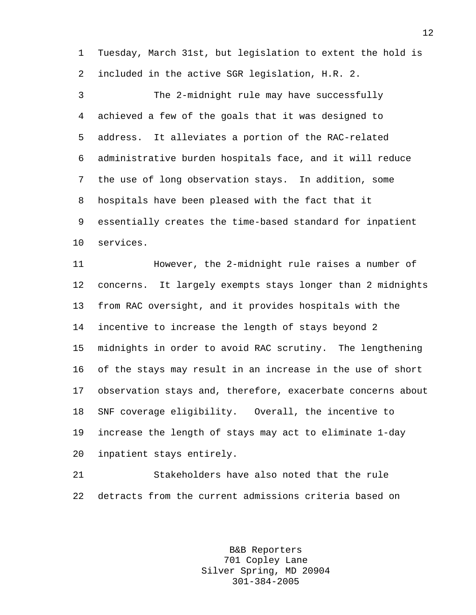1 Tuesday, March 31st, but legislation to extent the hold is 2 included in the active SGR legislation, H.R. 2.

3 The 2-midnight rule may have successfully 4 achieved a few of the goals that it was designed to 5 address. It alleviates a portion of the RAC-related 6 administrative burden hospitals face, and it will reduce 7 the use of long observation stays. In addition, some 8 hospitals have been pleased with the fact that it 9 essentially creates the time-based standard for inpatient 10 services.

11 However, the 2-midnight rule raises a number of 12 concerns. It largely exempts stays longer than 2 midnights 13 from RAC oversight, and it provides hospitals with the 14 incentive to increase the length of stays beyond 2 15 midnights in order to avoid RAC scrutiny. The lengthening 16 of the stays may result in an increase in the use of short 17 observation stays and, therefore, exacerbate concerns about 18 SNF coverage eligibility. Overall, the incentive to 19 increase the length of stays may act to eliminate 1-day 20 inpatient stays entirely.

21 Stakeholders have also noted that the rule 22 detracts from the current admissions criteria based on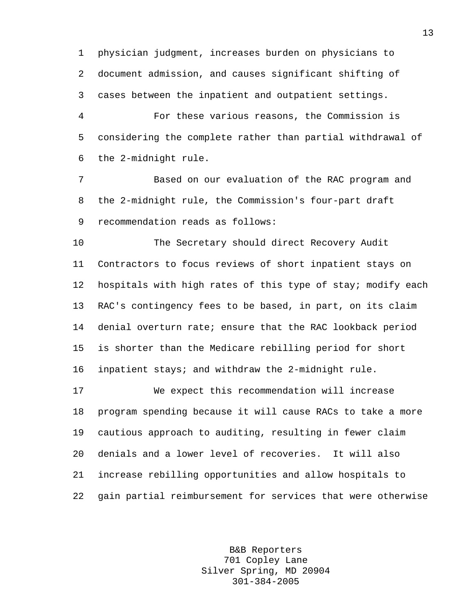1 physician judgment, increases burden on physicians to 2 document admission, and causes significant shifting of 3 cases between the inpatient and outpatient settings.

4 For these various reasons, the Commission is 5 considering the complete rather than partial withdrawal of 6 the 2-midnight rule.

7 Based on our evaluation of the RAC program and 8 the 2-midnight rule, the Commission's four-part draft 9 recommendation reads as follows:

10 The Secretary should direct Recovery Audit 11 Contractors to focus reviews of short inpatient stays on 12 hospitals with high rates of this type of stay; modify each 13 RAC's contingency fees to be based, in part, on its claim 14 denial overturn rate; ensure that the RAC lookback period 15 is shorter than the Medicare rebilling period for short 16 inpatient stays; and withdraw the 2-midnight rule.

17 We expect this recommendation will increase 18 program spending because it will cause RACs to take a more 19 cautious approach to auditing, resulting in fewer claim 20 denials and a lower level of recoveries. It will also 21 increase rebilling opportunities and allow hospitals to 22 gain partial reimbursement for services that were otherwise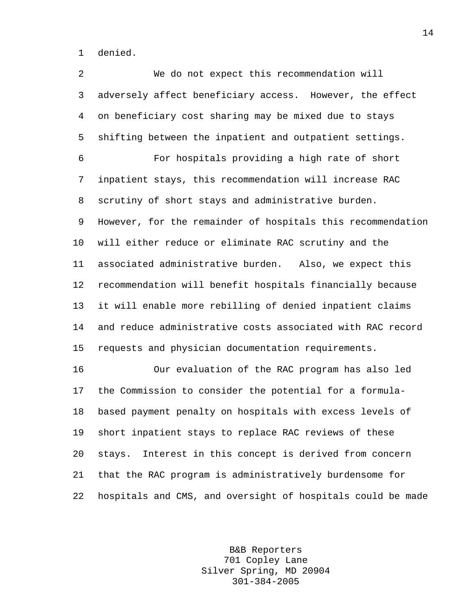1 denied.

2 We do not expect this recommendation will 3 adversely affect beneficiary access. However, the effect 4 on beneficiary cost sharing may be mixed due to stays 5 shifting between the inpatient and outpatient settings. 6 For hospitals providing a high rate of short 7 inpatient stays, this recommendation will increase RAC 8 scrutiny of short stays and administrative burden. 9 However, for the remainder of hospitals this recommendation 10 will either reduce or eliminate RAC scrutiny and the 11 associated administrative burden. Also, we expect this 12 recommendation will benefit hospitals financially because 13 it will enable more rebilling of denied inpatient claims 14 and reduce administrative costs associated with RAC record 15 requests and physician documentation requirements. 16 Our evaluation of the RAC program has also led 17 the Commission to consider the potential for a formula-18 based payment penalty on hospitals with excess levels of

19 short inpatient stays to replace RAC reviews of these 20 stays. Interest in this concept is derived from concern 21 that the RAC program is administratively burdensome for 22 hospitals and CMS, and oversight of hospitals could be made

> B&B Reporters 701 Copley Lane Silver Spring, MD 20904 301-384-2005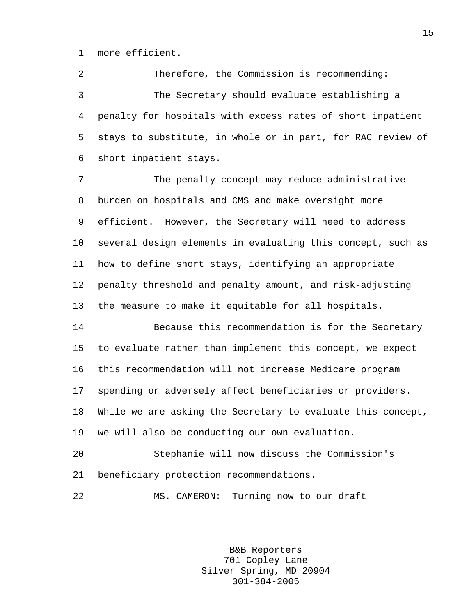1 more efficient.

2 Therefore, the Commission is recommending: 3 The Secretary should evaluate establishing a 4 penalty for hospitals with excess rates of short inpatient 5 stays to substitute, in whole or in part, for RAC review of 6 short inpatient stays.

7 The penalty concept may reduce administrative 8 burden on hospitals and CMS and make oversight more 9 efficient. However, the Secretary will need to address 10 several design elements in evaluating this concept, such as 11 how to define short stays, identifying an appropriate 12 penalty threshold and penalty amount, and risk-adjusting 13 the measure to make it equitable for all hospitals.

14 Because this recommendation is for the Secretary 15 to evaluate rather than implement this concept, we expect 16 this recommendation will not increase Medicare program 17 spending or adversely affect beneficiaries or providers. 18 While we are asking the Secretary to evaluate this concept, 19 we will also be conducting our own evaluation.

20 Stephanie will now discuss the Commission's 21 beneficiary protection recommendations.

22 MS. CAMERON: Turning now to our draft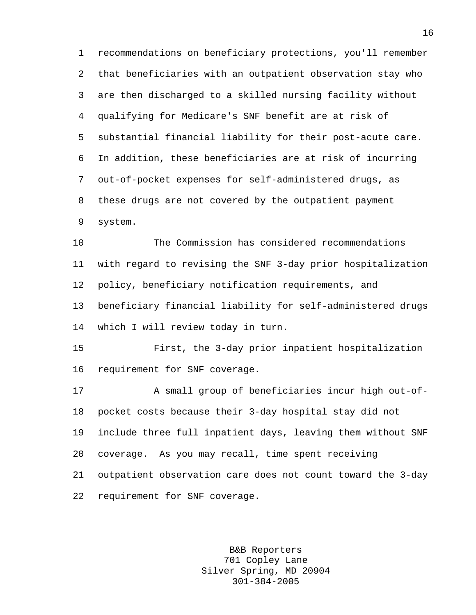1 recommendations on beneficiary protections, you'll remember 2 that beneficiaries with an outpatient observation stay who 3 are then discharged to a skilled nursing facility without 4 qualifying for Medicare's SNF benefit are at risk of 5 substantial financial liability for their post-acute care. 6 In addition, these beneficiaries are at risk of incurring 7 out-of-pocket expenses for self-administered drugs, as 8 these drugs are not covered by the outpatient payment 9 system.

10 The Commission has considered recommendations 11 with regard to revising the SNF 3-day prior hospitalization 12 policy, beneficiary notification requirements, and 13 beneficiary financial liability for self-administered drugs

14 which I will review today in turn.

15 First, the 3-day prior inpatient hospitalization 16 requirement for SNF coverage.

17 A small group of beneficiaries incur high out-of-18 pocket costs because their 3-day hospital stay did not 19 include three full inpatient days, leaving them without SNF 20 coverage. As you may recall, time spent receiving 21 outpatient observation care does not count toward the 3-day 22 requirement for SNF coverage.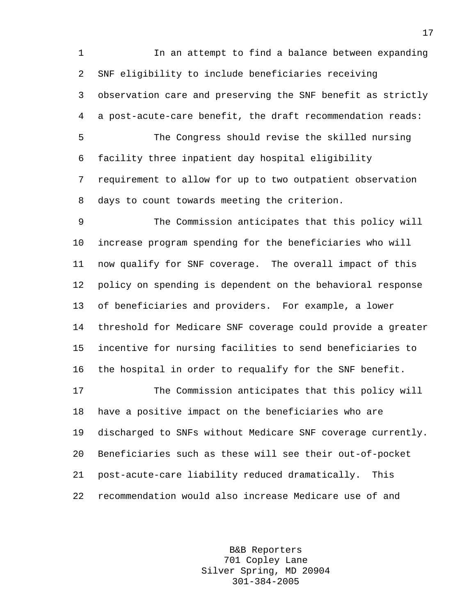1 In an attempt to find a balance between expanding 2 SNF eligibility to include beneficiaries receiving 3 observation care and preserving the SNF benefit as strictly 4 a post-acute-care benefit, the draft recommendation reads: 5 The Congress should revise the skilled nursing 6 facility three inpatient day hospital eligibility 7 requirement to allow for up to two outpatient observation 8 days to count towards meeting the criterion. 9 The Commission anticipates that this policy will 10 increase program spending for the beneficiaries who will 11 now qualify for SNF coverage. The overall impact of this 12 policy on spending is dependent on the behavioral response 13 of beneficiaries and providers. For example, a lower 14 threshold for Medicare SNF coverage could provide a greater 15 incentive for nursing facilities to send beneficiaries to 16 the hospital in order to requalify for the SNF benefit. 17 The Commission anticipates that this policy will 18 have a positive impact on the beneficiaries who are 19 discharged to SNFs without Medicare SNF coverage currently. 20 Beneficiaries such as these will see their out-of-pocket 21 post-acute-care liability reduced dramatically. This 22 recommendation would also increase Medicare use of and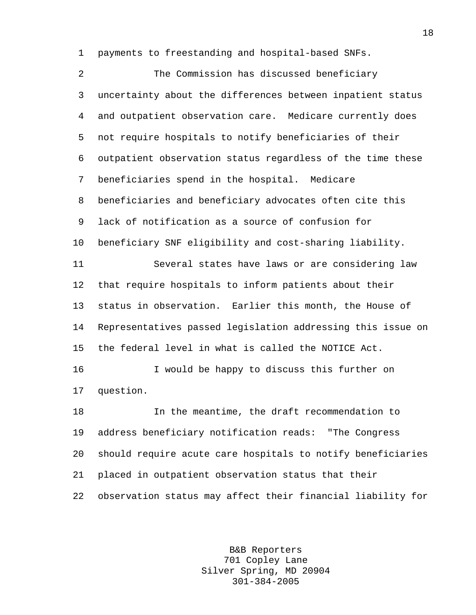1 payments to freestanding and hospital-based SNFs.

2 The Commission has discussed beneficiary 3 uncertainty about the differences between inpatient status 4 and outpatient observation care. Medicare currently does 5 not require hospitals to notify beneficiaries of their 6 outpatient observation status regardless of the time these 7 beneficiaries spend in the hospital. Medicare 8 beneficiaries and beneficiary advocates often cite this 9 lack of notification as a source of confusion for 10 beneficiary SNF eligibility and cost-sharing liability. 11 Several states have laws or are considering law 12 that require hospitals to inform patients about their 13 status in observation. Earlier this month, the House of 14 Representatives passed legislation addressing this issue on 15 the federal level in what is called the NOTICE Act. 16 I would be happy to discuss this further on 17 question. 18 In the meantime, the draft recommendation to 19 address beneficiary notification reads: "The Congress 20 should require acute care hospitals to notify beneficiaries 21 placed in outpatient observation status that their 22 observation status may affect their financial liability for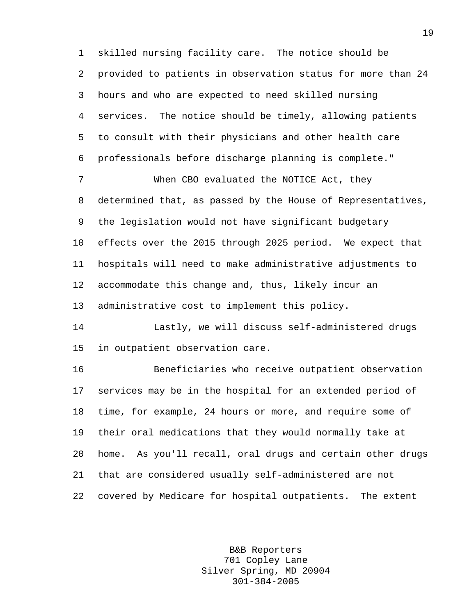1 skilled nursing facility care. The notice should be 2 provided to patients in observation status for more than 24 3 hours and who are expected to need skilled nursing 4 services. The notice should be timely, allowing patients 5 to consult with their physicians and other health care 6 professionals before discharge planning is complete."

7 When CBO evaluated the NOTICE Act, they 8 determined that, as passed by the House of Representatives, 9 the legislation would not have significant budgetary 10 effects over the 2015 through 2025 period. We expect that 11 hospitals will need to make administrative adjustments to 12 accommodate this change and, thus, likely incur an 13 administrative cost to implement this policy.

14 Lastly, we will discuss self-administered drugs 15 in outpatient observation care.

16 Beneficiaries who receive outpatient observation 17 services may be in the hospital for an extended period of 18 time, for example, 24 hours or more, and require some of 19 their oral medications that they would normally take at 20 home. As you'll recall, oral drugs and certain other drugs 21 that are considered usually self-administered are not 22 covered by Medicare for hospital outpatients. The extent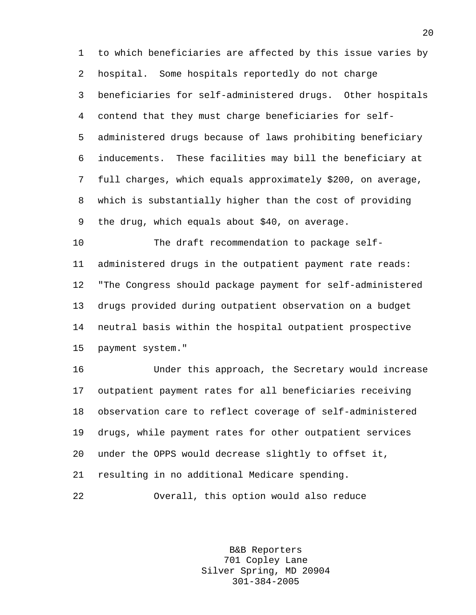1 to which beneficiaries are affected by this issue varies by 2 hospital. Some hospitals reportedly do not charge 3 beneficiaries for self-administered drugs. Other hospitals 4 contend that they must charge beneficiaries for self-5 administered drugs because of laws prohibiting beneficiary 6 inducements. These facilities may bill the beneficiary at 7 full charges, which equals approximately \$200, on average, 8 which is substantially higher than the cost of providing 9 the drug, which equals about \$40, on average.

10 The draft recommendation to package self-11 administered drugs in the outpatient payment rate reads: 12 "The Congress should package payment for self-administered 13 drugs provided during outpatient observation on a budget 14 neutral basis within the hospital outpatient prospective 15 payment system."

16 Under this approach, the Secretary would increase 17 outpatient payment rates for all beneficiaries receiving 18 observation care to reflect coverage of self-administered 19 drugs, while payment rates for other outpatient services 20 under the OPPS would decrease slightly to offset it, 21 resulting in no additional Medicare spending. 22 Overall, this option would also reduce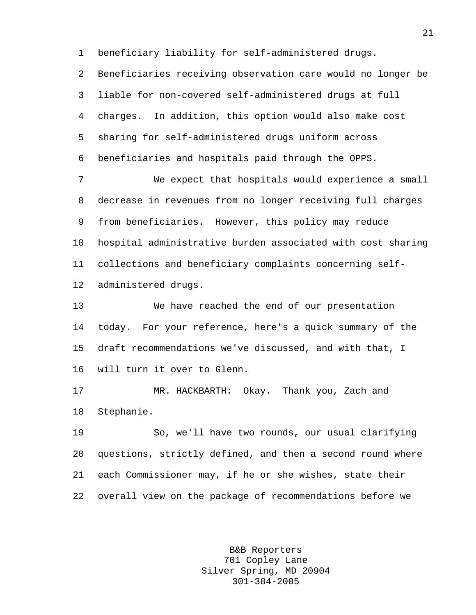1 beneficiary liability for self-administered drugs.

2 Beneficiaries receiving observation care would no longer be 3 liable for non-covered self-administered drugs at full 4 charges. In addition, this option would also make cost 5 sharing for self-administered drugs uniform across 6 beneficiaries and hospitals paid through the OPPS.

7 We expect that hospitals would experience a small 8 decrease in revenues from no longer receiving full charges 9 from beneficiaries. However, this policy may reduce 10 hospital administrative burden associated with cost sharing 11 collections and beneficiary complaints concerning self-12 administered drugs.

13 We have reached the end of our presentation 14 today. For your reference, here's a quick summary of the 15 draft recommendations we've discussed, and with that, I 16 will turn it over to Glenn.

17 MR. HACKBARTH: Okay. Thank you, Zach and 18 Stephanie.

19 So, we'll have two rounds, our usual clarifying 20 questions, strictly defined, and then a second round where 21 each Commissioner may, if he or she wishes, state their 22 overall view on the package of recommendations before we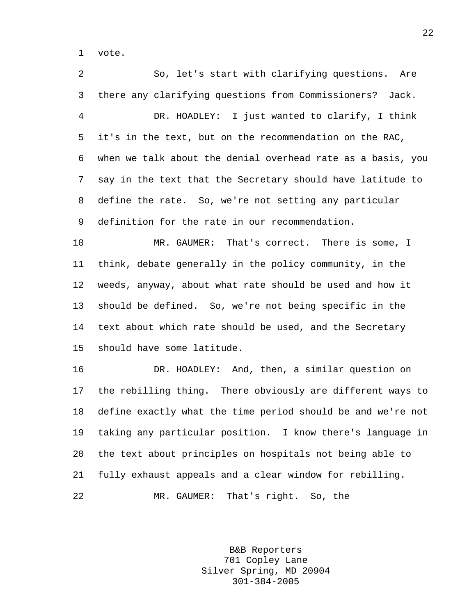1 vote.

2 So, let's start with clarifying questions. Are 3 there any clarifying questions from Commissioners? Jack. 4 DR. HOADLEY: I just wanted to clarify, I think 5 it's in the text, but on the recommendation on the RAC, 6 when we talk about the denial overhead rate as a basis, you 7 say in the text that the Secretary should have latitude to 8 define the rate. So, we're not setting any particular 9 definition for the rate in our recommendation.

10 MR. GAUMER: That's correct. There is some, I 11 think, debate generally in the policy community, in the 12 weeds, anyway, about what rate should be used and how it 13 should be defined. So, we're not being specific in the 14 text about which rate should be used, and the Secretary 15 should have some latitude.

16 DR. HOADLEY: And, then, a similar question on 17 the rebilling thing. There obviously are different ways to 18 define exactly what the time period should be and we're not 19 taking any particular position. I know there's language in 20 the text about principles on hospitals not being able to 21 fully exhaust appeals and a clear window for rebilling. 22 MR. GAUMER: That's right. So, the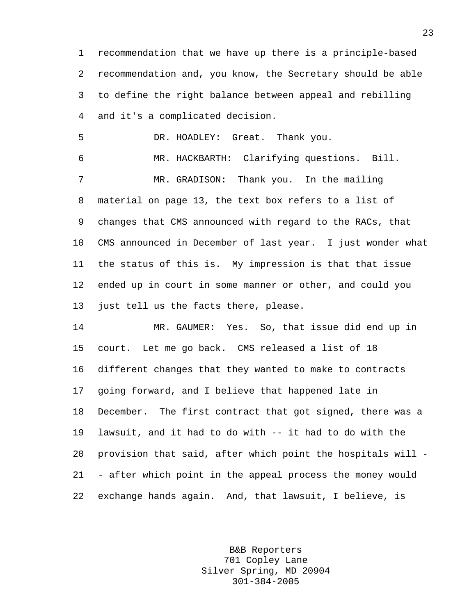1 recommendation that we have up there is a principle-based 2 recommendation and, you know, the Secretary should be able 3 to define the right balance between appeal and rebilling 4 and it's a complicated decision.

5 DR. HOADLEY: Great. Thank you.

6 MR. HACKBARTH: Clarifying questions. Bill. 7 MR. GRADISON: Thank you. In the mailing 8 material on page 13, the text box refers to a list of 9 changes that CMS announced with regard to the RACs, that 10 CMS announced in December of last year. I just wonder what 11 the status of this is. My impression is that that issue 12 ended up in court in some manner or other, and could you 13 just tell us the facts there, please.

14 MR. GAUMER: Yes. So, that issue did end up in 15 court. Let me go back. CMS released a list of 18 16 different changes that they wanted to make to contracts 17 going forward, and I believe that happened late in 18 December. The first contract that got signed, there was a 19 lawsuit, and it had to do with -- it had to do with the 20 provision that said, after which point the hospitals will - 21 - after which point in the appeal process the money would 22 exchange hands again. And, that lawsuit, I believe, is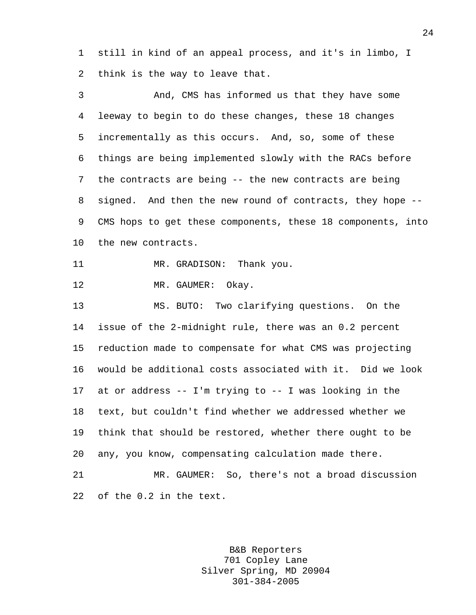1 still in kind of an appeal process, and it's in limbo, I 2 think is the way to leave that.

3 And, CMS has informed us that they have some 4 leeway to begin to do these changes, these 18 changes 5 incrementally as this occurs. And, so, some of these 6 things are being implemented slowly with the RACs before 7 the contracts are being -- the new contracts are being 8 signed. And then the new round of contracts, they hope -- 9 CMS hops to get these components, these 18 components, into 10 the new contracts. 11 MR. GRADISON: Thank you. 12 MR. GAUMER: Okay. 13 MS. BUTO: Two clarifying questions. On the

14 issue of the 2-midnight rule, there was an 0.2 percent 15 reduction made to compensate for what CMS was projecting 16 would be additional costs associated with it. Did we look 17 at or address -- I'm trying to -- I was looking in the 18 text, but couldn't find whether we addressed whether we 19 think that should be restored, whether there ought to be 20 any, you know, compensating calculation made there.

21 MR. GAUMER: So, there's not a broad discussion 22 of the 0.2 in the text.

> B&B Reporters 701 Copley Lane Silver Spring, MD 20904 301-384-2005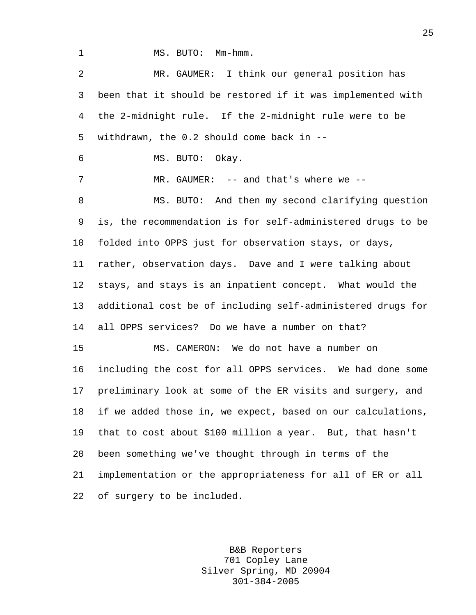1 MS. BUTO: Mm-hmm.

2 MR. GAUMER: I think our general position has 3 been that it should be restored if it was implemented with 4 the 2-midnight rule. If the 2-midnight rule were to be 5 withdrawn, the 0.2 should come back in -- 6 MS. BUTO: Okay. 7 MR. GAUMER: -- and that's where we --8 MS. BUTO: And then my second clarifying question 9 is, the recommendation is for self-administered drugs to be 10 folded into OPPS just for observation stays, or days, 11 rather, observation days. Dave and I were talking about 12 stays, and stays is an inpatient concept. What would the 13 additional cost be of including self-administered drugs for 14 all OPPS services? Do we have a number on that? 15 MS. CAMERON: We do not have a number on 16 including the cost for all OPPS services. We had done some 17 preliminary look at some of the ER visits and surgery, and 18 if we added those in, we expect, based on our calculations, 19 that to cost about \$100 million a year. But, that hasn't 20 been something we've thought through in terms of the 21 implementation or the appropriateness for all of ER or all 22 of surgery to be included.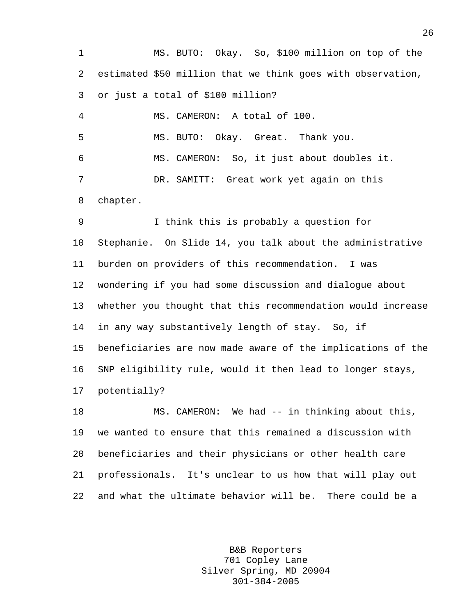1 MS. BUTO: Okay. So, \$100 million on top of the 2 estimated \$50 million that we think goes with observation, 3 or just a total of \$100 million? 4 MS. CAMERON: A total of 100. 5 MS. BUTO: Okay. Great. Thank you. 6 MS. CAMERON: So, it just about doubles it. 7 DR. SAMITT: Great work yet again on this 8 chapter. 9 I think this is probably a question for 10 Stephanie. On Slide 14, you talk about the administrative 11 burden on providers of this recommendation. I was 12 wondering if you had some discussion and dialogue about 13 whether you thought that this recommendation would increase 14 in any way substantively length of stay. So, if 15 beneficiaries are now made aware of the implications of the 16 SNP eligibility rule, would it then lead to longer stays, 17 potentially? 18 MS. CAMERON: We had -- in thinking about this, 19 we wanted to ensure that this remained a discussion with 20 beneficiaries and their physicians or other health care 21 professionals. It's unclear to us how that will play out

22 and what the ultimate behavior will be. There could be a

B&B Reporters 701 Copley Lane Silver Spring, MD 20904 301-384-2005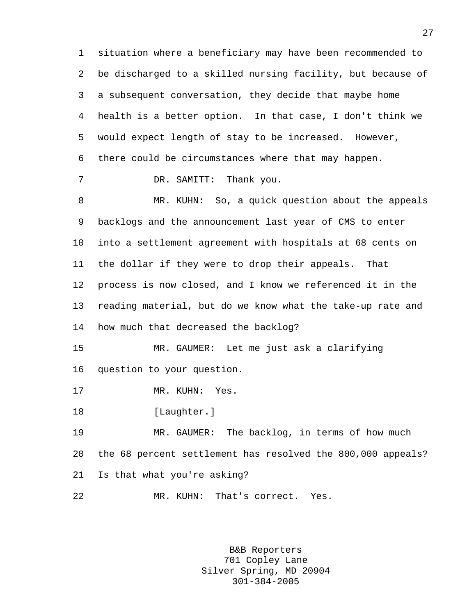1 situation where a beneficiary may have been recommended to 2 be discharged to a skilled nursing facility, but because of 3 a subsequent conversation, they decide that maybe home 4 health is a better option. In that case, I don't think we 5 would expect length of stay to be increased. However, 6 there could be circumstances where that may happen. 7 DR. SAMITT: Thank you. 8 MR. KUHN: So, a quick question about the appeals 9 backlogs and the announcement last year of CMS to enter 10 into a settlement agreement with hospitals at 68 cents on 11 the dollar if they were to drop their appeals. That 12 process is now closed, and I know we referenced it in the 13 reading material, but do we know what the take-up rate and 14 how much that decreased the backlog? 15 MR. GAUMER: Let me just ask a clarifying 16 question to your question. 17 MR. KUHN: Yes. 18 [Laughter.] 19 MR. GAUMER: The backlog, in terms of how much 20 the 68 percent settlement has resolved the 800,000 appeals? 21 Is that what you're asking? 22 MR. KUHN: That's correct. Yes.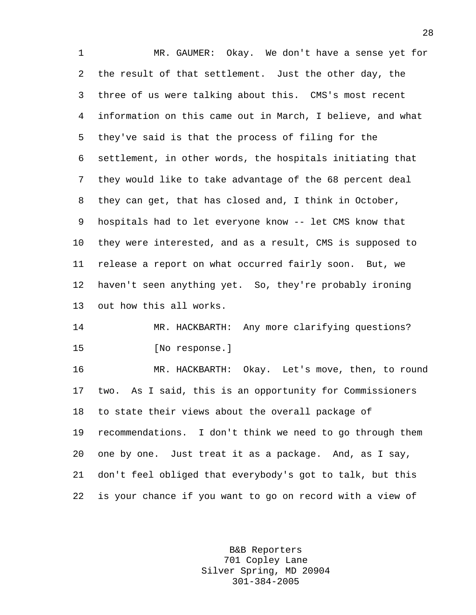1 MR. GAUMER: Okay. We don't have a sense yet for 2 the result of that settlement. Just the other day, the 3 three of us were talking about this. CMS's most recent 4 information on this came out in March, I believe, and what 5 they've said is that the process of filing for the 6 settlement, in other words, the hospitals initiating that 7 they would like to take advantage of the 68 percent deal 8 they can get, that has closed and, I think in October, 9 hospitals had to let everyone know -- let CMS know that 10 they were interested, and as a result, CMS is supposed to 11 release a report on what occurred fairly soon. But, we 12 haven't seen anything yet. So, they're probably ironing 13 out how this all works.

14 MR. HACKBARTH: Any more clarifying questions? 15 [No response.]

16 MR. HACKBARTH: Okay. Let's move, then, to round 17 two. As I said, this is an opportunity for Commissioners 18 to state their views about the overall package of 19 recommendations. I don't think we need to go through them 20 one by one. Just treat it as a package. And, as I say, 21 don't feel obliged that everybody's got to talk, but this 22 is your chance if you want to go on record with a view of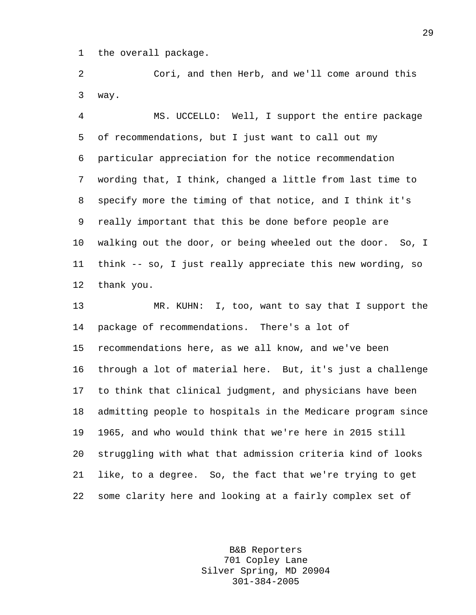1 the overall package.

2 Cori, and then Herb, and we'll come around this 3 way.

4 MS. UCCELLO: Well, I support the entire package 5 of recommendations, but I just want to call out my 6 particular appreciation for the notice recommendation 7 wording that, I think, changed a little from last time to 8 specify more the timing of that notice, and I think it's 9 really important that this be done before people are 10 walking out the door, or being wheeled out the door. So, I 11 think -- so, I just really appreciate this new wording, so 12 thank you.

13 MR. KUHN: I, too, want to say that I support the 14 package of recommendations. There's a lot of 15 recommendations here, as we all know, and we've been 16 through a lot of material here. But, it's just a challenge 17 to think that clinical judgment, and physicians have been 18 admitting people to hospitals in the Medicare program since 19 1965, and who would think that we're here in 2015 still 20 struggling with what that admission criteria kind of looks 21 like, to a degree. So, the fact that we're trying to get 22 some clarity here and looking at a fairly complex set of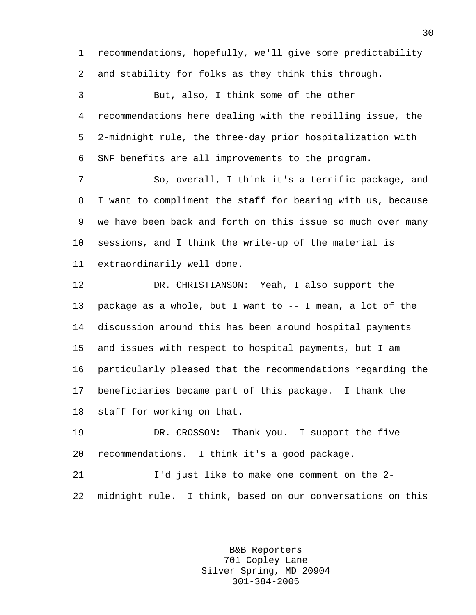1 recommendations, hopefully, we'll give some predictability 2 and stability for folks as they think this through.

3 But, also, I think some of the other 4 recommendations here dealing with the rebilling issue, the 5 2-midnight rule, the three-day prior hospitalization with 6 SNF benefits are all improvements to the program. 7 So, overall, I think it's a terrific package, and 8 I want to compliment the staff for bearing with us, because 9 we have been back and forth on this issue so much over many 10 sessions, and I think the write-up of the material is 11 extraordinarily well done.

12 DR. CHRISTIANSON: Yeah, I also support the 13 package as a whole, but I want to -- I mean, a lot of the 14 discussion around this has been around hospital payments 15 and issues with respect to hospital payments, but I am 16 particularly pleased that the recommendations regarding the 17 beneficiaries became part of this package. I thank the 18 staff for working on that.

19 DR. CROSSON: Thank you. I support the five 20 recommendations. I think it's a good package.

21 I'd just like to make one comment on the 2- 22 midnight rule. I think, based on our conversations on this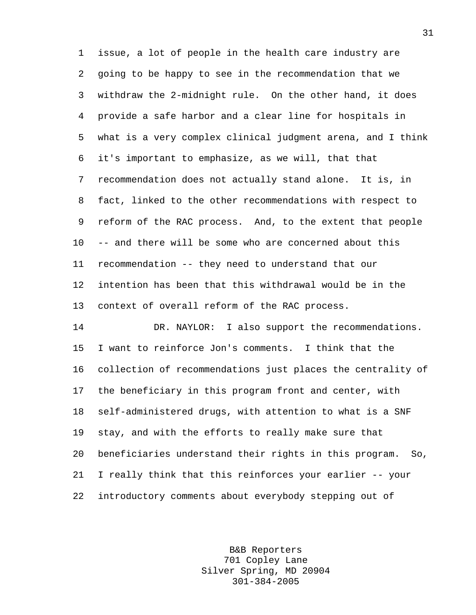1 issue, a lot of people in the health care industry are 2 going to be happy to see in the recommendation that we 3 withdraw the 2-midnight rule. On the other hand, it does 4 provide a safe harbor and a clear line for hospitals in 5 what is a very complex clinical judgment arena, and I think 6 it's important to emphasize, as we will, that that 7 recommendation does not actually stand alone. It is, in 8 fact, linked to the other recommendations with respect to 9 reform of the RAC process. And, to the extent that people 10 -- and there will be some who are concerned about this 11 recommendation -- they need to understand that our 12 intention has been that this withdrawal would be in the 13 context of overall reform of the RAC process.

14 DR. NAYLOR: I also support the recommendations. 15 I want to reinforce Jon's comments. I think that the 16 collection of recommendations just places the centrality of 17 the beneficiary in this program front and center, with 18 self-administered drugs, with attention to what is a SNF 19 stay, and with the efforts to really make sure that 20 beneficiaries understand their rights in this program. So, 21 I really think that this reinforces your earlier -- your 22 introductory comments about everybody stepping out of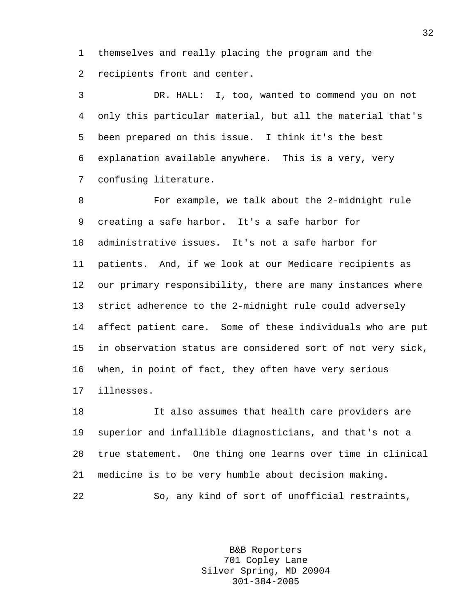1 themselves and really placing the program and the 2 recipients front and center.

3 DR. HALL: I, too, wanted to commend you on not 4 only this particular material, but all the material that's 5 been prepared on this issue. I think it's the best 6 explanation available anywhere. This is a very, very 7 confusing literature.

8 For example, we talk about the 2-midnight rule 9 creating a safe harbor. It's a safe harbor for 10 administrative issues. It's not a safe harbor for 11 patients. And, if we look at our Medicare recipients as 12 our primary responsibility, there are many instances where 13 strict adherence to the 2-midnight rule could adversely 14 affect patient care. Some of these individuals who are put 15 in observation status are considered sort of not very sick, 16 when, in point of fact, they often have very serious 17 illnesses.

18 It also assumes that health care providers are 19 superior and infallible diagnosticians, and that's not a 20 true statement. One thing one learns over time in clinical 21 medicine is to be very humble about decision making. 22 So, any kind of sort of unofficial restraints,

> B&B Reporters 701 Copley Lane Silver Spring, MD 20904 301-384-2005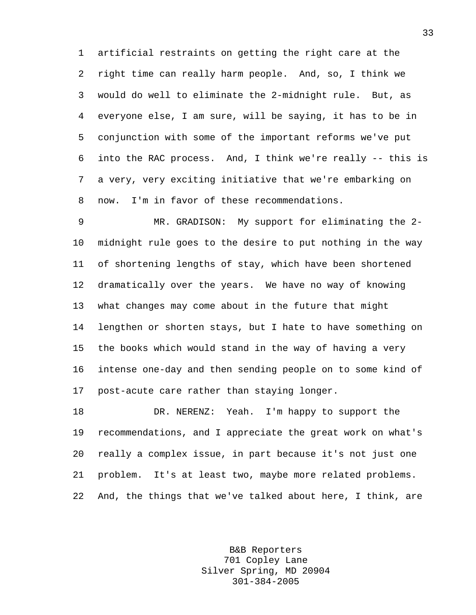1 artificial restraints on getting the right care at the 2 right time can really harm people. And, so, I think we 3 would do well to eliminate the 2-midnight rule. But, as 4 everyone else, I am sure, will be saying, it has to be in 5 conjunction with some of the important reforms we've put 6 into the RAC process. And, I think we're really -- this is 7 a very, very exciting initiative that we're embarking on 8 now. I'm in favor of these recommendations.

9 MR. GRADISON: My support for eliminating the 2- 10 midnight rule goes to the desire to put nothing in the way 11 of shortening lengths of stay, which have been shortened 12 dramatically over the years. We have no way of knowing 13 what changes may come about in the future that might 14 lengthen or shorten stays, but I hate to have something on 15 the books which would stand in the way of having a very 16 intense one-day and then sending people on to some kind of 17 post-acute care rather than staying longer.

18 DR. NERENZ: Yeah. I'm happy to support the 19 recommendations, and I appreciate the great work on what's 20 really a complex issue, in part because it's not just one 21 problem. It's at least two, maybe more related problems. 22 And, the things that we've talked about here, I think, are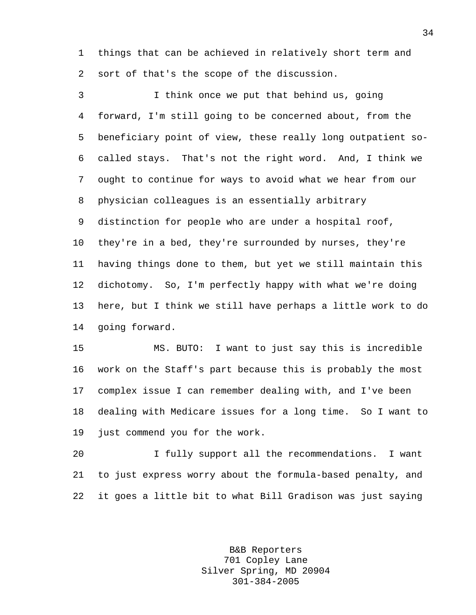1 things that can be achieved in relatively short term and 2 sort of that's the scope of the discussion.

3 I think once we put that behind us, going 4 forward, I'm still going to be concerned about, from the 5 beneficiary point of view, these really long outpatient so-6 called stays. That's not the right word. And, I think we 7 ought to continue for ways to avoid what we hear from our 8 physician colleagues is an essentially arbitrary 9 distinction for people who are under a hospital roof, 10 they're in a bed, they're surrounded by nurses, they're 11 having things done to them, but yet we still maintain this 12 dichotomy. So, I'm perfectly happy with what we're doing 13 here, but I think we still have perhaps a little work to do 14 going forward.

15 MS. BUTO: I want to just say this is incredible 16 work on the Staff's part because this is probably the most 17 complex issue I can remember dealing with, and I've been 18 dealing with Medicare issues for a long time. So I want to 19 just commend you for the work.

20 I fully support all the recommendations. I want 21 to just express worry about the formula-based penalty, and 22 it goes a little bit to what Bill Gradison was just saying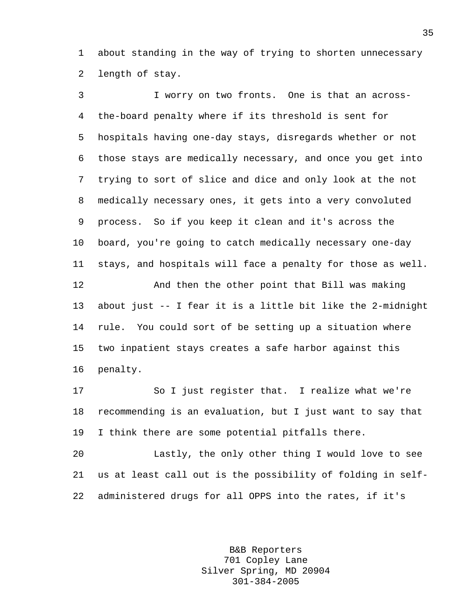1 about standing in the way of trying to shorten unnecessary 2 length of stay.

3 I worry on two fronts. One is that an across-4 the-board penalty where if its threshold is sent for 5 hospitals having one-day stays, disregards whether or not 6 those stays are medically necessary, and once you get into 7 trying to sort of slice and dice and only look at the not 8 medically necessary ones, it gets into a very convoluted 9 process. So if you keep it clean and it's across the 10 board, you're going to catch medically necessary one-day 11 stays, and hospitals will face a penalty for those as well.

12 And then the other point that Bill was making 13 about just -- I fear it is a little bit like the 2-midnight 14 rule. You could sort of be setting up a situation where 15 two inpatient stays creates a safe harbor against this 16 penalty.

17 So I just register that. I realize what we're 18 recommending is an evaluation, but I just want to say that 19 I think there are some potential pitfalls there.

20 Lastly, the only other thing I would love to see 21 us at least call out is the possibility of folding in self-22 administered drugs for all OPPS into the rates, if it's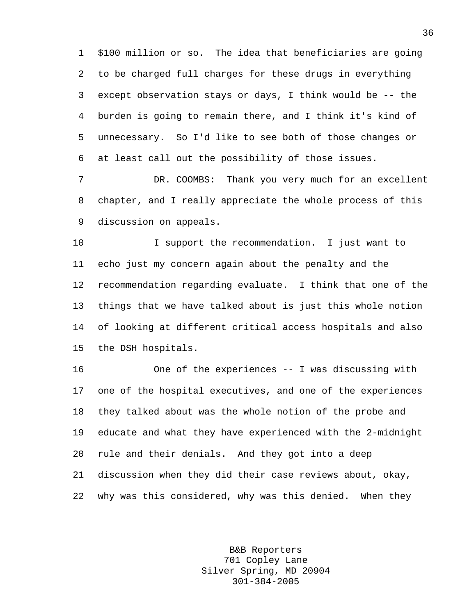1 \$100 million or so. The idea that beneficiaries are going 2 to be charged full charges for these drugs in everything 3 except observation stays or days, I think would be -- the 4 burden is going to remain there, and I think it's kind of 5 unnecessary. So I'd like to see both of those changes or 6 at least call out the possibility of those issues.

7 DR. COOMBS: Thank you very much for an excellent 8 chapter, and I really appreciate the whole process of this 9 discussion on appeals.

10 I support the recommendation. I just want to 11 echo just my concern again about the penalty and the 12 recommendation regarding evaluate. I think that one of the 13 things that we have talked about is just this whole notion 14 of looking at different critical access hospitals and also 15 the DSH hospitals.

16 One of the experiences -- I was discussing with 17 one of the hospital executives, and one of the experiences 18 they talked about was the whole notion of the probe and 19 educate and what they have experienced with the 2-midnight 20 rule and their denials. And they got into a deep 21 discussion when they did their case reviews about, okay, 22 why was this considered, why was this denied. When they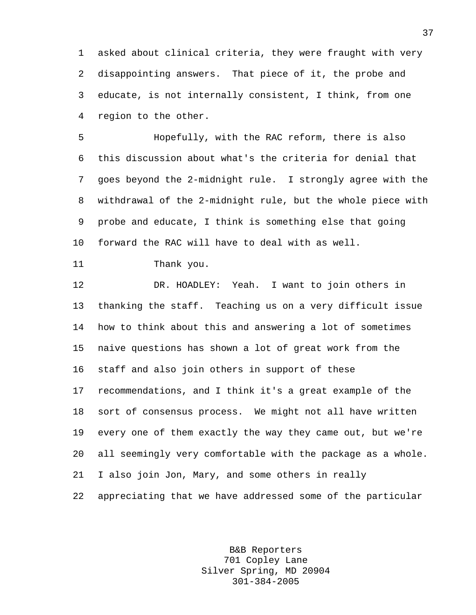1 asked about clinical criteria, they were fraught with very 2 disappointing answers. That piece of it, the probe and 3 educate, is not internally consistent, I think, from one 4 region to the other.

5 Hopefully, with the RAC reform, there is also 6 this discussion about what's the criteria for denial that 7 goes beyond the 2-midnight rule. I strongly agree with the 8 withdrawal of the 2-midnight rule, but the whole piece with 9 probe and educate, I think is something else that going 10 forward the RAC will have to deal with as well.

```
11 Thank you.
```
12 DR. HOADLEY: Yeah. I want to join others in 13 thanking the staff. Teaching us on a very difficult issue 14 how to think about this and answering a lot of sometimes 15 naive questions has shown a lot of great work from the 16 staff and also join others in support of these 17 recommendations, and I think it's a great example of the 18 sort of consensus process. We might not all have written 19 every one of them exactly the way they came out, but we're 20 all seemingly very comfortable with the package as a whole. 21 I also join Jon, Mary, and some others in really 22 appreciating that we have addressed some of the particular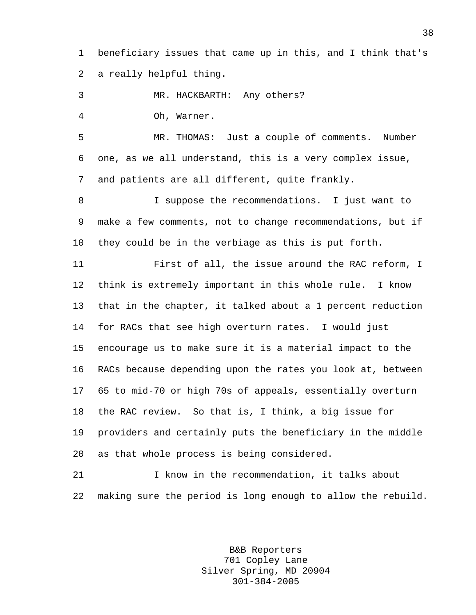1 beneficiary issues that came up in this, and I think that's 2 a really helpful thing.

3 MR. HACKBARTH: Any others?

4 Oh, Warner.

5 MR. THOMAS: Just a couple of comments. Number 6 one, as we all understand, this is a very complex issue, 7 and patients are all different, quite frankly.

8 I suppose the recommendations. I just want to 9 make a few comments, not to change recommendations, but if 10 they could be in the verbiage as this is put forth.

11 First of all, the issue around the RAC reform, I 12 think is extremely important in this whole rule. I know 13 that in the chapter, it talked about a 1 percent reduction 14 for RACs that see high overturn rates. I would just 15 encourage us to make sure it is a material impact to the 16 RACs because depending upon the rates you look at, between 17 65 to mid-70 or high 70s of appeals, essentially overturn 18 the RAC review. So that is, I think, a big issue for 19 providers and certainly puts the beneficiary in the middle 20 as that whole process is being considered.

21 I know in the recommendation, it talks about 22 making sure the period is long enough to allow the rebuild.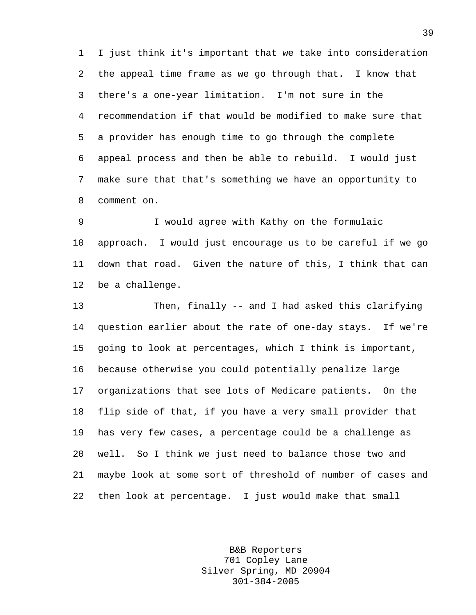1 I just think it's important that we take into consideration 2 the appeal time frame as we go through that. I know that 3 there's a one-year limitation. I'm not sure in the 4 recommendation if that would be modified to make sure that 5 a provider has enough time to go through the complete 6 appeal process and then be able to rebuild. I would just 7 make sure that that's something we have an opportunity to 8 comment on.

9 I would agree with Kathy on the formulaic 10 approach. I would just encourage us to be careful if we go 11 down that road. Given the nature of this, I think that can 12 be a challenge.

13 Then, finally -- and I had asked this clarifying 14 question earlier about the rate of one-day stays. If we're 15 going to look at percentages, which I think is important, 16 because otherwise you could potentially penalize large 17 organizations that see lots of Medicare patients. On the 18 flip side of that, if you have a very small provider that 19 has very few cases, a percentage could be a challenge as 20 well. So I think we just need to balance those two and 21 maybe look at some sort of threshold of number of cases and 22 then look at percentage. I just would make that small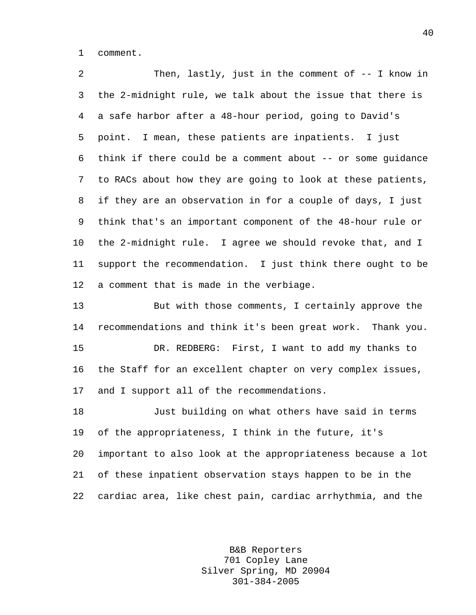1 comment.

2 Then, lastly, just in the comment of -- I know in 3 the 2-midnight rule, we talk about the issue that there is 4 a safe harbor after a 48-hour period, going to David's 5 point. I mean, these patients are inpatients. I just 6 think if there could be a comment about -- or some guidance 7 to RACs about how they are going to look at these patients, 8 if they are an observation in for a couple of days, I just 9 think that's an important component of the 48-hour rule or 10 the 2-midnight rule. I agree we should revoke that, and I 11 support the recommendation. I just think there ought to be 12 a comment that is made in the verbiage.

13 But with those comments, I certainly approve the 14 recommendations and think it's been great work. Thank you. 15 DR. REDBERG: First, I want to add my thanks to 16 the Staff for an excellent chapter on very complex issues, 17 and I support all of the recommendations.

18 Just building on what others have said in terms 19 of the appropriateness, I think in the future, it's 20 important to also look at the appropriateness because a lot 21 of these inpatient observation stays happen to be in the 22 cardiac area, like chest pain, cardiac arrhythmia, and the

> B&B Reporters 701 Copley Lane Silver Spring, MD 20904 301-384-2005

40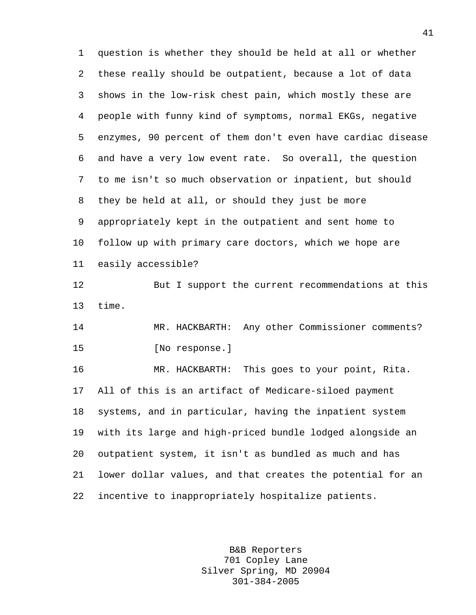1 question is whether they should be held at all or whether 2 these really should be outpatient, because a lot of data 3 shows in the low-risk chest pain, which mostly these are 4 people with funny kind of symptoms, normal EKGs, negative 5 enzymes, 90 percent of them don't even have cardiac disease 6 and have a very low event rate. So overall, the question 7 to me isn't so much observation or inpatient, but should 8 they be held at all, or should they just be more 9 appropriately kept in the outpatient and sent home to 10 follow up with primary care doctors, which we hope are 11 easily accessible?

12 But I support the current recommendations at this 13 time.

14 MR. HACKBARTH: Any other Commissioner comments? 15 [No response.]

16 MR. HACKBARTH: This goes to your point, Rita. 17 All of this is an artifact of Medicare-siloed payment 18 systems, and in particular, having the inpatient system 19 with its large and high-priced bundle lodged alongside an 20 outpatient system, it isn't as bundled as much and has 21 lower dollar values, and that creates the potential for an 22 incentive to inappropriately hospitalize patients.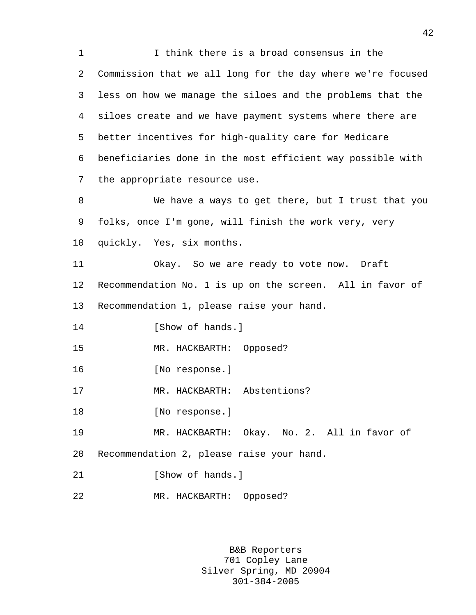1 I think there is a broad consensus in the 2 Commission that we all long for the day where we're focused 3 less on how we manage the siloes and the problems that the 4 siloes create and we have payment systems where there are 5 better incentives for high-quality care for Medicare 6 beneficiaries done in the most efficient way possible with 7 the appropriate resource use. 8 We have a ways to get there, but I trust that you 9 folks, once I'm gone, will finish the work very, very 10 quickly. Yes, six months. 11 Okay. So we are ready to vote now. Draft 12 Recommendation No. 1 is up on the screen. All in favor of 13 Recommendation 1, please raise your hand. 14 [Show of hands.] 15 MR. HACKBARTH: Opposed? 16 [No response.] 17 MR. HACKBARTH: Abstentions? 18 [No response.] 19 MR. HACKBARTH: Okay. No. 2. All in favor of 20 Recommendation 2, please raise your hand. 21 **I** Show of hands. 22 MR. HACKBARTH: Opposed?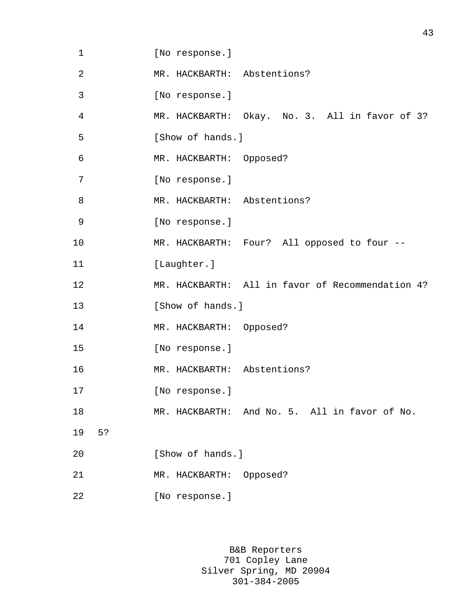| $\mathbf 1$ |    | [No response.]                                   |
|-------------|----|--------------------------------------------------|
| 2           |    | MR. HACKBARTH: Abstentions?                      |
| 3           |    | [No response.]                                   |
| 4           |    | MR. HACKBARTH: Okay. No. 3. All in favor of 3?   |
| 5           |    | [Show of hands.]                                 |
| 6           |    | MR. HACKBARTH: Opposed?                          |
| 7           |    | [No response.]                                   |
| 8           |    | MR. HACKBARTH: Abstentions?                      |
| 9           |    | [No response.]                                   |
| 10          |    | MR. HACKBARTH: Four? All opposed to four --      |
| 11          |    | [Laughter.]                                      |
| 12          |    | MR. HACKBARTH: All in favor of Recommendation 4? |
| 13          |    | [Show of hands.]                                 |
| 14          |    | MR. HACKBARTH: Opposed?                          |
| 15          |    | [No response.]                                   |
| 16          |    | MR. HACKBARTH: Abstentions?                      |
| 17          |    | [No response.]                                   |
| 18          |    | MR. HACKBARTH: And No. 5. All in favor of No.    |
| 19          | 5? |                                                  |
| 20          |    | [Show of hands.]                                 |
| 21          |    | MR. HACKBARTH: Opposed?                          |
| 22          |    | [No response.]                                   |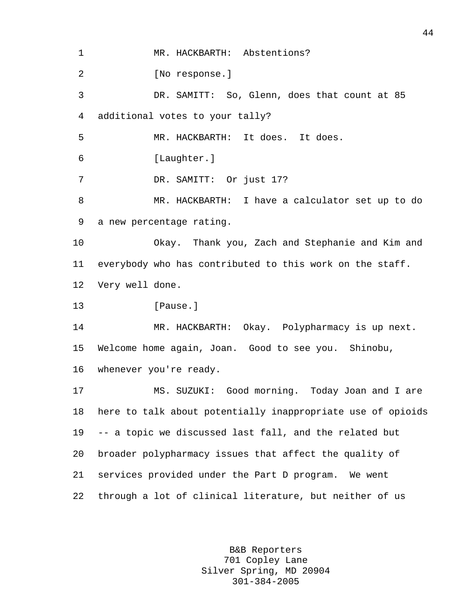1 MR. HACKBARTH: Abstentions? 2 [No response.] 3 DR. SAMITT: So, Glenn, does that count at 85 4 additional votes to your tally? 5 MR. HACKBARTH: It does. It does. 6 [Laughter.] 7 DR. SAMITT: Or just 17? 8 MR. HACKBARTH: I have a calculator set up to do 9 a new percentage rating. 10 Okay. Thank you, Zach and Stephanie and Kim and 11 everybody who has contributed to this work on the staff. 12 Very well done. 13 **I**Pause. 14 MR. HACKBARTH: Okay. Polypharmacy is up next. 15 Welcome home again, Joan. Good to see you. Shinobu, 16 whenever you're ready. 17 MS. SUZUKI: Good morning. Today Joan and I are 18 here to talk about potentially inappropriate use of opioids 19 -- a topic we discussed last fall, and the related but 20 broader polypharmacy issues that affect the quality of 21 services provided under the Part D program. We went 22 through a lot of clinical literature, but neither of us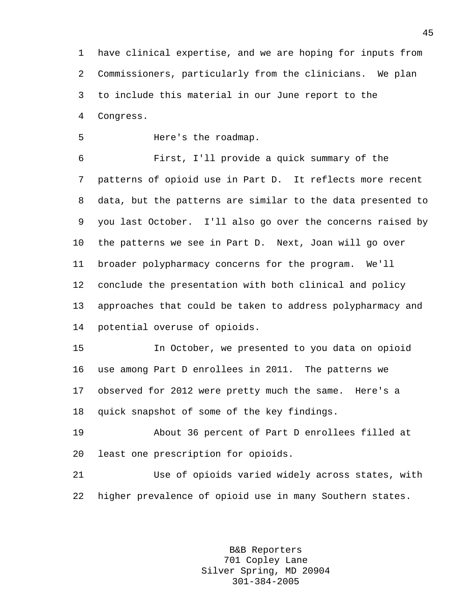1 have clinical expertise, and we are hoping for inputs from 2 Commissioners, particularly from the clinicians. We plan 3 to include this material in our June report to the 4 Congress.

5 Here's the roadmap.

6 First, I'll provide a quick summary of the 7 patterns of opioid use in Part D. It reflects more recent 8 data, but the patterns are similar to the data presented to 9 you last October. I'll also go over the concerns raised by 10 the patterns we see in Part D. Next, Joan will go over 11 broader polypharmacy concerns for the program. We'll 12 conclude the presentation with both clinical and policy 13 approaches that could be taken to address polypharmacy and 14 potential overuse of opioids.

15 In October, we presented to you data on opioid 16 use among Part D enrollees in 2011. The patterns we 17 observed for 2012 were pretty much the same. Here's a 18 quick snapshot of some of the key findings.

19 About 36 percent of Part D enrollees filled at 20 least one prescription for opioids.

21 Use of opioids varied widely across states, with 22 higher prevalence of opioid use in many Southern states.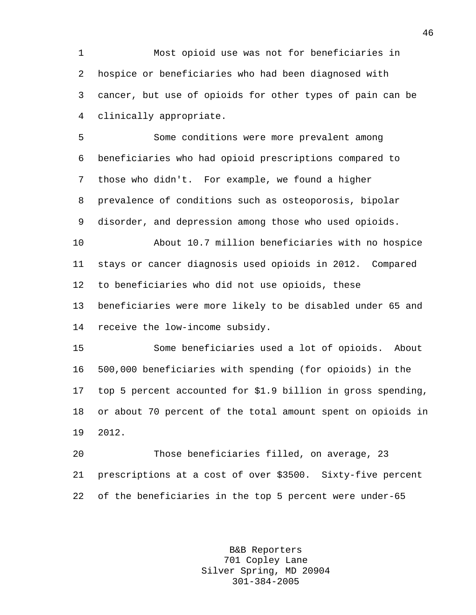1 Most opioid use was not for beneficiaries in 2 hospice or beneficiaries who had been diagnosed with 3 cancer, but use of opioids for other types of pain can be 4 clinically appropriate.

5 Some conditions were more prevalent among 6 beneficiaries who had opioid prescriptions compared to 7 those who didn't. For example, we found a higher 8 prevalence of conditions such as osteoporosis, bipolar 9 disorder, and depression among those who used opioids.

10 About 10.7 million beneficiaries with no hospice 11 stays or cancer diagnosis used opioids in 2012. Compared 12 to beneficiaries who did not use opioids, these 13 beneficiaries were more likely to be disabled under 65 and 14 receive the low-income subsidy.

15 Some beneficiaries used a lot of opioids. About 16 500,000 beneficiaries with spending (for opioids) in the 17 top 5 percent accounted for \$1.9 billion in gross spending, 18 or about 70 percent of the total amount spent on opioids in 19 2012.

20 Those beneficiaries filled, on average, 23 21 prescriptions at a cost of over \$3500. Sixty-five percent 22 of the beneficiaries in the top 5 percent were under-65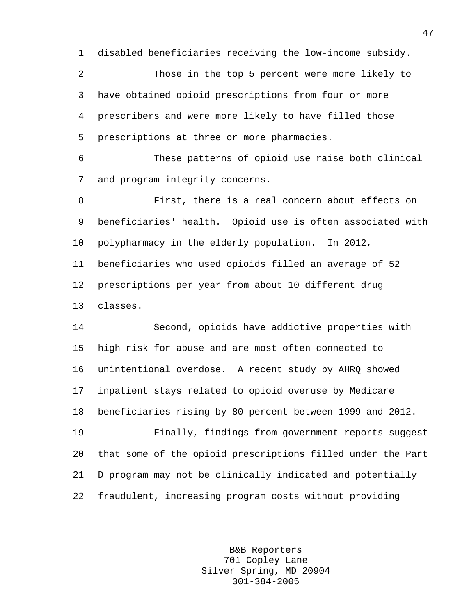1 disabled beneficiaries receiving the low-income subsidy.

2 Those in the top 5 percent were more likely to 3 have obtained opioid prescriptions from four or more 4 prescribers and were more likely to have filled those 5 prescriptions at three or more pharmacies.

6 These patterns of opioid use raise both clinical 7 and program integrity concerns.

8 First, there is a real concern about effects on 9 beneficiaries' health. Opioid use is often associated with 10 polypharmacy in the elderly population. In 2012, 11 beneficiaries who used opioids filled an average of 52 12 prescriptions per year from about 10 different drug 13 classes.

14 Second, opioids have addictive properties with 15 high risk for abuse and are most often connected to 16 unintentional overdose. A recent study by AHRQ showed 17 inpatient stays related to opioid overuse by Medicare 18 beneficiaries rising by 80 percent between 1999 and 2012. 19 Finally, findings from government reports suggest

20 that some of the opioid prescriptions filled under the Part 21 D program may not be clinically indicated and potentially 22 fraudulent, increasing program costs without providing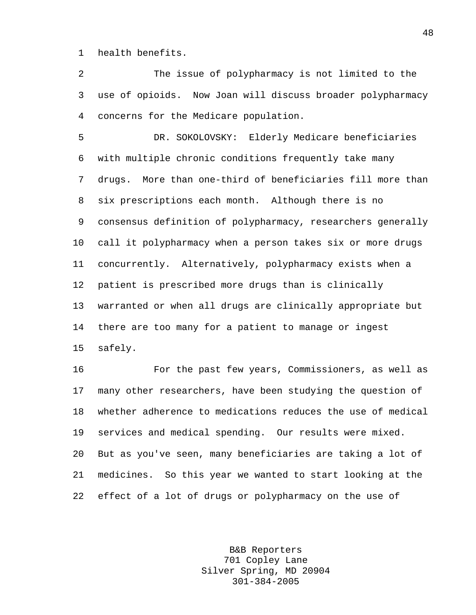1 health benefits.

2 The issue of polypharmacy is not limited to the 3 use of opioids. Now Joan will discuss broader polypharmacy 4 concerns for the Medicare population.

5 DR. SOKOLOVSKY: Elderly Medicare beneficiaries 6 with multiple chronic conditions frequently take many 7 drugs. More than one-third of beneficiaries fill more than 8 six prescriptions each month. Although there is no 9 consensus definition of polypharmacy, researchers generally 10 call it polypharmacy when a person takes six or more drugs 11 concurrently. Alternatively, polypharmacy exists when a 12 patient is prescribed more drugs than is clinically 13 warranted or when all drugs are clinically appropriate but 14 there are too many for a patient to manage or ingest 15 safely.

16 For the past few years, Commissioners, as well as 17 many other researchers, have been studying the question of 18 whether adherence to medications reduces the use of medical 19 services and medical spending. Our results were mixed. 20 But as you've seen, many beneficiaries are taking a lot of 21 medicines. So this year we wanted to start looking at the 22 effect of a lot of drugs or polypharmacy on the use of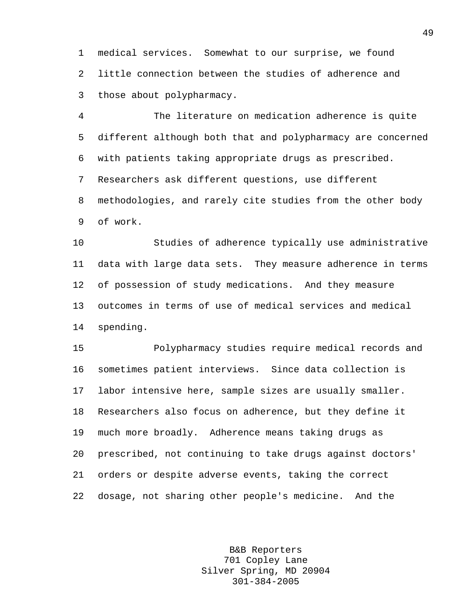1 medical services. Somewhat to our surprise, we found 2 little connection between the studies of adherence and 3 those about polypharmacy.

4 The literature on medication adherence is quite 5 different although both that and polypharmacy are concerned 6 with patients taking appropriate drugs as prescribed. 7 Researchers ask different questions, use different 8 methodologies, and rarely cite studies from the other body 9 of work.

10 Studies of adherence typically use administrative 11 data with large data sets. They measure adherence in terms 12 of possession of study medications. And they measure 13 outcomes in terms of use of medical services and medical 14 spending.

15 Polypharmacy studies require medical records and 16 sometimes patient interviews. Since data collection is 17 labor intensive here, sample sizes are usually smaller. 18 Researchers also focus on adherence, but they define it 19 much more broadly. Adherence means taking drugs as 20 prescribed, not continuing to take drugs against doctors' 21 orders or despite adverse events, taking the correct 22 dosage, not sharing other people's medicine. And the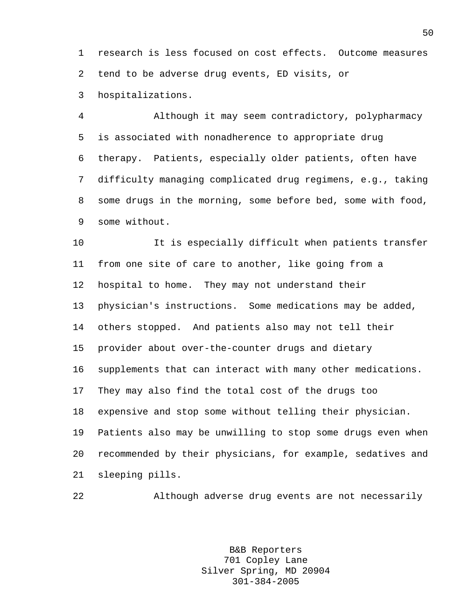1 research is less focused on cost effects. Outcome measures 2 tend to be adverse drug events, ED visits, or

3 hospitalizations.

4 Although it may seem contradictory, polypharmacy 5 is associated with nonadherence to appropriate drug 6 therapy. Patients, especially older patients, often have 7 difficulty managing complicated drug regimens, e.g., taking 8 some drugs in the morning, some before bed, some with food, 9 some without.

10 It is especially difficult when patients transfer 11 from one site of care to another, like going from a 12 hospital to home. They may not understand their 13 physician's instructions. Some medications may be added, 14 others stopped. And patients also may not tell their 15 provider about over-the-counter drugs and dietary 16 supplements that can interact with many other medications. 17 They may also find the total cost of the drugs too 18 expensive and stop some without telling their physician. 19 Patients also may be unwilling to stop some drugs even when 20 recommended by their physicians, for example, sedatives and 21 sleeping pills.

22 Although adverse drug events are not necessarily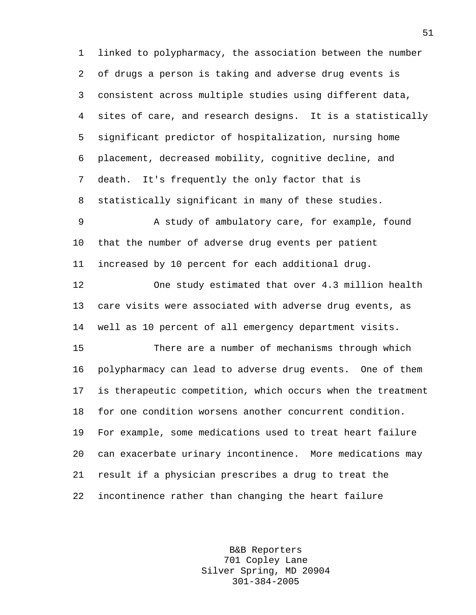1 linked to polypharmacy, the association between the number 2 of drugs a person is taking and adverse drug events is 3 consistent across multiple studies using different data, 4 sites of care, and research designs. It is a statistically 5 significant predictor of hospitalization, nursing home 6 placement, decreased mobility, cognitive decline, and 7 death. It's frequently the only factor that is 8 statistically significant in many of these studies. 9 A study of ambulatory care, for example, found 10 that the number of adverse drug events per patient 11 increased by 10 percent for each additional drug. 12 One study estimated that over 4.3 million health 13 care visits were associated with adverse drug events, as 14 well as 10 percent of all emergency department visits. 15 There are a number of mechanisms through which 16 polypharmacy can lead to adverse drug events. One of them 17 is therapeutic competition, which occurs when the treatment 18 for one condition worsens another concurrent condition. 19 For example, some medications used to treat heart failure 20 can exacerbate urinary incontinence. More medications may 21 result if a physician prescribes a drug to treat the 22 incontinence rather than changing the heart failure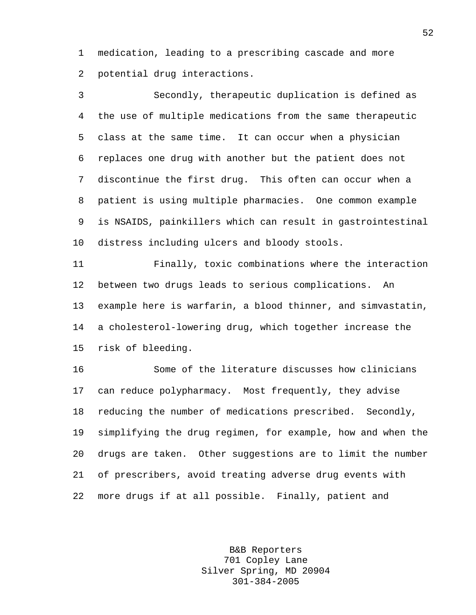1 medication, leading to a prescribing cascade and more 2 potential drug interactions.

3 Secondly, therapeutic duplication is defined as 4 the use of multiple medications from the same therapeutic 5 class at the same time. It can occur when a physician 6 replaces one drug with another but the patient does not 7 discontinue the first drug. This often can occur when a 8 patient is using multiple pharmacies. One common example 9 is NSAIDS, painkillers which can result in gastrointestinal 10 distress including ulcers and bloody stools.

11 Finally, toxic combinations where the interaction 12 between two drugs leads to serious complications. An 13 example here is warfarin, a blood thinner, and simvastatin, 14 a cholesterol-lowering drug, which together increase the 15 risk of bleeding.

16 Some of the literature discusses how clinicians 17 can reduce polypharmacy. Most frequently, they advise 18 reducing the number of medications prescribed. Secondly, 19 simplifying the drug regimen, for example, how and when the 20 drugs are taken. Other suggestions are to limit the number 21 of prescribers, avoid treating adverse drug events with 22 more drugs if at all possible. Finally, patient and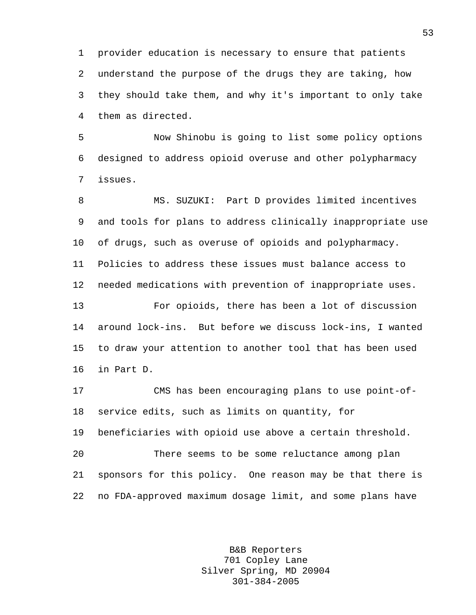1 provider education is necessary to ensure that patients 2 understand the purpose of the drugs they are taking, how 3 they should take them, and why it's important to only take 4 them as directed.

5 Now Shinobu is going to list some policy options 6 designed to address opioid overuse and other polypharmacy 7 issues.

8 MS. SUZUKI: Part D provides limited incentives 9 and tools for plans to address clinically inappropriate use 10 of drugs, such as overuse of opioids and polypharmacy. 11 Policies to address these issues must balance access to 12 needed medications with prevention of inappropriate uses. 13 For opioids, there has been a lot of discussion 14 around lock-ins. But before we discuss lock-ins, I wanted 15 to draw your attention to another tool that has been used 16 in Part D.

17 CMS has been encouraging plans to use point-of-18 service edits, such as limits on quantity, for 19 beneficiaries with opioid use above a certain threshold. 20 There seems to be some reluctance among plan 21 sponsors for this policy. One reason may be that there is 22 no FDA-approved maximum dosage limit, and some plans have

> B&B Reporters 701 Copley Lane Silver Spring, MD 20904 301-384-2005

53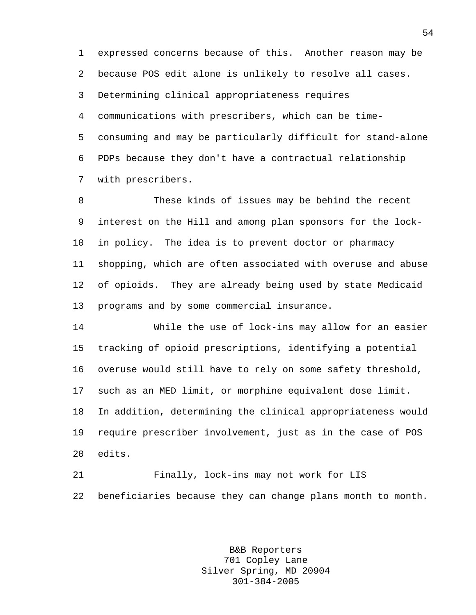1 expressed concerns because of this. Another reason may be 2 because POS edit alone is unlikely to resolve all cases. 3 Determining clinical appropriateness requires 4 communications with prescribers, which can be time-5 consuming and may be particularly difficult for stand-alone 6 PDPs because they don't have a contractual relationship 7 with prescribers.

8 These kinds of issues may be behind the recent 9 interest on the Hill and among plan sponsors for the lock-10 in policy. The idea is to prevent doctor or pharmacy 11 shopping, which are often associated with overuse and abuse 12 of opioids. They are already being used by state Medicaid 13 programs and by some commercial insurance.

14 While the use of lock-ins may allow for an easier 15 tracking of opioid prescriptions, identifying a potential 16 overuse would still have to rely on some safety threshold, 17 such as an MED limit, or morphine equivalent dose limit. 18 In addition, determining the clinical appropriateness would 19 require prescriber involvement, just as in the case of POS 20 edits.

21 Finally, lock-ins may not work for LIS 22 beneficiaries because they can change plans month to month.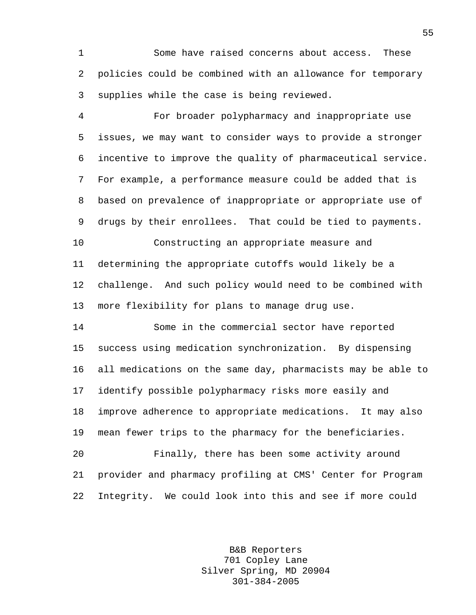1 Some have raised concerns about access. These 2 policies could be combined with an allowance for temporary 3 supplies while the case is being reviewed.

4 For broader polypharmacy and inappropriate use 5 issues, we may want to consider ways to provide a stronger 6 incentive to improve the quality of pharmaceutical service. 7 For example, a performance measure could be added that is 8 based on prevalence of inappropriate or appropriate use of 9 drugs by their enrollees. That could be tied to payments.

10 Constructing an appropriate measure and 11 determining the appropriate cutoffs would likely be a 12 challenge. And such policy would need to be combined with 13 more flexibility for plans to manage drug use.

14 Some in the commercial sector have reported 15 success using medication synchronization. By dispensing 16 all medications on the same day, pharmacists may be able to 17 identify possible polypharmacy risks more easily and 18 improve adherence to appropriate medications. It may also 19 mean fewer trips to the pharmacy for the beneficiaries.

20 Finally, there has been some activity around 21 provider and pharmacy profiling at CMS' Center for Program 22 Integrity. We could look into this and see if more could

> B&B Reporters 701 Copley Lane Silver Spring, MD 20904 301-384-2005

55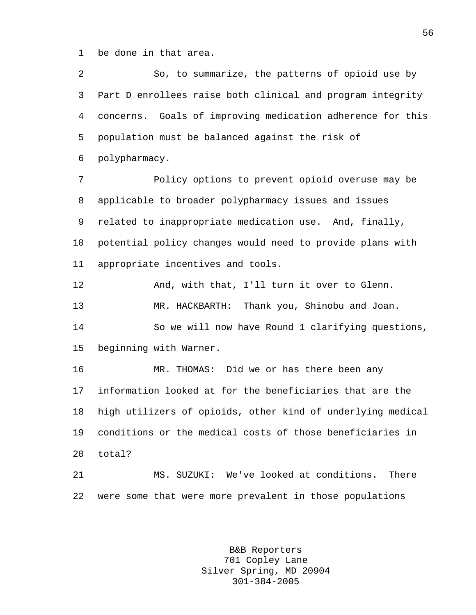1 be done in that area.

2 So, to summarize, the patterns of opioid use by 3 Part D enrollees raise both clinical and program integrity 4 concerns. Goals of improving medication adherence for this 5 population must be balanced against the risk of 6 polypharmacy. 7 Policy options to prevent opioid overuse may be 8 applicable to broader polypharmacy issues and issues 9 related to inappropriate medication use. And, finally, 10 potential policy changes would need to provide plans with 11 appropriate incentives and tools. 12 And, with that, I'll turn it over to Glenn. 13 MR. HACKBARTH: Thank you, Shinobu and Joan. 14 So we will now have Round 1 clarifying questions, 15 beginning with Warner. 16 MR. THOMAS: Did we or has there been any 17 information looked at for the beneficiaries that are the 18 high utilizers of opioids, other kind of underlying medical 19 conditions or the medical costs of those beneficiaries in 20 total? 21 MS. SUZUKI: We've looked at conditions. There 22 were some that were more prevalent in those populations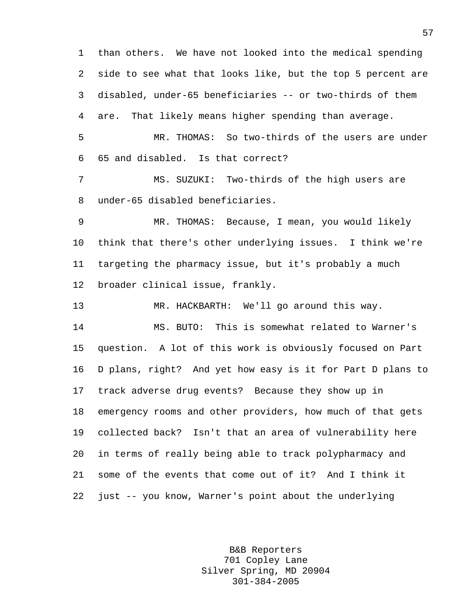1 than others. We have not looked into the medical spending 2 side to see what that looks like, but the top 5 percent are 3 disabled, under-65 beneficiaries -- or two-thirds of them 4 are. That likely means higher spending than average. 5 MR. THOMAS: So two-thirds of the users are under 6 65 and disabled. Is that correct? 7 MS. SUZUKI: Two-thirds of the high users are 8 under-65 disabled beneficiaries. 9 MR. THOMAS: Because, I mean, you would likely 10 think that there's other underlying issues. I think we're 11 targeting the pharmacy issue, but it's probably a much 12 broader clinical issue, frankly. 13 MR. HACKBARTH: We'll go around this way. 14 MS. BUTO: This is somewhat related to Warner's 15 question. A lot of this work is obviously focused on Part 16 D plans, right? And yet how easy is it for Part D plans to 17 track adverse drug events? Because they show up in 18 emergency rooms and other providers, how much of that gets 19 collected back? Isn't that an area of vulnerability here 20 in terms of really being able to track polypharmacy and 21 some of the events that come out of it? And I think it 22 just -- you know, Warner's point about the underlying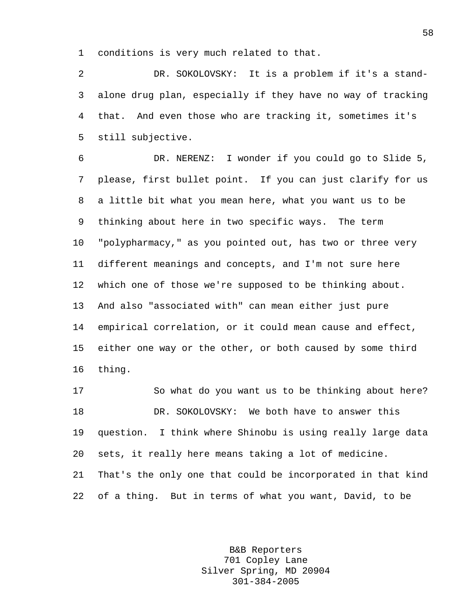1 conditions is very much related to that.

2 DR. SOKOLOVSKY: It is a problem if it's a stand-3 alone drug plan, especially if they have no way of tracking 4 that. And even those who are tracking it, sometimes it's 5 still subjective.

6 DR. NERENZ: I wonder if you could go to Slide 5, 7 please, first bullet point. If you can just clarify for us 8 a little bit what you mean here, what you want us to be 9 thinking about here in two specific ways. The term 10 "polypharmacy," as you pointed out, has two or three very 11 different meanings and concepts, and I'm not sure here 12 which one of those we're supposed to be thinking about. 13 And also "associated with" can mean either just pure 14 empirical correlation, or it could mean cause and effect, 15 either one way or the other, or both caused by some third 16 thing.

17 So what do you want us to be thinking about here? 18 DR. SOKOLOVSKY: We both have to answer this 19 question. I think where Shinobu is using really large data 20 sets, it really here means taking a lot of medicine. 21 That's the only one that could be incorporated in that kind 22 of a thing. But in terms of what you want, David, to be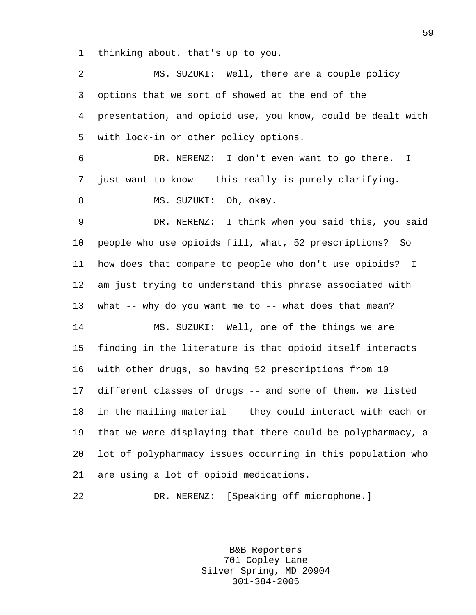1 thinking about, that's up to you.

2 MS. SUZUKI: Well, there are a couple policy 3 options that we sort of showed at the end of the 4 presentation, and opioid use, you know, could be dealt with 5 with lock-in or other policy options. 6 DR. NERENZ: I don't even want to go there. I 7 just want to know -- this really is purely clarifying. 8 MS. SUZUKI: Oh, okay. 9 DR. NERENZ: I think when you said this, you said 10 people who use opioids fill, what, 52 prescriptions? So 11 how does that compare to people who don't use opioids? I 12 am just trying to understand this phrase associated with 13 what -- why do you want me to -- what does that mean? 14 MS. SUZUKI: Well, one of the things we are 15 finding in the literature is that opioid itself interacts 16 with other drugs, so having 52 prescriptions from 10 17 different classes of drugs -- and some of them, we listed 18 in the mailing material -- they could interact with each or 19 that we were displaying that there could be polypharmacy, a 20 lot of polypharmacy issues occurring in this population who 21 are using a lot of opioid medications. 22 DR. NERENZ: [Speaking off microphone.]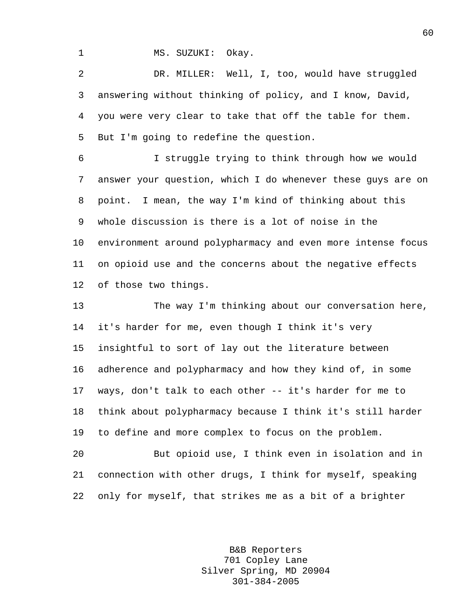1 MS. SUZUKI: Okay.

2 DR. MILLER: Well, I, too, would have struggled 3 answering without thinking of policy, and I know, David, 4 you were very clear to take that off the table for them. 5 But I'm going to redefine the question.

6 I struggle trying to think through how we would 7 answer your question, which I do whenever these guys are on 8 point. I mean, the way I'm kind of thinking about this 9 whole discussion is there is a lot of noise in the 10 environment around polypharmacy and even more intense focus 11 on opioid use and the concerns about the negative effects 12 of those two things.

13 The way I'm thinking about our conversation here, 14 it's harder for me, even though I think it's very 15 insightful to sort of lay out the literature between 16 adherence and polypharmacy and how they kind of, in some 17 ways, don't talk to each other -- it's harder for me to 18 think about polypharmacy because I think it's still harder 19 to define and more complex to focus on the problem.

20 But opioid use, I think even in isolation and in 21 connection with other drugs, I think for myself, speaking 22 only for myself, that strikes me as a bit of a brighter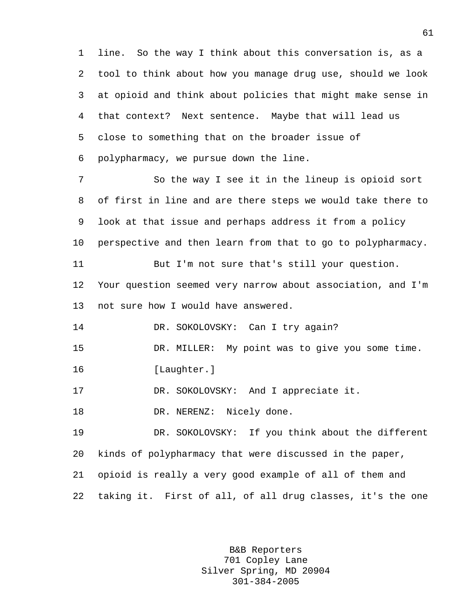1 line. So the way I think about this conversation is, as a 2 tool to think about how you manage drug use, should we look 3 at opioid and think about policies that might make sense in 4 that context? Next sentence. Maybe that will lead us 5 close to something that on the broader issue of 6 polypharmacy, we pursue down the line.

7 So the way I see it in the lineup is opioid sort 8 of first in line and are there steps we would take there to 9 look at that issue and perhaps address it from a policy 10 perspective and then learn from that to go to polypharmacy. 11 But I'm not sure that's still your question. 12 Your question seemed very narrow about association, and I'm 13 not sure how I would have answered.

14 DR. SOKOLOVSKY: Can I try again?

15 DR. MILLER: My point was to give you some time.

16 [Laughter.]

17 DR. SOKOLOVSKY: And I appreciate it.

18 DR. NERENZ: Nicely done.

19 DR. SOKOLOVSKY: If you think about the different 20 kinds of polypharmacy that were discussed in the paper, 21 opioid is really a very good example of all of them and 22 taking it. First of all, of all drug classes, it's the one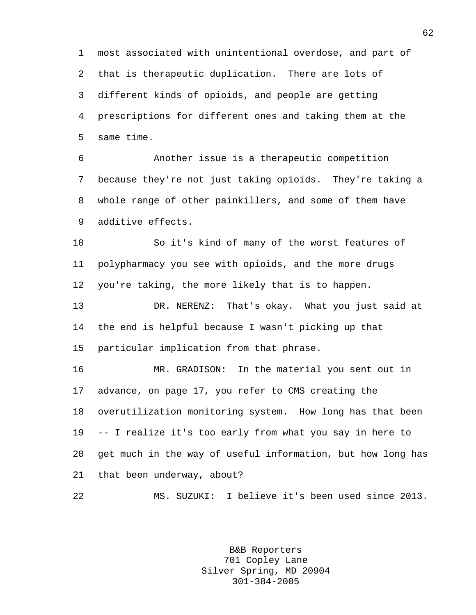1 most associated with unintentional overdose, and part of 2 that is therapeutic duplication. There are lots of 3 different kinds of opioids, and people are getting 4 prescriptions for different ones and taking them at the 5 same time.

6 Another issue is a therapeutic competition 7 because they're not just taking opioids. They're taking a 8 whole range of other painkillers, and some of them have 9 additive effects.

10 So it's kind of many of the worst features of 11 polypharmacy you see with opioids, and the more drugs 12 you're taking, the more likely that is to happen.

13 DR. NERENZ: That's okay. What you just said at 14 the end is helpful because I wasn't picking up that 15 particular implication from that phrase.

16 MR. GRADISON: In the material you sent out in 17 advance, on page 17, you refer to CMS creating the 18 overutilization monitoring system. How long has that been 19 -- I realize it's too early from what you say in here to 20 get much in the way of useful information, but how long has 21 that been underway, about?

22 MS. SUZUKI: I believe it's been used since 2013.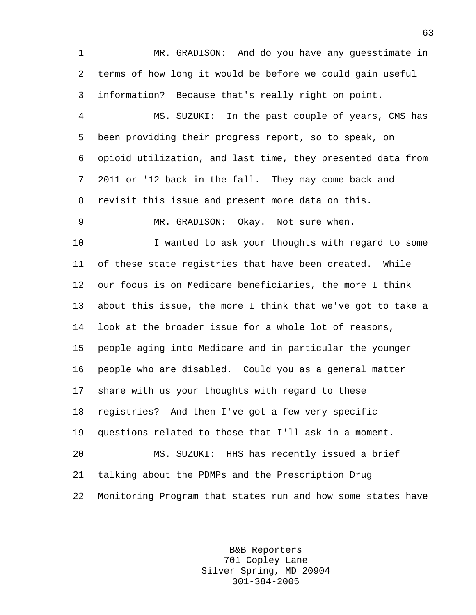1 MR. GRADISON: And do you have any guesstimate in 2 terms of how long it would be before we could gain useful 3 information? Because that's really right on point.

4 MS. SUZUKI: In the past couple of years, CMS has 5 been providing their progress report, so to speak, on 6 opioid utilization, and last time, they presented data from 7 2011 or '12 back in the fall. They may come back and 8 revisit this issue and present more data on this.

9 MR. GRADISON: Okay. Not sure when.

10 I wanted to ask your thoughts with regard to some 11 of these state registries that have been created. While 12 our focus is on Medicare beneficiaries, the more I think 13 about this issue, the more I think that we've got to take a 14 look at the broader issue for a whole lot of reasons, 15 people aging into Medicare and in particular the younger 16 people who are disabled. Could you as a general matter 17 share with us your thoughts with regard to these 18 registries? And then I've got a few very specific 19 questions related to those that I'll ask in a moment. 20 MS. SUZUKI: HHS has recently issued a brief 21 talking about the PDMPs and the Prescription Drug 22 Monitoring Program that states run and how some states have

> B&B Reporters 701 Copley Lane Silver Spring, MD 20904 301-384-2005

63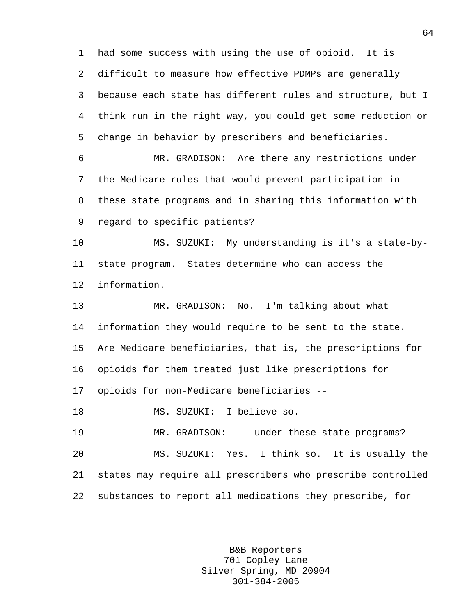1 had some success with using the use of opioid. It is 2 difficult to measure how effective PDMPs are generally 3 because each state has different rules and structure, but I 4 think run in the right way, you could get some reduction or 5 change in behavior by prescribers and beneficiaries. 6 MR. GRADISON: Are there any restrictions under 7 the Medicare rules that would prevent participation in 8 these state programs and in sharing this information with 9 regard to specific patients? 10 MS. SUZUKI: My understanding is it's a state-by-11 state program. States determine who can access the 12 information. 13 MR. GRADISON: No. I'm talking about what 14 information they would require to be sent to the state. 15 Are Medicare beneficiaries, that is, the prescriptions for 16 opioids for them treated just like prescriptions for 17 opioids for non-Medicare beneficiaries -- 18 MS. SUZUKI: I believe so. 19 MR. GRADISON: -- under these state programs? 20 MS. SUZUKI: Yes. I think so. It is usually the 21 states may require all prescribers who prescribe controlled 22 substances to report all medications they prescribe, for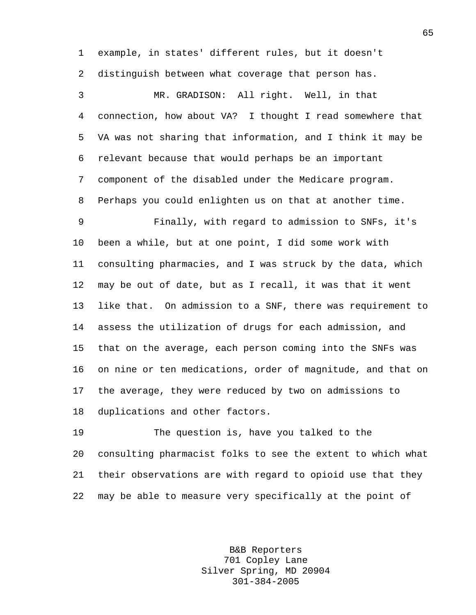1 example, in states' different rules, but it doesn't 2 distinguish between what coverage that person has.

3 MR. GRADISON: All right. Well, in that 4 connection, how about VA? I thought I read somewhere that 5 VA was not sharing that information, and I think it may be 6 relevant because that would perhaps be an important 7 component of the disabled under the Medicare program. 8 Perhaps you could enlighten us on that at another time. 9 Finally, with regard to admission to SNFs, it's 10 been a while, but at one point, I did some work with 11 consulting pharmacies, and I was struck by the data, which 12 may be out of date, but as I recall, it was that it went 13 like that. On admission to a SNF, there was requirement to 14 assess the utilization of drugs for each admission, and 15 that on the average, each person coming into the SNFs was 16 on nine or ten medications, order of magnitude, and that on 17 the average, they were reduced by two on admissions to 18 duplications and other factors.

19 The question is, have you talked to the 20 consulting pharmacist folks to see the extent to which what 21 their observations are with regard to opioid use that they 22 may be able to measure very specifically at the point of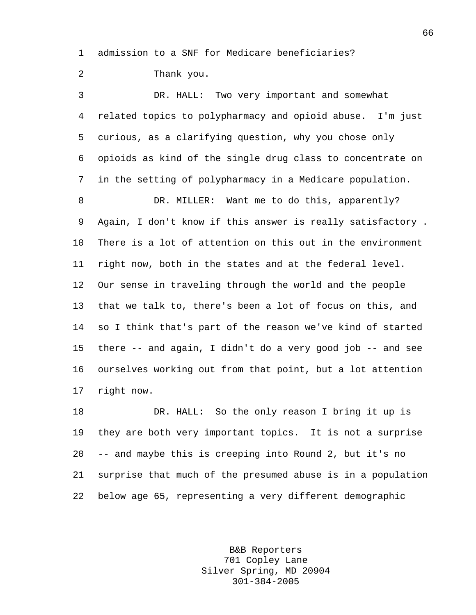1 admission to a SNF for Medicare beneficiaries?

2 Thank you.

3 DR. HALL: Two very important and somewhat 4 related topics to polypharmacy and opioid abuse. I'm just 5 curious, as a clarifying question, why you chose only 6 opioids as kind of the single drug class to concentrate on 7 in the setting of polypharmacy in a Medicare population.

8 DR. MILLER: Want me to do this, apparently? 9 Again, I don't know if this answer is really satisfactory . 10 There is a lot of attention on this out in the environment 11 right now, both in the states and at the federal level. 12 Our sense in traveling through the world and the people 13 that we talk to, there's been a lot of focus on this, and 14 so I think that's part of the reason we've kind of started 15 there -- and again, I didn't do a very good job -- and see 16 ourselves working out from that point, but a lot attention 17 right now.

18 DR. HALL: So the only reason I bring it up is 19 they are both very important topics. It is not a surprise 20 -- and maybe this is creeping into Round 2, but it's no 21 surprise that much of the presumed abuse is in a population 22 below age 65, representing a very different demographic

> B&B Reporters 701 Copley Lane Silver Spring, MD 20904 301-384-2005

66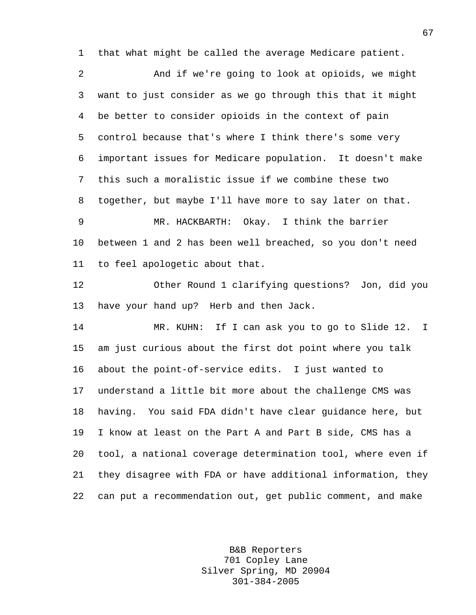1 that what might be called the average Medicare patient.

| $\overline{a}$ | And if we're going to look at opioids, we might             |  |
|----------------|-------------------------------------------------------------|--|
| 3              | want to just consider as we go through this that it might   |  |
| 4              | be better to consider opioids in the context of pain        |  |
| 5              | control because that's where I think there's some very      |  |
| 6              | important issues for Medicare population. It doesn't make   |  |
| 7              | this such a moralistic issue if we combine these two        |  |
| 8              | together, but maybe I'll have more to say later on that.    |  |
| 9              | MR. HACKBARTH: Okay. I think the barrier                    |  |
| $10 \,$        | between 1 and 2 has been well breached, so you don't need   |  |
| 11             | to feel apologetic about that.                              |  |
| 12             | Other Round 1 clarifying questions? Jon, did you            |  |
| 13             | have your hand up? Herb and then Jack.                      |  |
| 14             | MR. KUHN: If I can ask you to go to Slide 12. I             |  |
| 15             | am just curious about the first dot point where you talk    |  |
| 16             | about the point-of-service edits. I just wanted to          |  |
| 17             | understand a little bit more about the challenge CMS was    |  |
| 18             | having. You said FDA didn't have clear guidance here, but   |  |
| 19             | I know at least on the Part A and Part B side, CMS has a    |  |
| 20             | tool, a national coverage determination tool, where even if |  |
| 21             | they disagree with FDA or have additional information, they |  |
| 22             | can put a recommendation out, get public comment, and make  |  |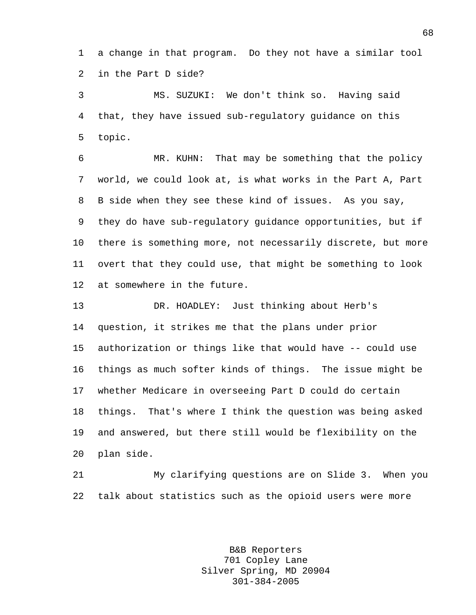1 a change in that program. Do they not have a similar tool 2 in the Part D side?

3 MS. SUZUKI: We don't think so. Having said 4 that, they have issued sub-regulatory guidance on this 5 topic.

6 MR. KUHN: That may be something that the policy 7 world, we could look at, is what works in the Part A, Part 8 B side when they see these kind of issues. As you say, 9 they do have sub-regulatory guidance opportunities, but if 10 there is something more, not necessarily discrete, but more 11 overt that they could use, that might be something to look 12 at somewhere in the future.

13 DR. HOADLEY: Just thinking about Herb's 14 question, it strikes me that the plans under prior 15 authorization or things like that would have -- could use 16 things as much softer kinds of things. The issue might be 17 whether Medicare in overseeing Part D could do certain 18 things. That's where I think the question was being asked 19 and answered, but there still would be flexibility on the 20 plan side.

21 My clarifying questions are on Slide 3. When you 22 talk about statistics such as the opioid users were more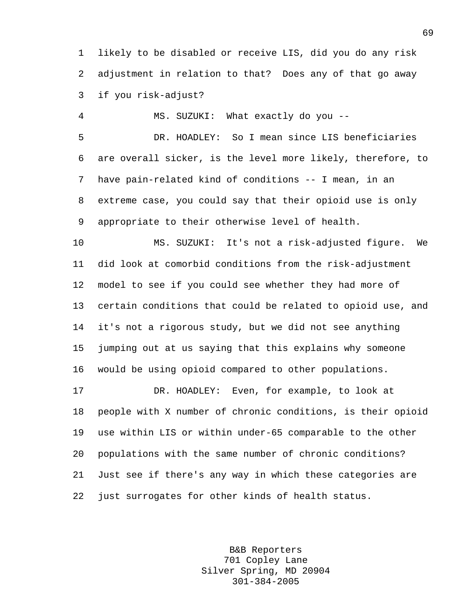1 likely to be disabled or receive LIS, did you do any risk 2 adjustment in relation to that? Does any of that go away 3 if you risk-adjust?

4 MS. SUZUKI: What exactly do you -- 5 DR. HOADLEY: So I mean since LIS beneficiaries 6 are overall sicker, is the level more likely, therefore, to 7 have pain-related kind of conditions -- I mean, in an 8 extreme case, you could say that their opioid use is only 9 appropriate to their otherwise level of health.

10 MS. SUZUKI: It's not a risk-adjusted figure. We 11 did look at comorbid conditions from the risk-adjustment 12 model to see if you could see whether they had more of 13 certain conditions that could be related to opioid use, and 14 it's not a rigorous study, but we did not see anything 15 jumping out at us saying that this explains why someone 16 would be using opioid compared to other populations.

17 DR. HOADLEY: Even, for example, to look at 18 people with X number of chronic conditions, is their opioid 19 use within LIS or within under-65 comparable to the other 20 populations with the same number of chronic conditions? 21 Just see if there's any way in which these categories are 22 just surrogates for other kinds of health status.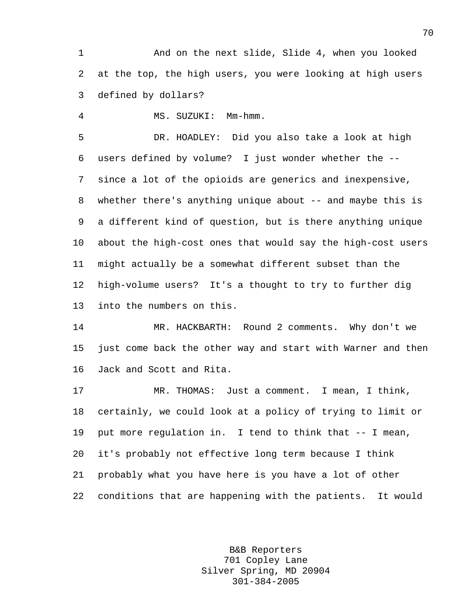1 And on the next slide, Slide 4, when you looked 2 at the top, the high users, you were looking at high users 3 defined by dollars?

4 MS. SUZUKI: Mm-hmm.

5 DR. HOADLEY: Did you also take a look at high 6 users defined by volume? I just wonder whether the -- 7 since a lot of the opioids are generics and inexpensive, 8 whether there's anything unique about -- and maybe this is 9 a different kind of question, but is there anything unique 10 about the high-cost ones that would say the high-cost users 11 might actually be a somewhat different subset than the 12 high-volume users? It's a thought to try to further dig 13 into the numbers on this.

14 MR. HACKBARTH: Round 2 comments. Why don't we 15 just come back the other way and start with Warner and then 16 Jack and Scott and Rita.

17 MR. THOMAS: Just a comment. I mean, I think, 18 certainly, we could look at a policy of trying to limit or 19 put more regulation in. I tend to think that -- I mean, 20 it's probably not effective long term because I think 21 probably what you have here is you have a lot of other 22 conditions that are happening with the patients. It would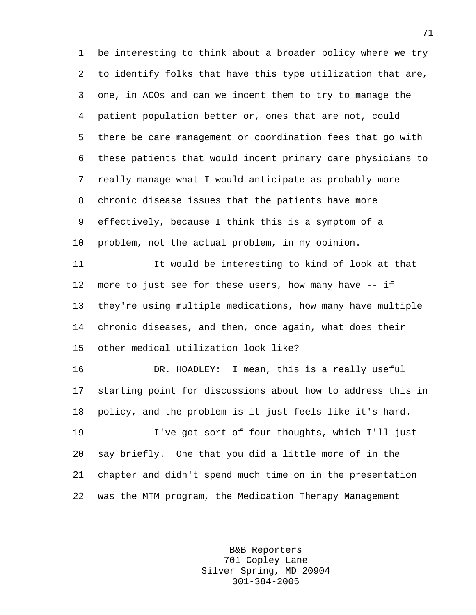1 be interesting to think about a broader policy where we try 2 to identify folks that have this type utilization that are, 3 one, in ACOs and can we incent them to try to manage the 4 patient population better or, ones that are not, could 5 there be care management or coordination fees that go with 6 these patients that would incent primary care physicians to 7 really manage what I would anticipate as probably more 8 chronic disease issues that the patients have more 9 effectively, because I think this is a symptom of a 10 problem, not the actual problem, in my opinion. 11 It would be interesting to kind of look at that 12 more to just see for these users, how many have -- if 13 they're using multiple medications, how many have multiple

14 chronic diseases, and then, once again, what does their 15 other medical utilization look like?

16 DR. HOADLEY: I mean, this is a really useful 17 starting point for discussions about how to address this in 18 policy, and the problem is it just feels like it's hard. 19 I've got sort of four thoughts, which I'll just 20 say briefly. One that you did a little more of in the 21 chapter and didn't spend much time on in the presentation

22 was the MTM program, the Medication Therapy Management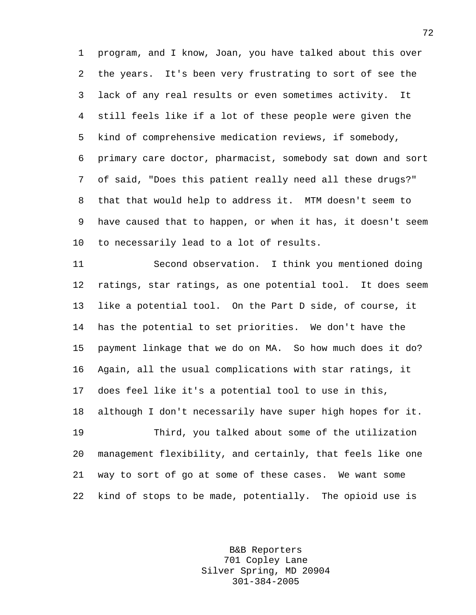1 program, and I know, Joan, you have talked about this over 2 the years. It's been very frustrating to sort of see the 3 lack of any real results or even sometimes activity. It 4 still feels like if a lot of these people were given the 5 kind of comprehensive medication reviews, if somebody, 6 primary care doctor, pharmacist, somebody sat down and sort 7 of said, "Does this patient really need all these drugs?" 8 that that would help to address it. MTM doesn't seem to 9 have caused that to happen, or when it has, it doesn't seem 10 to necessarily lead to a lot of results.

11 Second observation. I think you mentioned doing 12 ratings, star ratings, as one potential tool. It does seem 13 like a potential tool. On the Part D side, of course, it 14 has the potential to set priorities. We don't have the 15 payment linkage that we do on MA. So how much does it do? 16 Again, all the usual complications with star ratings, it 17 does feel like it's a potential tool to use in this, 18 although I don't necessarily have super high hopes for it. 19 Third, you talked about some of the utilization 20 management flexibility, and certainly, that feels like one 21 way to sort of go at some of these cases. We want some 22 kind of stops to be made, potentially. The opioid use is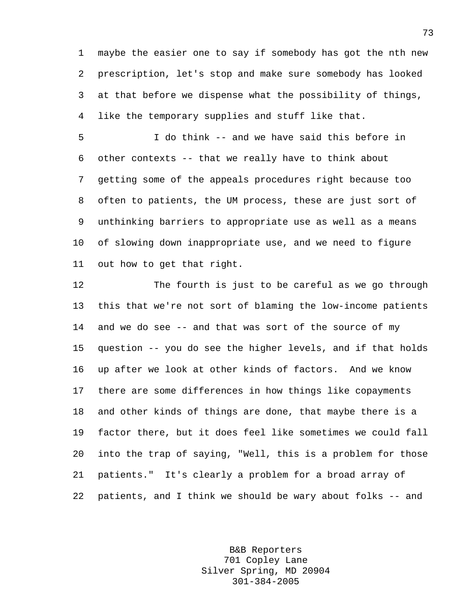1 maybe the easier one to say if somebody has got the nth new 2 prescription, let's stop and make sure somebody has looked 3 at that before we dispense what the possibility of things, 4 like the temporary supplies and stuff like that.

5 I do think -- and we have said this before in 6 other contexts -- that we really have to think about 7 getting some of the appeals procedures right because too 8 often to patients, the UM process, these are just sort of 9 unthinking barriers to appropriate use as well as a means 10 of slowing down inappropriate use, and we need to figure 11 out how to get that right.

12 The fourth is just to be careful as we go through 13 this that we're not sort of blaming the low-income patients 14 and we do see -- and that was sort of the source of my 15 question -- you do see the higher levels, and if that holds 16 up after we look at other kinds of factors. And we know 17 there are some differences in how things like copayments 18 and other kinds of things are done, that maybe there is a 19 factor there, but it does feel like sometimes we could fall 20 into the trap of saying, "Well, this is a problem for those 21 patients." It's clearly a problem for a broad array of 22 patients, and I think we should be wary about folks -- and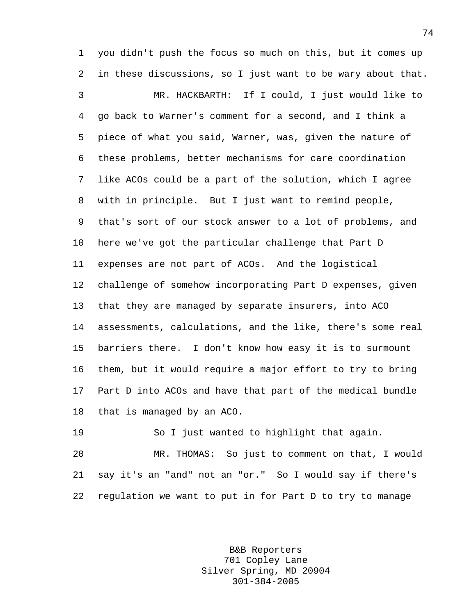1 you didn't push the focus so much on this, but it comes up 2 in these discussions, so I just want to be wary about that.

3 MR. HACKBARTH: If I could, I just would like to 4 go back to Warner's comment for a second, and I think a 5 piece of what you said, Warner, was, given the nature of 6 these problems, better mechanisms for care coordination 7 like ACOs could be a part of the solution, which I agree 8 with in principle. But I just want to remind people, 9 that's sort of our stock answer to a lot of problems, and 10 here we've got the particular challenge that Part D 11 expenses are not part of ACOs. And the logistical 12 challenge of somehow incorporating Part D expenses, given 13 that they are managed by separate insurers, into ACO 14 assessments, calculations, and the like, there's some real 15 barriers there. I don't know how easy it is to surmount 16 them, but it would require a major effort to try to bring 17 Part D into ACOs and have that part of the medical bundle 18 that is managed by an ACO.

19 So I just wanted to highlight that again. 20 MR. THOMAS: So just to comment on that, I would 21 say it's an "and" not an "or." So I would say if there's 22 regulation we want to put in for Part D to try to manage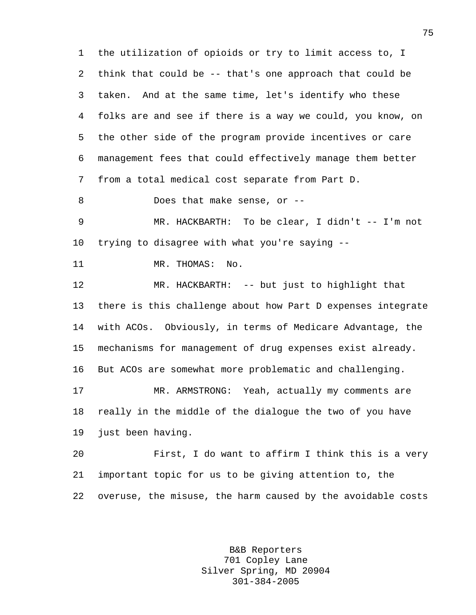1 the utilization of opioids or try to limit access to, I 2 think that could be -- that's one approach that could be 3 taken. And at the same time, let's identify who these 4 folks are and see if there is a way we could, you know, on 5 the other side of the program provide incentives or care 6 management fees that could effectively manage them better 7 from a total medical cost separate from Part D. 8 Does that make sense, or --9 MR. HACKBARTH: To be clear, I didn't -- I'm not 10 trying to disagree with what you're saying -- 11 MR. THOMAS: No. 12 MR. HACKBARTH: -- but just to highlight that 13 there is this challenge about how Part D expenses integrate 14 with ACOs. Obviously, in terms of Medicare Advantage, the 15 mechanisms for management of drug expenses exist already. 16 But ACOs are somewhat more problematic and challenging. 17 MR. ARMSTRONG: Yeah, actually my comments are 18 really in the middle of the dialogue the two of you have 19 just been having. 20 First, I do want to affirm I think this is a very 21 important topic for us to be giving attention to, the 22 overuse, the misuse, the harm caused by the avoidable costs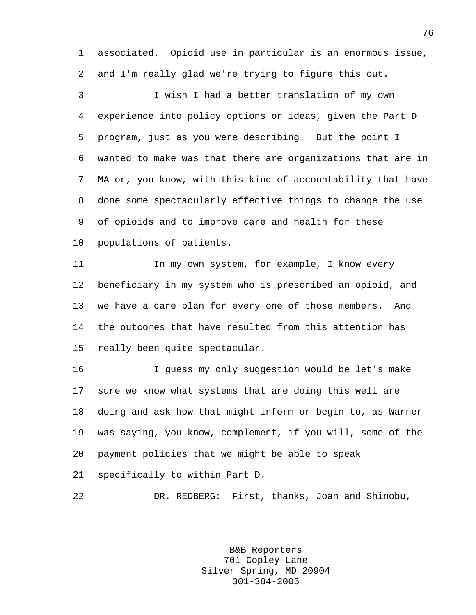1 associated. Opioid use in particular is an enormous issue, 2 and I'm really glad we're trying to figure this out.

3 I wish I had a better translation of my own 4 experience into policy options or ideas, given the Part D 5 program, just as you were describing. But the point I 6 wanted to make was that there are organizations that are in 7 MA or, you know, with this kind of accountability that have 8 done some spectacularly effective things to change the use 9 of opioids and to improve care and health for these 10 populations of patients.

11 In my own system, for example, I know every 12 beneficiary in my system who is prescribed an opioid, and 13 we have a care plan for every one of those members. And 14 the outcomes that have resulted from this attention has 15 really been quite spectacular.

16 I guess my only suggestion would be let's make 17 sure we know what systems that are doing this well are 18 doing and ask how that might inform or begin to, as Warner 19 was saying, you know, complement, if you will, some of the 20 payment policies that we might be able to speak 21 specifically to within Part D.

22 DR. REDBERG: First, thanks, Joan and Shinobu,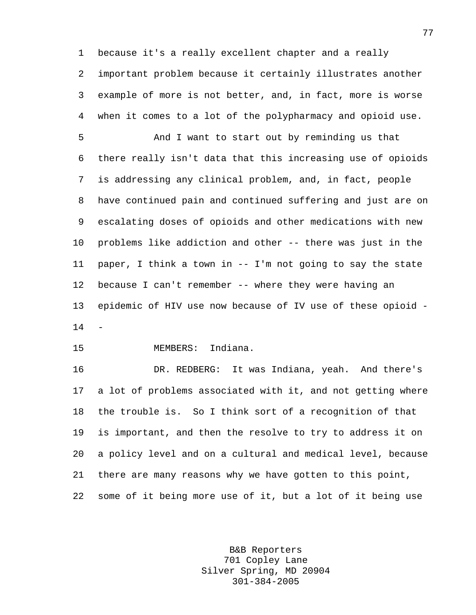1 because it's a really excellent chapter and a really 2 important problem because it certainly illustrates another 3 example of more is not better, and, in fact, more is worse 4 when it comes to a lot of the polypharmacy and opioid use.

5 And I want to start out by reminding us that 6 there really isn't data that this increasing use of opioids 7 is addressing any clinical problem, and, in fact, people 8 have continued pain and continued suffering and just are on 9 escalating doses of opioids and other medications with new 10 problems like addiction and other -- there was just in the 11 paper, I think a town in -- I'm not going to say the state 12 because I can't remember -- where they were having an 13 epidemic of HIV use now because of IV use of these opioid -  $14$ 

15 MEMBERS: Indiana.

16 DR. REDBERG: It was Indiana, yeah. And there's 17 a lot of problems associated with it, and not getting where 18 the trouble is. So I think sort of a recognition of that 19 is important, and then the resolve to try to address it on 20 a policy level and on a cultural and medical level, because 21 there are many reasons why we have gotten to this point, 22 some of it being more use of it, but a lot of it being use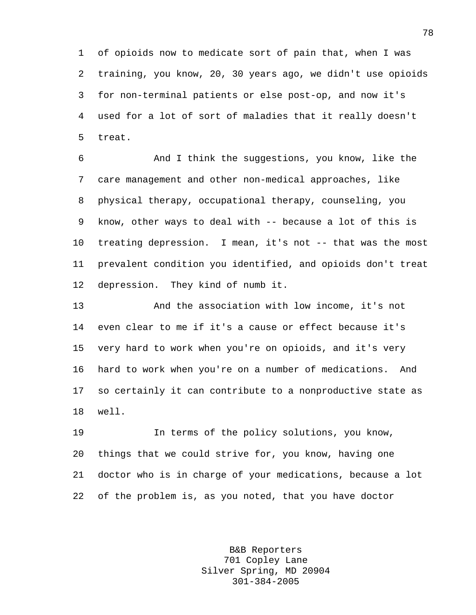1 of opioids now to medicate sort of pain that, when I was 2 training, you know, 20, 30 years ago, we didn't use opioids 3 for non-terminal patients or else post-op, and now it's 4 used for a lot of sort of maladies that it really doesn't 5 treat.

6 And I think the suggestions, you know, like the 7 care management and other non-medical approaches, like 8 physical therapy, occupational therapy, counseling, you 9 know, other ways to deal with -- because a lot of this is 10 treating depression. I mean, it's not -- that was the most 11 prevalent condition you identified, and opioids don't treat 12 depression. They kind of numb it.

13 And the association with low income, it's not 14 even clear to me if it's a cause or effect because it's 15 very hard to work when you're on opioids, and it's very 16 hard to work when you're on a number of medications. And 17 so certainly it can contribute to a nonproductive state as 18 well.

19 In terms of the policy solutions, you know, 20 things that we could strive for, you know, having one 21 doctor who is in charge of your medications, because a lot 22 of the problem is, as you noted, that you have doctor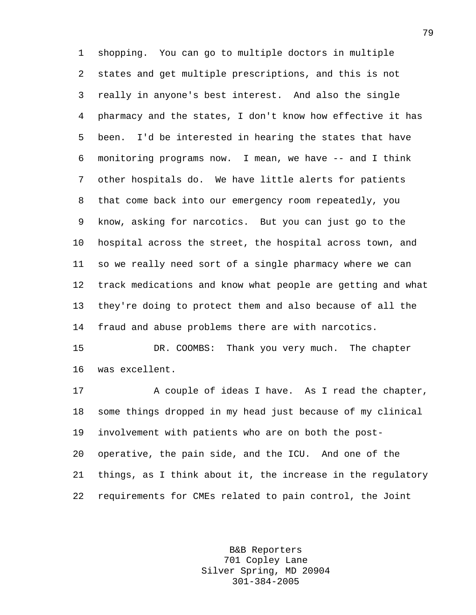1 shopping. You can go to multiple doctors in multiple 2 states and get multiple prescriptions, and this is not 3 really in anyone's best interest. And also the single 4 pharmacy and the states, I don't know how effective it has 5 been. I'd be interested in hearing the states that have 6 monitoring programs now. I mean, we have -- and I think 7 other hospitals do. We have little alerts for patients 8 that come back into our emergency room repeatedly, you 9 know, asking for narcotics. But you can just go to the 10 hospital across the street, the hospital across town, and 11 so we really need sort of a single pharmacy where we can 12 track medications and know what people are getting and what 13 they're doing to protect them and also because of all the 14 fraud and abuse problems there are with narcotics.

15 DR. COOMBS: Thank you very much. The chapter 16 was excellent.

17 A couple of ideas I have. As I read the chapter, 18 some things dropped in my head just because of my clinical 19 involvement with patients who are on both the post-20 operative, the pain side, and the ICU. And one of the 21 things, as I think about it, the increase in the regulatory 22 requirements for CMEs related to pain control, the Joint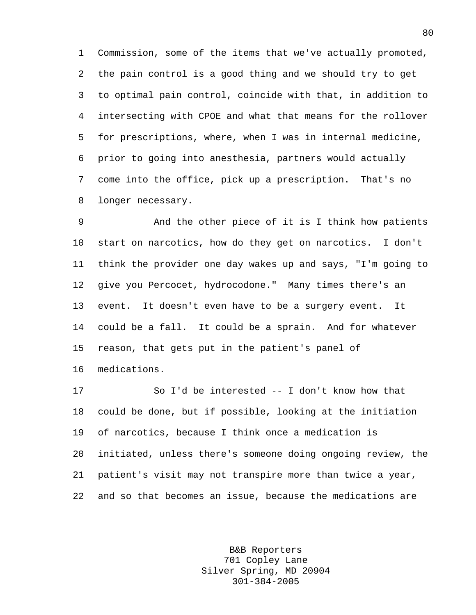1 Commission, some of the items that we've actually promoted, 2 the pain control is a good thing and we should try to get 3 to optimal pain control, coincide with that, in addition to 4 intersecting with CPOE and what that means for the rollover 5 for prescriptions, where, when I was in internal medicine, 6 prior to going into anesthesia, partners would actually 7 come into the office, pick up a prescription. That's no 8 longer necessary.

9 And the other piece of it is I think how patients 10 start on narcotics, how do they get on narcotics. I don't 11 think the provider one day wakes up and says, "I'm going to 12 give you Percocet, hydrocodone." Many times there's an 13 event. It doesn't even have to be a surgery event. It 14 could be a fall. It could be a sprain. And for whatever 15 reason, that gets put in the patient's panel of

16 medications.

17 So I'd be interested -- I don't know how that 18 could be done, but if possible, looking at the initiation 19 of narcotics, because I think once a medication is 20 initiated, unless there's someone doing ongoing review, the 21 patient's visit may not transpire more than twice a year, 22 and so that becomes an issue, because the medications are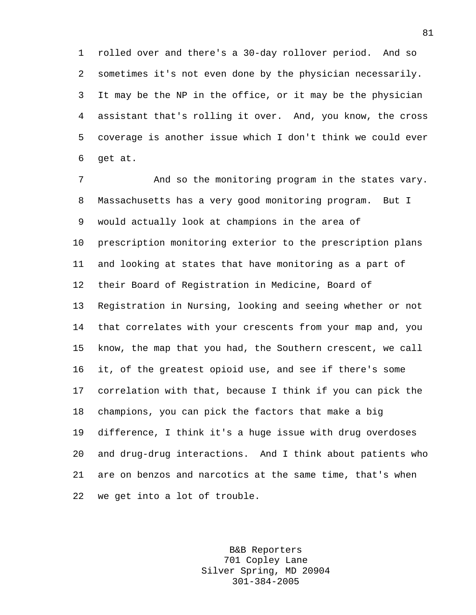1 rolled over and there's a 30-day rollover period. And so 2 sometimes it's not even done by the physician necessarily. 3 It may be the NP in the office, or it may be the physician 4 assistant that's rolling it over. And, you know, the cross 5 coverage is another issue which I don't think we could ever 6 get at.

7 And so the monitoring program in the states vary. 8 Massachusetts has a very good monitoring program. But I 9 would actually look at champions in the area of 10 prescription monitoring exterior to the prescription plans 11 and looking at states that have monitoring as a part of 12 their Board of Registration in Medicine, Board of 13 Registration in Nursing, looking and seeing whether or not 14 that correlates with your crescents from your map and, you 15 know, the map that you had, the Southern crescent, we call 16 it, of the greatest opioid use, and see if there's some 17 correlation with that, because I think if you can pick the 18 champions, you can pick the factors that make a big 19 difference, I think it's a huge issue with drug overdoses 20 and drug-drug interactions. And I think about patients who 21 are on benzos and narcotics at the same time, that's when 22 we get into a lot of trouble.

> B&B Reporters 701 Copley Lane Silver Spring, MD 20904 301-384-2005

81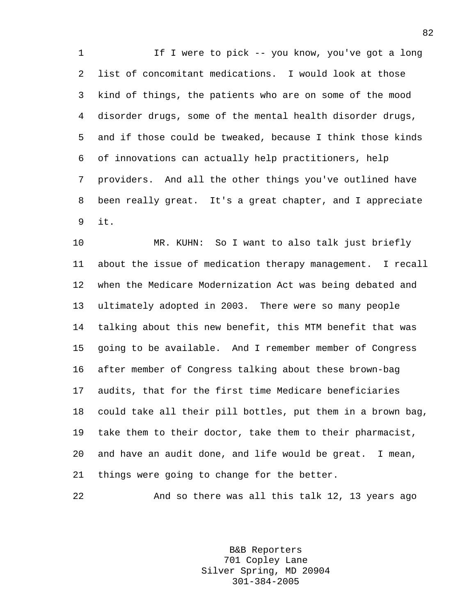1 If I were to pick -- you know, you've got a long 2 list of concomitant medications. I would look at those 3 kind of things, the patients who are on some of the mood 4 disorder drugs, some of the mental health disorder drugs, 5 and if those could be tweaked, because I think those kinds 6 of innovations can actually help practitioners, help 7 providers. And all the other things you've outlined have 8 been really great. It's a great chapter, and I appreciate 9 it.

10 MR. KUHN: So I want to also talk just briefly 11 about the issue of medication therapy management. I recall 12 when the Medicare Modernization Act was being debated and 13 ultimately adopted in 2003. There were so many people 14 talking about this new benefit, this MTM benefit that was 15 going to be available. And I remember member of Congress 16 after member of Congress talking about these brown-bag 17 audits, that for the first time Medicare beneficiaries 18 could take all their pill bottles, put them in a brown bag, 19 take them to their doctor, take them to their pharmacist, 20 and have an audit done, and life would be great. I mean, 21 things were going to change for the better.

```
22 And so there was all this talk 12, 13 years ago
```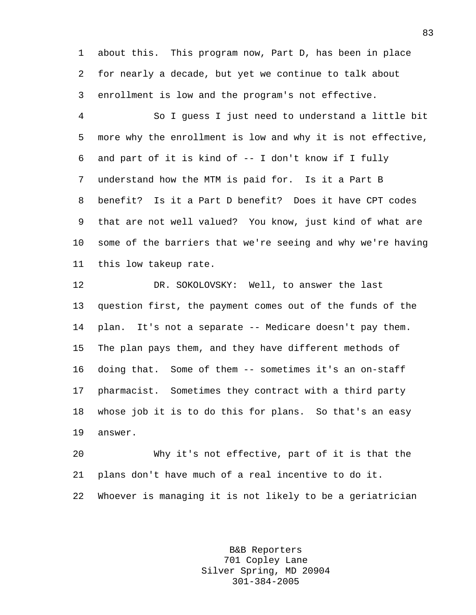1 about this. This program now, Part D, has been in place 2 for nearly a decade, but yet we continue to talk about 3 enrollment is low and the program's not effective.

4 So I guess I just need to understand a little bit 5 more why the enrollment is low and why it is not effective, 6 and part of it is kind of -- I don't know if I fully 7 understand how the MTM is paid for. Is it a Part B 8 benefit? Is it a Part D benefit? Does it have CPT codes 9 that are not well valued? You know, just kind of what are 10 some of the barriers that we're seeing and why we're having 11 this low takeup rate.

12 DR. SOKOLOVSKY: Well, to answer the last 13 question first, the payment comes out of the funds of the 14 plan. It's not a separate -- Medicare doesn't pay them. 15 The plan pays them, and they have different methods of 16 doing that. Some of them -- sometimes it's an on-staff 17 pharmacist. Sometimes they contract with a third party 18 whose job it is to do this for plans. So that's an easy 19 answer.

20 Why it's not effective, part of it is that the 21 plans don't have much of a real incentive to do it. 22 Whoever is managing it is not likely to be a geriatrician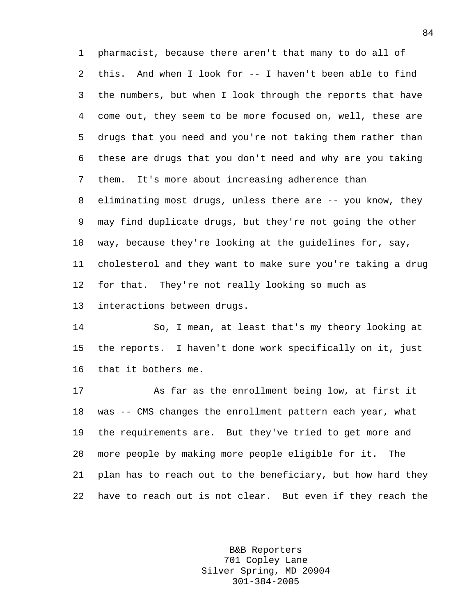1 pharmacist, because there aren't that many to do all of 2 this. And when I look for -- I haven't been able to find 3 the numbers, but when I look through the reports that have 4 come out, they seem to be more focused on, well, these are 5 drugs that you need and you're not taking them rather than 6 these are drugs that you don't need and why are you taking 7 them. It's more about increasing adherence than 8 eliminating most drugs, unless there are -- you know, they 9 may find duplicate drugs, but they're not going the other 10 way, because they're looking at the guidelines for, say, 11 cholesterol and they want to make sure you're taking a drug 12 for that. They're not really looking so much as 13 interactions between drugs.

14 So, I mean, at least that's my theory looking at 15 the reports. I haven't done work specifically on it, just 16 that it bothers me.

17 As far as the enrollment being low, at first it 18 was -- CMS changes the enrollment pattern each year, what 19 the requirements are. But they've tried to get more and 20 more people by making more people eligible for it. The 21 plan has to reach out to the beneficiary, but how hard they 22 have to reach out is not clear. But even if they reach the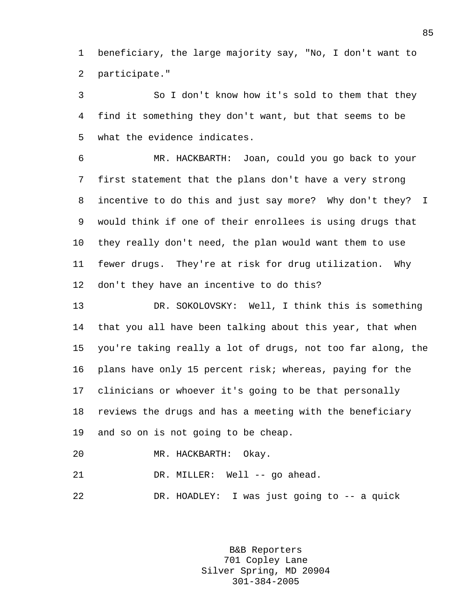1 beneficiary, the large majority say, "No, I don't want to 2 participate."

3 So I don't know how it's sold to them that they 4 find it something they don't want, but that seems to be 5 what the evidence indicates.

6 MR. HACKBARTH: Joan, could you go back to your 7 first statement that the plans don't have a very strong 8 incentive to do this and just say more? Why don't they? I 9 would think if one of their enrollees is using drugs that 10 they really don't need, the plan would want them to use 11 fewer drugs. They're at risk for drug utilization. Why 12 don't they have an incentive to do this?

13 DR. SOKOLOVSKY: Well, I think this is something 14 that you all have been talking about this year, that when 15 you're taking really a lot of drugs, not too far along, the 16 plans have only 15 percent risk; whereas, paying for the 17 clinicians or whoever it's going to be that personally 18 reviews the drugs and has a meeting with the beneficiary 19 and so on is not going to be cheap.

20 MR. HACKBARTH: Okay.

21 DR. MILLER: Well -- go ahead.

22 DR. HOADLEY: I was just going to -- a quick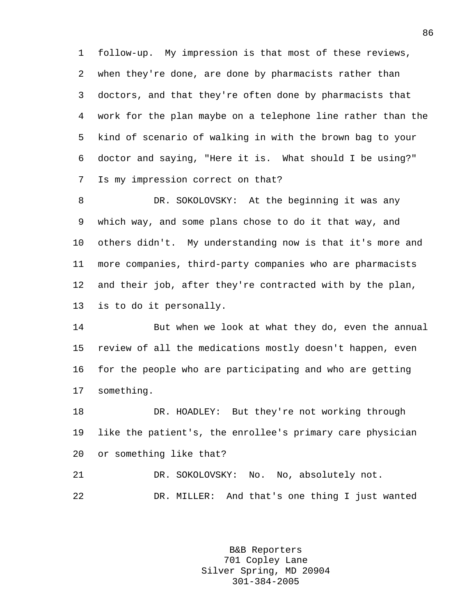1 follow-up. My impression is that most of these reviews, 2 when they're done, are done by pharmacists rather than 3 doctors, and that they're often done by pharmacists that 4 work for the plan maybe on a telephone line rather than the 5 kind of scenario of walking in with the brown bag to your 6 doctor and saying, "Here it is. What should I be using?" 7 Is my impression correct on that?

8 DR. SOKOLOVSKY: At the beginning it was any 9 which way, and some plans chose to do it that way, and 10 others didn't. My understanding now is that it's more and 11 more companies, third-party companies who are pharmacists 12 and their job, after they're contracted with by the plan, 13 is to do it personally.

14 But when we look at what they do, even the annual 15 review of all the medications mostly doesn't happen, even 16 for the people who are participating and who are getting 17 something.

18 DR. HOADLEY: But they're not working through 19 like the patient's, the enrollee's primary care physician 20 or something like that?

21 DR. SOKOLOVSKY: No. No, absolutely not. 22 DR. MILLER: And that's one thing I just wanted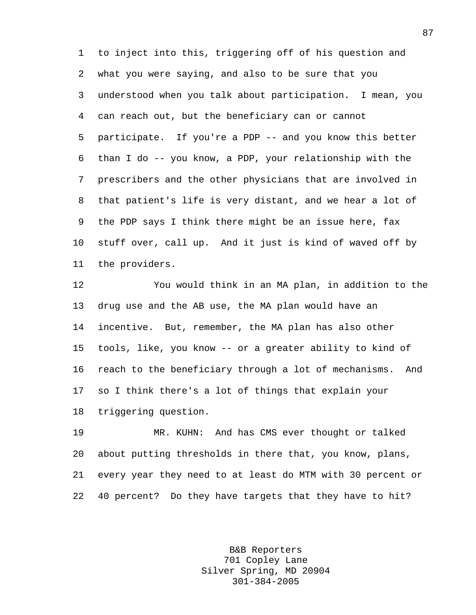1 to inject into this, triggering off of his question and 2 what you were saying, and also to be sure that you 3 understood when you talk about participation. I mean, you 4 can reach out, but the beneficiary can or cannot 5 participate. If you're a PDP -- and you know this better 6 than I do -- you know, a PDP, your relationship with the 7 prescribers and the other physicians that are involved in 8 that patient's life is very distant, and we hear a lot of 9 the PDP says I think there might be an issue here, fax 10 stuff over, call up. And it just is kind of waved off by 11 the providers.

12 You would think in an MA plan, in addition to the 13 drug use and the AB use, the MA plan would have an 14 incentive. But, remember, the MA plan has also other 15 tools, like, you know -- or a greater ability to kind of 16 reach to the beneficiary through a lot of mechanisms. And 17 so I think there's a lot of things that explain your 18 triggering question.

19 MR. KUHN: And has CMS ever thought or talked 20 about putting thresholds in there that, you know, plans, 21 every year they need to at least do MTM with 30 percent or 22 40 percent? Do they have targets that they have to hit?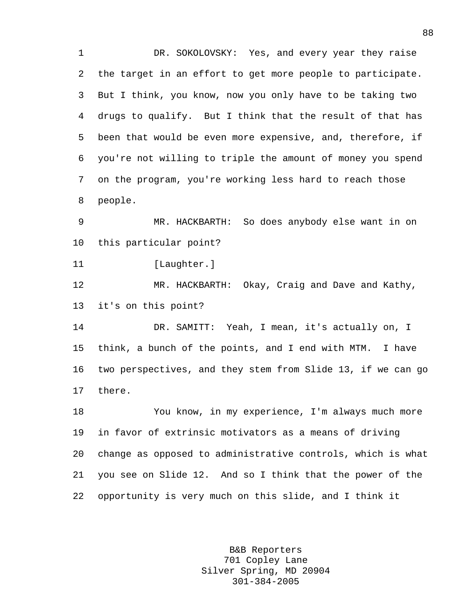1 DR. SOKOLOVSKY: Yes, and every year they raise 2 the target in an effort to get more people to participate. 3 But I think, you know, now you only have to be taking two 4 drugs to qualify. But I think that the result of that has 5 been that would be even more expensive, and, therefore, if 6 you're not willing to triple the amount of money you spend 7 on the program, you're working less hard to reach those 8 people.

9 MR. HACKBARTH: So does anybody else want in on 10 this particular point?

11 [Laughter.]

12 MR. HACKBARTH: Okay, Craig and Dave and Kathy, 13 it's on this point?

14 DR. SAMITT: Yeah, I mean, it's actually on, I 15 think, a bunch of the points, and I end with MTM. I have 16 two perspectives, and they stem from Slide 13, if we can go 17 there.

18 You know, in my experience, I'm always much more 19 in favor of extrinsic motivators as a means of driving 20 change as opposed to administrative controls, which is what 21 you see on Slide 12. And so I think that the power of the 22 opportunity is very much on this slide, and I think it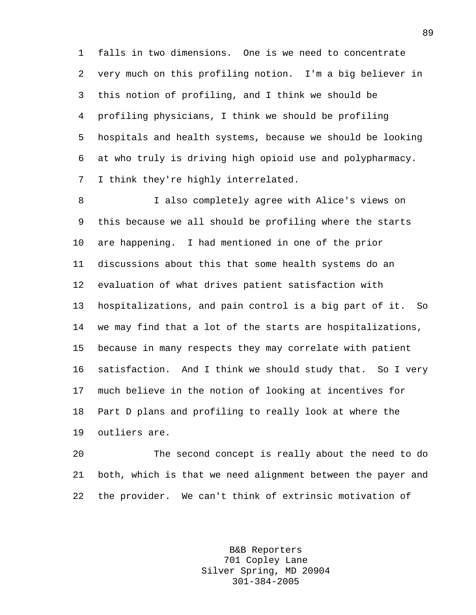1 falls in two dimensions. One is we need to concentrate 2 very much on this profiling notion. I'm a big believer in 3 this notion of profiling, and I think we should be 4 profiling physicians, I think we should be profiling 5 hospitals and health systems, because we should be looking 6 at who truly is driving high opioid use and polypharmacy. 7 I think they're highly interrelated.

8 I also completely agree with Alice's views on 9 this because we all should be profiling where the starts 10 are happening. I had mentioned in one of the prior 11 discussions about this that some health systems do an 12 evaluation of what drives patient satisfaction with 13 hospitalizations, and pain control is a big part of it. So 14 we may find that a lot of the starts are hospitalizations, 15 because in many respects they may correlate with patient 16 satisfaction. And I think we should study that. So I very 17 much believe in the notion of looking at incentives for 18 Part D plans and profiling to really look at where the 19 outliers are.

20 The second concept is really about the need to do 21 both, which is that we need alignment between the payer and 22 the provider. We can't think of extrinsic motivation of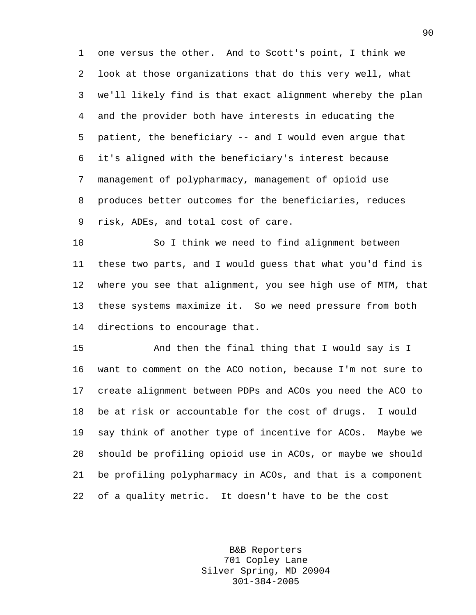1 one versus the other. And to Scott's point, I think we 2 look at those organizations that do this very well, what 3 we'll likely find is that exact alignment whereby the plan 4 and the provider both have interests in educating the 5 patient, the beneficiary -- and I would even argue that 6 it's aligned with the beneficiary's interest because 7 management of polypharmacy, management of opioid use 8 produces better outcomes for the beneficiaries, reduces 9 risk, ADEs, and total cost of care.

10 So I think we need to find alignment between 11 these two parts, and I would guess that what you'd find is 12 where you see that alignment, you see high use of MTM, that 13 these systems maximize it. So we need pressure from both 14 directions to encourage that.

15 And then the final thing that I would say is I 16 want to comment on the ACO notion, because I'm not sure to 17 create alignment between PDPs and ACOs you need the ACO to 18 be at risk or accountable for the cost of drugs. I would 19 say think of another type of incentive for ACOs. Maybe we 20 should be profiling opioid use in ACOs, or maybe we should 21 be profiling polypharmacy in ACOs, and that is a component 22 of a quality metric. It doesn't have to be the cost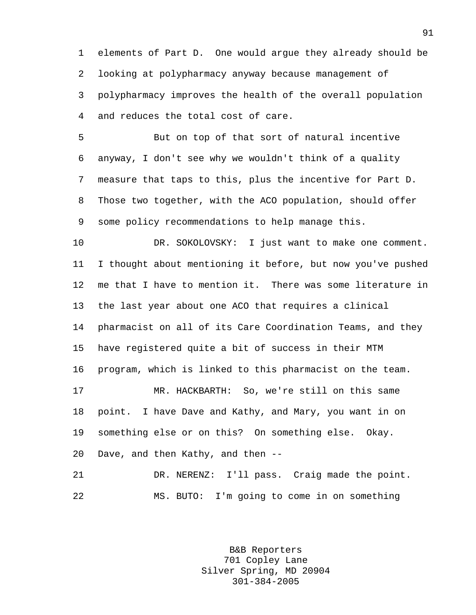1 elements of Part D. One would argue they already should be 2 looking at polypharmacy anyway because management of 3 polypharmacy improves the health of the overall population 4 and reduces the total cost of care.

5 But on top of that sort of natural incentive 6 anyway, I don't see why we wouldn't think of a quality 7 measure that taps to this, plus the incentive for Part D. 8 Those two together, with the ACO population, should offer 9 some policy recommendations to help manage this.

10 DR. SOKOLOVSKY: I just want to make one comment. 11 I thought about mentioning it before, but now you've pushed 12 me that I have to mention it. There was some literature in 13 the last year about one ACO that requires a clinical 14 pharmacist on all of its Care Coordination Teams, and they 15 have registered quite a bit of success in their MTM 16 program, which is linked to this pharmacist on the team. 17 MR. HACKBARTH: So, we're still on this same 18 point. I have Dave and Kathy, and Mary, you want in on 19 something else or on this? On something else. Okay. 20 Dave, and then Kathy, and then -- 21 DR. NERENZ: I'll pass. Craig made the point.

22 MS. BUTO: I'm going to come in on something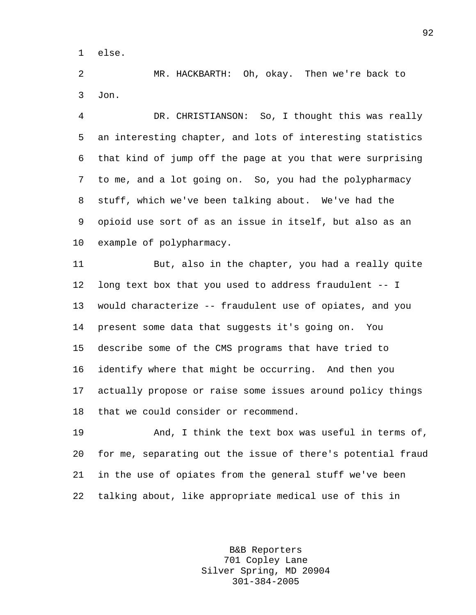1 else.

2 MR. HACKBARTH: Oh, okay. Then we're back to 3 Jon.

4 DR. CHRISTIANSON: So, I thought this was really 5 an interesting chapter, and lots of interesting statistics 6 that kind of jump off the page at you that were surprising 7 to me, and a lot going on. So, you had the polypharmacy 8 stuff, which we've been talking about. We've had the 9 opioid use sort of as an issue in itself, but also as an 10 example of polypharmacy.

11 But, also in the chapter, you had a really quite 12 long text box that you used to address fraudulent -- I 13 would characterize -- fraudulent use of opiates, and you 14 present some data that suggests it's going on. You 15 describe some of the CMS programs that have tried to 16 identify where that might be occurring. And then you 17 actually propose or raise some issues around policy things 18 that we could consider or recommend.

19 And, I think the text box was useful in terms of, 20 for me, separating out the issue of there's potential fraud 21 in the use of opiates from the general stuff we've been 22 talking about, like appropriate medical use of this in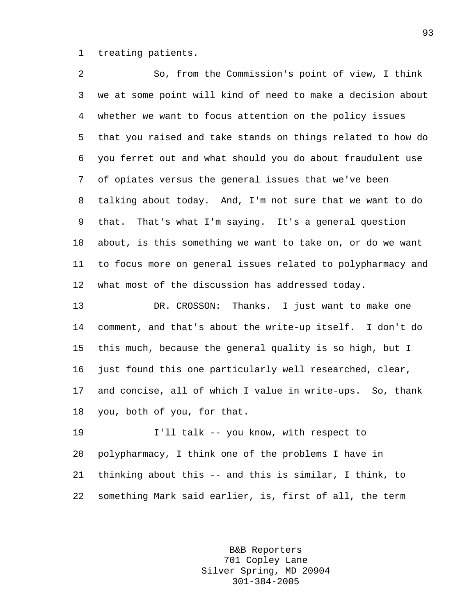1 treating patients.

2 So, from the Commission's point of view, I think 3 we at some point will kind of need to make a decision about 4 whether we want to focus attention on the policy issues 5 that you raised and take stands on things related to how do 6 you ferret out and what should you do about fraudulent use 7 of opiates versus the general issues that we've been 8 talking about today. And, I'm not sure that we want to do 9 that. That's what I'm saying. It's a general question 10 about, is this something we want to take on, or do we want 11 to focus more on general issues related to polypharmacy and 12 what most of the discussion has addressed today.

13 DR. CROSSON: Thanks. I just want to make one 14 comment, and that's about the write-up itself. I don't do 15 this much, because the general quality is so high, but I 16 just found this one particularly well researched, clear, 17 and concise, all of which I value in write-ups. So, thank 18 you, both of you, for that.

19 I'll talk -- you know, with respect to 20 polypharmacy, I think one of the problems I have in 21 thinking about this -- and this is similar, I think, to 22 something Mark said earlier, is, first of all, the term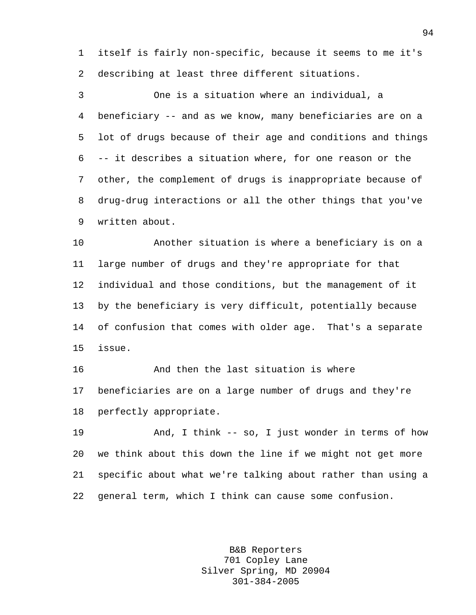1 itself is fairly non-specific, because it seems to me it's 2 describing at least three different situations.

3 One is a situation where an individual, a 4 beneficiary -- and as we know, many beneficiaries are on a 5 lot of drugs because of their age and conditions and things 6 -- it describes a situation where, for one reason or the 7 other, the complement of drugs is inappropriate because of 8 drug-drug interactions or all the other things that you've 9 written about.

10 Another situation is where a beneficiary is on a 11 large number of drugs and they're appropriate for that 12 individual and those conditions, but the management of it 13 by the beneficiary is very difficult, potentially because 14 of confusion that comes with older age. That's a separate 15 issue.

16 And then the last situation is where 17 beneficiaries are on a large number of drugs and they're 18 perfectly appropriate.

19 And, I think -- so, I just wonder in terms of how 20 we think about this down the line if we might not get more 21 specific about what we're talking about rather than using a 22 general term, which I think can cause some confusion.

> B&B Reporters 701 Copley Lane Silver Spring, MD 20904 301-384-2005

94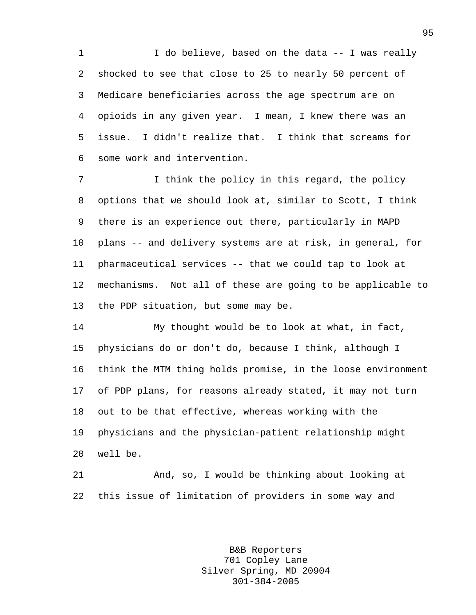1 I do believe, based on the data -- I was really 2 shocked to see that close to 25 to nearly 50 percent of 3 Medicare beneficiaries across the age spectrum are on 4 opioids in any given year. I mean, I knew there was an 5 issue. I didn't realize that. I think that screams for 6 some work and intervention.

7 I think the policy in this regard, the policy 8 options that we should look at, similar to Scott, I think 9 there is an experience out there, particularly in MAPD 10 plans -- and delivery systems are at risk, in general, for 11 pharmaceutical services -- that we could tap to look at 12 mechanisms. Not all of these are going to be applicable to 13 the PDP situation, but some may be.

14 My thought would be to look at what, in fact, 15 physicians do or don't do, because I think, although I 16 think the MTM thing holds promise, in the loose environment 17 of PDP plans, for reasons already stated, it may not turn 18 out to be that effective, whereas working with the 19 physicians and the physician-patient relationship might 20 well be.

21 And, so, I would be thinking about looking at 22 this issue of limitation of providers in some way and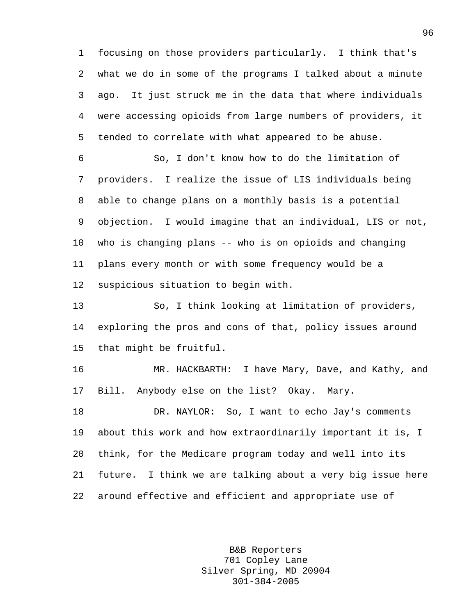1 focusing on those providers particularly. I think that's 2 what we do in some of the programs I talked about a minute 3 ago. It just struck me in the data that where individuals 4 were accessing opioids from large numbers of providers, it 5 tended to correlate with what appeared to be abuse.

6 So, I don't know how to do the limitation of 7 providers. I realize the issue of LIS individuals being 8 able to change plans on a monthly basis is a potential 9 objection. I would imagine that an individual, LIS or not, 10 who is changing plans -- who is on opioids and changing 11 plans every month or with some frequency would be a 12 suspicious situation to begin with.

13 So, I think looking at limitation of providers, 14 exploring the pros and cons of that, policy issues around 15 that might be fruitful.

16 MR. HACKBARTH: I have Mary, Dave, and Kathy, and 17 Bill. Anybody else on the list? Okay. Mary.

18 DR. NAYLOR: So, I want to echo Jay's comments 19 about this work and how extraordinarily important it is, I 20 think, for the Medicare program today and well into its 21 future. I think we are talking about a very big issue here 22 around effective and efficient and appropriate use of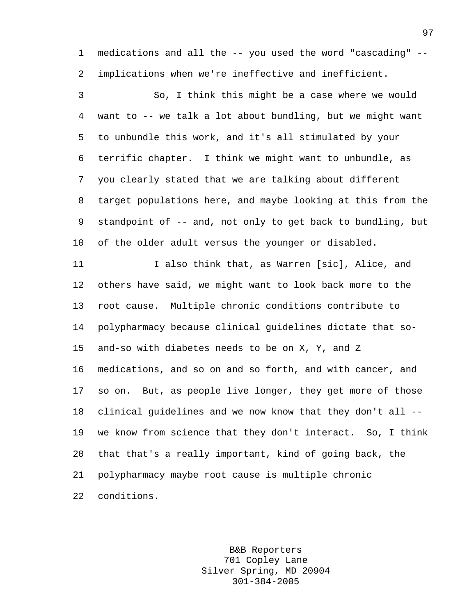1 medications and all the -- you used the word "cascading" -- 2 implications when we're ineffective and inefficient.

3 So, I think this might be a case where we would 4 want to -- we talk a lot about bundling, but we might want 5 to unbundle this work, and it's all stimulated by your 6 terrific chapter. I think we might want to unbundle, as 7 you clearly stated that we are talking about different 8 target populations here, and maybe looking at this from the 9 standpoint of -- and, not only to get back to bundling, but 10 of the older adult versus the younger or disabled.

11 1 I also think that, as Warren [sic], Alice, and 12 others have said, we might want to look back more to the 13 root cause. Multiple chronic conditions contribute to 14 polypharmacy because clinical guidelines dictate that so-15 and-so with diabetes needs to be on X, Y, and Z 16 medications, and so on and so forth, and with cancer, and 17 so on. But, as people live longer, they get more of those 18 clinical guidelines and we now know that they don't all -- 19 we know from science that they don't interact. So, I think 20 that that's a really important, kind of going back, the 21 polypharmacy maybe root cause is multiple chronic 22 conditions.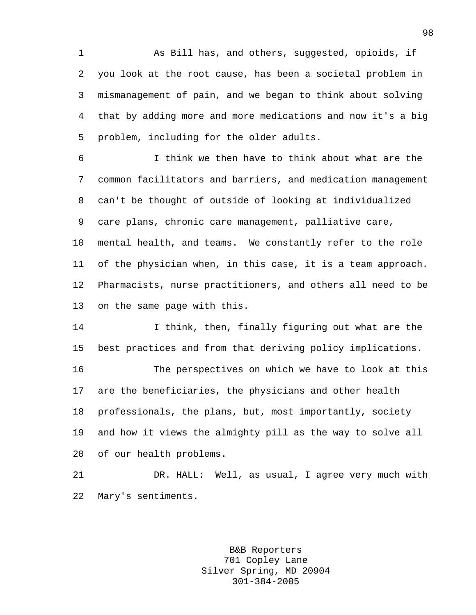1 As Bill has, and others, suggested, opioids, if 2 you look at the root cause, has been a societal problem in 3 mismanagement of pain, and we began to think about solving 4 that by adding more and more medications and now it's a big 5 problem, including for the older adults.

6 I think we then have to think about what are the 7 common facilitators and barriers, and medication management 8 can't be thought of outside of looking at individualized 9 care plans, chronic care management, palliative care,

10 mental health, and teams. We constantly refer to the role 11 of the physician when, in this case, it is a team approach. 12 Pharmacists, nurse practitioners, and others all need to be 13 on the same page with this.

14 I think, then, finally figuring out what are the 15 best practices and from that deriving policy implications.

16 The perspectives on which we have to look at this 17 are the beneficiaries, the physicians and other health 18 professionals, the plans, but, most importantly, society 19 and how it views the almighty pill as the way to solve all 20 of our health problems.

21 DR. HALL: Well, as usual, I agree very much with 22 Mary's sentiments.

> B&B Reporters 701 Copley Lane Silver Spring, MD 20904 301-384-2005

98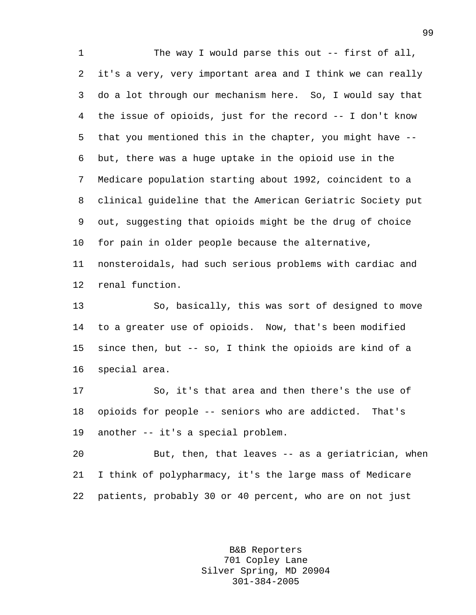1 The way I would parse this out -- first of all, 2 it's a very, very important area and I think we can really 3 do a lot through our mechanism here. So, I would say that 4 the issue of opioids, just for the record -- I don't know 5 that you mentioned this in the chapter, you might have -- 6 but, there was a huge uptake in the opioid use in the 7 Medicare population starting about 1992, coincident to a 8 clinical guideline that the American Geriatric Society put 9 out, suggesting that opioids might be the drug of choice 10 for pain in older people because the alternative, 11 nonsteroidals, had such serious problems with cardiac and 12 renal function. 13 So, basically, this was sort of designed to move 14 to a greater use of opioids. Now, that's been modified 15 since then, but -- so, I think the opioids are kind of a 16 special area. 17 So, it's that area and then there's the use of 18 opioids for people -- seniors who are addicted. That's 19 another -- it's a special problem. 20 But, then, that leaves -- as a geriatrician, when 21 I think of polypharmacy, it's the large mass of Medicare

22 patients, probably 30 or 40 percent, who are on not just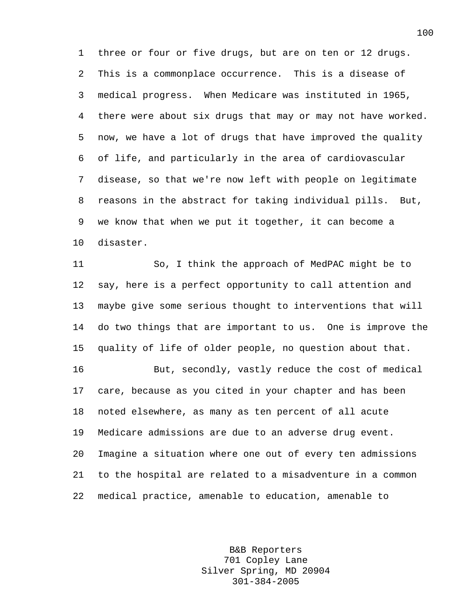1 three or four or five drugs, but are on ten or 12 drugs. 2 This is a commonplace occurrence. This is a disease of 3 medical progress. When Medicare was instituted in 1965, 4 there were about six drugs that may or may not have worked. 5 now, we have a lot of drugs that have improved the quality 6 of life, and particularly in the area of cardiovascular 7 disease, so that we're now left with people on legitimate 8 reasons in the abstract for taking individual pills. But, 9 we know that when we put it together, it can become a 10 disaster.

11 So, I think the approach of MedPAC might be to 12 say, here is a perfect opportunity to call attention and 13 maybe give some serious thought to interventions that will 14 do two things that are important to us. One is improve the 15 quality of life of older people, no question about that.

16 But, secondly, vastly reduce the cost of medical 17 care, because as you cited in your chapter and has been 18 noted elsewhere, as many as ten percent of all acute 19 Medicare admissions are due to an adverse drug event. 20 Imagine a situation where one out of every ten admissions 21 to the hospital are related to a misadventure in a common 22 medical practice, amenable to education, amenable to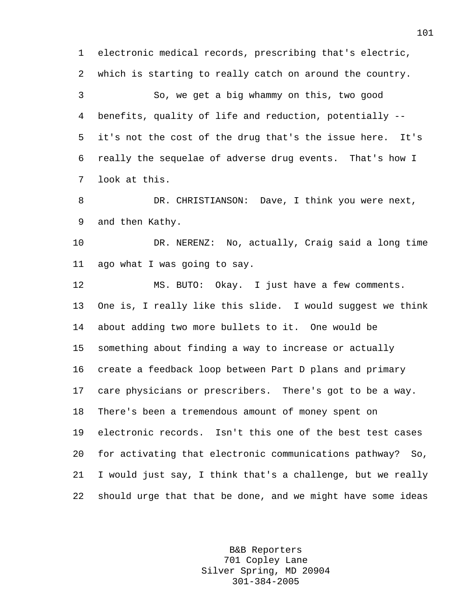1 electronic medical records, prescribing that's electric, 2 which is starting to really catch on around the country.

3 So, we get a big whammy on this, two good 4 benefits, quality of life and reduction, potentially -- 5 it's not the cost of the drug that's the issue here. It's 6 really the sequelae of adverse drug events. That's how I 7 look at this.

8 DR. CHRISTIANSON: Dave, I think you were next, 9 and then Kathy.

10 DR. NERENZ: No, actually, Craig said a long time 11 ago what I was going to say.

12 MS. BUTO: Okay. I just have a few comments. 13 One is, I really like this slide. I would suggest we think 14 about adding two more bullets to it. One would be 15 something about finding a way to increase or actually 16 create a feedback loop between Part D plans and primary 17 care physicians or prescribers. There's got to be a way. 18 There's been a tremendous amount of money spent on 19 electronic records. Isn't this one of the best test cases 20 for activating that electronic communications pathway? So, 21 I would just say, I think that's a challenge, but we really 22 should urge that that be done, and we might have some ideas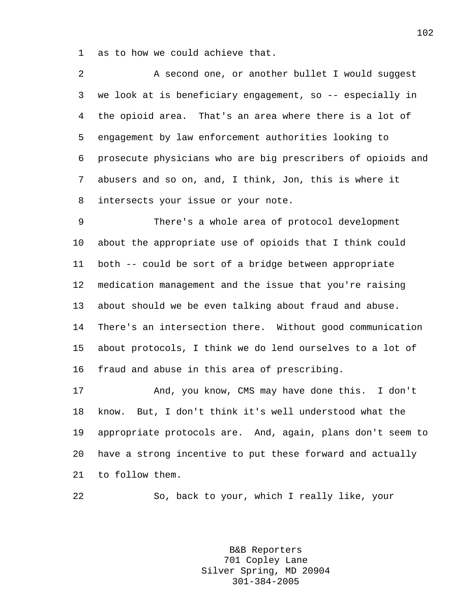1 as to how we could achieve that.

2 A second one, or another bullet I would suggest 3 we look at is beneficiary engagement, so -- especially in 4 the opioid area. That's an area where there is a lot of 5 engagement by law enforcement authorities looking to 6 prosecute physicians who are big prescribers of opioids and 7 abusers and so on, and, I think, Jon, this is where it 8 intersects your issue or your note.

9 There's a whole area of protocol development 10 about the appropriate use of opioids that I think could 11 both -- could be sort of a bridge between appropriate 12 medication management and the issue that you're raising 13 about should we be even talking about fraud and abuse. 14 There's an intersection there. Without good communication 15 about protocols, I think we do lend ourselves to a lot of 16 fraud and abuse in this area of prescribing.

17 And, you know, CMS may have done this. I don't 18 know. But, I don't think it's well understood what the 19 appropriate protocols are. And, again, plans don't seem to 20 have a strong incentive to put these forward and actually 21 to follow them.

22 So, back to your, which I really like, your

B&B Reporters 701 Copley Lane Silver Spring, MD 20904 301-384-2005

102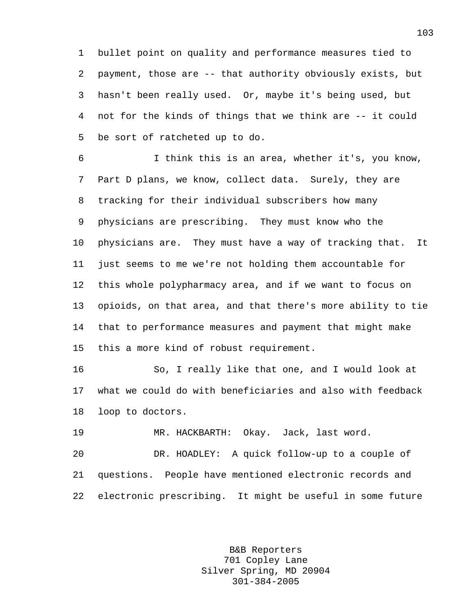1 bullet point on quality and performance measures tied to 2 payment, those are -- that authority obviously exists, but 3 hasn't been really used. Or, maybe it's being used, but 4 not for the kinds of things that we think are -- it could 5 be sort of ratcheted up to do.

6 I think this is an area, whether it's, you know, 7 Part D plans, we know, collect data. Surely, they are 8 tracking for their individual subscribers how many 9 physicians are prescribing. They must know who the 10 physicians are. They must have a way of tracking that. It 11 just seems to me we're not holding them accountable for 12 this whole polypharmacy area, and if we want to focus on 13 opioids, on that area, and that there's more ability to tie 14 that to performance measures and payment that might make 15 this a more kind of robust requirement.

16 So, I really like that one, and I would look at 17 what we could do with beneficiaries and also with feedback 18 loop to doctors.

19 MR. HACKBARTH: Okay. Jack, last word.

20 DR. HOADLEY: A quick follow-up to a couple of 21 questions. People have mentioned electronic records and 22 electronic prescribing. It might be useful in some future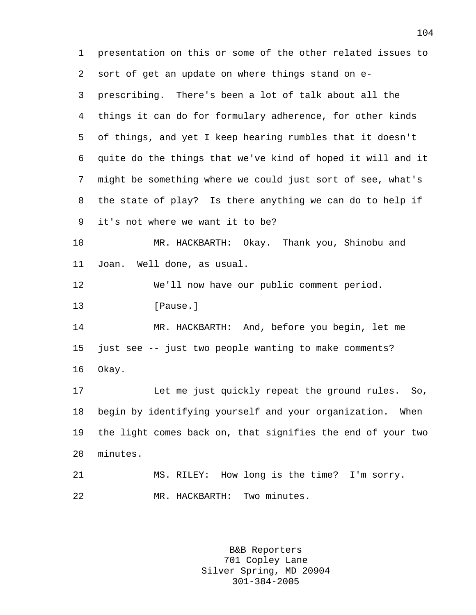1 presentation on this or some of the other related issues to 2 sort of get an update on where things stand on e-3 prescribing. There's been a lot of talk about all the 4 things it can do for formulary adherence, for other kinds 5 of things, and yet I keep hearing rumbles that it doesn't 6 quite do the things that we've kind of hoped it will and it 7 might be something where we could just sort of see, what's 8 the state of play? Is there anything we can do to help if 9 it's not where we want it to be? 10 MR. HACKBARTH: Okay. Thank you, Shinobu and 11 Joan. Well done, as usual. 12 We'll now have our public comment period. 13 **I**Pause. 14 MR. HACKBARTH: And, before you begin, let me 15 just see -- just two people wanting to make comments? 16 Okay. 17 Let me just quickly repeat the ground rules. So, 18 begin by identifying yourself and your organization. When 19 the light comes back on, that signifies the end of your two 20 minutes. 21 MS. RILEY: How long is the time? I'm sorry. 22 MR. HACKBARTH: Two minutes.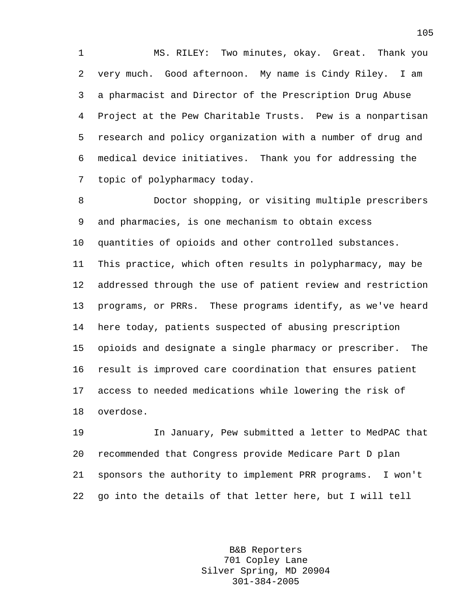1 MS. RILEY: Two minutes, okay. Great. Thank you 2 very much. Good afternoon. My name is Cindy Riley. I am 3 a pharmacist and Director of the Prescription Drug Abuse 4 Project at the Pew Charitable Trusts. Pew is a nonpartisan 5 research and policy organization with a number of drug and 6 medical device initiatives. Thank you for addressing the 7 topic of polypharmacy today.

8 Doctor shopping, or visiting multiple prescribers 9 and pharmacies, is one mechanism to obtain excess 10 quantities of opioids and other controlled substances. 11 This practice, which often results in polypharmacy, may be 12 addressed through the use of patient review and restriction 13 programs, or PRRs. These programs identify, as we've heard 14 here today, patients suspected of abusing prescription 15 opioids and designate a single pharmacy or prescriber. The 16 result is improved care coordination that ensures patient 17 access to needed medications while lowering the risk of 18 overdose.

19 In January, Pew submitted a letter to MedPAC that 20 recommended that Congress provide Medicare Part D plan 21 sponsors the authority to implement PRR programs. I won't 22 go into the details of that letter here, but I will tell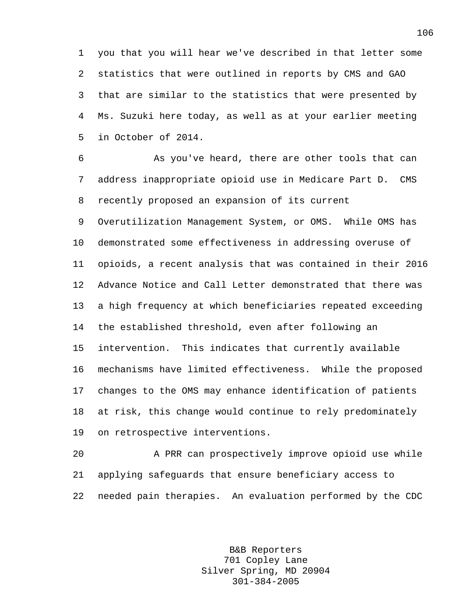1 you that you will hear we've described in that letter some 2 statistics that were outlined in reports by CMS and GAO 3 that are similar to the statistics that were presented by 4 Ms. Suzuki here today, as well as at your earlier meeting 5 in October of 2014.

6 As you've heard, there are other tools that can 7 address inappropriate opioid use in Medicare Part D. CMS 8 recently proposed an expansion of its current

9 Overutilization Management System, or OMS. While OMS has 10 demonstrated some effectiveness in addressing overuse of 11 opioids, a recent analysis that was contained in their 2016 12 Advance Notice and Call Letter demonstrated that there was 13 a high frequency at which beneficiaries repeated exceeding 14 the established threshold, even after following an 15 intervention. This indicates that currently available 16 mechanisms have limited effectiveness. While the proposed 17 changes to the OMS may enhance identification of patients 18 at risk, this change would continue to rely predominately 19 on retrospective interventions.

20 A PRR can prospectively improve opioid use while 21 applying safeguards that ensure beneficiary access to 22 needed pain therapies. An evaluation performed by the CDC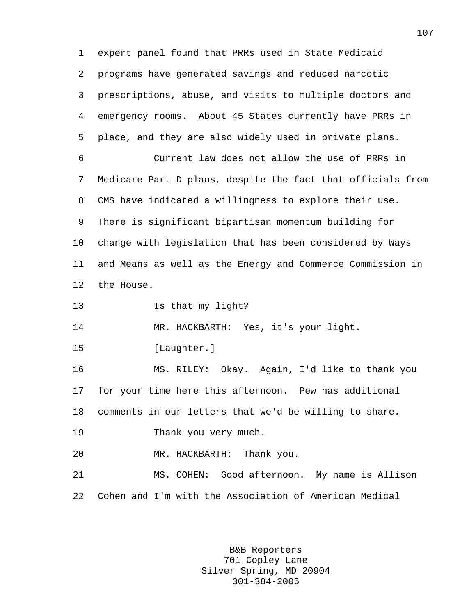1 expert panel found that PRRs used in State Medicaid 2 programs have generated savings and reduced narcotic 3 prescriptions, abuse, and visits to multiple doctors and 4 emergency rooms. About 45 States currently have PRRs in 5 place, and they are also widely used in private plans. 6 Current law does not allow the use of PRRs in 7 Medicare Part D plans, despite the fact that officials from 8 CMS have indicated a willingness to explore their use. 9 There is significant bipartisan momentum building for 10 change with legislation that has been considered by Ways 11 and Means as well as the Energy and Commerce Commission in 12 the House. 13 Is that my light? 14 MR. HACKBARTH: Yes, it's your light. 15 [Laughter.] 16 MS. RILEY: Okay. Again, I'd like to thank you 17 for your time here this afternoon. Pew has additional 18 comments in our letters that we'd be willing to share. 19 Thank you very much. 20 MR. HACKBARTH: Thank you. 21 MS. COHEN: Good afternoon. My name is Allison 22 Cohen and I'm with the Association of American Medical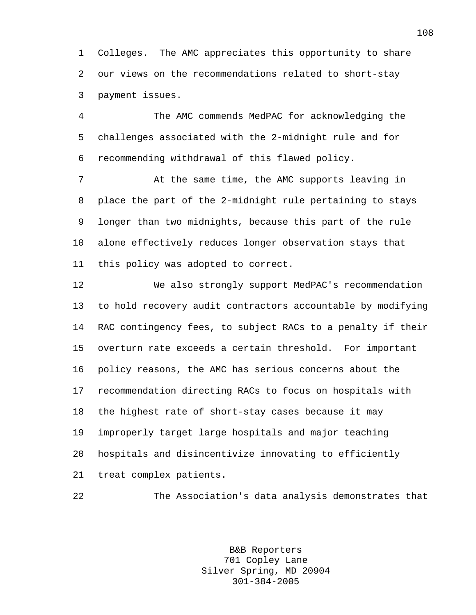1 Colleges. The AMC appreciates this opportunity to share 2 our views on the recommendations related to short-stay 3 payment issues.

4 The AMC commends MedPAC for acknowledging the 5 challenges associated with the 2-midnight rule and for 6 recommending withdrawal of this flawed policy.

7 At the same time, the AMC supports leaving in 8 place the part of the 2-midnight rule pertaining to stays 9 longer than two midnights, because this part of the rule 10 alone effectively reduces longer observation stays that 11 this policy was adopted to correct.

12 We also strongly support MedPAC's recommendation 13 to hold recovery audit contractors accountable by modifying 14 RAC contingency fees, to subject RACs to a penalty if their 15 overturn rate exceeds a certain threshold. For important 16 policy reasons, the AMC has serious concerns about the 17 recommendation directing RACs to focus on hospitals with 18 the highest rate of short-stay cases because it may 19 improperly target large hospitals and major teaching 20 hospitals and disincentivize innovating to efficiently 21 treat complex patients.

22 The Association's data analysis demonstrates that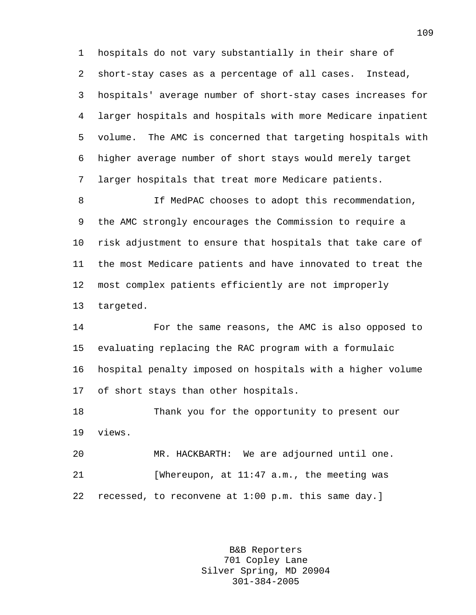1 hospitals do not vary substantially in their share of 2 short-stay cases as a percentage of all cases. Instead, 3 hospitals' average number of short-stay cases increases for 4 larger hospitals and hospitals with more Medicare inpatient 5 volume. The AMC is concerned that targeting hospitals with 6 higher average number of short stays would merely target 7 larger hospitals that treat more Medicare patients.

8 If MedPAC chooses to adopt this recommendation, 9 the AMC strongly encourages the Commission to require a 10 risk adjustment to ensure that hospitals that take care of 11 the most Medicare patients and have innovated to treat the 12 most complex patients efficiently are not improperly 13 targeted.

14 For the same reasons, the AMC is also opposed to 15 evaluating replacing the RAC program with a formulaic 16 hospital penalty imposed on hospitals with a higher volume 17 of short stays than other hospitals.

18 Thank you for the opportunity to present our 19 views.

20 MR. HACKBARTH: We are adjourned until one. 21 [Whereupon, at 11:47 a.m., the meeting was 22 recessed, to reconvene at 1:00 p.m. this same day.]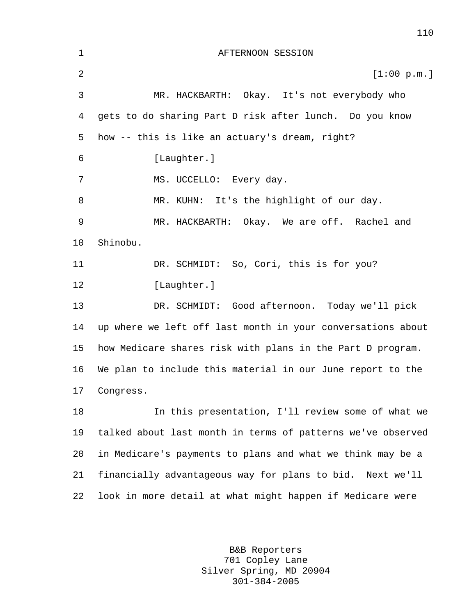| $\mathbf 1$ | AFTERNOON SESSION                                           |
|-------------|-------------------------------------------------------------|
| 2           | [1:00 p.m.]                                                 |
| 3           | MR. HACKBARTH: Okay. It's not everybody who                 |
| 4           | gets to do sharing Part D risk after lunch. Do you know     |
| 5           | how -- this is like an actuary's dream, right?              |
| 6           | [Laughter.]                                                 |
| 7           | MS. UCCELLO: Every day.                                     |
| 8           | MR. KUHN: It's the highlight of our day.                    |
| 9           | MR. HACKBARTH: Okay. We are off. Rachel and                 |
| 10          | Shinobu.                                                    |
| 11          | DR. SCHMIDT: So, Cori, this is for you?                     |
| 12          | [Laughter.]                                                 |
| 13          | DR. SCHMIDT: Good afternoon. Today we'll pick               |
| 14          | up where we left off last month in your conversations about |
| 15          | how Medicare shares risk with plans in the Part D program.  |
| 16          | We plan to include this material in our June report to the  |
| 17          | Congress.                                                   |
| 18          | In this presentation, I'll review some of what we           |
| 19          | talked about last month in terms of patterns we've observed |
| 20          | in Medicare's payments to plans and what we think may be a  |
| 21          | financially advantageous way for plans to bid. Next we'll   |
| 22          | look in more detail at what might happen if Medicare were   |

B&B Reporters 701 Copley Lane Silver Spring, MD 20904 301-384-2005

110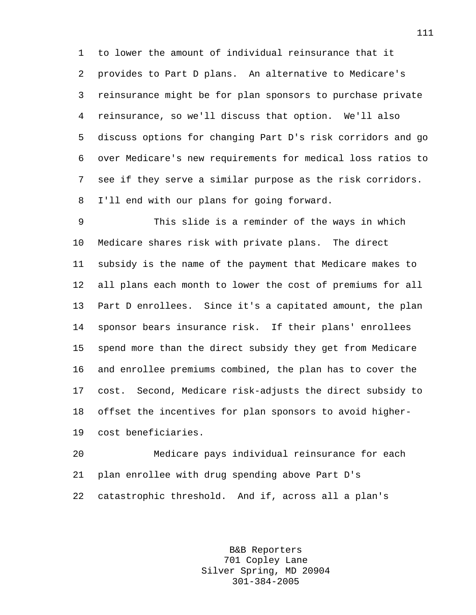1 to lower the amount of individual reinsurance that it 2 provides to Part D plans. An alternative to Medicare's 3 reinsurance might be for plan sponsors to purchase private 4 reinsurance, so we'll discuss that option. We'll also 5 discuss options for changing Part D's risk corridors and go 6 over Medicare's new requirements for medical loss ratios to 7 see if they serve a similar purpose as the risk corridors. 8 I'll end with our plans for going forward.

9 This slide is a reminder of the ways in which 10 Medicare shares risk with private plans. The direct 11 subsidy is the name of the payment that Medicare makes to 12 all plans each month to lower the cost of premiums for all 13 Part D enrollees. Since it's a capitated amount, the plan 14 sponsor bears insurance risk. If their plans' enrollees 15 spend more than the direct subsidy they get from Medicare 16 and enrollee premiums combined, the plan has to cover the 17 cost. Second, Medicare risk-adjusts the direct subsidy to 18 offset the incentives for plan sponsors to avoid higher-19 cost beneficiaries.

20 Medicare pays individual reinsurance for each 21 plan enrollee with drug spending above Part D's 22 catastrophic threshold. And if, across all a plan's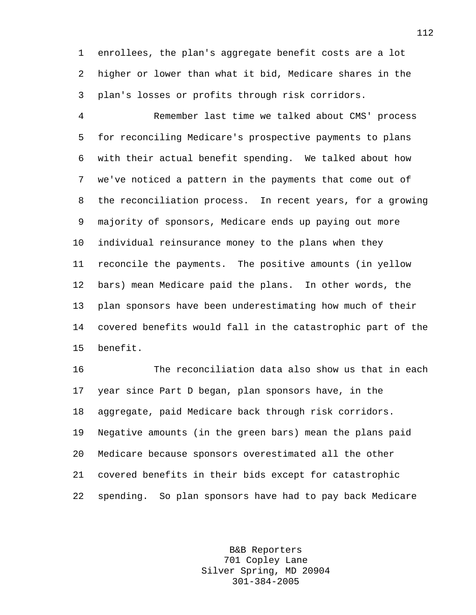1 enrollees, the plan's aggregate benefit costs are a lot 2 higher or lower than what it bid, Medicare shares in the 3 plan's losses or profits through risk corridors.

4 Remember last time we talked about CMS' process 5 for reconciling Medicare's prospective payments to plans 6 with their actual benefit spending. We talked about how 7 we've noticed a pattern in the payments that come out of 8 the reconciliation process. In recent years, for a growing 9 majority of sponsors, Medicare ends up paying out more 10 individual reinsurance money to the plans when they 11 reconcile the payments. The positive amounts (in yellow 12 bars) mean Medicare paid the plans. In other words, the 13 plan sponsors have been underestimating how much of their 14 covered benefits would fall in the catastrophic part of the 15 benefit.

16 The reconciliation data also show us that in each 17 year since Part D began, plan sponsors have, in the 18 aggregate, paid Medicare back through risk corridors. 19 Negative amounts (in the green bars) mean the plans paid 20 Medicare because sponsors overestimated all the other 21 covered benefits in their bids except for catastrophic 22 spending. So plan sponsors have had to pay back Medicare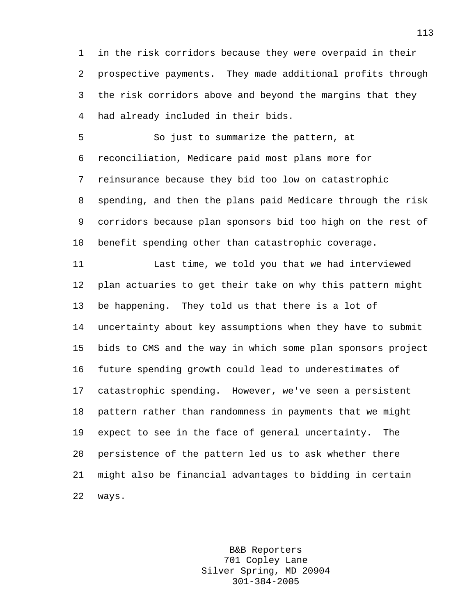1 in the risk corridors because they were overpaid in their 2 prospective payments. They made additional profits through 3 the risk corridors above and beyond the margins that they 4 had already included in their bids.

5 So just to summarize the pattern, at 6 reconciliation, Medicare paid most plans more for 7 reinsurance because they bid too low on catastrophic 8 spending, and then the plans paid Medicare through the risk 9 corridors because plan sponsors bid too high on the rest of 10 benefit spending other than catastrophic coverage.

11 Last time, we told you that we had interviewed 12 plan actuaries to get their take on why this pattern might 13 be happening. They told us that there is a lot of 14 uncertainty about key assumptions when they have to submit 15 bids to CMS and the way in which some plan sponsors project 16 future spending growth could lead to underestimates of 17 catastrophic spending. However, we've seen a persistent 18 pattern rather than randomness in payments that we might 19 expect to see in the face of general uncertainty. The 20 persistence of the pattern led us to ask whether there 21 might also be financial advantages to bidding in certain 22 ways.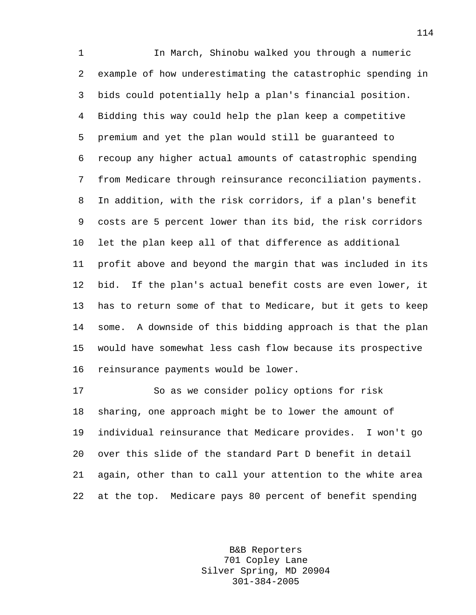1 In March, Shinobu walked you through a numeric 2 example of how underestimating the catastrophic spending in 3 bids could potentially help a plan's financial position. 4 Bidding this way could help the plan keep a competitive 5 premium and yet the plan would still be guaranteed to 6 recoup any higher actual amounts of catastrophic spending 7 from Medicare through reinsurance reconciliation payments. 8 In addition, with the risk corridors, if a plan's benefit 9 costs are 5 percent lower than its bid, the risk corridors 10 let the plan keep all of that difference as additional 11 profit above and beyond the margin that was included in its 12 bid. If the plan's actual benefit costs are even lower, it 13 has to return some of that to Medicare, but it gets to keep 14 some. A downside of this bidding approach is that the plan 15 would have somewhat less cash flow because its prospective 16 reinsurance payments would be lower.

17 So as we consider policy options for risk 18 sharing, one approach might be to lower the amount of 19 individual reinsurance that Medicare provides. I won't go 20 over this slide of the standard Part D benefit in detail 21 again, other than to call your attention to the white area 22 at the top. Medicare pays 80 percent of benefit spending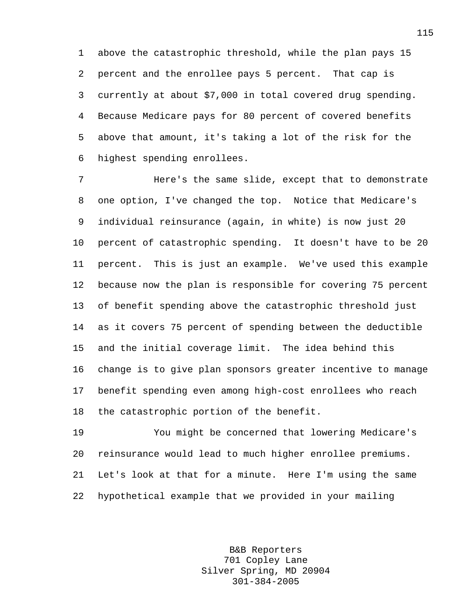1 above the catastrophic threshold, while the plan pays 15 2 percent and the enrollee pays 5 percent. That cap is 3 currently at about \$7,000 in total covered drug spending. 4 Because Medicare pays for 80 percent of covered benefits 5 above that amount, it's taking a lot of the risk for the 6 highest spending enrollees.

7 Here's the same slide, except that to demonstrate 8 one option, I've changed the top. Notice that Medicare's 9 individual reinsurance (again, in white) is now just 20 10 percent of catastrophic spending. It doesn't have to be 20 11 percent. This is just an example. We've used this example 12 because now the plan is responsible for covering 75 percent 13 of benefit spending above the catastrophic threshold just 14 as it covers 75 percent of spending between the deductible 15 and the initial coverage limit. The idea behind this 16 change is to give plan sponsors greater incentive to manage 17 benefit spending even among high-cost enrollees who reach 18 the catastrophic portion of the benefit.

19 You might be concerned that lowering Medicare's 20 reinsurance would lead to much higher enrollee premiums. 21 Let's look at that for a minute. Here I'm using the same 22 hypothetical example that we provided in your mailing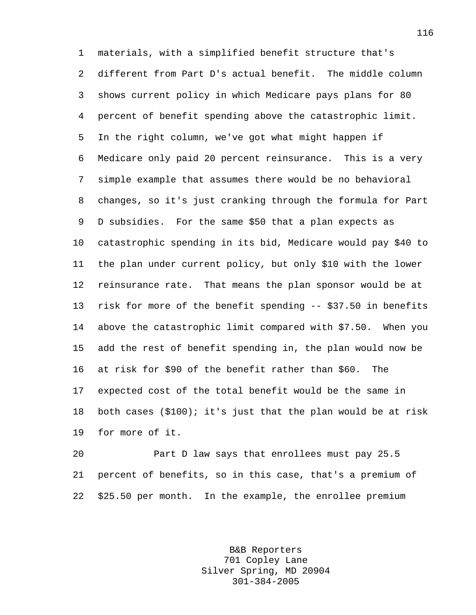1 materials, with a simplified benefit structure that's 2 different from Part D's actual benefit. The middle column 3 shows current policy in which Medicare pays plans for 80 4 percent of benefit spending above the catastrophic limit. 5 In the right column, we've got what might happen if 6 Medicare only paid 20 percent reinsurance. This is a very 7 simple example that assumes there would be no behavioral 8 changes, so it's just cranking through the formula for Part 9 D subsidies. For the same \$50 that a plan expects as 10 catastrophic spending in its bid, Medicare would pay \$40 to 11 the plan under current policy, but only \$10 with the lower 12 reinsurance rate. That means the plan sponsor would be at 13 risk for more of the benefit spending -- \$37.50 in benefits 14 above the catastrophic limit compared with \$7.50. When you 15 add the rest of benefit spending in, the plan would now be 16 at risk for \$90 of the benefit rather than \$60. The 17 expected cost of the total benefit would be the same in 18 both cases (\$100); it's just that the plan would be at risk 19 for more of it.

20 Part D law says that enrollees must pay 25.5 21 percent of benefits, so in this case, that's a premium of 22 \$25.50 per month. In the example, the enrollee premium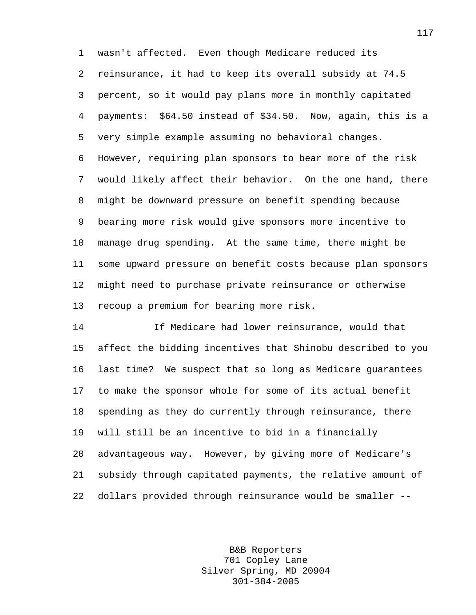1 wasn't affected. Even though Medicare reduced its 2 reinsurance, it had to keep its overall subsidy at 74.5 3 percent, so it would pay plans more in monthly capitated 4 payments: \$64.50 instead of \$34.50. Now, again, this is a 5 very simple example assuming no behavioral changes. 6 However, requiring plan sponsors to bear more of the risk 7 would likely affect their behavior. On the one hand, there 8 might be downward pressure on benefit spending because 9 bearing more risk would give sponsors more incentive to 10 manage drug spending. At the same time, there might be 11 some upward pressure on benefit costs because plan sponsors 12 might need to purchase private reinsurance or otherwise 13 recoup a premium for bearing more risk.

14 If Medicare had lower reinsurance, would that 15 affect the bidding incentives that Shinobu described to you 16 last time? We suspect that so long as Medicare guarantees 17 to make the sponsor whole for some of its actual benefit 18 spending as they do currently through reinsurance, there 19 will still be an incentive to bid in a financially 20 advantageous way. However, by giving more of Medicare's 21 subsidy through capitated payments, the relative amount of 22 dollars provided through reinsurance would be smaller --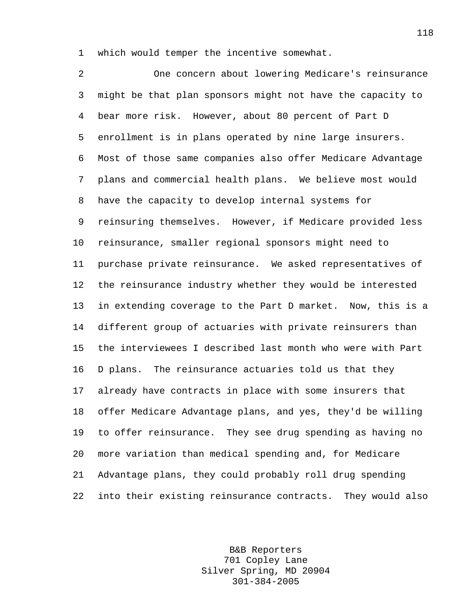1 which would temper the incentive somewhat.

2 One concern about lowering Medicare's reinsurance 3 might be that plan sponsors might not have the capacity to 4 bear more risk. However, about 80 percent of Part D 5 enrollment is in plans operated by nine large insurers. 6 Most of those same companies also offer Medicare Advantage 7 plans and commercial health plans. We believe most would 8 have the capacity to develop internal systems for 9 reinsuring themselves. However, if Medicare provided less 10 reinsurance, smaller regional sponsors might need to 11 purchase private reinsurance. We asked representatives of 12 the reinsurance industry whether they would be interested 13 in extending coverage to the Part D market. Now, this is a 14 different group of actuaries with private reinsurers than 15 the interviewees I described last month who were with Part 16 D plans. The reinsurance actuaries told us that they 17 already have contracts in place with some insurers that 18 offer Medicare Advantage plans, and yes, they'd be willing 19 to offer reinsurance. They see drug spending as having no 20 more variation than medical spending and, for Medicare 21 Advantage plans, they could probably roll drug spending 22 into their existing reinsurance contracts. They would also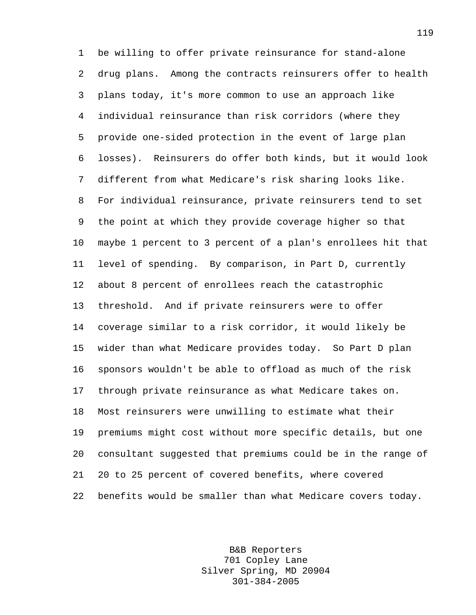1 be willing to offer private reinsurance for stand-alone 2 drug plans. Among the contracts reinsurers offer to health 3 plans today, it's more common to use an approach like 4 individual reinsurance than risk corridors (where they 5 provide one-sided protection in the event of large plan 6 losses). Reinsurers do offer both kinds, but it would look 7 different from what Medicare's risk sharing looks like. 8 For individual reinsurance, private reinsurers tend to set 9 the point at which they provide coverage higher so that 10 maybe 1 percent to 3 percent of a plan's enrollees hit that 11 level of spending. By comparison, in Part D, currently 12 about 8 percent of enrollees reach the catastrophic 13 threshold. And if private reinsurers were to offer 14 coverage similar to a risk corridor, it would likely be 15 wider than what Medicare provides today. So Part D plan 16 sponsors wouldn't be able to offload as much of the risk 17 through private reinsurance as what Medicare takes on. 18 Most reinsurers were unwilling to estimate what their 19 premiums might cost without more specific details, but one 20 consultant suggested that premiums could be in the range of 21 20 to 25 percent of covered benefits, where covered 22 benefits would be smaller than what Medicare covers today.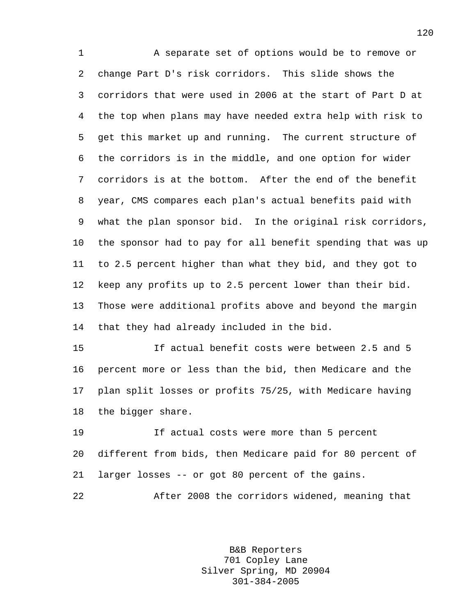1 A separate set of options would be to remove or 2 change Part D's risk corridors. This slide shows the 3 corridors that were used in 2006 at the start of Part D at 4 the top when plans may have needed extra help with risk to 5 get this market up and running. The current structure of 6 the corridors is in the middle, and one option for wider 7 corridors is at the bottom. After the end of the benefit 8 year, CMS compares each plan's actual benefits paid with 9 what the plan sponsor bid. In the original risk corridors, 10 the sponsor had to pay for all benefit spending that was up 11 to 2.5 percent higher than what they bid, and they got to 12 keep any profits up to 2.5 percent lower than their bid. 13 Those were additional profits above and beyond the margin 14 that they had already included in the bid.

15 If actual benefit costs were between 2.5 and 5 16 percent more or less than the bid, then Medicare and the 17 plan split losses or profits 75/25, with Medicare having 18 the bigger share.

19 If actual costs were more than 5 percent 20 different from bids, then Medicare paid for 80 percent of 21 larger losses -- or got 80 percent of the gains.

22 After 2008 the corridors widened, meaning that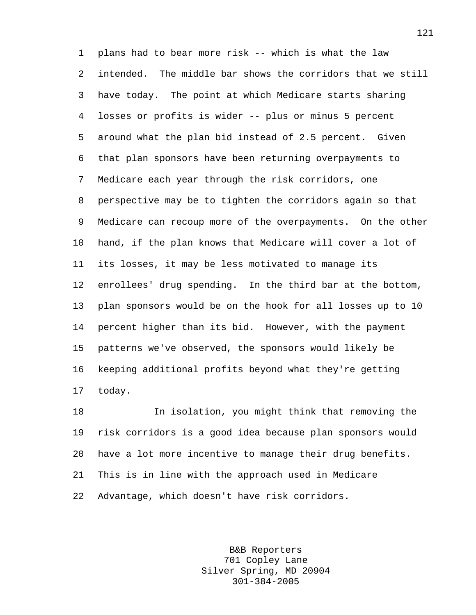1 plans had to bear more risk -- which is what the law 2 intended. The middle bar shows the corridors that we still 3 have today. The point at which Medicare starts sharing 4 losses or profits is wider -- plus or minus 5 percent 5 around what the plan bid instead of 2.5 percent. Given 6 that plan sponsors have been returning overpayments to 7 Medicare each year through the risk corridors, one 8 perspective may be to tighten the corridors again so that 9 Medicare can recoup more of the overpayments. On the other 10 hand, if the plan knows that Medicare will cover a lot of 11 its losses, it may be less motivated to manage its 12 enrollees' drug spending. In the third bar at the bottom, 13 plan sponsors would be on the hook for all losses up to 10 14 percent higher than its bid. However, with the payment 15 patterns we've observed, the sponsors would likely be 16 keeping additional profits beyond what they're getting 17 today.

18 In isolation, you might think that removing the 19 risk corridors is a good idea because plan sponsors would 20 have a lot more incentive to manage their drug benefits. 21 This is in line with the approach used in Medicare 22 Advantage, which doesn't have risk corridors.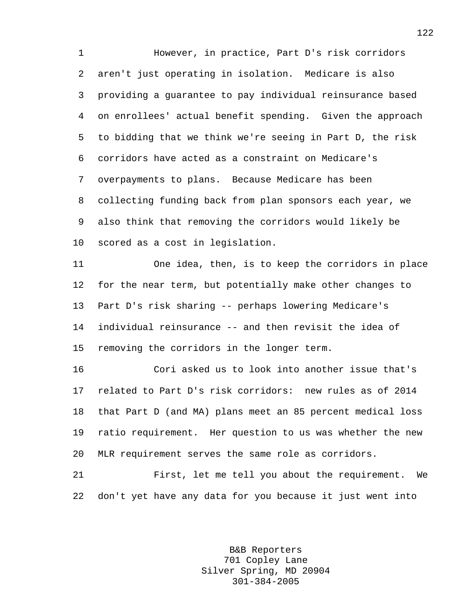1 However, in practice, Part D's risk corridors 2 aren't just operating in isolation. Medicare is also 3 providing a guarantee to pay individual reinsurance based 4 on enrollees' actual benefit spending. Given the approach 5 to bidding that we think we're seeing in Part D, the risk 6 corridors have acted as a constraint on Medicare's 7 overpayments to plans. Because Medicare has been 8 collecting funding back from plan sponsors each year, we 9 also think that removing the corridors would likely be 10 scored as a cost in legislation.

11 One idea, then, is to keep the corridors in place 12 for the near term, but potentially make other changes to 13 Part D's risk sharing -- perhaps lowering Medicare's 14 individual reinsurance -- and then revisit the idea of 15 removing the corridors in the longer term.

16 Cori asked us to look into another issue that's 17 related to Part D's risk corridors: new rules as of 2014 18 that Part D (and MA) plans meet an 85 percent medical loss 19 ratio requirement. Her question to us was whether the new 20 MLR requirement serves the same role as corridors.

21 First, let me tell you about the requirement. We 22 don't yet have any data for you because it just went into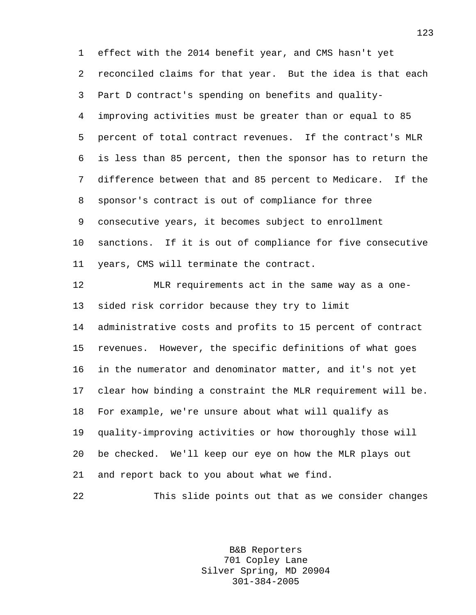1 effect with the 2014 benefit year, and CMS hasn't yet 2 reconciled claims for that year. But the idea is that each 3 Part D contract's spending on benefits and quality-4 improving activities must be greater than or equal to 85 5 percent of total contract revenues. If the contract's MLR 6 is less than 85 percent, then the sponsor has to return the 7 difference between that and 85 percent to Medicare. If the 8 sponsor's contract is out of compliance for three 9 consecutive years, it becomes subject to enrollment 10 sanctions. If it is out of compliance for five consecutive 11 years, CMS will terminate the contract. 12 MLR requirements act in the same way as a one-13 sided risk corridor because they try to limit 14 administrative costs and profits to 15 percent of contract 15 revenues. However, the specific definitions of what goes 16 in the numerator and denominator matter, and it's not yet 17 clear how binding a constraint the MLR requirement will be. 18 For example, we're unsure about what will qualify as 19 quality-improving activities or how thoroughly those will 20 be checked. We'll keep our eye on how the MLR plays out 21 and report back to you about what we find.

22 This slide points out that as we consider changes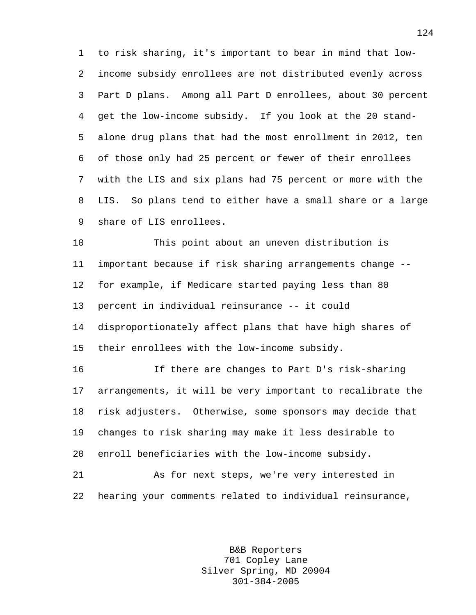1 to risk sharing, it's important to bear in mind that low-2 income subsidy enrollees are not distributed evenly across 3 Part D plans. Among all Part D enrollees, about 30 percent 4 get the low-income subsidy. If you look at the 20 stand-5 alone drug plans that had the most enrollment in 2012, ten 6 of those only had 25 percent or fewer of their enrollees 7 with the LIS and six plans had 75 percent or more with the 8 LIS. So plans tend to either have a small share or a large 9 share of LIS enrollees.

10 This point about an uneven distribution is 11 important because if risk sharing arrangements change -- 12 for example, if Medicare started paying less than 80 13 percent in individual reinsurance -- it could 14 disproportionately affect plans that have high shares of 15 their enrollees with the low-income subsidy.

16 If there are changes to Part D's risk-sharing 17 arrangements, it will be very important to recalibrate the 18 risk adjusters. Otherwise, some sponsors may decide that 19 changes to risk sharing may make it less desirable to 20 enroll beneficiaries with the low-income subsidy.

21 As for next steps, we're very interested in 22 hearing your comments related to individual reinsurance,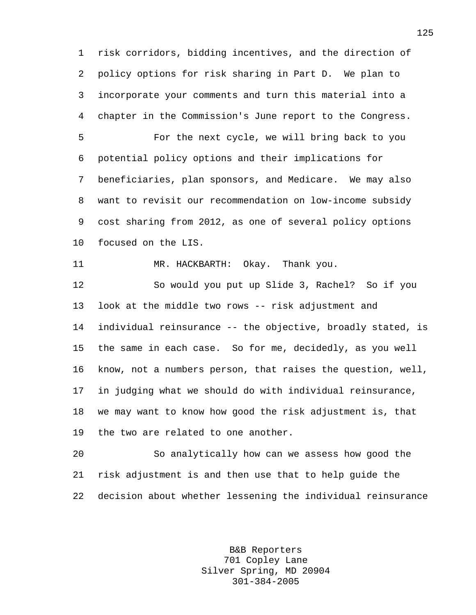1 risk corridors, bidding incentives, and the direction of 2 policy options for risk sharing in Part D. We plan to 3 incorporate your comments and turn this material into a 4 chapter in the Commission's June report to the Congress.

5 For the next cycle, we will bring back to you 6 potential policy options and their implications for 7 beneficiaries, plan sponsors, and Medicare. We may also 8 want to revisit our recommendation on low-income subsidy 9 cost sharing from 2012, as one of several policy options 10 focused on the LIS.

11 MR. HACKBARTH: Okay. Thank you.

12 So would you put up Slide 3, Rachel? So if you 13 look at the middle two rows -- risk adjustment and 14 individual reinsurance -- the objective, broadly stated, is 15 the same in each case. So for me, decidedly, as you well 16 know, not a numbers person, that raises the question, well, 17 in judging what we should do with individual reinsurance, 18 we may want to know how good the risk adjustment is, that 19 the two are related to one another.

20 So analytically how can we assess how good the 21 risk adjustment is and then use that to help guide the 22 decision about whether lessening the individual reinsurance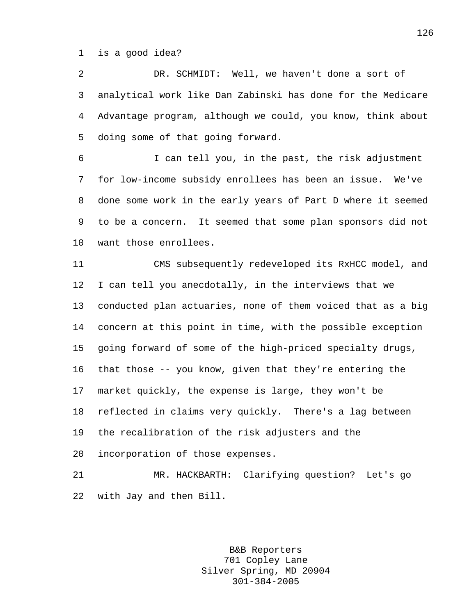1 is a good idea?

2 DR. SCHMIDT: Well, we haven't done a sort of 3 analytical work like Dan Zabinski has done for the Medicare 4 Advantage program, although we could, you know, think about 5 doing some of that going forward.

6 I can tell you, in the past, the risk adjustment 7 for low-income subsidy enrollees has been an issue. We've 8 done some work in the early years of Part D where it seemed 9 to be a concern. It seemed that some plan sponsors did not 10 want those enrollees.

11 CMS subsequently redeveloped its RxHCC model, and 12 I can tell you anecdotally, in the interviews that we 13 conducted plan actuaries, none of them voiced that as a big 14 concern at this point in time, with the possible exception 15 going forward of some of the high-priced specialty drugs, 16 that those -- you know, given that they're entering the 17 market quickly, the expense is large, they won't be 18 reflected in claims very quickly. There's a lag between 19 the recalibration of the risk adjusters and the 20 incorporation of those expenses.

21 MR. HACKBARTH: Clarifying question? Let's go 22 with Jay and then Bill.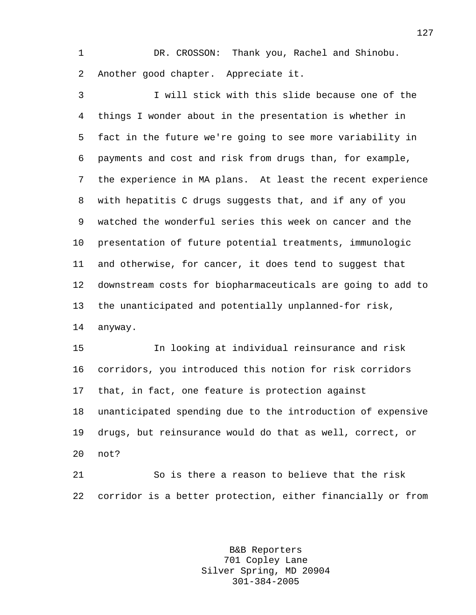1 DR. CROSSON: Thank you, Rachel and Shinobu. 2 Another good chapter. Appreciate it.

3 I will stick with this slide because one of the 4 things I wonder about in the presentation is whether in 5 fact in the future we're going to see more variability in 6 payments and cost and risk from drugs than, for example, 7 the experience in MA plans. At least the recent experience 8 with hepatitis C drugs suggests that, and if any of you 9 watched the wonderful series this week on cancer and the 10 presentation of future potential treatments, immunologic 11 and otherwise, for cancer, it does tend to suggest that 12 downstream costs for biopharmaceuticals are going to add to 13 the unanticipated and potentially unplanned-for risk, 14 anyway.

15 In looking at individual reinsurance and risk 16 corridors, you introduced this notion for risk corridors 17 that, in fact, one feature is protection against 18 unanticipated spending due to the introduction of expensive 19 drugs, but reinsurance would do that as well, correct, or 20 not? 21 So is there a reason to believe that the risk

22 corridor is a better protection, either financially or from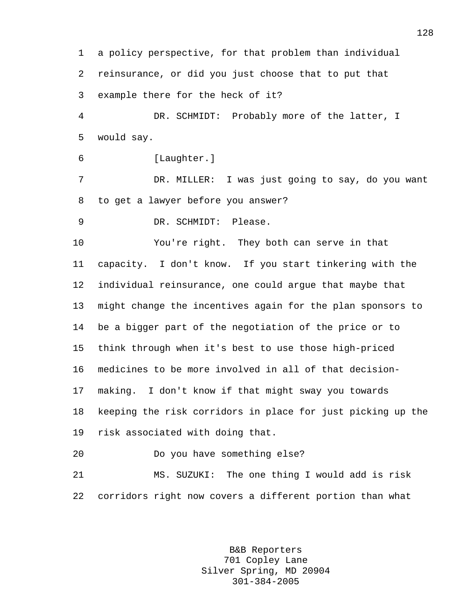1 a policy perspective, for that problem than individual 2 reinsurance, or did you just choose that to put that 3 example there for the heck of it?

4 DR. SCHMIDT: Probably more of the latter, I 5 would say.

6 [Laughter.]

7 DR. MILLER: I was just going to say, do you want 8 to get a lawyer before you answer?

9 DR. SCHMIDT: Please.

10 You're right. They both can serve in that 11 capacity. I don't know. If you start tinkering with the 12 individual reinsurance, one could argue that maybe that 13 might change the incentives again for the plan sponsors to 14 be a bigger part of the negotiation of the price or to 15 think through when it's best to use those high-priced 16 medicines to be more involved in all of that decision-17 making. I don't know if that might sway you towards 18 keeping the risk corridors in place for just picking up the 19 risk associated with doing that.

20 Do you have something else?

21 MS. SUZUKI: The one thing I would add is risk 22 corridors right now covers a different portion than what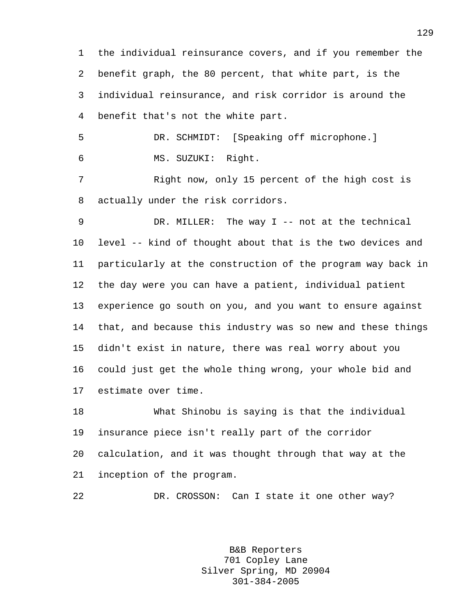1 the individual reinsurance covers, and if you remember the 2 benefit graph, the 80 percent, that white part, is the 3 individual reinsurance, and risk corridor is around the 4 benefit that's not the white part.

5 DR. SCHMIDT: [Speaking off microphone.] 6 MS. SUZUKI: Right.

7 Right now, only 15 percent of the high cost is 8 actually under the risk corridors.

9 DR. MILLER: The way I -- not at the technical 10 level -- kind of thought about that is the two devices and 11 particularly at the construction of the program way back in 12 the day were you can have a patient, individual patient 13 experience go south on you, and you want to ensure against 14 that, and because this industry was so new and these things 15 didn't exist in nature, there was real worry about you 16 could just get the whole thing wrong, your whole bid and 17 estimate over time.

18 What Shinobu is saying is that the individual 19 insurance piece isn't really part of the corridor 20 calculation, and it was thought through that way at the 21 inception of the program.

22 DR. CROSSON: Can I state it one other way?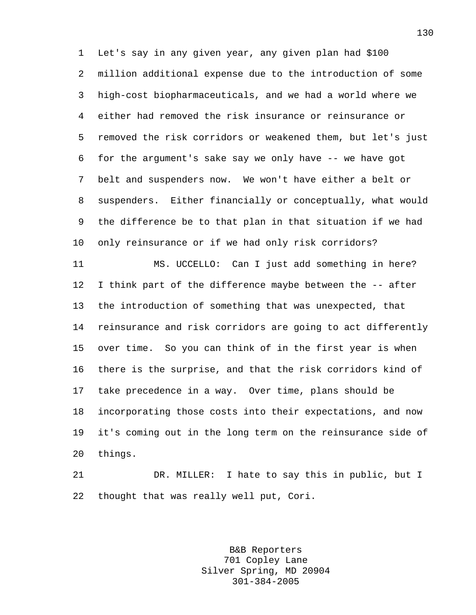1 Let's say in any given year, any given plan had \$100 2 million additional expense due to the introduction of some 3 high-cost biopharmaceuticals, and we had a world where we 4 either had removed the risk insurance or reinsurance or 5 removed the risk corridors or weakened them, but let's just 6 for the argument's sake say we only have -- we have got 7 belt and suspenders now. We won't have either a belt or 8 suspenders. Either financially or conceptually, what would 9 the difference be to that plan in that situation if we had 10 only reinsurance or if we had only risk corridors?

11 MS. UCCELLO: Can I just add something in here? 12 I think part of the difference maybe between the -- after 13 the introduction of something that was unexpected, that 14 reinsurance and risk corridors are going to act differently 15 over time. So you can think of in the first year is when 16 there is the surprise, and that the risk corridors kind of 17 take precedence in a way. Over time, plans should be 18 incorporating those costs into their expectations, and now 19 it's coming out in the long term on the reinsurance side of 20 things.

21 DR. MILLER: I hate to say this in public, but I 22 thought that was really well put, Cori.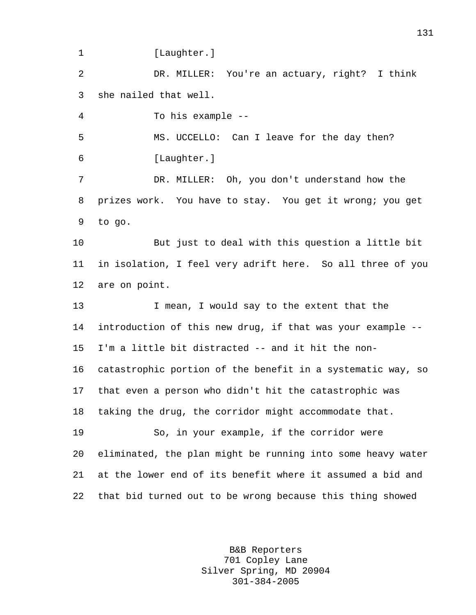1 [Laughter.]

2 DR. MILLER: You're an actuary, right? I think 3 she nailed that well.

4 To his example --

5 MS. UCCELLO: Can I leave for the day then? 6 [Laughter.]

7 DR. MILLER: Oh, you don't understand how the 8 prizes work. You have to stay. You get it wrong; you get 9 to go.

10 But just to deal with this question a little bit 11 in isolation, I feel very adrift here. So all three of you 12 are on point.

13 I mean, I would say to the extent that the 14 introduction of this new drug, if that was your example -- 15 I'm a little bit distracted -- and it hit the non-16 catastrophic portion of the benefit in a systematic way, so 17 that even a person who didn't hit the catastrophic was 18 taking the drug, the corridor might accommodate that.

19 So, in your example, if the corridor were 20 eliminated, the plan might be running into some heavy water 21 at the lower end of its benefit where it assumed a bid and 22 that bid turned out to be wrong because this thing showed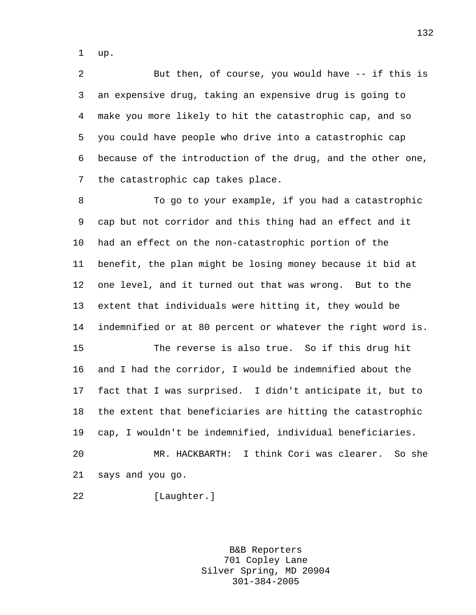1 up.

2 But then, of course, you would have -- if this is 3 an expensive drug, taking an expensive drug is going to 4 make you more likely to hit the catastrophic cap, and so 5 you could have people who drive into a catastrophic cap 6 because of the introduction of the drug, and the other one, 7 the catastrophic cap takes place.

8 To go to your example, if you had a catastrophic 9 cap but not corridor and this thing had an effect and it 10 had an effect on the non-catastrophic portion of the 11 benefit, the plan might be losing money because it bid at 12 one level, and it turned out that was wrong. But to the 13 extent that individuals were hitting it, they would be 14 indemnified or at 80 percent or whatever the right word is.

15 The reverse is also true. So if this drug hit 16 and I had the corridor, I would be indemnified about the 17 fact that I was surprised. I didn't anticipate it, but to 18 the extent that beneficiaries are hitting the catastrophic 19 cap, I wouldn't be indemnified, individual beneficiaries. 20 MR. HACKBARTH: I think Cori was clearer. So she

21 says and you go.

22 [Laughter.]

B&B Reporters 701 Copley Lane Silver Spring, MD 20904 301-384-2005

132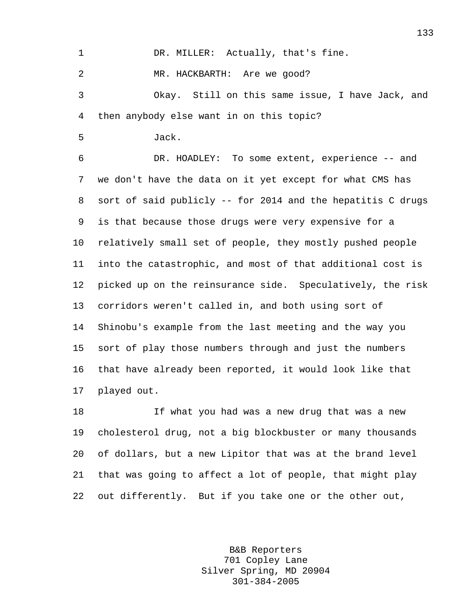1 DR. MILLER: Actually, that's fine. 2 MR. HACKBARTH: Are we good? 3 Okay. Still on this same issue, I have Jack, and 4 then anybody else want in on this topic? 5 Jack. 6 DR. HOADLEY: To some extent, experience -- and 7 we don't have the data on it yet except for what CMS has 8 sort of said publicly -- for 2014 and the hepatitis C drugs 9 is that because those drugs were very expensive for a 10 relatively small set of people, they mostly pushed people 11 into the catastrophic, and most of that additional cost is 12 picked up on the reinsurance side. Speculatively, the risk 13 corridors weren't called in, and both using sort of

14 Shinobu's example from the last meeting and the way you 15 sort of play those numbers through and just the numbers 16 that have already been reported, it would look like that 17 played out.

18 If what you had was a new drug that was a new 19 cholesterol drug, not a big blockbuster or many thousands 20 of dollars, but a new Lipitor that was at the brand level 21 that was going to affect a lot of people, that might play 22 out differently. But if you take one or the other out,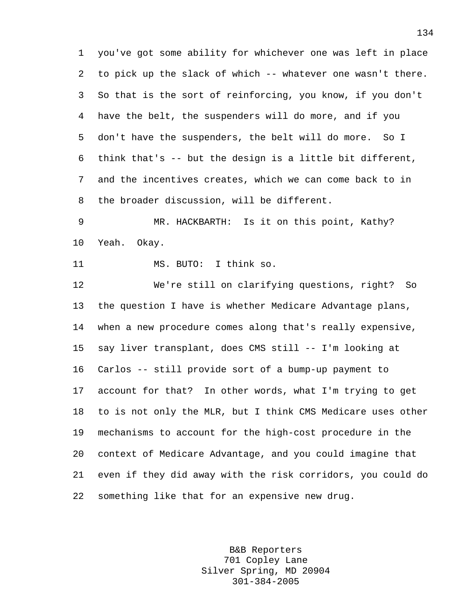1 you've got some ability for whichever one was left in place 2 to pick up the slack of which -- whatever one wasn't there. 3 So that is the sort of reinforcing, you know, if you don't 4 have the belt, the suspenders will do more, and if you 5 don't have the suspenders, the belt will do more. So I 6 think that's -- but the design is a little bit different, 7 and the incentives creates, which we can come back to in 8 the broader discussion, will be different.

9 MR. HACKBARTH: Is it on this point, Kathy? 10 Yeah. Okay.

11 MS. BUTO: I think so.

12 We're still on clarifying questions, right? So 13 the question I have is whether Medicare Advantage plans, 14 when a new procedure comes along that's really expensive, 15 say liver transplant, does CMS still -- I'm looking at 16 Carlos -- still provide sort of a bump-up payment to 17 account for that? In other words, what I'm trying to get 18 to is not only the MLR, but I think CMS Medicare uses other 19 mechanisms to account for the high-cost procedure in the 20 context of Medicare Advantage, and you could imagine that 21 even if they did away with the risk corridors, you could do 22 something like that for an expensive new drug.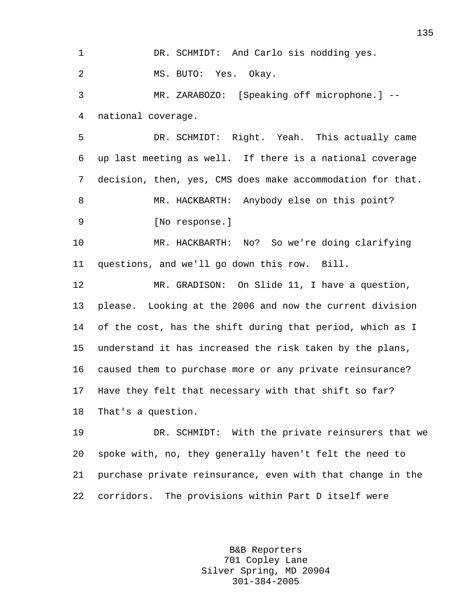1 DR. SCHMIDT: And Carlo sis nodding yes. 2 MS. BUTO: Yes. Okay. 3 MR. ZARABOZO: [Speaking off microphone.] --

4 national coverage.

5 DR. SCHMIDT: Right. Yeah. This actually came 6 up last meeting as well. If there is a national coverage 7 decision, then, yes, CMS does make accommodation for that. 8 MR. HACKBARTH: Anybody else on this point? 9 [No response.]

10 MR. HACKBARTH: No? So we're doing clarifying 11 questions, and we'll go down this row. Bill.

12 MR. GRADISON: On Slide 11, I have a question, 13 please. Looking at the 2006 and now the current division 14 of the cost, has the shift during that period, which as I 15 understand it has increased the risk taken by the plans, 16 caused them to purchase more or any private reinsurance? 17 Have they felt that necessary with that shift so far? 18 That's a question.

19 DR. SCHMIDT: With the private reinsurers that we 20 spoke with, no, they generally haven't felt the need to 21 purchase private reinsurance, even with that change in the 22 corridors. The provisions within Part D itself were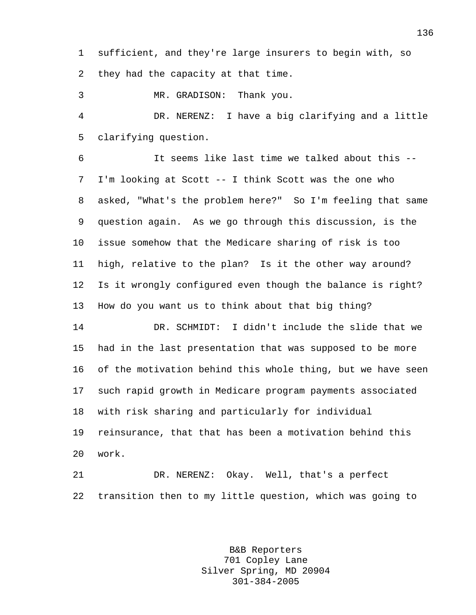1 sufficient, and they're large insurers to begin with, so 2 they had the capacity at that time.

3 MR. GRADISON: Thank you.

4 DR. NERENZ: I have a big clarifying and a little 5 clarifying question.

6 It seems like last time we talked about this -- 7 I'm looking at Scott -- I think Scott was the one who 8 asked, "What's the problem here?" So I'm feeling that same 9 question again. As we go through this discussion, is the 10 issue somehow that the Medicare sharing of risk is too 11 high, relative to the plan? Is it the other way around? 12 Is it wrongly configured even though the balance is right? 13 How do you want us to think about that big thing?

14 DR. SCHMIDT: I didn't include the slide that we 15 had in the last presentation that was supposed to be more 16 of the motivation behind this whole thing, but we have seen 17 such rapid growth in Medicare program payments associated 18 with risk sharing and particularly for individual 19 reinsurance, that that has been a motivation behind this 20 work.

21 DR. NERENZ: Okay. Well, that's a perfect 22 transition then to my little question, which was going to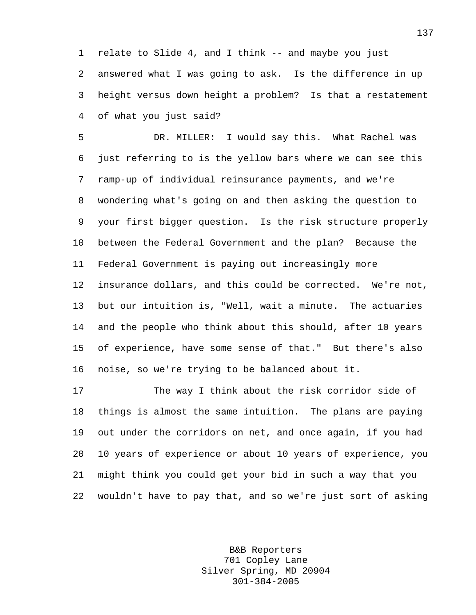1 relate to Slide 4, and I think -- and maybe you just 2 answered what I was going to ask. Is the difference in up 3 height versus down height a problem? Is that a restatement 4 of what you just said?

5 DR. MILLER: I would say this. What Rachel was 6 just referring to is the yellow bars where we can see this 7 ramp-up of individual reinsurance payments, and we're 8 wondering what's going on and then asking the question to 9 your first bigger question. Is the risk structure properly 10 between the Federal Government and the plan? Because the 11 Federal Government is paying out increasingly more 12 insurance dollars, and this could be corrected. We're not, 13 but our intuition is, "Well, wait a minute. The actuaries 14 and the people who think about this should, after 10 years 15 of experience, have some sense of that." But there's also 16 noise, so we're trying to be balanced about it.

17 The way I think about the risk corridor side of 18 things is almost the same intuition. The plans are paying 19 out under the corridors on net, and once again, if you had 20 10 years of experience or about 10 years of experience, you 21 might think you could get your bid in such a way that you 22 wouldn't have to pay that, and so we're just sort of asking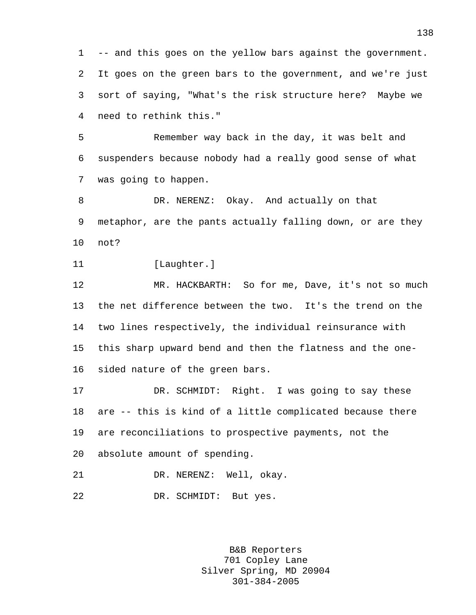1 -- and this goes on the yellow bars against the government. 2 It goes on the green bars to the government, and we're just 3 sort of saying, "What's the risk structure here? Maybe we 4 need to rethink this."

5 Remember way back in the day, it was belt and 6 suspenders because nobody had a really good sense of what 7 was going to happen.

8 DR. NERENZ: Okay. And actually on that 9 metaphor, are the pants actually falling down, or are they 10 not?

11 [Laughter.]

12 MR. HACKBARTH: So for me, Dave, it's not so much 13 the net difference between the two. It's the trend on the 14 two lines respectively, the individual reinsurance with 15 this sharp upward bend and then the flatness and the one-16 sided nature of the green bars.

17 DR. SCHMIDT: Right. I was going to say these 18 are -- this is kind of a little complicated because there 19 are reconciliations to prospective payments, not the 20 absolute amount of spending.

21 DR. NERENZ: Well, okay.

22 DR. SCHMIDT: But yes.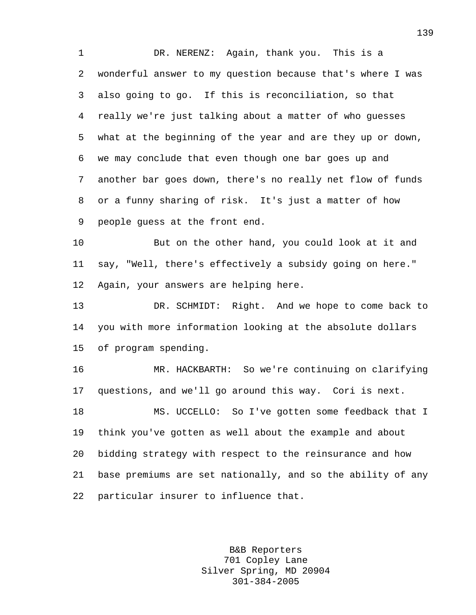1 DR. NERENZ: Again, thank you. This is a 2 wonderful answer to my question because that's where I was 3 also going to go. If this is reconciliation, so that 4 really we're just talking about a matter of who guesses 5 what at the beginning of the year and are they up or down, 6 we may conclude that even though one bar goes up and 7 another bar goes down, there's no really net flow of funds 8 or a funny sharing of risk. It's just a matter of how 9 people guess at the front end.

10 But on the other hand, you could look at it and 11 say, "Well, there's effectively a subsidy going on here." 12 Again, your answers are helping here.

13 DR. SCHMIDT: Right. And we hope to come back to 14 you with more information looking at the absolute dollars 15 of program spending.

16 MR. HACKBARTH: So we're continuing on clarifying 17 questions, and we'll go around this way. Cori is next.

18 MS. UCCELLO: So I've gotten some feedback that I 19 think you've gotten as well about the example and about 20 bidding strategy with respect to the reinsurance and how 21 base premiums are set nationally, and so the ability of any 22 particular insurer to influence that.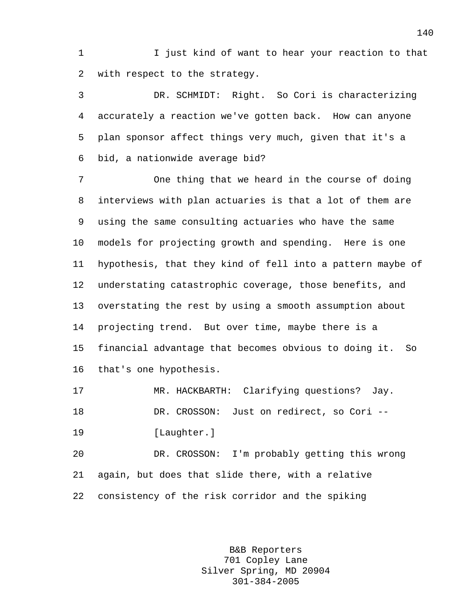1 I just kind of want to hear your reaction to that 2 with respect to the strategy.

3 DR. SCHMIDT: Right. So Cori is characterizing 4 accurately a reaction we've gotten back. How can anyone 5 plan sponsor affect things very much, given that it's a 6 bid, a nationwide average bid?

7 One thing that we heard in the course of doing 8 interviews with plan actuaries is that a lot of them are 9 using the same consulting actuaries who have the same 10 models for projecting growth and spending. Here is one 11 hypothesis, that they kind of fell into a pattern maybe of 12 understating catastrophic coverage, those benefits, and 13 overstating the rest by using a smooth assumption about 14 projecting trend. But over time, maybe there is a 15 financial advantage that becomes obvious to doing it. So 16 that's one hypothesis.

17 MR. HACKBARTH: Clarifying questions? Jay. 18 DR. CROSSON: Just on redirect, so Cori --

19 [Laughter.]

20 DR. CROSSON: I'm probably getting this wrong 21 again, but does that slide there, with a relative 22 consistency of the risk corridor and the spiking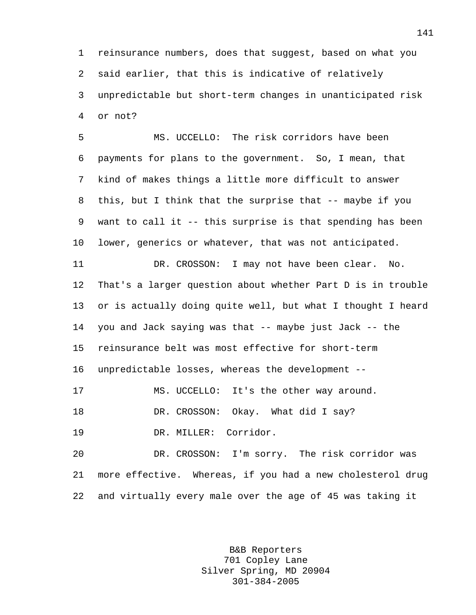1 reinsurance numbers, does that suggest, based on what you 2 said earlier, that this is indicative of relatively 3 unpredictable but short-term changes in unanticipated risk 4 or not?

5 MS. UCCELLO: The risk corridors have been 6 payments for plans to the government. So, I mean, that 7 kind of makes things a little more difficult to answer 8 this, but I think that the surprise that -- maybe if you 9 want to call it -- this surprise is that spending has been 10 lower, generics or whatever, that was not anticipated. 11 DR. CROSSON: I may not have been clear. No. 12 That's a larger question about whether Part D is in trouble 13 or is actually doing quite well, but what I thought I heard 14 you and Jack saying was that -- maybe just Jack -- the 15 reinsurance belt was most effective for short-term 16 unpredictable losses, whereas the development -- 17 MS. UCCELLO: It's the other way around. 18 DR. CROSSON: Okay. What did I say? 19 DR. MILLER: Corridor. 20 DR. CROSSON: I'm sorry. The risk corridor was 21 more effective. Whereas, if you had a new cholesterol drug 22 and virtually every male over the age of 45 was taking it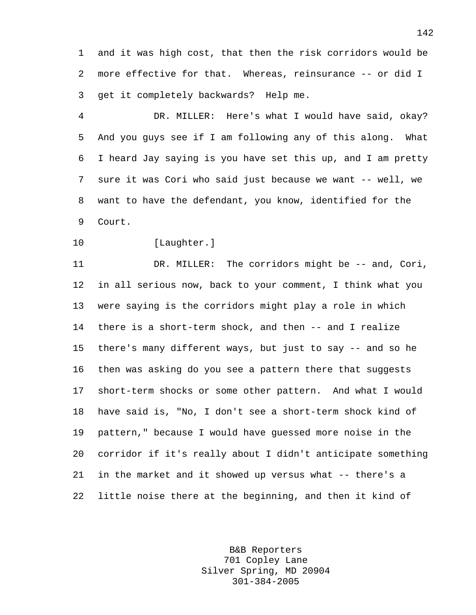1 and it was high cost, that then the risk corridors would be 2 more effective for that. Whereas, reinsurance -- or did I 3 get it completely backwards? Help me.

4 DR. MILLER: Here's what I would have said, okay? 5 And you guys see if I am following any of this along. What 6 I heard Jay saying is you have set this up, and I am pretty 7 sure it was Cori who said just because we want -- well, we 8 want to have the defendant, you know, identified for the 9 Court.

10 [Laughter.]

11 DR. MILLER: The corridors might be -- and, Cori, 12 in all serious now, back to your comment, I think what you 13 were saying is the corridors might play a role in which 14 there is a short-term shock, and then -- and I realize 15 there's many different ways, but just to say -- and so he 16 then was asking do you see a pattern there that suggests 17 short-term shocks or some other pattern. And what I would 18 have said is, "No, I don't see a short-term shock kind of 19 pattern," because I would have guessed more noise in the 20 corridor if it's really about I didn't anticipate something 21 in the market and it showed up versus what -- there's a 22 little noise there at the beginning, and then it kind of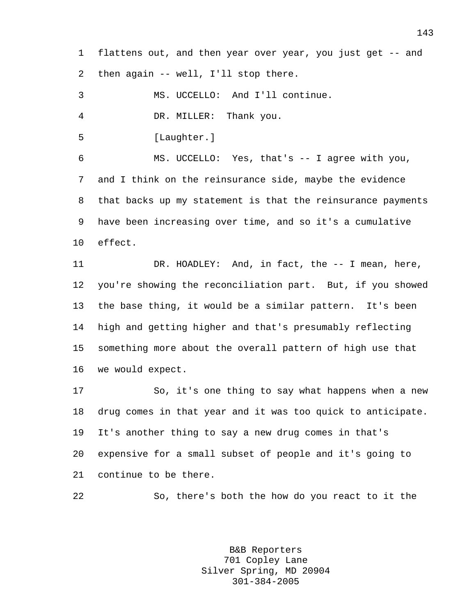1 flattens out, and then year over year, you just get -- and 2 then again -- well, I'll stop there.

3 MS. UCCELLO: And I'll continue. 4 DR. MILLER: Thank you.

5 [Laughter.]

6 MS. UCCELLO: Yes, that's -- I agree with you, 7 and I think on the reinsurance side, maybe the evidence 8 that backs up my statement is that the reinsurance payments 9 have been increasing over time, and so it's a cumulative 10 effect.

11 DR. HOADLEY: And, in fact, the -- I mean, here, 12 you're showing the reconciliation part. But, if you showed 13 the base thing, it would be a similar pattern. It's been 14 high and getting higher and that's presumably reflecting 15 something more about the overall pattern of high use that 16 we would expect.

17 So, it's one thing to say what happens when a new 18 drug comes in that year and it was too quick to anticipate. 19 It's another thing to say a new drug comes in that's 20 expensive for a small subset of people and it's going to 21 continue to be there.

22 So, there's both the how do you react to it the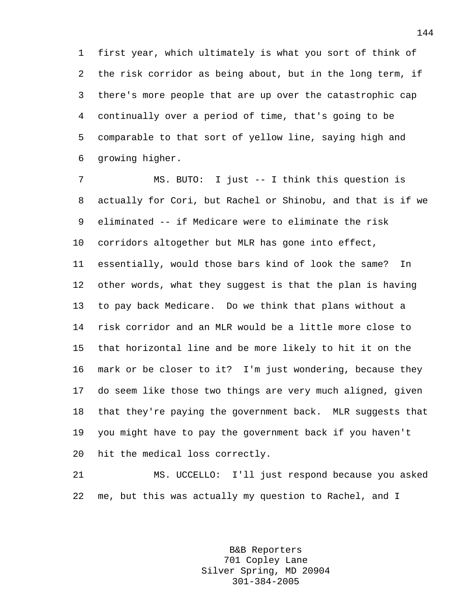1 first year, which ultimately is what you sort of think of 2 the risk corridor as being about, but in the long term, if 3 there's more people that are up over the catastrophic cap 4 continually over a period of time, that's going to be 5 comparable to that sort of yellow line, saying high and 6 growing higher.

7 MS. BUTO: I just -- I think this question is 8 actually for Cori, but Rachel or Shinobu, and that is if we 9 eliminated -- if Medicare were to eliminate the risk 10 corridors altogether but MLR has gone into effect, 11 essentially, would those bars kind of look the same? In 12 other words, what they suggest is that the plan is having 13 to pay back Medicare. Do we think that plans without a 14 risk corridor and an MLR would be a little more close to 15 that horizontal line and be more likely to hit it on the 16 mark or be closer to it? I'm just wondering, because they 17 do seem like those two things are very much aligned, given 18 that they're paying the government back. MLR suggests that 19 you might have to pay the government back if you haven't 20 hit the medical loss correctly.

21 MS. UCCELLO: I'll just respond because you asked 22 me, but this was actually my question to Rachel, and I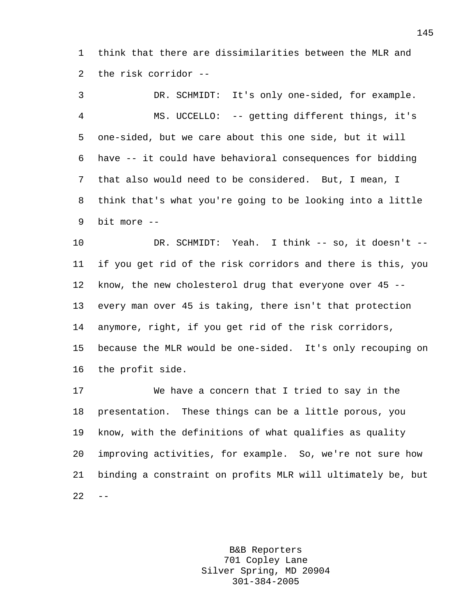1 think that there are dissimilarities between the MLR and 2 the risk corridor --

3 DR. SCHMIDT: It's only one-sided, for example. 4 MS. UCCELLO: -- getting different things, it's 5 one-sided, but we care about this one side, but it will 6 have -- it could have behavioral consequences for bidding 7 that also would need to be considered. But, I mean, I 8 think that's what you're going to be looking into a little 9 bit more --

10 DR. SCHMIDT: Yeah. I think -- so, it doesn't -- 11 if you get rid of the risk corridors and there is this, you 12 know, the new cholesterol drug that everyone over 45 -- 13 every man over 45 is taking, there isn't that protection 14 anymore, right, if you get rid of the risk corridors, 15 because the MLR would be one-sided. It's only recouping on 16 the profit side.

17 We have a concern that I tried to say in the 18 presentation. These things can be a little porous, you 19 know, with the definitions of what qualifies as quality 20 improving activities, for example. So, we're not sure how 21 binding a constraint on profits MLR will ultimately be, but  $22 - -$ 

> B&B Reporters 701 Copley Lane Silver Spring, MD 20904 301-384-2005

145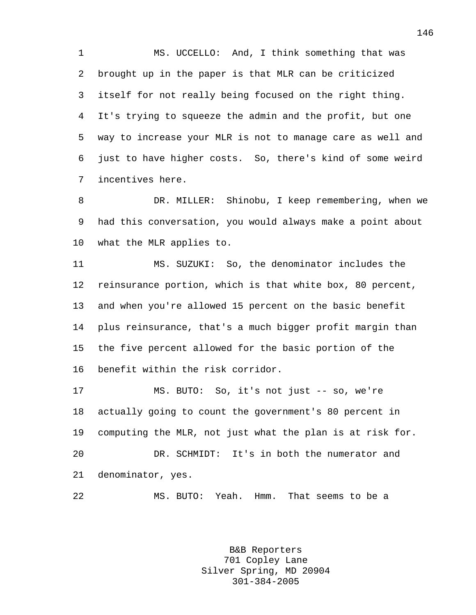1 MS. UCCELLO: And, I think something that was 2 brought up in the paper is that MLR can be criticized 3 itself for not really being focused on the right thing. 4 It's trying to squeeze the admin and the profit, but one 5 way to increase your MLR is not to manage care as well and 6 just to have higher costs. So, there's kind of some weird 7 incentives here.

8 DR. MILLER: Shinobu, I keep remembering, when we 9 had this conversation, you would always make a point about 10 what the MLR applies to.

11 MS. SUZUKI: So, the denominator includes the 12 reinsurance portion, which is that white box, 80 percent, 13 and when you're allowed 15 percent on the basic benefit 14 plus reinsurance, that's a much bigger profit margin than 15 the five percent allowed for the basic portion of the 16 benefit within the risk corridor.

17 MS. BUTO: So, it's not just -- so, we're 18 actually going to count the government's 80 percent in 19 computing the MLR, not just what the plan is at risk for. 20 DR. SCHMIDT: It's in both the numerator and 21 denominator, yes.

22 MS. BUTO: Yeah. Hmm. That seems to be a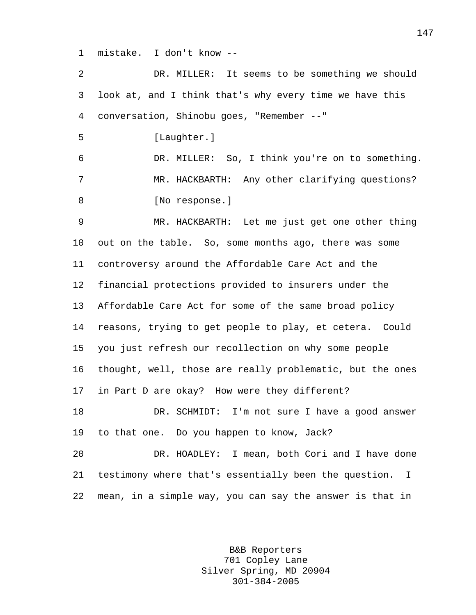1 mistake. I don't know --

2 DR. MILLER: It seems to be something we should 3 look at, and I think that's why every time we have this 4 conversation, Shinobu goes, "Remember --" 5 [Laughter.] 6 DR. MILLER: So, I think you're on to something. 7 MR. HACKBARTH: Any other clarifying questions? 8 [No response.] 9 MR. HACKBARTH: Let me just get one other thing 10 out on the table. So, some months ago, there was some 11 controversy around the Affordable Care Act and the 12 financial protections provided to insurers under the 13 Affordable Care Act for some of the same broad policy 14 reasons, trying to get people to play, et cetera. Could 15 you just refresh our recollection on why some people 16 thought, well, those are really problematic, but the ones 17 in Part D are okay? How were they different? 18 DR. SCHMIDT: I'm not sure I have a good answer 19 to that one. Do you happen to know, Jack? 20 DR. HOADLEY: I mean, both Cori and I have done 21 testimony where that's essentially been the question. I 22 mean, in a simple way, you can say the answer is that in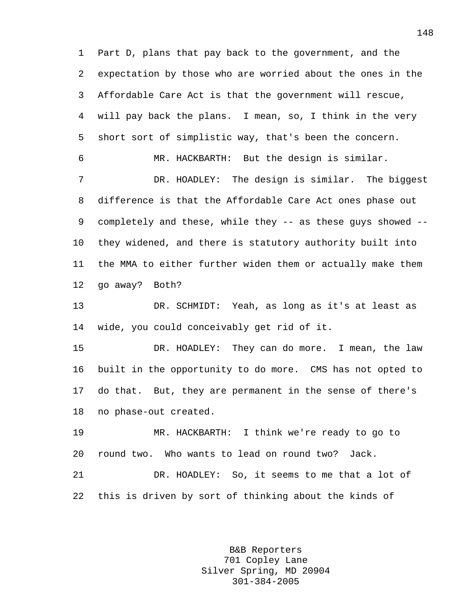1 Part D, plans that pay back to the government, and the 2 expectation by those who are worried about the ones in the 3 Affordable Care Act is that the government will rescue, 4 will pay back the plans. I mean, so, I think in the very 5 short sort of simplistic way, that's been the concern.

6 MR. HACKBARTH: But the design is similar.

7 DR. HOADLEY: The design is similar. The biggest 8 difference is that the Affordable Care Act ones phase out 9 completely and these, while they -- as these guys showed -- 10 they widened, and there is statutory authority built into 11 the MMA to either further widen them or actually make them 12 go away? Both?

13 DR. SCHMIDT: Yeah, as long as it's at least as 14 wide, you could conceivably get rid of it.

15 DR. HOADLEY: They can do more. I mean, the law 16 built in the opportunity to do more. CMS has not opted to 17 do that. But, they are permanent in the sense of there's 18 no phase-out created.

19 MR. HACKBARTH: I think we're ready to go to 20 round two. Who wants to lead on round two? Jack.

21 DR. HOADLEY: So, it seems to me that a lot of 22 this is driven by sort of thinking about the kinds of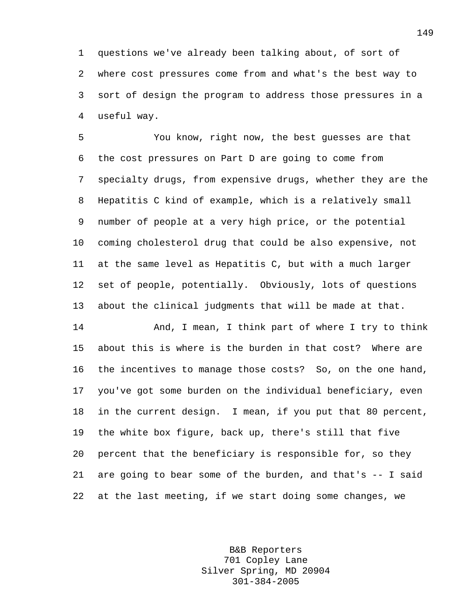1 questions we've already been talking about, of sort of 2 where cost pressures come from and what's the best way to 3 sort of design the program to address those pressures in a 4 useful way.

5 You know, right now, the best guesses are that 6 the cost pressures on Part D are going to come from 7 specialty drugs, from expensive drugs, whether they are the 8 Hepatitis C kind of example, which is a relatively small 9 number of people at a very high price, or the potential 10 coming cholesterol drug that could be also expensive, not 11 at the same level as Hepatitis C, but with a much larger 12 set of people, potentially. Obviously, lots of questions 13 about the clinical judgments that will be made at that.

14 And, I mean, I think part of where I try to think 15 about this is where is the burden in that cost? Where are 16 the incentives to manage those costs? So, on the one hand, 17 you've got some burden on the individual beneficiary, even 18 in the current design. I mean, if you put that 80 percent, 19 the white box figure, back up, there's still that five 20 percent that the beneficiary is responsible for, so they 21 are going to bear some of the burden, and that's -- I said 22 at the last meeting, if we start doing some changes, we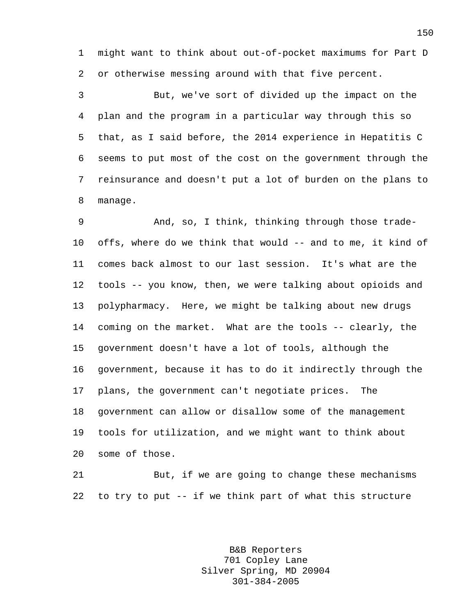1 might want to think about out-of-pocket maximums for Part D 2 or otherwise messing around with that five percent.

3 But, we've sort of divided up the impact on the 4 plan and the program in a particular way through this so 5 that, as I said before, the 2014 experience in Hepatitis C 6 seems to put most of the cost on the government through the 7 reinsurance and doesn't put a lot of burden on the plans to 8 manage.

9 And, so, I think, thinking through those trade-10 offs, where do we think that would -- and to me, it kind of 11 comes back almost to our last session. It's what are the 12 tools -- you know, then, we were talking about opioids and 13 polypharmacy. Here, we might be talking about new drugs 14 coming on the market. What are the tools -- clearly, the 15 government doesn't have a lot of tools, although the 16 government, because it has to do it indirectly through the 17 plans, the government can't negotiate prices. The 18 government can allow or disallow some of the management 19 tools for utilization, and we might want to think about 20 some of those.

21 But, if we are going to change these mechanisms 22 to try to put -- if we think part of what this structure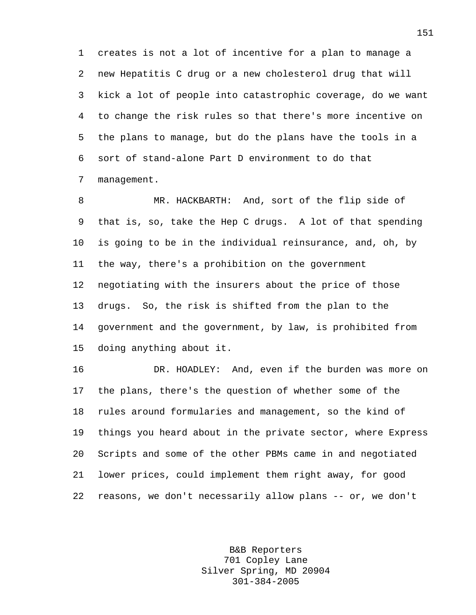1 creates is not a lot of incentive for a plan to manage a 2 new Hepatitis C drug or a new cholesterol drug that will 3 kick a lot of people into catastrophic coverage, do we want 4 to change the risk rules so that there's more incentive on 5 the plans to manage, but do the plans have the tools in a 6 sort of stand-alone Part D environment to do that 7 management.

8 MR. HACKBARTH: And, sort of the flip side of 9 that is, so, take the Hep C drugs. A lot of that spending 10 is going to be in the individual reinsurance, and, oh, by 11 the way, there's a prohibition on the government 12 negotiating with the insurers about the price of those 13 drugs. So, the risk is shifted from the plan to the 14 government and the government, by law, is prohibited from 15 doing anything about it.

16 DR. HOADLEY: And, even if the burden was more on 17 the plans, there's the question of whether some of the 18 rules around formularies and management, so the kind of 19 things you heard about in the private sector, where Express 20 Scripts and some of the other PBMs came in and negotiated 21 lower prices, could implement them right away, for good 22 reasons, we don't necessarily allow plans -- or, we don't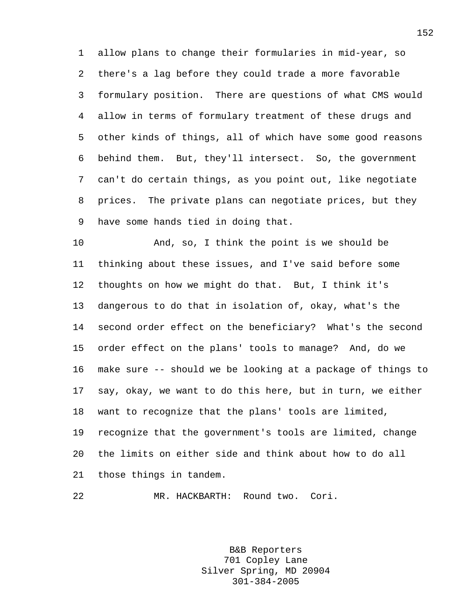1 allow plans to change their formularies in mid-year, so 2 there's a lag before they could trade a more favorable 3 formulary position. There are questions of what CMS would 4 allow in terms of formulary treatment of these drugs and 5 other kinds of things, all of which have some good reasons 6 behind them. But, they'll intersect. So, the government 7 can't do certain things, as you point out, like negotiate 8 prices. The private plans can negotiate prices, but they 9 have some hands tied in doing that.

10 And, so, I think the point is we should be 11 thinking about these issues, and I've said before some 12 thoughts on how we might do that. But, I think it's 13 dangerous to do that in isolation of, okay, what's the 14 second order effect on the beneficiary? What's the second 15 order effect on the plans' tools to manage? And, do we 16 make sure -- should we be looking at a package of things to 17 say, okay, we want to do this here, but in turn, we either 18 want to recognize that the plans' tools are limited, 19 recognize that the government's tools are limited, change 20 the limits on either side and think about how to do all 21 those things in tandem.

22 MR. HACKBARTH: Round two. Cori.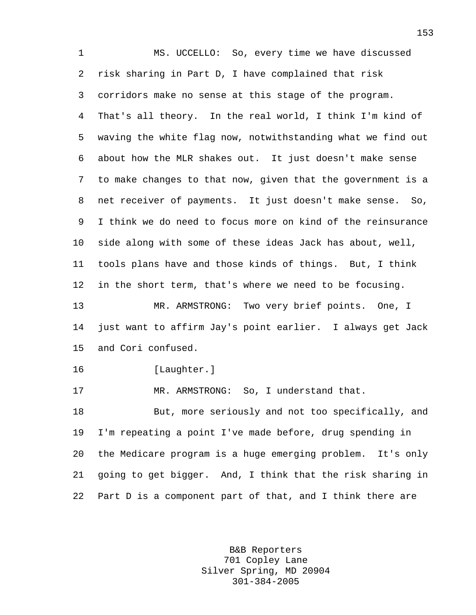1 MS. UCCELLO: So, every time we have discussed 2 risk sharing in Part D, I have complained that risk 3 corridors make no sense at this stage of the program. 4 That's all theory. In the real world, I think I'm kind of 5 waving the white flag now, notwithstanding what we find out 6 about how the MLR shakes out. It just doesn't make sense 7 to make changes to that now, given that the government is a 8 net receiver of payments. It just doesn't make sense. So, 9 I think we do need to focus more on kind of the reinsurance 10 side along with some of these ideas Jack has about, well, 11 tools plans have and those kinds of things. But, I think 12 in the short term, that's where we need to be focusing. 13 MR. ARMSTRONG: Two very brief points. One, I 14 just want to affirm Jay's point earlier. I always get Jack 15 and Cori confused. 16 [Laughter.] 17 MR. ARMSTRONG: So, I understand that. 18 But, more seriously and not too specifically, and 19 I'm repeating a point I've made before, drug spending in 20 the Medicare program is a huge emerging problem. It's only 21 going to get bigger. And, I think that the risk sharing in 22 Part D is a component part of that, and I think there are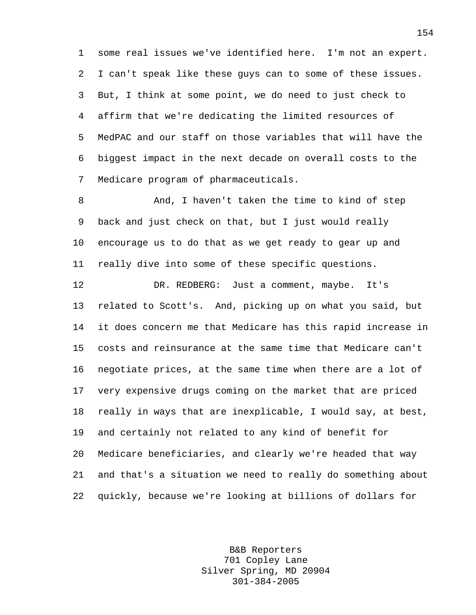1 some real issues we've identified here. I'm not an expert. 2 I can't speak like these guys can to some of these issues. 3 But, I think at some point, we do need to just check to 4 affirm that we're dedicating the limited resources of 5 MedPAC and our staff on those variables that will have the 6 biggest impact in the next decade on overall costs to the 7 Medicare program of pharmaceuticals.

8 And, I haven't taken the time to kind of step 9 back and just check on that, but I just would really 10 encourage us to do that as we get ready to gear up and 11 really dive into some of these specific questions.

12 DR. REDBERG: Just a comment, maybe. It's 13 related to Scott's. And, picking up on what you said, but 14 it does concern me that Medicare has this rapid increase in 15 costs and reinsurance at the same time that Medicare can't 16 negotiate prices, at the same time when there are a lot of 17 very expensive drugs coming on the market that are priced 18 really in ways that are inexplicable, I would say, at best, 19 and certainly not related to any kind of benefit for 20 Medicare beneficiaries, and clearly we're headed that way 21 and that's a situation we need to really do something about 22 quickly, because we're looking at billions of dollars for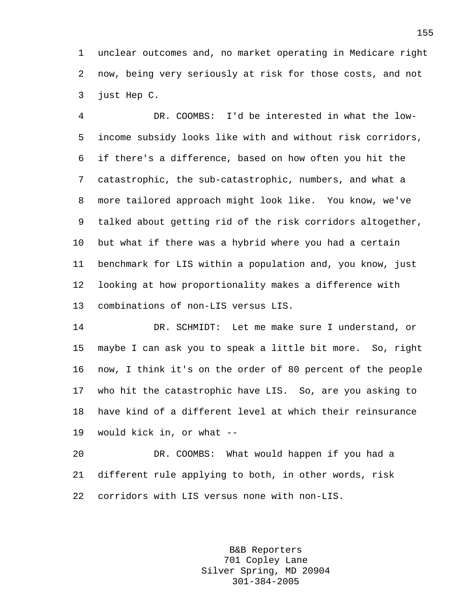1 unclear outcomes and, no market operating in Medicare right 2 now, being very seriously at risk for those costs, and not 3 just Hep C.

4 DR. COOMBS: I'd be interested in what the low-5 income subsidy looks like with and without risk corridors, 6 if there's a difference, based on how often you hit the 7 catastrophic, the sub-catastrophic, numbers, and what a 8 more tailored approach might look like. You know, we've 9 talked about getting rid of the risk corridors altogether, 10 but what if there was a hybrid where you had a certain 11 benchmark for LIS within a population and, you know, just 12 looking at how proportionality makes a difference with 13 combinations of non-LIS versus LIS.

14 DR. SCHMIDT: Let me make sure I understand, or 15 maybe I can ask you to speak a little bit more. So, right 16 now, I think it's on the order of 80 percent of the people 17 who hit the catastrophic have LIS. So, are you asking to 18 have kind of a different level at which their reinsurance 19 would kick in, or what --

20 DR. COOMBS: What would happen if you had a 21 different rule applying to both, in other words, risk 22 corridors with LIS versus none with non-LIS.

> B&B Reporters 701 Copley Lane Silver Spring, MD 20904 301-384-2005

155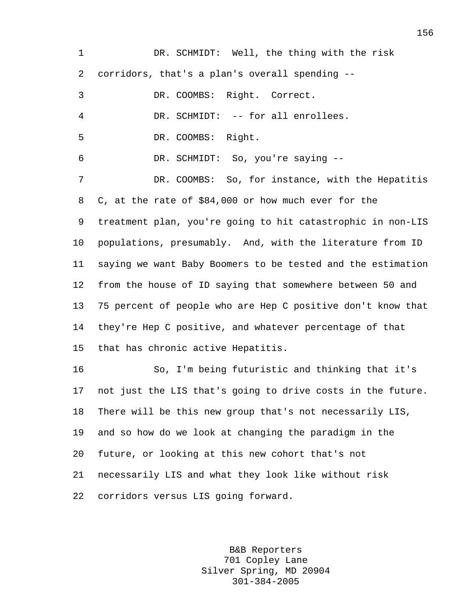1 DR. SCHMIDT: Well, the thing with the risk 2 corridors, that's a plan's overall spending -- 3 DR. COOMBS: Right. Correct. 4 DR. SCHMIDT: -- for all enrollees. 5 DR. COOMBS: Right. 6 DR. SCHMIDT: So, you're saying -- 7 DR. COOMBS: So, for instance, with the Hepatitis 8 C, at the rate of \$84,000 or how much ever for the 9 treatment plan, you're going to hit catastrophic in non-LIS 10 populations, presumably. And, with the literature from ID 11 saying we want Baby Boomers to be tested and the estimation 12 from the house of ID saying that somewhere between 50 and 13 75 percent of people who are Hep C positive don't know that 14 they're Hep C positive, and whatever percentage of that 15 that has chronic active Hepatitis. 16 So, I'm being futuristic and thinking that it's 17 not just the LIS that's going to drive costs in the future. 18 There will be this new group that's not necessarily LIS, 19 and so how do we look at changing the paradigm in the 20 future, or looking at this new cohort that's not 21 necessarily LIS and what they look like without risk 22 corridors versus LIS going forward.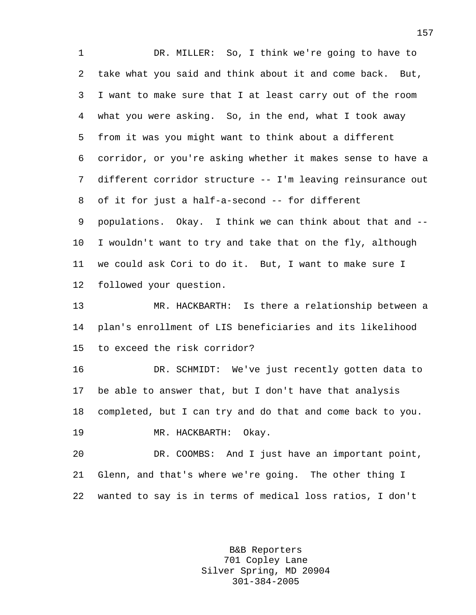1 DR. MILLER: So, I think we're going to have to 2 take what you said and think about it and come back. But, 3 I want to make sure that I at least carry out of the room 4 what you were asking. So, in the end, what I took away 5 from it was you might want to think about a different 6 corridor, or you're asking whether it makes sense to have a 7 different corridor structure -- I'm leaving reinsurance out 8 of it for just a half-a-second -- for different 9 populations. Okay. I think we can think about that and -- 10 I wouldn't want to try and take that on the fly, although 11 we could ask Cori to do it. But, I want to make sure I 12 followed your question.

13 MR. HACKBARTH: Is there a relationship between a 14 plan's enrollment of LIS beneficiaries and its likelihood 15 to exceed the risk corridor?

16 DR. SCHMIDT: We've just recently gotten data to 17 be able to answer that, but I don't have that analysis 18 completed, but I can try and do that and come back to you. 19 MR. HACKBARTH: Okay.

20 DR. COOMBS: And I just have an important point, 21 Glenn, and that's where we're going. The other thing I 22 wanted to say is in terms of medical loss ratios, I don't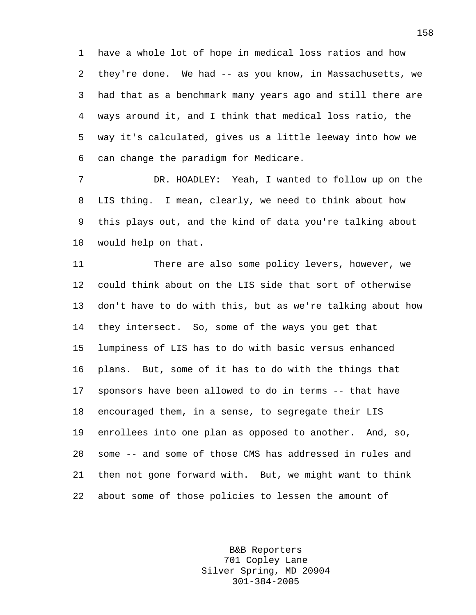1 have a whole lot of hope in medical loss ratios and how 2 they're done. We had -- as you know, in Massachusetts, we 3 had that as a benchmark many years ago and still there are 4 ways around it, and I think that medical loss ratio, the 5 way it's calculated, gives us a little leeway into how we 6 can change the paradigm for Medicare.

7 DR. HOADLEY: Yeah, I wanted to follow up on the 8 LIS thing. I mean, clearly, we need to think about how 9 this plays out, and the kind of data you're talking about 10 would help on that.

11 There are also some policy levers, however, we 12 could think about on the LIS side that sort of otherwise 13 don't have to do with this, but as we're talking about how 14 they intersect. So, some of the ways you get that 15 lumpiness of LIS has to do with basic versus enhanced 16 plans. But, some of it has to do with the things that 17 sponsors have been allowed to do in terms -- that have 18 encouraged them, in a sense, to segregate their LIS 19 enrollees into one plan as opposed to another. And, so, 20 some -- and some of those CMS has addressed in rules and 21 then not gone forward with. But, we might want to think 22 about some of those policies to lessen the amount of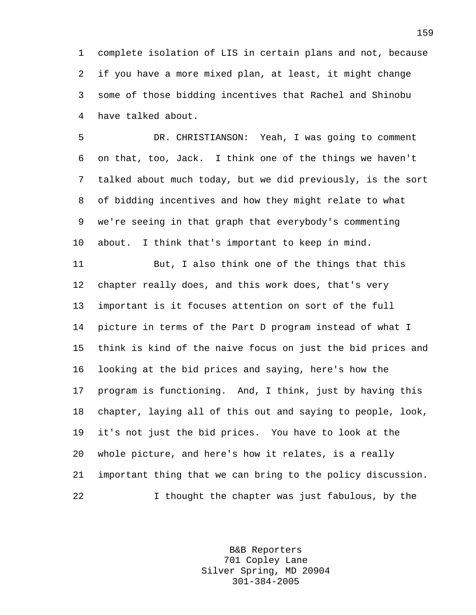1 complete isolation of LIS in certain plans and not, because 2 if you have a more mixed plan, at least, it might change 3 some of those bidding incentives that Rachel and Shinobu 4 have talked about.

5 DR. CHRISTIANSON: Yeah, I was going to comment 6 on that, too, Jack. I think one of the things we haven't 7 talked about much today, but we did previously, is the sort 8 of bidding incentives and how they might relate to what 9 we're seeing in that graph that everybody's commenting 10 about. I think that's important to keep in mind.

11 But, I also think one of the things that this 12 chapter really does, and this work does, that's very 13 important is it focuses attention on sort of the full 14 picture in terms of the Part D program instead of what I 15 think is kind of the naive focus on just the bid prices and 16 looking at the bid prices and saying, here's how the 17 program is functioning. And, I think, just by having this 18 chapter, laying all of this out and saying to people, look, 19 it's not just the bid prices. You have to look at the 20 whole picture, and here's how it relates, is a really 21 important thing that we can bring to the policy discussion. 22 I thought the chapter was just fabulous, by the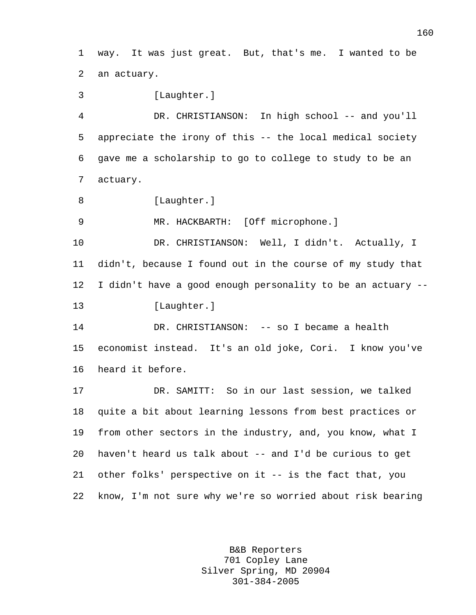1 way. It was just great. But, that's me. I wanted to be 2 an actuary.

3 [Laughter.]

4 DR. CHRISTIANSON: In high school -- and you'll 5 appreciate the irony of this -- the local medical society 6 gave me a scholarship to go to college to study to be an 7 actuary.

8 [Laughter.]

9 MR. HACKBARTH: [Off microphone.]

10 DR. CHRISTIANSON: Well, I didn't. Actually, I 11 didn't, because I found out in the course of my study that 12 I didn't have a good enough personality to be an actuary -- 13 [Laughter.]

14 DR. CHRISTIANSON: -- so I became a health 15 economist instead. It's an old joke, Cori. I know you've 16 heard it before.

17 DR. SAMITT: So in our last session, we talked 18 quite a bit about learning lessons from best practices or 19 from other sectors in the industry, and, you know, what I 20 haven't heard us talk about -- and I'd be curious to get 21 other folks' perspective on it -- is the fact that, you 22 know, I'm not sure why we're so worried about risk bearing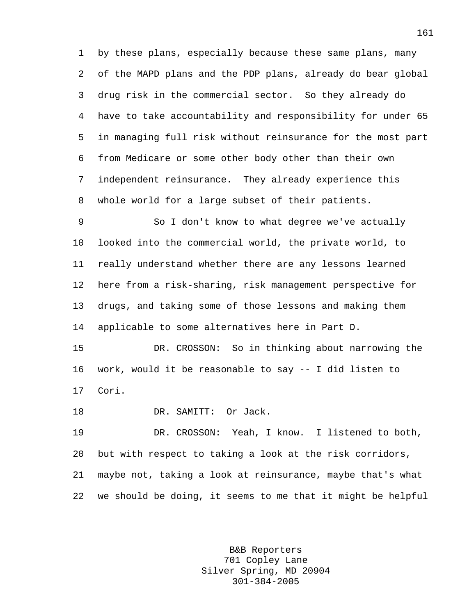1 by these plans, especially because these same plans, many 2 of the MAPD plans and the PDP plans, already do bear global 3 drug risk in the commercial sector. So they already do 4 have to take accountability and responsibility for under 65 5 in managing full risk without reinsurance for the most part 6 from Medicare or some other body other than their own 7 independent reinsurance. They already experience this 8 whole world for a large subset of their patients.

9 So I don't know to what degree we've actually 10 looked into the commercial world, the private world, to 11 really understand whether there are any lessons learned 12 here from a risk-sharing, risk management perspective for 13 drugs, and taking some of those lessons and making them 14 applicable to some alternatives here in Part D.

15 DR. CROSSON: So in thinking about narrowing the 16 work, would it be reasonable to say -- I did listen to 17 Cori.

18 DR. SAMITT: Or Jack.

19 DR. CROSSON: Yeah, I know. I listened to both, 20 but with respect to taking a look at the risk corridors, 21 maybe not, taking a look at reinsurance, maybe that's what 22 we should be doing, it seems to me that it might be helpful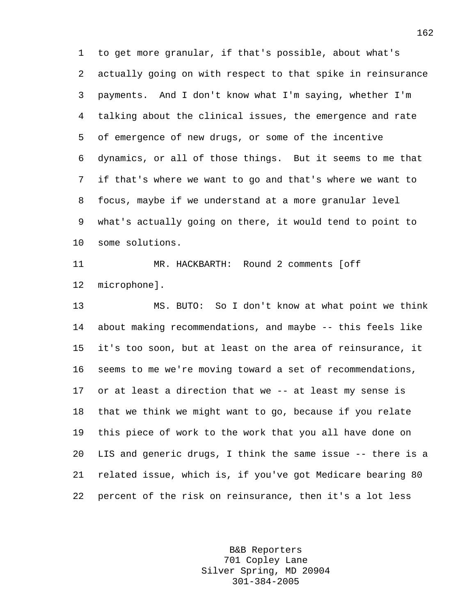1 to get more granular, if that's possible, about what's 2 actually going on with respect to that spike in reinsurance 3 payments. And I don't know what I'm saying, whether I'm 4 talking about the clinical issues, the emergence and rate 5 of emergence of new drugs, or some of the incentive 6 dynamics, or all of those things. But it seems to me that 7 if that's where we want to go and that's where we want to 8 focus, maybe if we understand at a more granular level 9 what's actually going on there, it would tend to point to 10 some solutions.

11 MR. HACKBARTH: Round 2 comments [off 12 microphone].

13 MS. BUTO: So I don't know at what point we think 14 about making recommendations, and maybe -- this feels like 15 it's too soon, but at least on the area of reinsurance, it 16 seems to me we're moving toward a set of recommendations, 17 or at least a direction that we -- at least my sense is 18 that we think we might want to go, because if you relate 19 this piece of work to the work that you all have done on 20 LIS and generic drugs, I think the same issue -- there is a 21 related issue, which is, if you've got Medicare bearing 80 22 percent of the risk on reinsurance, then it's a lot less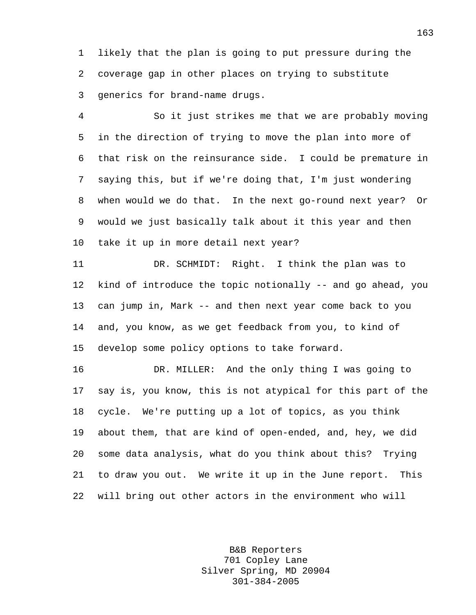1 likely that the plan is going to put pressure during the 2 coverage gap in other places on trying to substitute 3 generics for brand-name drugs.

4 So it just strikes me that we are probably moving 5 in the direction of trying to move the plan into more of 6 that risk on the reinsurance side. I could be premature in 7 saying this, but if we're doing that, I'm just wondering 8 when would we do that. In the next go-round next year? Or 9 would we just basically talk about it this year and then 10 take it up in more detail next year?

11 DR. SCHMIDT: Right. I think the plan was to 12 kind of introduce the topic notionally -- and go ahead, you 13 can jump in, Mark -- and then next year come back to you 14 and, you know, as we get feedback from you, to kind of 15 develop some policy options to take forward.

16 DR. MILLER: And the only thing I was going to 17 say is, you know, this is not atypical for this part of the 18 cycle. We're putting up a lot of topics, as you think 19 about them, that are kind of open-ended, and, hey, we did 20 some data analysis, what do you think about this? Trying 21 to draw you out. We write it up in the June report. This 22 will bring out other actors in the environment who will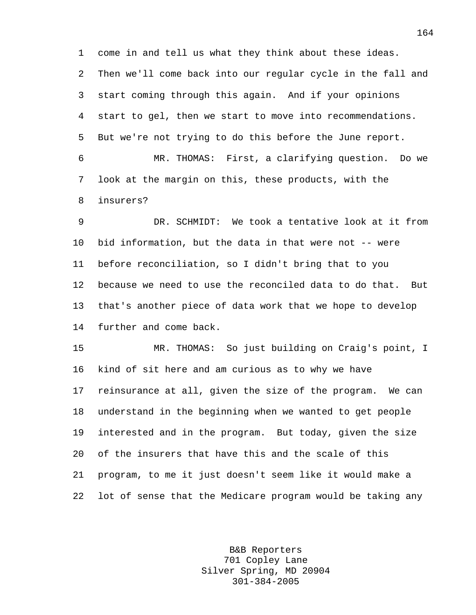1 come in and tell us what they think about these ideas. 2 Then we'll come back into our regular cycle in the fall and 3 start coming through this again. And if your opinions 4 start to gel, then we start to move into recommendations. 5 But we're not trying to do this before the June report. 6 MR. THOMAS: First, a clarifying question. Do we

7 look at the margin on this, these products, with the 8 insurers?

9 DR. SCHMIDT: We took a tentative look at it from 10 bid information, but the data in that were not -- were 11 before reconciliation, so I didn't bring that to you 12 because we need to use the reconciled data to do that. But 13 that's another piece of data work that we hope to develop 14 further and come back.

15 MR. THOMAS: So just building on Craig's point, I 16 kind of sit here and am curious as to why we have 17 reinsurance at all, given the size of the program. We can 18 understand in the beginning when we wanted to get people 19 interested and in the program. But today, given the size 20 of the insurers that have this and the scale of this 21 program, to me it just doesn't seem like it would make a 22 lot of sense that the Medicare program would be taking any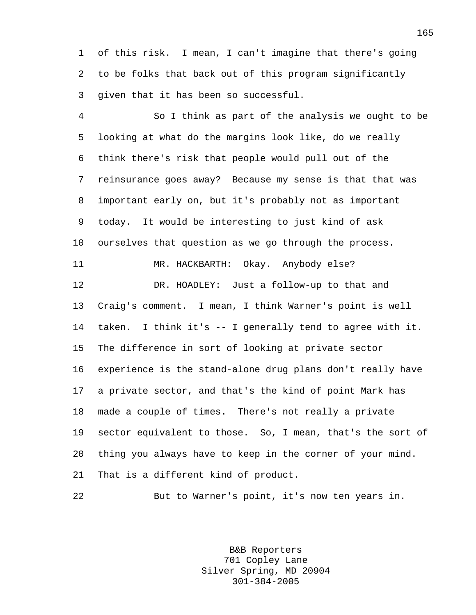1 of this risk. I mean, I can't imagine that there's going 2 to be folks that back out of this program significantly 3 given that it has been so successful.

4 So I think as part of the analysis we ought to be 5 looking at what do the margins look like, do we really 6 think there's risk that people would pull out of the 7 reinsurance goes away? Because my sense is that that was 8 important early on, but it's probably not as important 9 today. It would be interesting to just kind of ask 10 ourselves that question as we go through the process. 11 MR. HACKBARTH: Okay. Anybody else? 12 DR. HOADLEY: Just a follow-up to that and 13 Craig's comment. I mean, I think Warner's point is well 14 taken. I think it's -- I generally tend to agree with it. 15 The difference in sort of looking at private sector 16 experience is the stand-alone drug plans don't really have 17 a private sector, and that's the kind of point Mark has 18 made a couple of times. There's not really a private 19 sector equivalent to those. So, I mean, that's the sort of 20 thing you always have to keep in the corner of your mind. 21 That is a different kind of product.

22 But to Warner's point, it's now ten years in.

B&B Reporters 701 Copley Lane Silver Spring, MD 20904 301-384-2005

165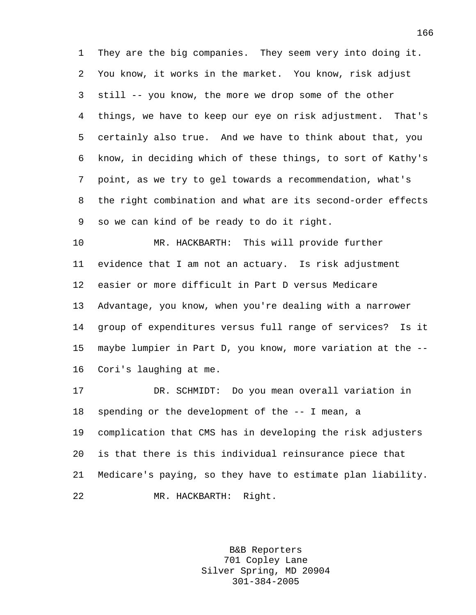1 They are the big companies. They seem very into doing it. 2 You know, it works in the market. You know, risk adjust 3 still -- you know, the more we drop some of the other 4 things, we have to keep our eye on risk adjustment. That's 5 certainly also true. And we have to think about that, you 6 know, in deciding which of these things, to sort of Kathy's 7 point, as we try to gel towards a recommendation, what's 8 the right combination and what are its second-order effects 9 so we can kind of be ready to do it right.

10 MR. HACKBARTH: This will provide further 11 evidence that I am not an actuary. Is risk adjustment 12 easier or more difficult in Part D versus Medicare 13 Advantage, you know, when you're dealing with a narrower 14 group of expenditures versus full range of services? Is it 15 maybe lumpier in Part D, you know, more variation at the -- 16 Cori's laughing at me.

17 DR. SCHMIDT: Do you mean overall variation in 18 spending or the development of the -- I mean, a 19 complication that CMS has in developing the risk adjusters 20 is that there is this individual reinsurance piece that 21 Medicare's paying, so they have to estimate plan liability. 22 MR. HACKBARTH: Right.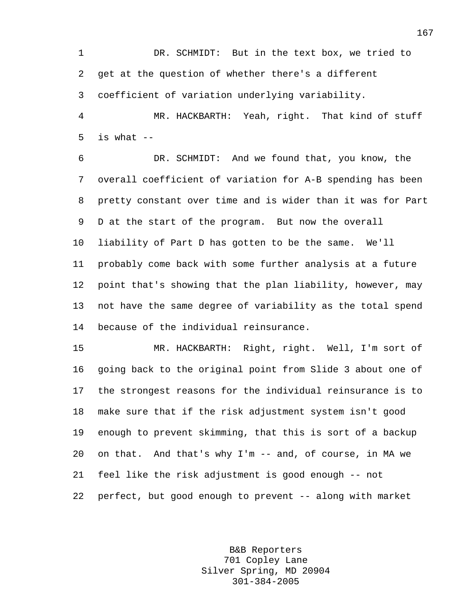1 DR. SCHMIDT: But in the text box, we tried to 2 get at the question of whether there's a different 3 coefficient of variation underlying variability.

4 MR. HACKBARTH: Yeah, right. That kind of stuff  $5$  is what  $-$ 

6 DR. SCHMIDT: And we found that, you know, the 7 overall coefficient of variation for A-B spending has been 8 pretty constant over time and is wider than it was for Part 9 D at the start of the program. But now the overall 10 liability of Part D has gotten to be the same. We'll 11 probably come back with some further analysis at a future 12 point that's showing that the plan liability, however, may 13 not have the same degree of variability as the total spend 14 because of the individual reinsurance.

15 MR. HACKBARTH: Right, right. Well, I'm sort of 16 going back to the original point from Slide 3 about one of 17 the strongest reasons for the individual reinsurance is to 18 make sure that if the risk adjustment system isn't good 19 enough to prevent skimming, that this is sort of a backup 20 on that. And that's why I'm -- and, of course, in MA we 21 feel like the risk adjustment is good enough -- not 22 perfect, but good enough to prevent -- along with market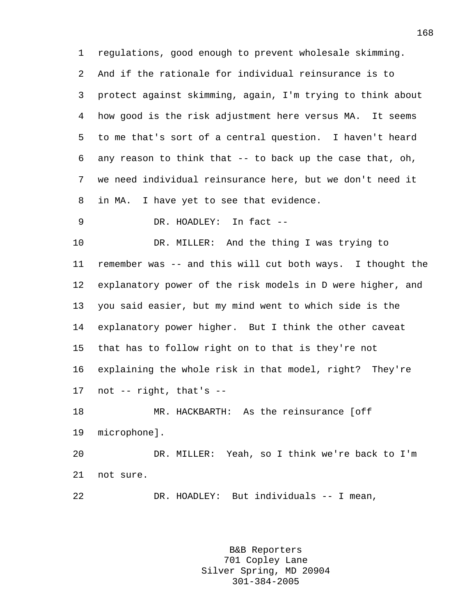1 regulations, good enough to prevent wholesale skimming. 2 And if the rationale for individual reinsurance is to 3 protect against skimming, again, I'm trying to think about 4 how good is the risk adjustment here versus MA. It seems 5 to me that's sort of a central question. I haven't heard 6 any reason to think that -- to back up the case that, oh, 7 we need individual reinsurance here, but we don't need it 8 in MA. I have yet to see that evidence. 9 DR. HOADLEY: In fact -- 10 DR. MILLER: And the thing I was trying to 11 remember was -- and this will cut both ways. I thought the 12 explanatory power of the risk models in D were higher, and 13 you said easier, but my mind went to which side is the

14 explanatory power higher. But I think the other caveat

15 that has to follow right on to that is they're not

16 explaining the whole risk in that model, right? They're

17 not -- right, that's --

18 MR. HACKBARTH: As the reinsurance [off 19 microphone].

20 DR. MILLER: Yeah, so I think we're back to I'm 21 not sure.

22 DR. HOADLEY: But individuals -- I mean,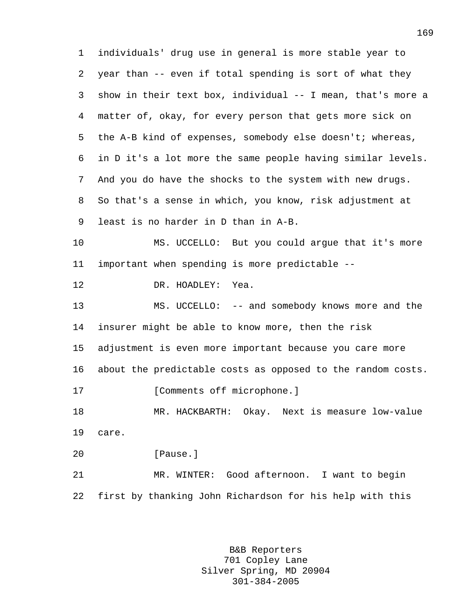1 individuals' drug use in general is more stable year to 2 year than -- even if total spending is sort of what they 3 show in their text box, individual -- I mean, that's more a 4 matter of, okay, for every person that gets more sick on 5 the A-B kind of expenses, somebody else doesn't; whereas, 6 in D it's a lot more the same people having similar levels. 7 And you do have the shocks to the system with new drugs. 8 So that's a sense in which, you know, risk adjustment at 9 least is no harder in D than in A-B. 10 MS. UCCELLO: But you could argue that it's more 11 important when spending is more predictable -- 12 DR. HOADLEY: Yea. 13 MS. UCCELLO: -- and somebody knows more and the 14 insurer might be able to know more, then the risk 15 adjustment is even more important because you care more 16 about the predictable costs as opposed to the random costs. 17 [Comments off microphone.] 18 MR. HACKBARTH: Okay. Next is measure low-value 19 care. 20 [Pause.] 21 MR. WINTER: Good afternoon. I want to begin 22 first by thanking John Richardson for his help with this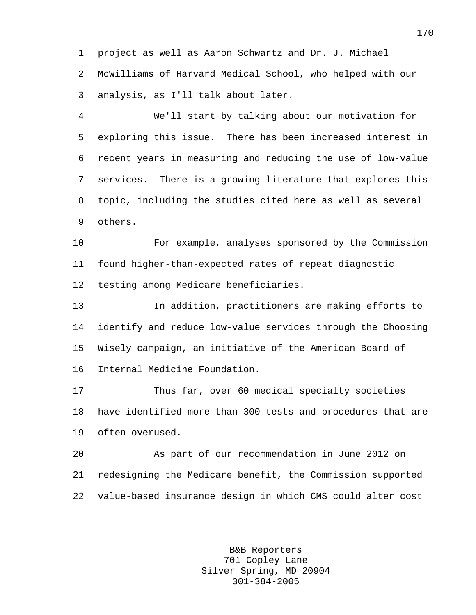1 project as well as Aaron Schwartz and Dr. J. Michael 2 McWilliams of Harvard Medical School, who helped with our 3 analysis, as I'll talk about later.

4 We'll start by talking about our motivation for 5 exploring this issue. There has been increased interest in 6 recent years in measuring and reducing the use of low-value 7 services. There is a growing literature that explores this 8 topic, including the studies cited here as well as several 9 others.

10 For example, analyses sponsored by the Commission 11 found higher-than-expected rates of repeat diagnostic 12 testing among Medicare beneficiaries.

13 In addition, practitioners are making efforts to 14 identify and reduce low-value services through the Choosing 15 Wisely campaign, an initiative of the American Board of 16 Internal Medicine Foundation.

17 Thus far, over 60 medical specialty societies 18 have identified more than 300 tests and procedures that are 19 often overused.

20 As part of our recommendation in June 2012 on 21 redesigning the Medicare benefit, the Commission supported 22 value-based insurance design in which CMS could alter cost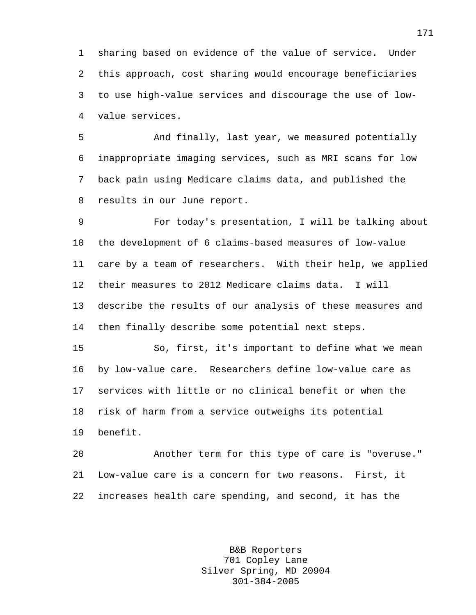1 sharing based on evidence of the value of service. Under 2 this approach, cost sharing would encourage beneficiaries 3 to use high-value services and discourage the use of low-4 value services.

5 And finally, last year, we measured potentially 6 inappropriate imaging services, such as MRI scans for low 7 back pain using Medicare claims data, and published the 8 results in our June report.

9 For today's presentation, I will be talking about 10 the development of 6 claims-based measures of low-value 11 care by a team of researchers. With their help, we applied 12 their measures to 2012 Medicare claims data. I will 13 describe the results of our analysis of these measures and 14 then finally describe some potential next steps.

15 So, first, it's important to define what we mean 16 by low-value care. Researchers define low-value care as 17 services with little or no clinical benefit or when the 18 risk of harm from a service outweighs its potential 19 benefit.

20 Another term for this type of care is "overuse." 21 Low-value care is a concern for two reasons. First, it 22 increases health care spending, and second, it has the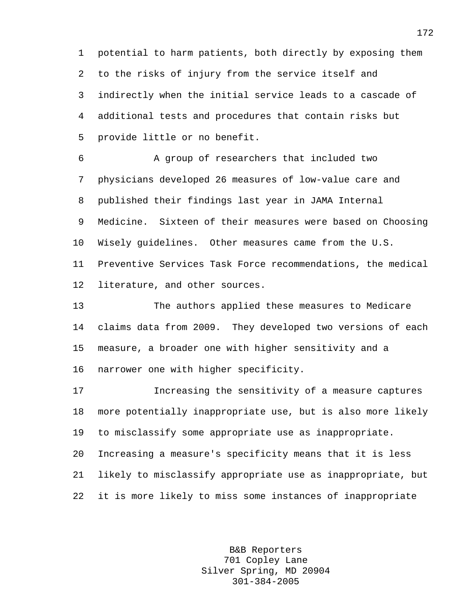1 potential to harm patients, both directly by exposing them 2 to the risks of injury from the service itself and 3 indirectly when the initial service leads to a cascade of 4 additional tests and procedures that contain risks but 5 provide little or no benefit.

6 A group of researchers that included two 7 physicians developed 26 measures of low-value care and 8 published their findings last year in JAMA Internal 9 Medicine. Sixteen of their measures were based on Choosing 10 Wisely guidelines. Other measures came from the U.S. 11 Preventive Services Task Force recommendations, the medical 12 literature, and other sources.

13 The authors applied these measures to Medicare 14 claims data from 2009. They developed two versions of each 15 measure, a broader one with higher sensitivity and a 16 narrower one with higher specificity.

17 Increasing the sensitivity of a measure captures 18 more potentially inappropriate use, but is also more likely 19 to misclassify some appropriate use as inappropriate. 20 Increasing a measure's specificity means that it is less 21 likely to misclassify appropriate use as inappropriate, but 22 it is more likely to miss some instances of inappropriate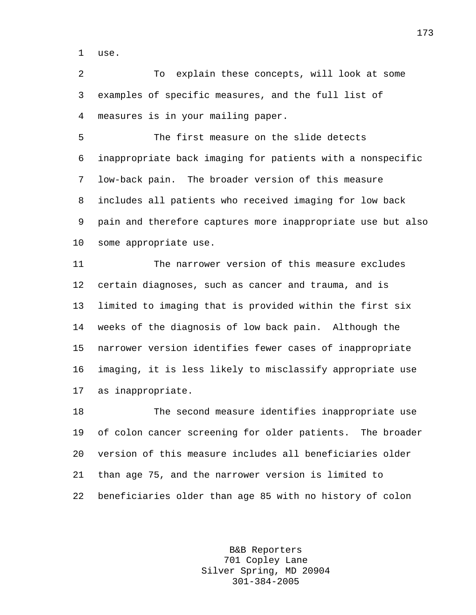1 use.

2 To explain these concepts, will look at some 3 examples of specific measures, and the full list of 4 measures is in your mailing paper.

5 The first measure on the slide detects 6 inappropriate back imaging for patients with a nonspecific 7 low-back pain. The broader version of this measure 8 includes all patients who received imaging for low back 9 pain and therefore captures more inappropriate use but also 10 some appropriate use.

11 The narrower version of this measure excludes 12 certain diagnoses, such as cancer and trauma, and is 13 limited to imaging that is provided within the first six 14 weeks of the diagnosis of low back pain. Although the 15 narrower version identifies fewer cases of inappropriate 16 imaging, it is less likely to misclassify appropriate use 17 as inappropriate.

18 The second measure identifies inappropriate use 19 of colon cancer screening for older patients. The broader 20 version of this measure includes all beneficiaries older 21 than age 75, and the narrower version is limited to 22 beneficiaries older than age 85 with no history of colon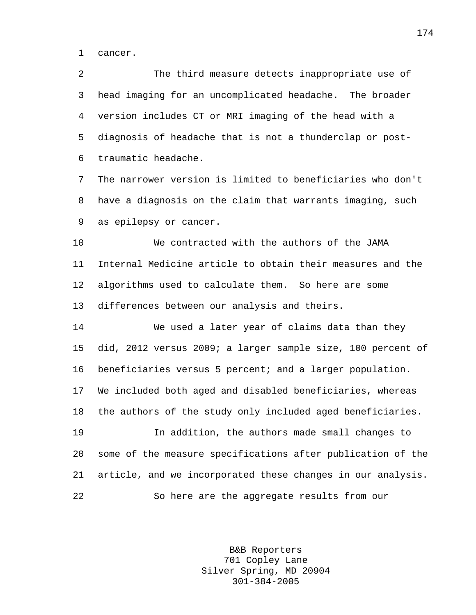1 cancer.

2 The third measure detects inappropriate use of 3 head imaging for an uncomplicated headache. The broader 4 version includes CT or MRI imaging of the head with a 5 diagnosis of headache that is not a thunderclap or post-6 traumatic headache.

7 The narrower version is limited to beneficiaries who don't 8 have a diagnosis on the claim that warrants imaging, such 9 as epilepsy or cancer.

10 We contracted with the authors of the JAMA 11 Internal Medicine article to obtain their measures and the 12 algorithms used to calculate them. So here are some 13 differences between our analysis and theirs.

14 We used a later year of claims data than they 15 did, 2012 versus 2009; a larger sample size, 100 percent of 16 beneficiaries versus 5 percent; and a larger population. 17 We included both aged and disabled beneficiaries, whereas 18 the authors of the study only included aged beneficiaries.

19 In addition, the authors made small changes to 20 some of the measure specifications after publication of the 21 article, and we incorporated these changes in our analysis. 22 So here are the aggregate results from our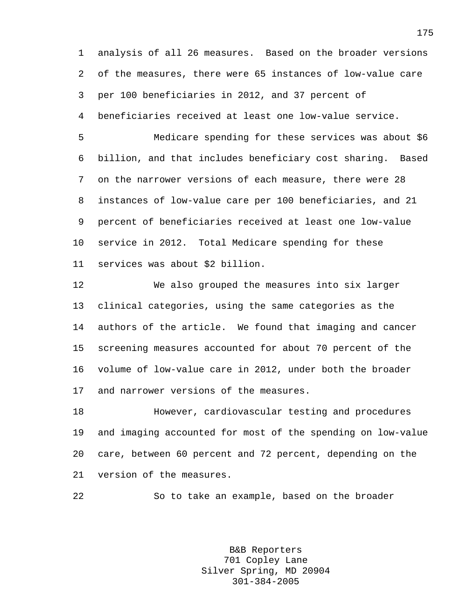1 analysis of all 26 measures. Based on the broader versions 2 of the measures, there were 65 instances of low-value care 3 per 100 beneficiaries in 2012, and 37 percent of 4 beneficiaries received at least one low-value service.

5 Medicare spending for these services was about \$6 6 billion, and that includes beneficiary cost sharing. Based 7 on the narrower versions of each measure, there were 28 8 instances of low-value care per 100 beneficiaries, and 21 9 percent of beneficiaries received at least one low-value 10 service in 2012. Total Medicare spending for these 11 services was about \$2 billion.

12 We also grouped the measures into six larger 13 clinical categories, using the same categories as the 14 authors of the article. We found that imaging and cancer 15 screening measures accounted for about 70 percent of the 16 volume of low-value care in 2012, under both the broader 17 and narrower versions of the measures.

18 However, cardiovascular testing and procedures 19 and imaging accounted for most of the spending on low-value 20 care, between 60 percent and 72 percent, depending on the 21 version of the measures.

22 So to take an example, based on the broader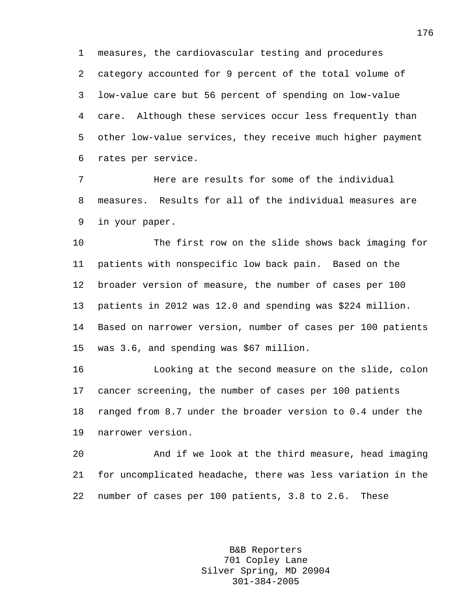1 measures, the cardiovascular testing and procedures 2 category accounted for 9 percent of the total volume of 3 low-value care but 56 percent of spending on low-value 4 care. Although these services occur less frequently than 5 other low-value services, they receive much higher payment 6 rates per service.

7 Here are results for some of the individual 8 measures. Results for all of the individual measures are 9 in your paper.

10 The first row on the slide shows back imaging for 11 patients with nonspecific low back pain. Based on the 12 broader version of measure, the number of cases per 100 13 patients in 2012 was 12.0 and spending was \$224 million. 14 Based on narrower version, number of cases per 100 patients 15 was 3.6, and spending was \$67 million.

16 Looking at the second measure on the slide, colon 17 cancer screening, the number of cases per 100 patients 18 ranged from 8.7 under the broader version to 0.4 under the 19 narrower version.

20 And if we look at the third measure, head imaging 21 for uncomplicated headache, there was less variation in the 22 number of cases per 100 patients, 3.8 to 2.6. These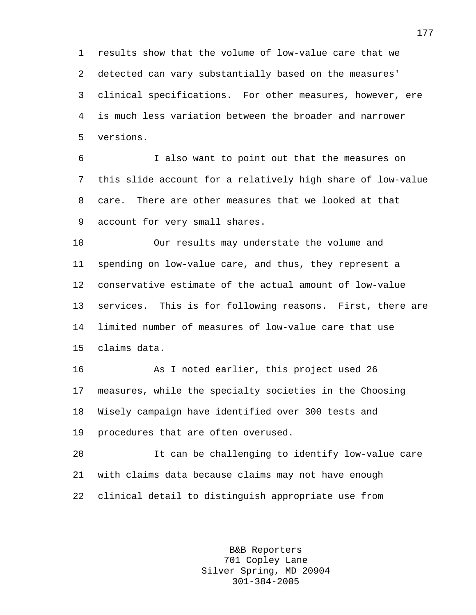1 results show that the volume of low-value care that we 2 detected can vary substantially based on the measures' 3 clinical specifications. For other measures, however, ere 4 is much less variation between the broader and narrower 5 versions.

6 I also want to point out that the measures on 7 this slide account for a relatively high share of low-value 8 care. There are other measures that we looked at that 9 account for very small shares.

10 Our results may understate the volume and 11 spending on low-value care, and thus, they represent a 12 conservative estimate of the actual amount of low-value 13 services. This is for following reasons. First, there are 14 limited number of measures of low-value care that use 15 claims data.

16 As I noted earlier, this project used 26 17 measures, while the specialty societies in the Choosing 18 Wisely campaign have identified over 300 tests and 19 procedures that are often overused.

20 It can be challenging to identify low-value care 21 with claims data because claims may not have enough 22 clinical detail to distinguish appropriate use from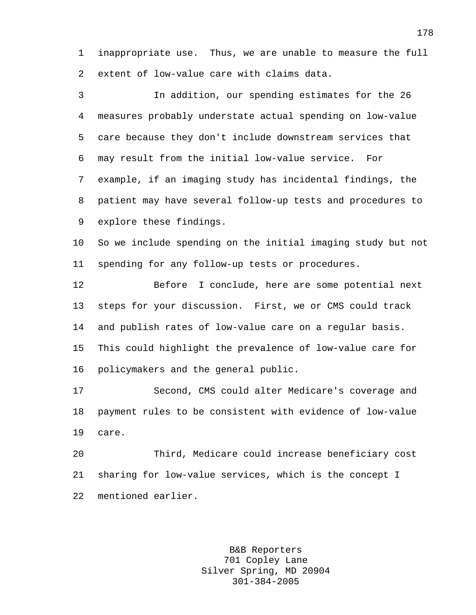1 inappropriate use. Thus, we are unable to measure the full 2 extent of low-value care with claims data.

3 In addition, our spending estimates for the 26 4 measures probably understate actual spending on low-value 5 care because they don't include downstream services that 6 may result from the initial low-value service. For 7 example, if an imaging study has incidental findings, the 8 patient may have several follow-up tests and procedures to 9 explore these findings.

10 So we include spending on the initial imaging study but not 11 spending for any follow-up tests or procedures.

12 Before I conclude, here are some potential next 13 steps for your discussion. First, we or CMS could track 14 and publish rates of low-value care on a regular basis. 15 This could highlight the prevalence of low-value care for 16 policymakers and the general public.

17 Second, CMS could alter Medicare's coverage and 18 payment rules to be consistent with evidence of low-value 19 care.

20 Third, Medicare could increase beneficiary cost 21 sharing for low-value services, which is the concept I 22 mentioned earlier.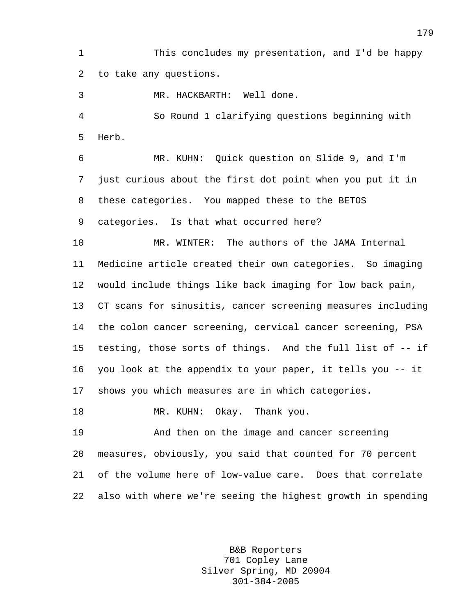1 This concludes my presentation, and I'd be happy 2 to take any questions.

3 MR. HACKBARTH: Well done.

4 So Round 1 clarifying questions beginning with 5 Herb.

6 MR. KUHN: Quick question on Slide 9, and I'm 7 just curious about the first dot point when you put it in 8 these categories. You mapped these to the BETOS 9 categories. Is that what occurred here?

10 MR. WINTER: The authors of the JAMA Internal 11 Medicine article created their own categories. So imaging 12 would include things like back imaging for low back pain, 13 CT scans for sinusitis, cancer screening measures including 14 the colon cancer screening, cervical cancer screening, PSA 15 testing, those sorts of things. And the full list of -- if 16 you look at the appendix to your paper, it tells you -- it 17 shows you which measures are in which categories.

18 MR. KUHN: Okay. Thank you.

19 And then on the image and cancer screening 20 measures, obviously, you said that counted for 70 percent 21 of the volume here of low-value care. Does that correlate 22 also with where we're seeing the highest growth in spending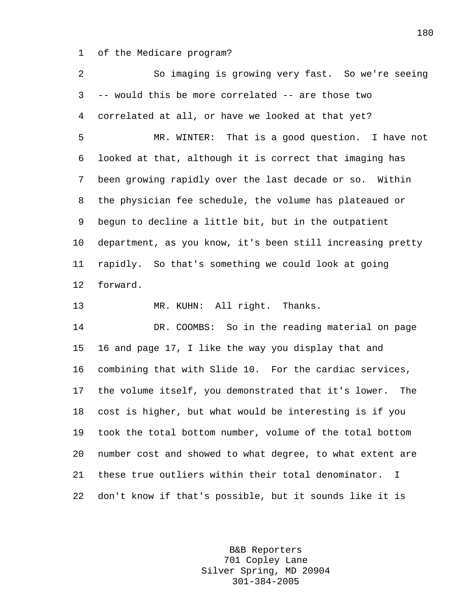1 of the Medicare program?

2 So imaging is growing very fast. So we're seeing 3 -- would this be more correlated -- are those two 4 correlated at all, or have we looked at that yet?

5 MR. WINTER: That is a good question. I have not 6 looked at that, although it is correct that imaging has 7 been growing rapidly over the last decade or so. Within 8 the physician fee schedule, the volume has plateaued or 9 begun to decline a little bit, but in the outpatient 10 department, as you know, it's been still increasing pretty 11 rapidly. So that's something we could look at going 12 forward.

13 MR. KUHN: All right. Thanks.

14 DR. COOMBS: So in the reading material on page 15 16 and page 17, I like the way you display that and 16 combining that with Slide 10. For the cardiac services, 17 the volume itself, you demonstrated that it's lower. The 18 cost is higher, but what would be interesting is if you 19 took the total bottom number, volume of the total bottom 20 number cost and showed to what degree, to what extent are 21 these true outliers within their total denominator. I 22 don't know if that's possible, but it sounds like it is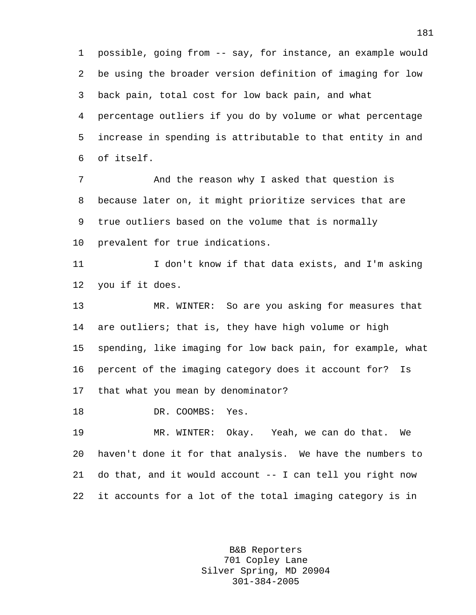1 possible, going from -- say, for instance, an example would 2 be using the broader version definition of imaging for low 3 back pain, total cost for low back pain, and what 4 percentage outliers if you do by volume or what percentage 5 increase in spending is attributable to that entity in and 6 of itself.

7 And the reason why I asked that question is 8 because later on, it might prioritize services that are 9 true outliers based on the volume that is normally 10 prevalent for true indications.

11 I don't know if that data exists, and I'm asking 12 you if it does.

13 MR. WINTER: So are you asking for measures that 14 are outliers; that is, they have high volume or high 15 spending, like imaging for low back pain, for example, what 16 percent of the imaging category does it account for? Is 17 that what you mean by denominator?

18 DR. COOMBS: Yes.

19 MR. WINTER: Okay. Yeah, we can do that. We 20 haven't done it for that analysis. We have the numbers to 21 do that, and it would account -- I can tell you right now 22 it accounts for a lot of the total imaging category is in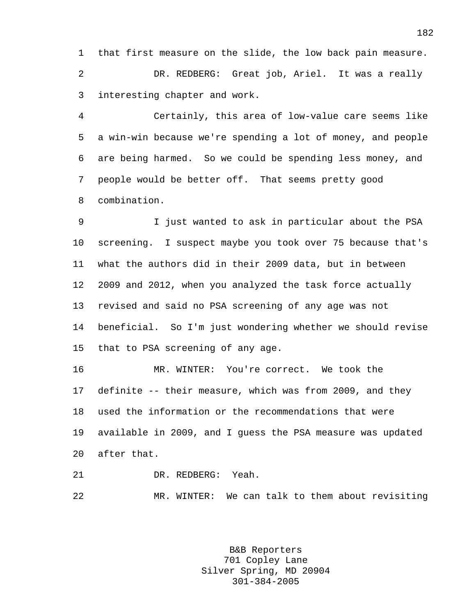1 that first measure on the slide, the low back pain measure. 2 DR. REDBERG: Great job, Ariel. It was a really 3 interesting chapter and work.

4 Certainly, this area of low-value care seems like 5 a win-win because we're spending a lot of money, and people 6 are being harmed. So we could be spending less money, and 7 people would be better off. That seems pretty good 8 combination.

9 I just wanted to ask in particular about the PSA 10 screening. I suspect maybe you took over 75 because that's 11 what the authors did in their 2009 data, but in between 12 2009 and 2012, when you analyzed the task force actually 13 revised and said no PSA screening of any age was not 14 beneficial. So I'm just wondering whether we should revise 15 that to PSA screening of any age.

16 MR. WINTER: You're correct. We took the 17 definite -- their measure, which was from 2009, and they 18 used the information or the recommendations that were 19 available in 2009, and I guess the PSA measure was updated 20 after that.

21 DR. REDBERG: Yeah.

22 MR. WINTER: We can talk to them about revisiting

B&B Reporters 701 Copley Lane Silver Spring, MD 20904 301-384-2005

182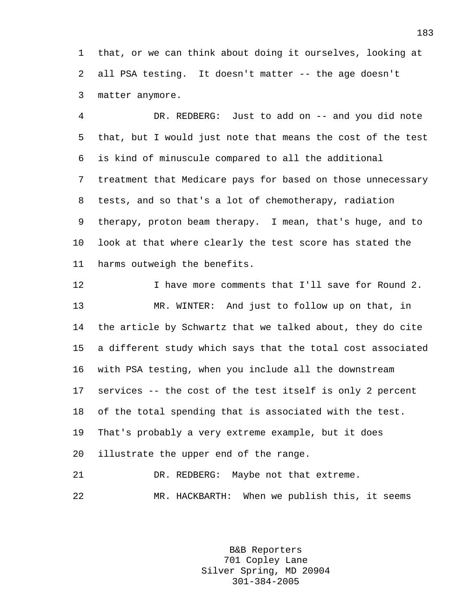1 that, or we can think about doing it ourselves, looking at 2 all PSA testing. It doesn't matter -- the age doesn't 3 matter anymore.

4 DR. REDBERG: Just to add on -- and you did note 5 that, but I would just note that means the cost of the test 6 is kind of minuscule compared to all the additional 7 treatment that Medicare pays for based on those unnecessary 8 tests, and so that's a lot of chemotherapy, radiation 9 therapy, proton beam therapy. I mean, that's huge, and to 10 look at that where clearly the test score has stated the 11 harms outweigh the benefits.

12 I have more comments that I'll save for Round 2. 13 MR. WINTER: And just to follow up on that, in 14 the article by Schwartz that we talked about, they do cite 15 a different study which says that the total cost associated 16 with PSA testing, when you include all the downstream 17 services -- the cost of the test itself is only 2 percent 18 of the total spending that is associated with the test. 19 That's probably a very extreme example, but it does 20 illustrate the upper end of the range. 21 DR. REDBERG: Maybe not that extreme.

22 MR. HACKBARTH: When we publish this, it seems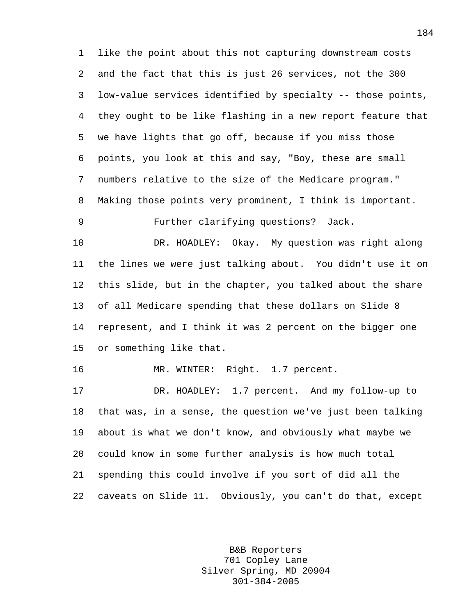1 like the point about this not capturing downstream costs 2 and the fact that this is just 26 services, not the 300 3 low-value services identified by specialty -- those points, 4 they ought to be like flashing in a new report feature that 5 we have lights that go off, because if you miss those 6 points, you look at this and say, "Boy, these are small 7 numbers relative to the size of the Medicare program." 8 Making those points very prominent, I think is important. 9 Further clarifying questions? Jack.

10 DR. HOADLEY: Okay. My question was right along 11 the lines we were just talking about. You didn't use it on 12 this slide, but in the chapter, you talked about the share 13 of all Medicare spending that these dollars on Slide 8 14 represent, and I think it was 2 percent on the bigger one 15 or something like that.

16 MR. WINTER: Right. 1.7 percent.

17 DR. HOADLEY: 1.7 percent. And my follow-up to 18 that was, in a sense, the question we've just been talking 19 about is what we don't know, and obviously what maybe we 20 could know in some further analysis is how much total 21 spending this could involve if you sort of did all the 22 caveats on Slide 11. Obviously, you can't do that, except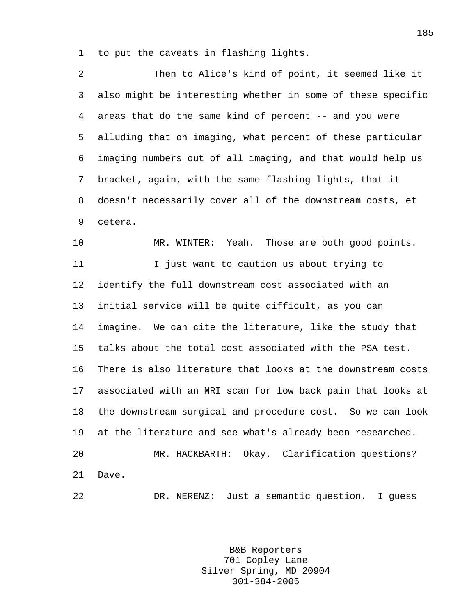1 to put the caveats in flashing lights.

| 2  | Then to Alice's kind of point, it seemed like it            |
|----|-------------------------------------------------------------|
| 3  | also might be interesting whether in some of these specific |
| 4  | areas that do the same kind of percent -- and you were      |
| 5  | alluding that on imaging, what percent of these particular  |
| 6  | imaging numbers out of all imaging, and that would help us  |
| 7  | bracket, again, with the same flashing lights, that it      |
| 8  | doesn't necessarily cover all of the downstream costs, et   |
| 9  | cetera.                                                     |
| 10 | MR. WINTER: Yeah. Those are both good points.               |
| 11 | I just want to caution us about trying to                   |
| 12 | identify the full downstream cost associated with an        |
| 13 | initial service will be quite difficult, as you can         |
| 14 | imagine. We can cite the literature, like the study that    |
| 15 | talks about the total cost associated with the PSA test.    |
| 16 | There is also literature that looks at the downstream costs |
| 17 | associated with an MRI scan for low back pain that looks at |
| 18 | the downstream surgical and procedure cost. So we can look  |
| 19 | at the literature and see what's already been researched.   |
| 20 | MR. HACKBARTH: Okay. Clarification questions?               |
| 21 | Dave.                                                       |
| 22 | DR. NERENZ: Just a semantic question.<br>I guess            |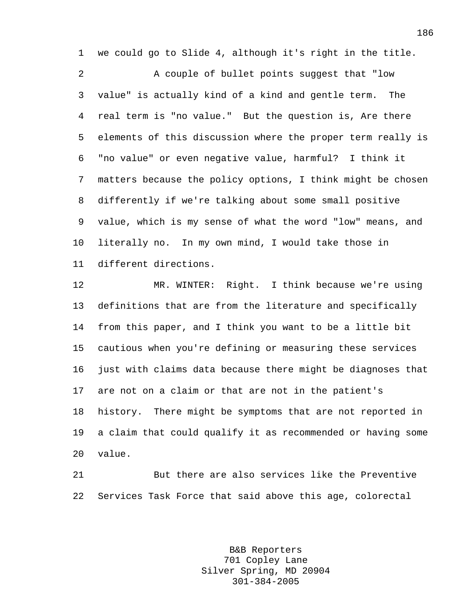1 we could go to Slide 4, although it's right in the title.

2 A couple of bullet points suggest that "low 3 value" is actually kind of a kind and gentle term. The 4 real term is "no value." But the question is, Are there 5 elements of this discussion where the proper term really is 6 "no value" or even negative value, harmful? I think it 7 matters because the policy options, I think might be chosen 8 differently if we're talking about some small positive 9 value, which is my sense of what the word "low" means, and 10 literally no. In my own mind, I would take those in 11 different directions.

12 MR. WINTER: Right. I think because we're using 13 definitions that are from the literature and specifically 14 from this paper, and I think you want to be a little bit 15 cautious when you're defining or measuring these services 16 just with claims data because there might be diagnoses that 17 are not on a claim or that are not in the patient's 18 history. There might be symptoms that are not reported in 19 a claim that could qualify it as recommended or having some 20 value.

21 But there are also services like the Preventive 22 Services Task Force that said above this age, colorectal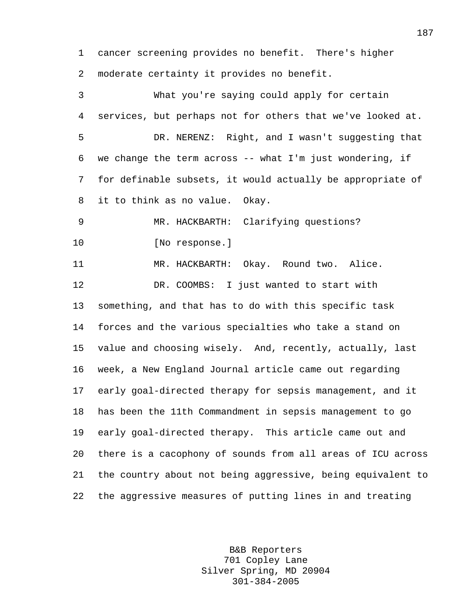1 cancer screening provides no benefit. There's higher 2 moderate certainty it provides no benefit.

3 What you're saying could apply for certain 4 services, but perhaps not for others that we've looked at. 5 DR. NERENZ: Right, and I wasn't suggesting that 6 we change the term across -- what I'm just wondering, if 7 for definable subsets, it would actually be appropriate of 8 it to think as no value. Okay. 9 MR. HACKBARTH: Clarifying questions? 10 [No response.] 11 MR. HACKBARTH: Okay. Round two. Alice. 12 DR. COOMBS: I just wanted to start with 13 something, and that has to do with this specific task 14 forces and the various specialties who take a stand on 15 value and choosing wisely. And, recently, actually, last 16 week, a New England Journal article came out regarding 17 early goal-directed therapy for sepsis management, and it 18 has been the 11th Commandment in sepsis management to go 19 early goal-directed therapy. This article came out and 20 there is a cacophony of sounds from all areas of ICU across 21 the country about not being aggressive, being equivalent to 22 the aggressive measures of putting lines in and treating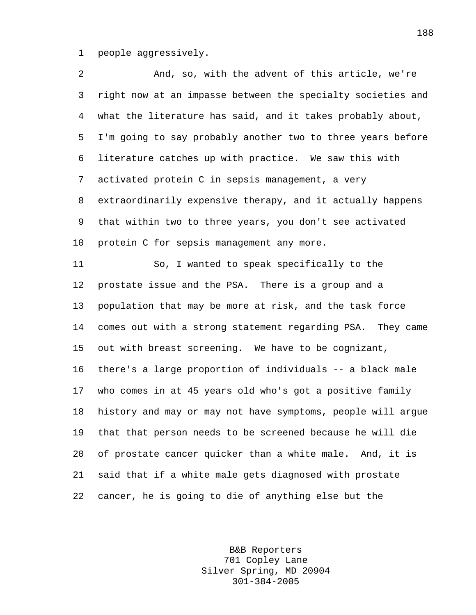1 people aggressively.

2 And, so, with the advent of this article, we're 3 right now at an impasse between the specialty societies and 4 what the literature has said, and it takes probably about, 5 I'm going to say probably another two to three years before 6 literature catches up with practice. We saw this with 7 activated protein C in sepsis management, a very 8 extraordinarily expensive therapy, and it actually happens 9 that within two to three years, you don't see activated 10 protein C for sepsis management any more. 11 So, I wanted to speak specifically to the 12 prostate issue and the PSA. There is a group and a 13 population that may be more at risk, and the task force 14 comes out with a strong statement regarding PSA. They came 15 out with breast screening. We have to be cognizant, 16 there's a large proportion of individuals -- a black male 17 who comes in at 45 years old who's got a positive family 18 history and may or may not have symptoms, people will argue 19 that that person needs to be screened because he will die 20 of prostate cancer quicker than a white male. And, it is 21 said that if a white male gets diagnosed with prostate 22 cancer, he is going to die of anything else but the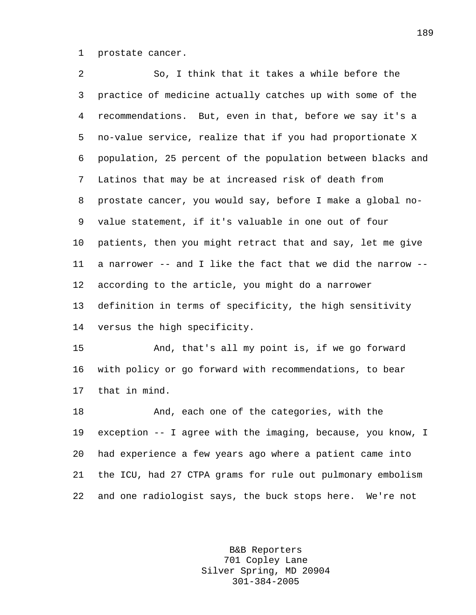1 prostate cancer.

2 So, I think that it takes a while before the 3 practice of medicine actually catches up with some of the 4 recommendations. But, even in that, before we say it's a 5 no-value service, realize that if you had proportionate X 6 population, 25 percent of the population between blacks and 7 Latinos that may be at increased risk of death from 8 prostate cancer, you would say, before I make a global no-9 value statement, if it's valuable in one out of four 10 patients, then you might retract that and say, let me give 11 a narrower -- and I like the fact that we did the narrow -- 12 according to the article, you might do a narrower 13 definition in terms of specificity, the high sensitivity 14 versus the high specificity. 15 And, that's all my point is, if we go forward 16 with policy or go forward with recommendations, to bear 17 that in mind.

18 And, each one of the categories, with the 19 exception -- I agree with the imaging, because, you know, I 20 had experience a few years ago where a patient came into 21 the ICU, had 27 CTPA grams for rule out pulmonary embolism 22 and one radiologist says, the buck stops here. We're not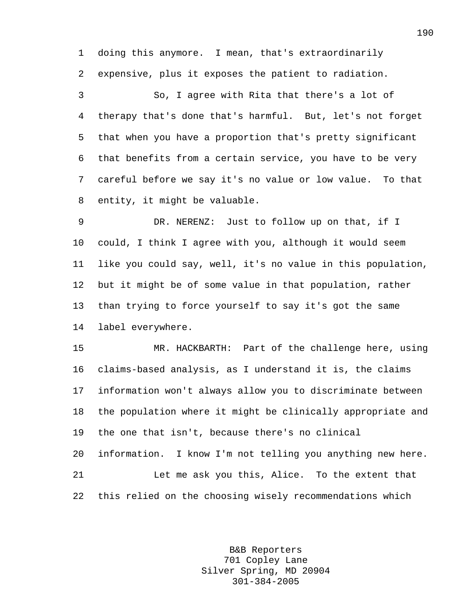1 doing this anymore. I mean, that's extraordinarily 2 expensive, plus it exposes the patient to radiation.

3 So, I agree with Rita that there's a lot of 4 therapy that's done that's harmful. But, let's not forget 5 that when you have a proportion that's pretty significant 6 that benefits from a certain service, you have to be very 7 careful before we say it's no value or low value. To that 8 entity, it might be valuable.

9 DR. NERENZ: Just to follow up on that, if I 10 could, I think I agree with you, although it would seem 11 like you could say, well, it's no value in this population, 12 but it might be of some value in that population, rather 13 than trying to force yourself to say it's got the same 14 label everywhere.

15 MR. HACKBARTH: Part of the challenge here, using 16 claims-based analysis, as I understand it is, the claims 17 information won't always allow you to discriminate between 18 the population where it might be clinically appropriate and 19 the one that isn't, because there's no clinical 20 information. I know I'm not telling you anything new here. 21 Let me ask you this, Alice. To the extent that 22 this relied on the choosing wisely recommendations which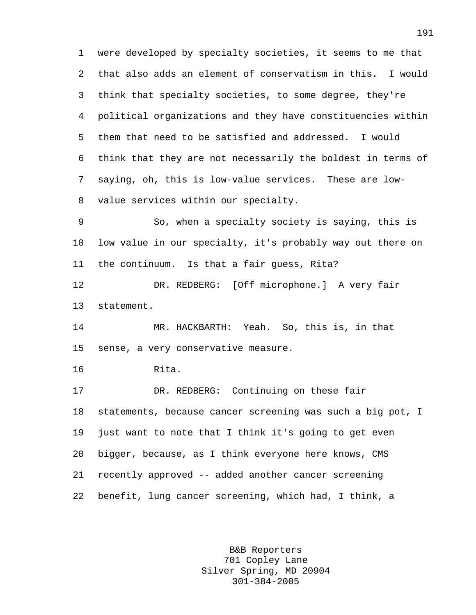1 were developed by specialty societies, it seems to me that 2 that also adds an element of conservatism in this. I would 3 think that specialty societies, to some degree, they're 4 political organizations and they have constituencies within 5 them that need to be satisfied and addressed. I would 6 think that they are not necessarily the boldest in terms of 7 saying, oh, this is low-value services. These are low-8 value services within our specialty. 9 So, when a specialty society is saying, this is

10 low value in our specialty, it's probably way out there on 11 the continuum. Is that a fair guess, Rita?

12 DR. REDBERG: [Off microphone.] A very fair 13 statement.

14 MR. HACKBARTH: Yeah. So, this is, in that 15 sense, a very conservative measure.

16 Rita.

17 DR. REDBERG: Continuing on these fair 18 statements, because cancer screening was such a big pot, I 19 just want to note that I think it's going to get even 20 bigger, because, as I think everyone here knows, CMS 21 recently approved -- added another cancer screening 22 benefit, lung cancer screening, which had, I think, a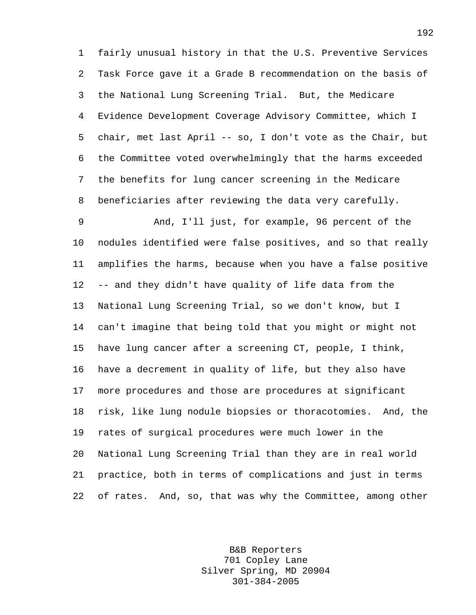1 fairly unusual history in that the U.S. Preventive Services 2 Task Force gave it a Grade B recommendation on the basis of 3 the National Lung Screening Trial. But, the Medicare 4 Evidence Development Coverage Advisory Committee, which I 5 chair, met last April -- so, I don't vote as the Chair, but 6 the Committee voted overwhelmingly that the harms exceeded 7 the benefits for lung cancer screening in the Medicare 8 beneficiaries after reviewing the data very carefully.

9 And, I'll just, for example, 96 percent of the 10 nodules identified were false positives, and so that really 11 amplifies the harms, because when you have a false positive 12 -- and they didn't have quality of life data from the 13 National Lung Screening Trial, so we don't know, but I 14 can't imagine that being told that you might or might not 15 have lung cancer after a screening CT, people, I think, 16 have a decrement in quality of life, but they also have 17 more procedures and those are procedures at significant 18 risk, like lung nodule biopsies or thoracotomies. And, the 19 rates of surgical procedures were much lower in the 20 National Lung Screening Trial than they are in real world 21 practice, both in terms of complications and just in terms 22 of rates. And, so, that was why the Committee, among other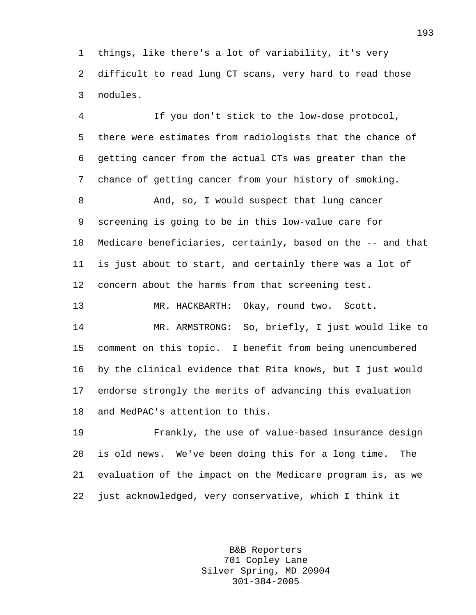1 things, like there's a lot of variability, it's very 2 difficult to read lung CT scans, very hard to read those 3 nodules.

4 If you don't stick to the low-dose protocol, 5 there were estimates from radiologists that the chance of 6 getting cancer from the actual CTs was greater than the 7 chance of getting cancer from your history of smoking. 8 And, so, I would suspect that lung cancer 9 screening is going to be in this low-value care for 10 Medicare beneficiaries, certainly, based on the -- and that 11 is just about to start, and certainly there was a lot of 12 concern about the harms from that screening test. 13 MR. HACKBARTH: Okay, round two. Scott. 14 MR. ARMSTRONG: So, briefly, I just would like to 15 comment on this topic. I benefit from being unencumbered 16 by the clinical evidence that Rita knows, but I just would 17 endorse strongly the merits of advancing this evaluation

18 and MedPAC's attention to this.

19 Frankly, the use of value-based insurance design 20 is old news. We've been doing this for a long time. The 21 evaluation of the impact on the Medicare program is, as we 22 just acknowledged, very conservative, which I think it

> B&B Reporters 701 Copley Lane Silver Spring, MD 20904 301-384-2005

193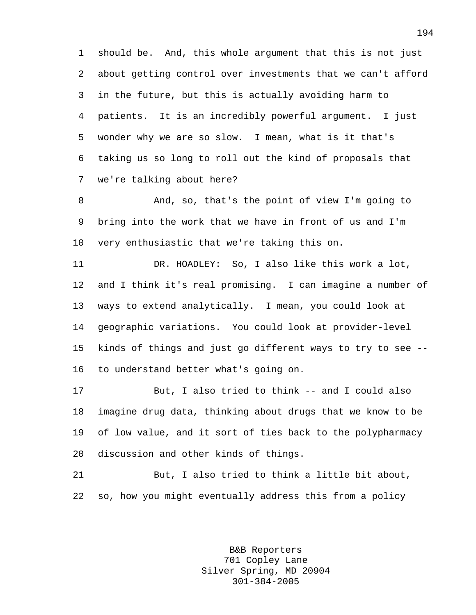1 should be. And, this whole argument that this is not just 2 about getting control over investments that we can't afford 3 in the future, but this is actually avoiding harm to 4 patients. It is an incredibly powerful argument. I just 5 wonder why we are so slow. I mean, what is it that's 6 taking us so long to roll out the kind of proposals that 7 we're talking about here?

8 And, so, that's the point of view I'm going to 9 bring into the work that we have in front of us and I'm 10 very enthusiastic that we're taking this on.

11 DR. HOADLEY: So, I also like this work a lot, 12 and I think it's real promising. I can imagine a number of 13 ways to extend analytically. I mean, you could look at 14 geographic variations. You could look at provider-level 15 kinds of things and just go different ways to try to see -- 16 to understand better what's going on.

17 But, I also tried to think -- and I could also 18 imagine drug data, thinking about drugs that we know to be 19 of low value, and it sort of ties back to the polypharmacy 20 discussion and other kinds of things.

21 But, I also tried to think a little bit about, 22 so, how you might eventually address this from a policy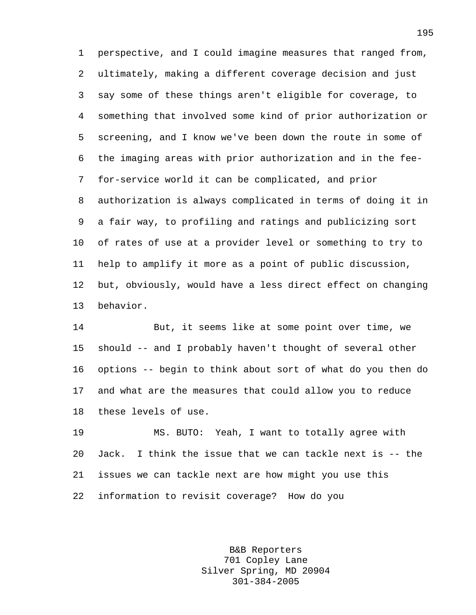1 perspective, and I could imagine measures that ranged from, 2 ultimately, making a different coverage decision and just 3 say some of these things aren't eligible for coverage, to 4 something that involved some kind of prior authorization or 5 screening, and I know we've been down the route in some of 6 the imaging areas with prior authorization and in the fee-7 for-service world it can be complicated, and prior 8 authorization is always complicated in terms of doing it in 9 a fair way, to profiling and ratings and publicizing sort 10 of rates of use at a provider level or something to try to 11 help to amplify it more as a point of public discussion, 12 but, obviously, would have a less direct effect on changing 13 behavior.

14 But, it seems like at some point over time, we 15 should -- and I probably haven't thought of several other 16 options -- begin to think about sort of what do you then do 17 and what are the measures that could allow you to reduce 18 these levels of use.

19 MS. BUTO: Yeah, I want to totally agree with 20 Jack. I think the issue that we can tackle next is -- the 21 issues we can tackle next are how might you use this 22 information to revisit coverage? How do you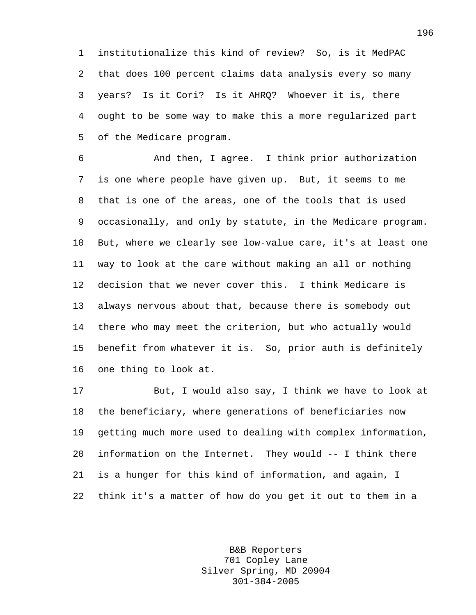1 institutionalize this kind of review? So, is it MedPAC 2 that does 100 percent claims data analysis every so many 3 years? Is it Cori? Is it AHRQ? Whoever it is, there 4 ought to be some way to make this a more regularized part 5 of the Medicare program.

6 And then, I agree. I think prior authorization 7 is one where people have given up. But, it seems to me 8 that is one of the areas, one of the tools that is used 9 occasionally, and only by statute, in the Medicare program. 10 But, where we clearly see low-value care, it's at least one 11 way to look at the care without making an all or nothing 12 decision that we never cover this. I think Medicare is 13 always nervous about that, because there is somebody out 14 there who may meet the criterion, but who actually would 15 benefit from whatever it is. So, prior auth is definitely 16 one thing to look at.

17 But, I would also say, I think we have to look at 18 the beneficiary, where generations of beneficiaries now 19 getting much more used to dealing with complex information, 20 information on the Internet. They would -- I think there 21 is a hunger for this kind of information, and again, I 22 think it's a matter of how do you get it out to them in a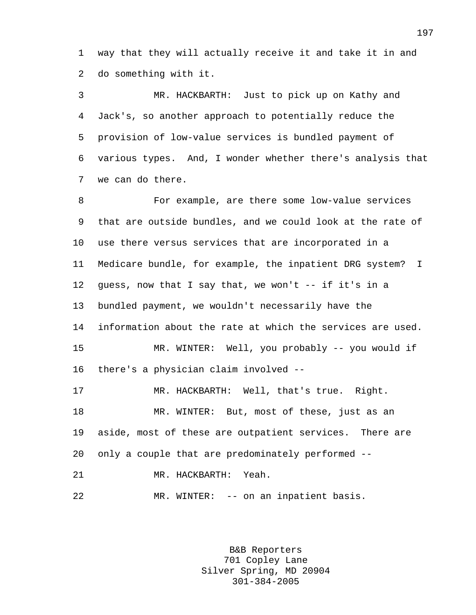1 way that they will actually receive it and take it in and 2 do something with it.

3 MR. HACKBARTH: Just to pick up on Kathy and 4 Jack's, so another approach to potentially reduce the 5 provision of low-value services is bundled payment of 6 various types. And, I wonder whether there's analysis that 7 we can do there.

8 For example, are there some low-value services 9 that are outside bundles, and we could look at the rate of 10 use there versus services that are incorporated in a 11 Medicare bundle, for example, the inpatient DRG system? I 12 guess, now that I say that, we won't -- if it's in a 13 bundled payment, we wouldn't necessarily have the 14 information about the rate at which the services are used. 15 MR. WINTER: Well, you probably -- you would if 16 there's a physician claim involved -- 17 MR. HACKBARTH: Well, that's true. Right. 18 MR. WINTER: But, most of these, just as an 19 aside, most of these are outpatient services. There are 20 only a couple that are predominately performed -- 21 MR. HACKBARTH: Yeah.

22 MR. WINTER: -- on an inpatient basis.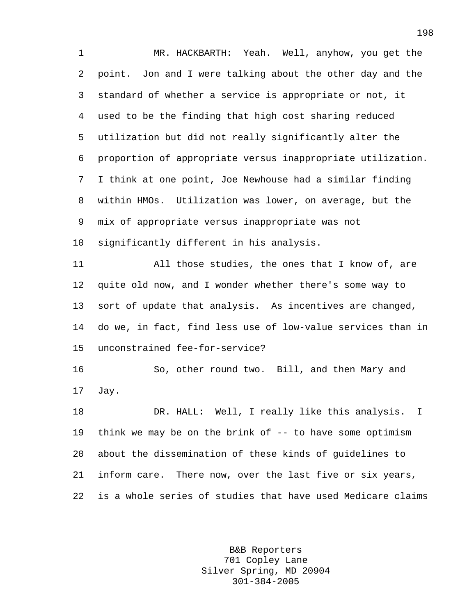1 MR. HACKBARTH: Yeah. Well, anyhow, you get the 2 point. Jon and I were talking about the other day and the 3 standard of whether a service is appropriate or not, it 4 used to be the finding that high cost sharing reduced 5 utilization but did not really significantly alter the 6 proportion of appropriate versus inappropriate utilization. 7 I think at one point, Joe Newhouse had a similar finding 8 within HMOs. Utilization was lower, on average, but the 9 mix of appropriate versus inappropriate was not 10 significantly different in his analysis. 11 All those studies, the ones that I know of, are 12 quite old now, and I wonder whether there's some way to 13 sort of update that analysis. As incentives are changed, 14 do we, in fact, find less use of low-value services than in 15 unconstrained fee-for-service? 16 So, other round two. Bill, and then Mary and 17 Jay. 18 DR. HALL: Well, I really like this analysis. I 19 think we may be on the brink of -- to have some optimism 20 about the dissemination of these kinds of guidelines to 21 inform care. There now, over the last five or six years, 22 is a whole series of studies that have used Medicare claims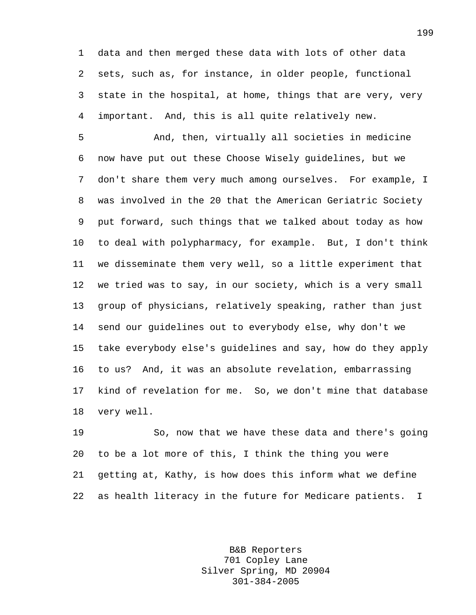1 data and then merged these data with lots of other data 2 sets, such as, for instance, in older people, functional 3 state in the hospital, at home, things that are very, very 4 important. And, this is all quite relatively new.

5 And, then, virtually all societies in medicine 6 now have put out these Choose Wisely guidelines, but we 7 don't share them very much among ourselves. For example, I 8 was involved in the 20 that the American Geriatric Society 9 put forward, such things that we talked about today as how 10 to deal with polypharmacy, for example. But, I don't think 11 we disseminate them very well, so a little experiment that 12 we tried was to say, in our society, which is a very small 13 group of physicians, relatively speaking, rather than just 14 send our guidelines out to everybody else, why don't we 15 take everybody else's guidelines and say, how do they apply 16 to us? And, it was an absolute revelation, embarrassing 17 kind of revelation for me. So, we don't mine that database 18 very well.

19 So, now that we have these data and there's going 20 to be a lot more of this, I think the thing you were 21 getting at, Kathy, is how does this inform what we define 22 as health literacy in the future for Medicare patients. I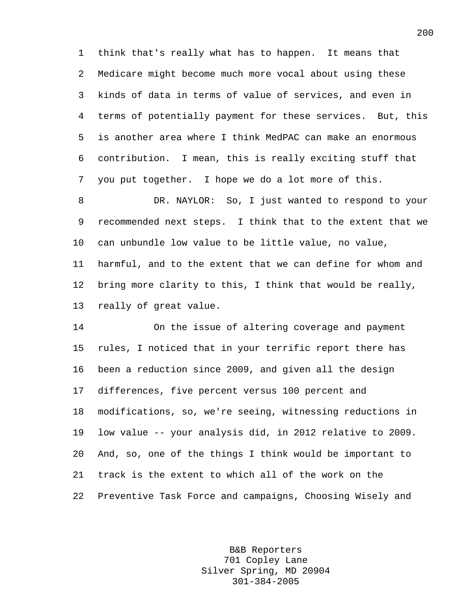1 think that's really what has to happen. It means that 2 Medicare might become much more vocal about using these 3 kinds of data in terms of value of services, and even in 4 terms of potentially payment for these services. But, this 5 is another area where I think MedPAC can make an enormous 6 contribution. I mean, this is really exciting stuff that 7 you put together. I hope we do a lot more of this.

8 DR. NAYLOR: So, I just wanted to respond to your 9 recommended next steps. I think that to the extent that we 10 can unbundle low value to be little value, no value, 11 harmful, and to the extent that we can define for whom and 12 bring more clarity to this, I think that would be really, 13 really of great value.

14 On the issue of altering coverage and payment 15 rules, I noticed that in your terrific report there has 16 been a reduction since 2009, and given all the design 17 differences, five percent versus 100 percent and 18 modifications, so, we're seeing, witnessing reductions in 19 low value -- your analysis did, in 2012 relative to 2009. 20 And, so, one of the things I think would be important to 21 track is the extent to which all of the work on the 22 Preventive Task Force and campaigns, Choosing Wisely and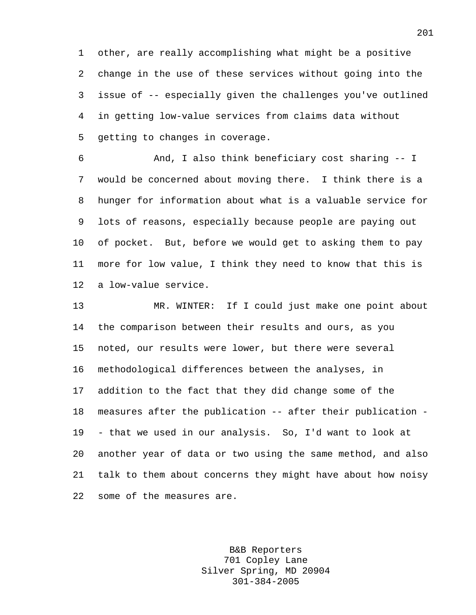1 other, are really accomplishing what might be a positive 2 change in the use of these services without going into the 3 issue of -- especially given the challenges you've outlined 4 in getting low-value services from claims data without 5 getting to changes in coverage.

6 And, I also think beneficiary cost sharing -- I 7 would be concerned about moving there. I think there is a 8 hunger for information about what is a valuable service for 9 lots of reasons, especially because people are paying out 10 of pocket. But, before we would get to asking them to pay 11 more for low value, I think they need to know that this is 12 a low-value service.

13 MR. WINTER: If I could just make one point about 14 the comparison between their results and ours, as you 15 noted, our results were lower, but there were several 16 methodological differences between the analyses, in 17 addition to the fact that they did change some of the 18 measures after the publication -- after their publication - 19 - that we used in our analysis. So, I'd want to look at 20 another year of data or two using the same method, and also 21 talk to them about concerns they might have about how noisy 22 some of the measures are.

> B&B Reporters 701 Copley Lane Silver Spring, MD 20904 301-384-2005

201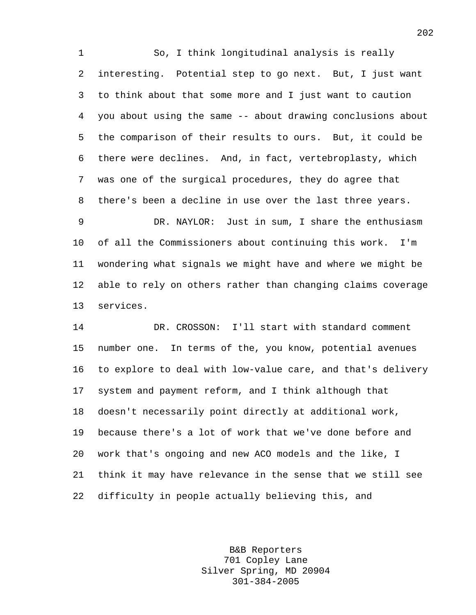1 So, I think longitudinal analysis is really 2 interesting. Potential step to go next. But, I just want 3 to think about that some more and I just want to caution 4 you about using the same -- about drawing conclusions about 5 the comparison of their results to ours. But, it could be 6 there were declines. And, in fact, vertebroplasty, which 7 was one of the surgical procedures, they do agree that 8 there's been a decline in use over the last three years. 9 DR. NAYLOR: Just in sum, I share the enthusiasm

10 of all the Commissioners about continuing this work. I'm 11 wondering what signals we might have and where we might be 12 able to rely on others rather than changing claims coverage 13 services.

14 DR. CROSSON: I'll start with standard comment 15 number one. In terms of the, you know, potential avenues 16 to explore to deal with low-value care, and that's delivery 17 system and payment reform, and I think although that 18 doesn't necessarily point directly at additional work, 19 because there's a lot of work that we've done before and 20 work that's ongoing and new ACO models and the like, I 21 think it may have relevance in the sense that we still see 22 difficulty in people actually believing this, and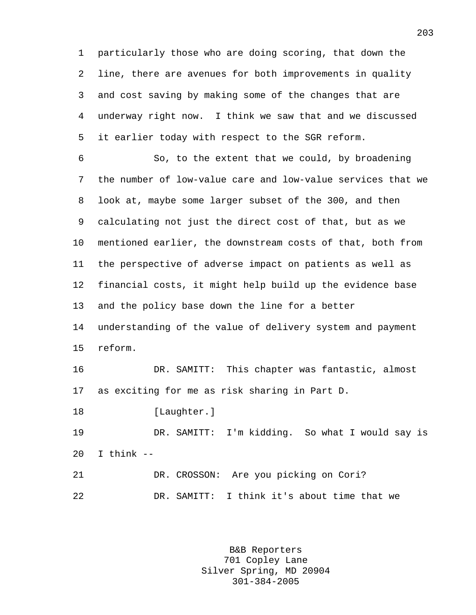1 particularly those who are doing scoring, that down the 2 line, there are avenues for both improvements in quality 3 and cost saving by making some of the changes that are 4 underway right now. I think we saw that and we discussed 5 it earlier today with respect to the SGR reform.

6 So, to the extent that we could, by broadening 7 the number of low-value care and low-value services that we 8 look at, maybe some larger subset of the 300, and then 9 calculating not just the direct cost of that, but as we 10 mentioned earlier, the downstream costs of that, both from 11 the perspective of adverse impact on patients as well as 12 financial costs, it might help build up the evidence base 13 and the policy base down the line for a better 14 understanding of the value of delivery system and payment 15 reform. 16 DR. SAMITT: This chapter was fantastic, almost 17 as exciting for me as risk sharing in Part D. 18 [Laughter.] 19 DR. SAMITT: I'm kidding. So what I would say is

20 I think --

21 DR. CROSSON: Are you picking on Cori? 22 DR. SAMITT: I think it's about time that we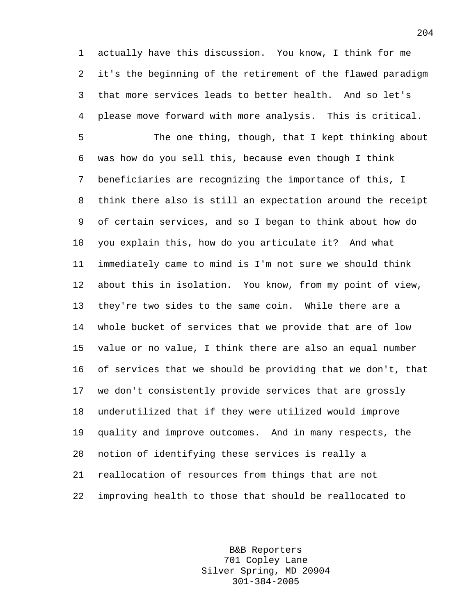1 actually have this discussion. You know, I think for me 2 it's the beginning of the retirement of the flawed paradigm 3 that more services leads to better health. And so let's 4 please move forward with more analysis. This is critical.

5 The one thing, though, that I kept thinking about 6 was how do you sell this, because even though I think 7 beneficiaries are recognizing the importance of this, I 8 think there also is still an expectation around the receipt 9 of certain services, and so I began to think about how do 10 you explain this, how do you articulate it? And what 11 immediately came to mind is I'm not sure we should think 12 about this in isolation. You know, from my point of view, 13 they're two sides to the same coin. While there are a 14 whole bucket of services that we provide that are of low 15 value or no value, I think there are also an equal number 16 of services that we should be providing that we don't, that 17 we don't consistently provide services that are grossly 18 underutilized that if they were utilized would improve 19 quality and improve outcomes. And in many respects, the 20 notion of identifying these services is really a 21 reallocation of resources from things that are not 22 improving health to those that should be reallocated to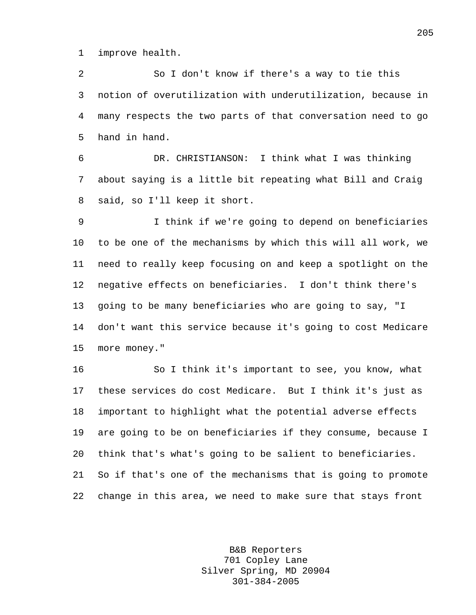1 improve health.

2 So I don't know if there's a way to tie this 3 notion of overutilization with underutilization, because in 4 many respects the two parts of that conversation need to go 5 hand in hand.

6 DR. CHRISTIANSON: I think what I was thinking 7 about saying is a little bit repeating what Bill and Craig 8 said, so I'll keep it short.

9 I think if we're going to depend on beneficiaries 10 to be one of the mechanisms by which this will all work, we 11 need to really keep focusing on and keep a spotlight on the 12 negative effects on beneficiaries. I don't think there's 13 going to be many beneficiaries who are going to say, "I 14 don't want this service because it's going to cost Medicare 15 more money."

16 So I think it's important to see, you know, what 17 these services do cost Medicare. But I think it's just as 18 important to highlight what the potential adverse effects 19 are going to be on beneficiaries if they consume, because I 20 think that's what's going to be salient to beneficiaries. 21 So if that's one of the mechanisms that is going to promote 22 change in this area, we need to make sure that stays front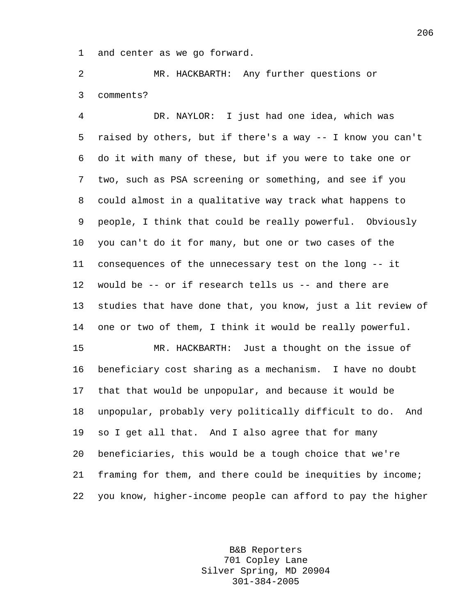1 and center as we go forward.

2 MR. HACKBARTH: Any further questions or 3 comments?

4 DR. NAYLOR: I just had one idea, which was 5 raised by others, but if there's a way -- I know you can't 6 do it with many of these, but if you were to take one or 7 two, such as PSA screening or something, and see if you 8 could almost in a qualitative way track what happens to 9 people, I think that could be really powerful. Obviously 10 you can't do it for many, but one or two cases of the 11 consequences of the unnecessary test on the long -- it 12 would be -- or if research tells us -- and there are 13 studies that have done that, you know, just a lit review of 14 one or two of them, I think it would be really powerful. 15 MR. HACKBARTH: Just a thought on the issue of 16 beneficiary cost sharing as a mechanism. I have no doubt

17 that that would be unpopular, and because it would be 18 unpopular, probably very politically difficult to do. And 19 so I get all that. And I also agree that for many 20 beneficiaries, this would be a tough choice that we're 21 framing for them, and there could be inequities by income; 22 you know, higher-income people can afford to pay the higher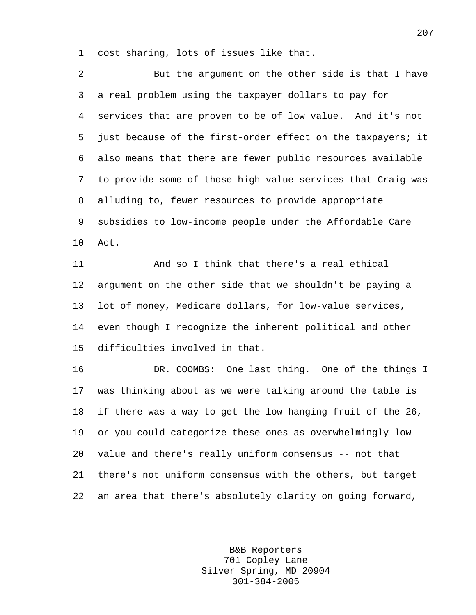1 cost sharing, lots of issues like that.

2 But the argument on the other side is that I have 3 a real problem using the taxpayer dollars to pay for 4 services that are proven to be of low value. And it's not 5 just because of the first-order effect on the taxpayers; it 6 also means that there are fewer public resources available 7 to provide some of those high-value services that Craig was 8 alluding to, fewer resources to provide appropriate 9 subsidies to low-income people under the Affordable Care 10 Act. 11 And so I think that there's a real ethical 12 argument on the other side that we shouldn't be paying a 13 lot of money, Medicare dollars, for low-value services, 14 even though I recognize the inherent political and other 15 difficulties involved in that. 16 DR. COOMBS: One last thing. One of the things I 17 was thinking about as we were talking around the table is 18 if there was a way to get the low-hanging fruit of the 26, 19 or you could categorize these ones as overwhelmingly low 20 value and there's really uniform consensus -- not that 21 there's not uniform consensus with the others, but target

22 an area that there's absolutely clarity on going forward,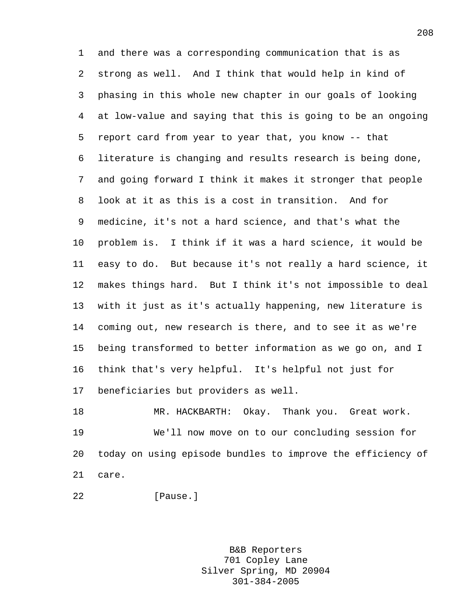1 and there was a corresponding communication that is as 2 strong as well. And I think that would help in kind of 3 phasing in this whole new chapter in our goals of looking 4 at low-value and saying that this is going to be an ongoing 5 report card from year to year that, you know -- that 6 literature is changing and results research is being done, 7 and going forward I think it makes it stronger that people 8 look at it as this is a cost in transition. And for 9 medicine, it's not a hard science, and that's what the 10 problem is. I think if it was a hard science, it would be 11 easy to do. But because it's not really a hard science, it 12 makes things hard. But I think it's not impossible to deal 13 with it just as it's actually happening, new literature is 14 coming out, new research is there, and to see it as we're 15 being transformed to better information as we go on, and I 16 think that's very helpful. It's helpful not just for 17 beneficiaries but providers as well.

18 MR. HACKBARTH: Okay. Thank you. Great work. 19 We'll now move on to our concluding session for 20 today on using episode bundles to improve the efficiency of 21 care.

22 **[Pause.]**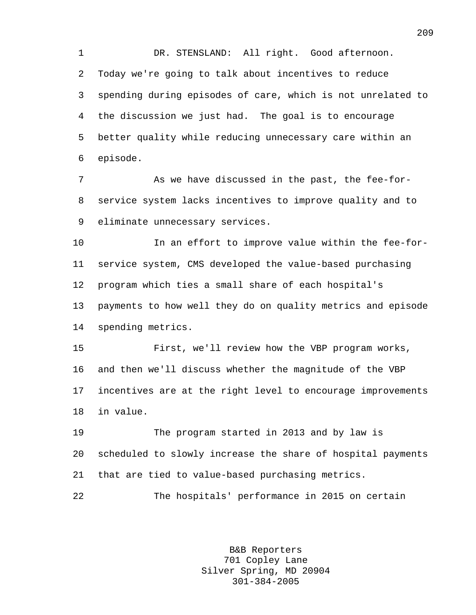1 DR. STENSLAND: All right. Good afternoon. 2 Today we're going to talk about incentives to reduce 3 spending during episodes of care, which is not unrelated to 4 the discussion we just had. The goal is to encourage 5 better quality while reducing unnecessary care within an 6 episode.

7 As we have discussed in the past, the fee-for-8 service system lacks incentives to improve quality and to 9 eliminate unnecessary services.

10 In an effort to improve value within the fee-for-11 service system, CMS developed the value-based purchasing 12 program which ties a small share of each hospital's 13 payments to how well they do on quality metrics and episode 14 spending metrics.

15 First, we'll review how the VBP program works, 16 and then we'll discuss whether the magnitude of the VBP 17 incentives are at the right level to encourage improvements 18 in value.

19 The program started in 2013 and by law is 20 scheduled to slowly increase the share of hospital payments 21 that are tied to value-based purchasing metrics.

22 The hospitals' performance in 2015 on certain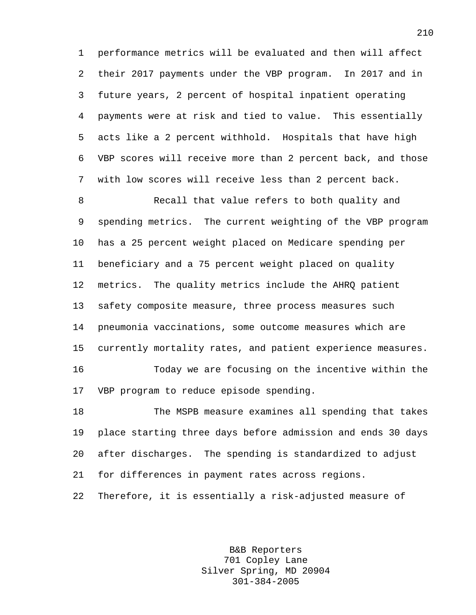1 performance metrics will be evaluated and then will affect 2 their 2017 payments under the VBP program. In 2017 and in 3 future years, 2 percent of hospital inpatient operating 4 payments were at risk and tied to value. This essentially 5 acts like a 2 percent withhold. Hospitals that have high 6 VBP scores will receive more than 2 percent back, and those 7 with low scores will receive less than 2 percent back.

8 Recall that value refers to both quality and 9 spending metrics. The current weighting of the VBP program 10 has a 25 percent weight placed on Medicare spending per 11 beneficiary and a 75 percent weight placed on quality 12 metrics. The quality metrics include the AHRQ patient 13 safety composite measure, three process measures such 14 pneumonia vaccinations, some outcome measures which are 15 currently mortality rates, and patient experience measures.

16 Today we are focusing on the incentive within the 17 VBP program to reduce episode spending.

18 The MSPB measure examines all spending that takes 19 place starting three days before admission and ends 30 days 20 after discharges. The spending is standardized to adjust 21 for differences in payment rates across regions.

22 Therefore, it is essentially a risk-adjusted measure of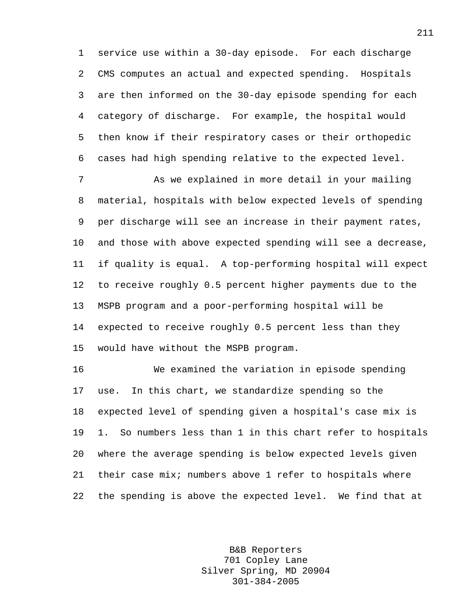1 service use within a 30-day episode. For each discharge 2 CMS computes an actual and expected spending. Hospitals 3 are then informed on the 30-day episode spending for each 4 category of discharge. For example, the hospital would 5 then know if their respiratory cases or their orthopedic 6 cases had high spending relative to the expected level.

7 As we explained in more detail in your mailing 8 material, hospitals with below expected levels of spending 9 per discharge will see an increase in their payment rates, 10 and those with above expected spending will see a decrease, 11 if quality is equal. A top-performing hospital will expect 12 to receive roughly 0.5 percent higher payments due to the 13 MSPB program and a poor-performing hospital will be 14 expected to receive roughly 0.5 percent less than they 15 would have without the MSPB program.

16 We examined the variation in episode spending 17 use. In this chart, we standardize spending so the 18 expected level of spending given a hospital's case mix is 19 1. So numbers less than 1 in this chart refer to hospitals 20 where the average spending is below expected levels given 21 their case mix; numbers above 1 refer to hospitals where 22 the spending is above the expected level. We find that at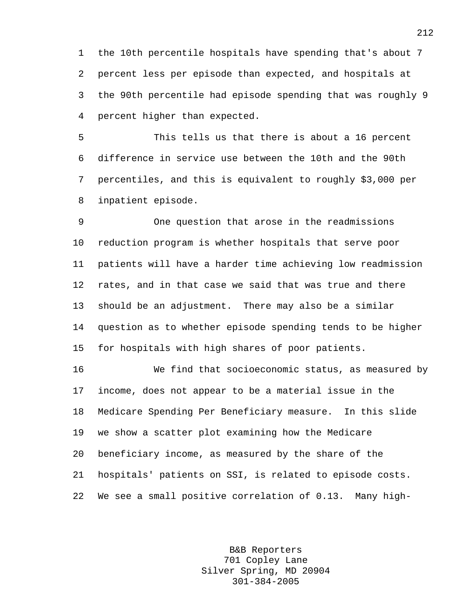1 the 10th percentile hospitals have spending that's about 7 2 percent less per episode than expected, and hospitals at 3 the 90th percentile had episode spending that was roughly 9 4 percent higher than expected.

5 This tells us that there is about a 16 percent 6 difference in service use between the 10th and the 90th 7 percentiles, and this is equivalent to roughly \$3,000 per 8 inpatient episode.

9 One question that arose in the readmissions 10 reduction program is whether hospitals that serve poor 11 patients will have a harder time achieving low readmission 12 rates, and in that case we said that was true and there 13 should be an adjustment. There may also be a similar 14 question as to whether episode spending tends to be higher 15 for hospitals with high shares of poor patients.

16 We find that socioeconomic status, as measured by 17 income, does not appear to be a material issue in the 18 Medicare Spending Per Beneficiary measure. In this slide 19 we show a scatter plot examining how the Medicare 20 beneficiary income, as measured by the share of the 21 hospitals' patients on SSI, is related to episode costs. 22 We see a small positive correlation of 0.13. Many high-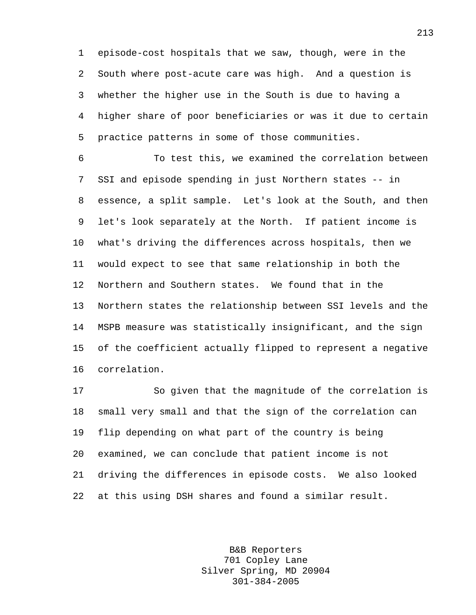1 episode-cost hospitals that we saw, though, were in the 2 South where post-acute care was high. And a question is 3 whether the higher use in the South is due to having a 4 higher share of poor beneficiaries or was it due to certain 5 practice patterns in some of those communities.

6 To test this, we examined the correlation between 7 SSI and episode spending in just Northern states -- in 8 essence, a split sample. Let's look at the South, and then 9 let's look separately at the North. If patient income is 10 what's driving the differences across hospitals, then we 11 would expect to see that same relationship in both the 12 Northern and Southern states. We found that in the 13 Northern states the relationship between SSI levels and the 14 MSPB measure was statistically insignificant, and the sign 15 of the coefficient actually flipped to represent a negative 16 correlation.

17 So given that the magnitude of the correlation is 18 small very small and that the sign of the correlation can 19 flip depending on what part of the country is being 20 examined, we can conclude that patient income is not 21 driving the differences in episode costs. We also looked 22 at this using DSH shares and found a similar result.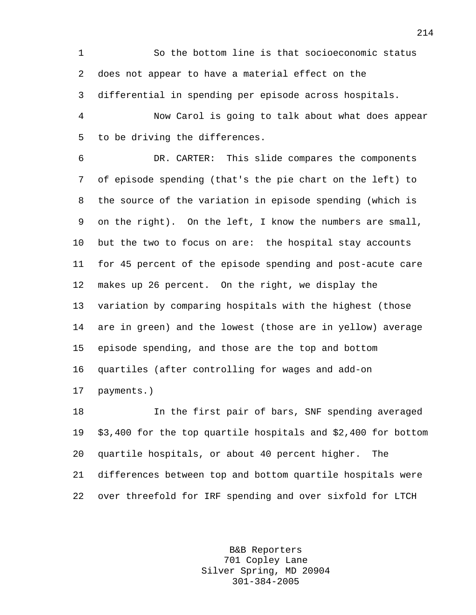1 So the bottom line is that socioeconomic status 2 does not appear to have a material effect on the 3 differential in spending per episode across hospitals.

4 Now Carol is going to talk about what does appear 5 to be driving the differences.

6 DR. CARTER: This slide compares the components 7 of episode spending (that's the pie chart on the left) to 8 the source of the variation in episode spending (which is 9 on the right). On the left, I know the numbers are small, 10 but the two to focus on are: the hospital stay accounts 11 for 45 percent of the episode spending and post-acute care 12 makes up 26 percent. On the right, we display the 13 variation by comparing hospitals with the highest (those 14 are in green) and the lowest (those are in yellow) average 15 episode spending, and those are the top and bottom 16 quartiles (after controlling for wages and add-on 17 payments.)

18 In the first pair of bars, SNF spending averaged 19 \$3,400 for the top quartile hospitals and \$2,400 for bottom 20 quartile hospitals, or about 40 percent higher. The 21 differences between top and bottom quartile hospitals were 22 over threefold for IRF spending and over sixfold for LTCH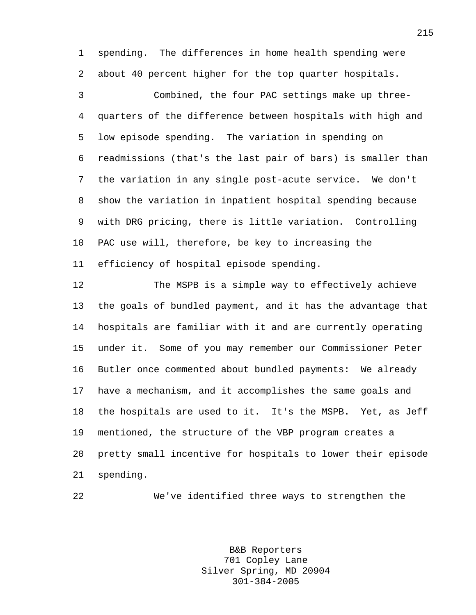1 spending. The differences in home health spending were 2 about 40 percent higher for the top quarter hospitals.

3 Combined, the four PAC settings make up three-4 quarters of the difference between hospitals with high and 5 low episode spending. The variation in spending on 6 readmissions (that's the last pair of bars) is smaller than 7 the variation in any single post-acute service. We don't 8 show the variation in inpatient hospital spending because 9 with DRG pricing, there is little variation. Controlling 10 PAC use will, therefore, be key to increasing the 11 efficiency of hospital episode spending.

12 The MSPB is a simple way to effectively achieve 13 the goals of bundled payment, and it has the advantage that 14 hospitals are familiar with it and are currently operating 15 under it. Some of you may remember our Commissioner Peter 16 Butler once commented about bundled payments: We already 17 have a mechanism, and it accomplishes the same goals and 18 the hospitals are used to it. It's the MSPB. Yet, as Jeff 19 mentioned, the structure of the VBP program creates a 20 pretty small incentive for hospitals to lower their episode 21 spending.

22 We've identified three ways to strengthen the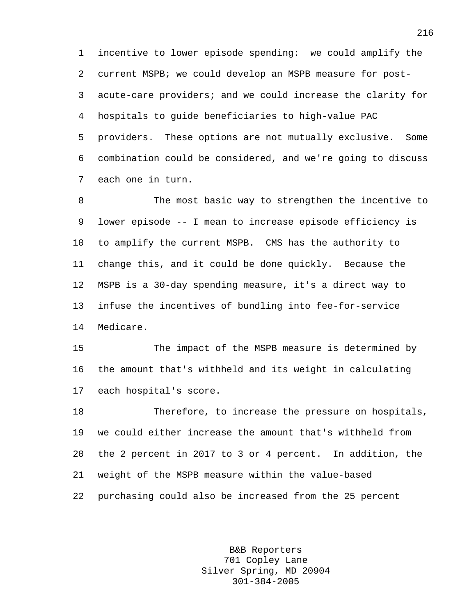1 incentive to lower episode spending: we could amplify the 2 current MSPB; we could develop an MSPB measure for post-3 acute-care providers; and we could increase the clarity for 4 hospitals to guide beneficiaries to high-value PAC 5 providers. These options are not mutually exclusive. Some 6 combination could be considered, and we're going to discuss 7 each one in turn.

8 The most basic way to strengthen the incentive to 9 lower episode -- I mean to increase episode efficiency is 10 to amplify the current MSPB. CMS has the authority to 11 change this, and it could be done quickly. Because the 12 MSPB is a 30-day spending measure, it's a direct way to 13 infuse the incentives of bundling into fee-for-service 14 Medicare.

15 The impact of the MSPB measure is determined by 16 the amount that's withheld and its weight in calculating 17 each hospital's score.

18 Therefore, to increase the pressure on hospitals, 19 we could either increase the amount that's withheld from 20 the 2 percent in 2017 to 3 or 4 percent. In addition, the 21 weight of the MSPB measure within the value-based 22 purchasing could also be increased from the 25 percent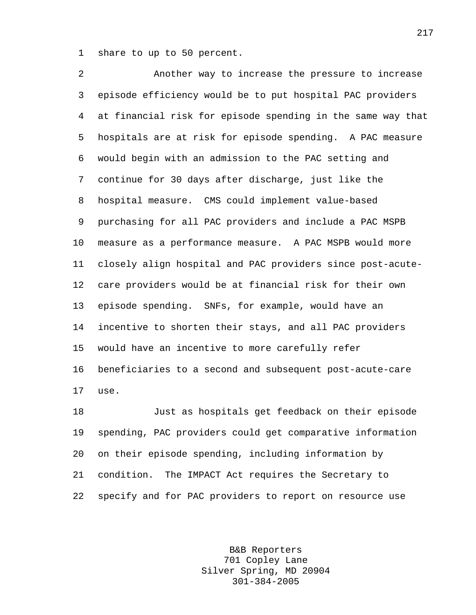1 share to up to 50 percent.

2 Another way to increase the pressure to increase 3 episode efficiency would be to put hospital PAC providers 4 at financial risk for episode spending in the same way that 5 hospitals are at risk for episode spending. A PAC measure 6 would begin with an admission to the PAC setting and 7 continue for 30 days after discharge, just like the 8 hospital measure. CMS could implement value-based 9 purchasing for all PAC providers and include a PAC MSPB 10 measure as a performance measure. A PAC MSPB would more 11 closely align hospital and PAC providers since post-acute-12 care providers would be at financial risk for their own 13 episode spending. SNFs, for example, would have an 14 incentive to shorten their stays, and all PAC providers 15 would have an incentive to more carefully refer 16 beneficiaries to a second and subsequent post-acute-care 17 use. 18 Just as hospitals get feedback on their episode

19 spending, PAC providers could get comparative information 20 on their episode spending, including information by 21 condition. The IMPACT Act requires the Secretary to 22 specify and for PAC providers to report on resource use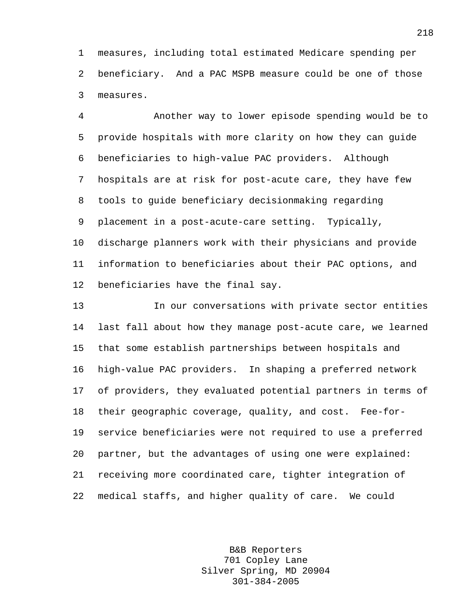1 measures, including total estimated Medicare spending per 2 beneficiary. And a PAC MSPB measure could be one of those 3 measures.

4 Another way to lower episode spending would be to 5 provide hospitals with more clarity on how they can guide 6 beneficiaries to high-value PAC providers. Although 7 hospitals are at risk for post-acute care, they have few 8 tools to guide beneficiary decisionmaking regarding 9 placement in a post-acute-care setting. Typically, 10 discharge planners work with their physicians and provide 11 information to beneficiaries about their PAC options, and 12 beneficiaries have the final say.

13 In our conversations with private sector entities 14 last fall about how they manage post-acute care, we learned 15 that some establish partnerships between hospitals and 16 high-value PAC providers. In shaping a preferred network 17 of providers, they evaluated potential partners in terms of 18 their geographic coverage, quality, and cost. Fee-for-19 service beneficiaries were not required to use a preferred 20 partner, but the advantages of using one were explained: 21 receiving more coordinated care, tighter integration of 22 medical staffs, and higher quality of care. We could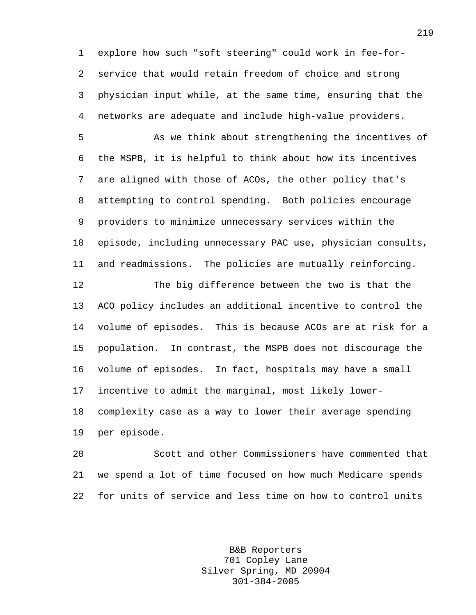1 explore how such "soft steering" could work in fee-for-2 service that would retain freedom of choice and strong 3 physician input while, at the same time, ensuring that the 4 networks are adequate and include high-value providers.

5 As we think about strengthening the incentives of 6 the MSPB, it is helpful to think about how its incentives 7 are aligned with those of ACOs, the other policy that's 8 attempting to control spending. Both policies encourage 9 providers to minimize unnecessary services within the 10 episode, including unnecessary PAC use, physician consults, 11 and readmissions. The policies are mutually reinforcing.

12 The big difference between the two is that the 13 ACO policy includes an additional incentive to control the 14 volume of episodes. This is because ACOs are at risk for a 15 population. In contrast, the MSPB does not discourage the 16 volume of episodes. In fact, hospitals may have a small 17 incentive to admit the marginal, most likely lower-18 complexity case as a way to lower their average spending 19 per episode.

20 Scott and other Commissioners have commented that 21 we spend a lot of time focused on how much Medicare spends 22 for units of service and less time on how to control units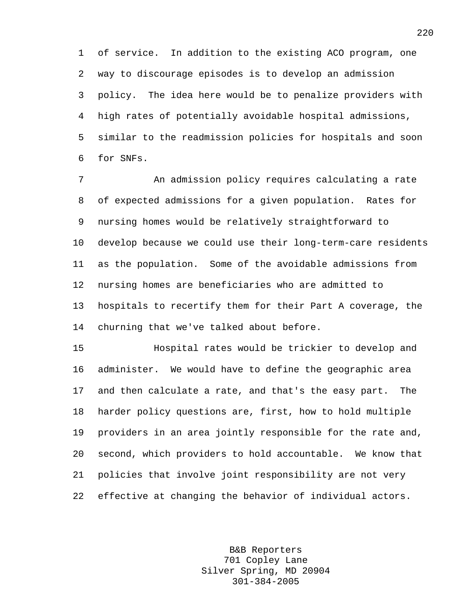1 of service. In addition to the existing ACO program, one 2 way to discourage episodes is to develop an admission 3 policy. The idea here would be to penalize providers with 4 high rates of potentially avoidable hospital admissions, 5 similar to the readmission policies for hospitals and soon 6 for SNFs.

7 An admission policy requires calculating a rate 8 of expected admissions for a given population. Rates for 9 nursing homes would be relatively straightforward to 10 develop because we could use their long-term-care residents 11 as the population. Some of the avoidable admissions from 12 nursing homes are beneficiaries who are admitted to 13 hospitals to recertify them for their Part A coverage, the 14 churning that we've talked about before.

15 Hospital rates would be trickier to develop and 16 administer. We would have to define the geographic area 17 and then calculate a rate, and that's the easy part. The 18 harder policy questions are, first, how to hold multiple 19 providers in an area jointly responsible for the rate and, 20 second, which providers to hold accountable. We know that 21 policies that involve joint responsibility are not very 22 effective at changing the behavior of individual actors.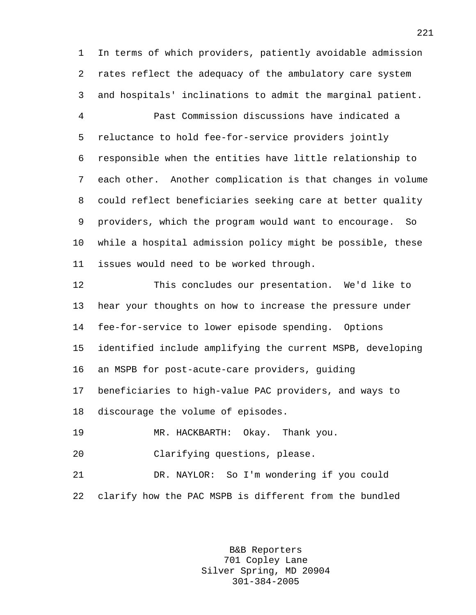1 In terms of which providers, patiently avoidable admission 2 rates reflect the adequacy of the ambulatory care system 3 and hospitals' inclinations to admit the marginal patient.

4 Past Commission discussions have indicated a 5 reluctance to hold fee-for-service providers jointly 6 responsible when the entities have little relationship to 7 each other. Another complication is that changes in volume 8 could reflect beneficiaries seeking care at better quality 9 providers, which the program would want to encourage. So 10 while a hospital admission policy might be possible, these 11 issues would need to be worked through.

12 This concludes our presentation. We'd like to 13 hear your thoughts on how to increase the pressure under 14 fee-for-service to lower episode spending. Options 15 identified include amplifying the current MSPB, developing 16 an MSPB for post-acute-care providers, guiding 17 beneficiaries to high-value PAC providers, and ways to 18 discourage the volume of episodes.

19 MR. HACKBARTH: Okay. Thank you.

20 Clarifying questions, please.

21 DR. NAYLOR: So I'm wondering if you could 22 clarify how the PAC MSPB is different from the bundled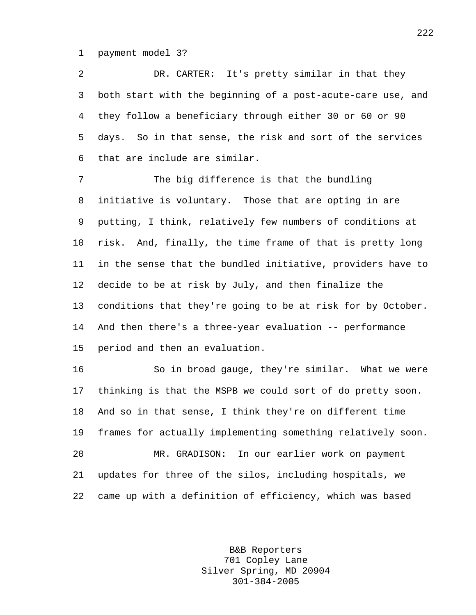1 payment model 3?

2 DR. CARTER: It's pretty similar in that they 3 both start with the beginning of a post-acute-care use, and 4 they follow a beneficiary through either 30 or 60 or 90 5 days. So in that sense, the risk and sort of the services 6 that are include are similar.

7 The big difference is that the bundling 8 initiative is voluntary. Those that are opting in are 9 putting, I think, relatively few numbers of conditions at 10 risk. And, finally, the time frame of that is pretty long 11 in the sense that the bundled initiative, providers have to 12 decide to be at risk by July, and then finalize the 13 conditions that they're going to be at risk for by October. 14 And then there's a three-year evaluation -- performance 15 period and then an evaluation.

16 So in broad gauge, they're similar. What we were 17 thinking is that the MSPB we could sort of do pretty soon. 18 And so in that sense, I think they're on different time 19 frames for actually implementing something relatively soon. 20 MR. GRADISON: In our earlier work on payment 21 updates for three of the silos, including hospitals, we 22 came up with a definition of efficiency, which was based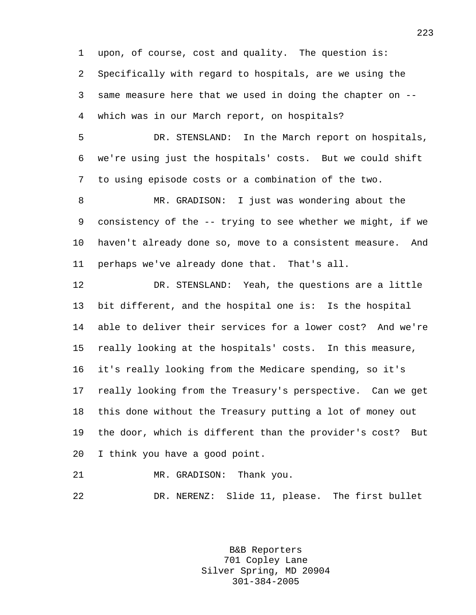1 upon, of course, cost and quality. The question is: 2 Specifically with regard to hospitals, are we using the 3 same measure here that we used in doing the chapter on -- 4 which was in our March report, on hospitals?

5 DR. STENSLAND: In the March report on hospitals, 6 we're using just the hospitals' costs. But we could shift 7 to using episode costs or a combination of the two.

8 MR. GRADISON: I just was wondering about the 9 consistency of the -- trying to see whether we might, if we 10 haven't already done so, move to a consistent measure. And 11 perhaps we've already done that. That's all.

12 DR. STENSLAND: Yeah, the questions are a little 13 bit different, and the hospital one is: Is the hospital 14 able to deliver their services for a lower cost? And we're 15 really looking at the hospitals' costs. In this measure, 16 it's really looking from the Medicare spending, so it's 17 really looking from the Treasury's perspective. Can we get 18 this done without the Treasury putting a lot of money out 19 the door, which is different than the provider's cost? But 20 I think you have a good point.

21 MR. GRADISON: Thank you.

22 DR. NERENZ: Slide 11, please. The first bullet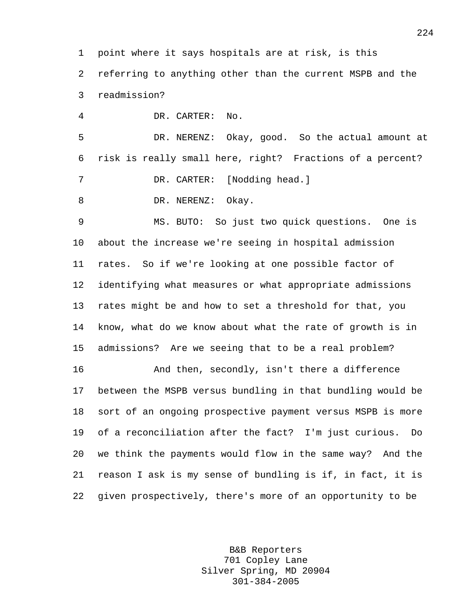1 point where it says hospitals are at risk, is this

2 referring to anything other than the current MSPB and the 3 readmission?

4 DR. CARTER: No.

5 DR. NERENZ: Okay, good. So the actual amount at 6 risk is really small here, right? Fractions of a percent? 7 DR. CARTER: [Nodding head.]

8 DR. NERENZ: Okay.

9 MS. BUTO: So just two quick questions. One is 10 about the increase we're seeing in hospital admission 11 rates. So if we're looking at one possible factor of 12 identifying what measures or what appropriate admissions 13 rates might be and how to set a threshold for that, you 14 know, what do we know about what the rate of growth is in 15 admissions? Are we seeing that to be a real problem?

16 And then, secondly, isn't there a difference 17 between the MSPB versus bundling in that bundling would be 18 sort of an ongoing prospective payment versus MSPB is more 19 of a reconciliation after the fact? I'm just curious. Do 20 we think the payments would flow in the same way? And the 21 reason I ask is my sense of bundling is if, in fact, it is 22 given prospectively, there's more of an opportunity to be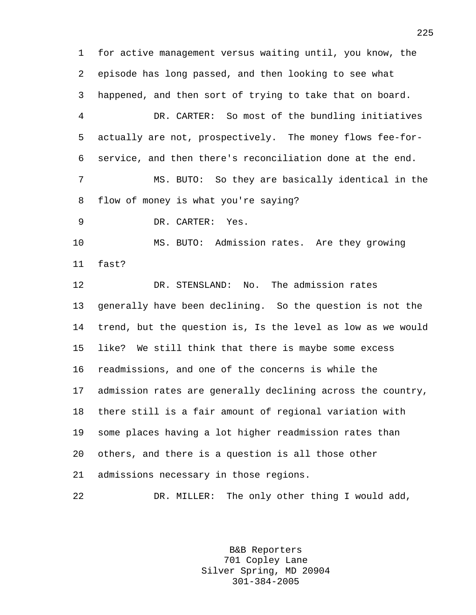1 for active management versus waiting until, you know, the 2 episode has long passed, and then looking to see what 3 happened, and then sort of trying to take that on board. 4 DR. CARTER: So most of the bundling initiatives 5 actually are not, prospectively. The money flows fee-for-6 service, and then there's reconciliation done at the end. 7 MS. BUTO: So they are basically identical in the 8 flow of money is what you're saying? 9 DR. CARTER: Yes. 10 MS. BUTO: Admission rates. Are they growing 11 fast? 12 DR. STENSLAND: No. The admission rates 13 generally have been declining. So the question is not the 14 trend, but the question is, Is the level as low as we would 15 like? We still think that there is maybe some excess 16 readmissions, and one of the concerns is while the 17 admission rates are generally declining across the country, 18 there still is a fair amount of regional variation with 19 some places having a lot higher readmission rates than 20 others, and there is a question is all those other 21 admissions necessary in those regions. 22 DR. MILLER: The only other thing I would add,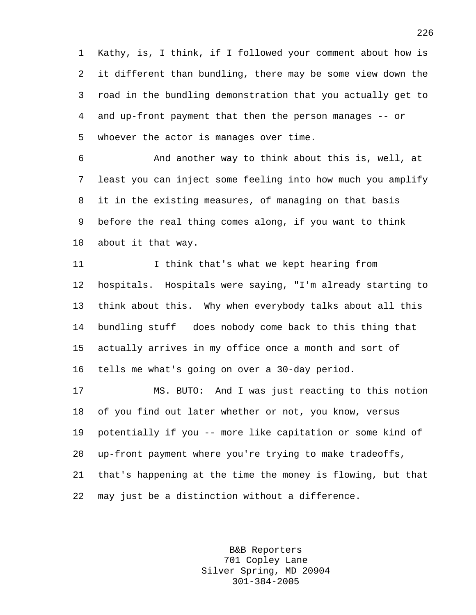1 Kathy, is, I think, if I followed your comment about how is 2 it different than bundling, there may be some view down the 3 road in the bundling demonstration that you actually get to 4 and up-front payment that then the person manages -- or 5 whoever the actor is manages over time.

6 And another way to think about this is, well, at 7 least you can inject some feeling into how much you amplify 8 it in the existing measures, of managing on that basis 9 before the real thing comes along, if you want to think 10 about it that way.

11 I think that's what we kept hearing from 12 hospitals. Hospitals were saying, "I'm already starting to 13 think about this. Why when everybody talks about all this 14 bundling stuff does nobody come back to this thing that 15 actually arrives in my office once a month and sort of 16 tells me what's going on over a 30-day period.

17 MS. BUTO: And I was just reacting to this notion 18 of you find out later whether or not, you know, versus 19 potentially if you -- more like capitation or some kind of 20 up-front payment where you're trying to make tradeoffs, 21 that's happening at the time the money is flowing, but that 22 may just be a distinction without a difference.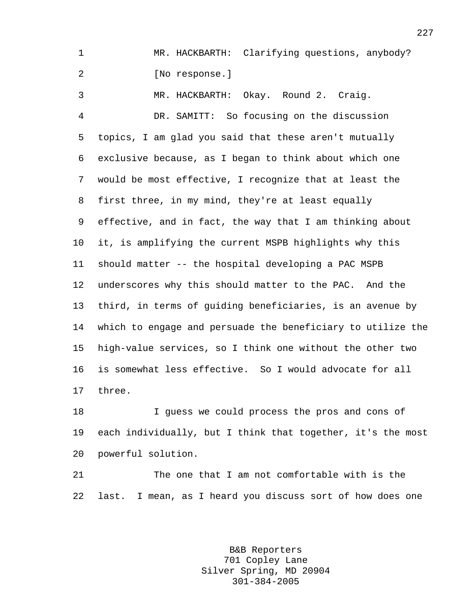1 MR. HACKBARTH: Clarifying questions, anybody? 2 [No response.]

3 MR. HACKBARTH: Okay. Round 2. Craig. 4 DR. SAMITT: So focusing on the discussion 5 topics, I am glad you said that these aren't mutually 6 exclusive because, as I began to think about which one 7 would be most effective, I recognize that at least the 8 first three, in my mind, they're at least equally 9 effective, and in fact, the way that I am thinking about 10 it, is amplifying the current MSPB highlights why this 11 should matter -- the hospital developing a PAC MSPB 12 underscores why this should matter to the PAC. And the 13 third, in terms of guiding beneficiaries, is an avenue by 14 which to engage and persuade the beneficiary to utilize the 15 high-value services, so I think one without the other two 16 is somewhat less effective. So I would advocate for all 17 three.

18 I guess we could process the pros and cons of 19 each individually, but I think that together, it's the most 20 powerful solution.

21 The one that I am not comfortable with is the 22 last. I mean, as I heard you discuss sort of how does one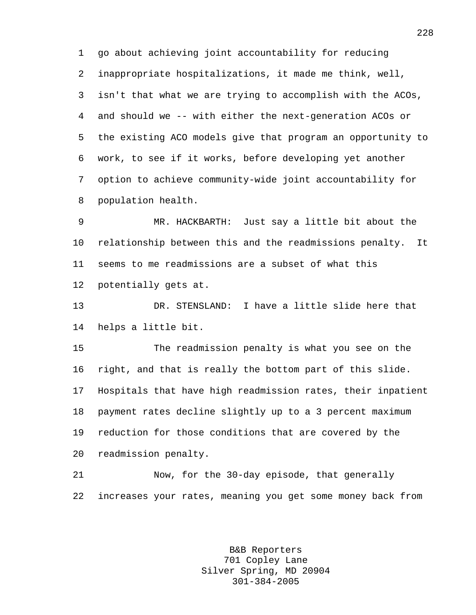1 go about achieving joint accountability for reducing 2 inappropriate hospitalizations, it made me think, well, 3 isn't that what we are trying to accomplish with the ACOs, 4 and should we -- with either the next-generation ACOs or 5 the existing ACO models give that program an opportunity to 6 work, to see if it works, before developing yet another 7 option to achieve community-wide joint accountability for 8 population health.

9 MR. HACKBARTH: Just say a little bit about the 10 relationship between this and the readmissions penalty. It 11 seems to me readmissions are a subset of what this 12 potentially gets at.

13 DR. STENSLAND: I have a little slide here that 14 helps a little bit.

15 The readmission penalty is what you see on the 16 right, and that is really the bottom part of this slide. 17 Hospitals that have high readmission rates, their inpatient 18 payment rates decline slightly up to a 3 percent maximum 19 reduction for those conditions that are covered by the 20 readmission penalty.

21 Now, for the 30-day episode, that generally 22 increases your rates, meaning you get some money back from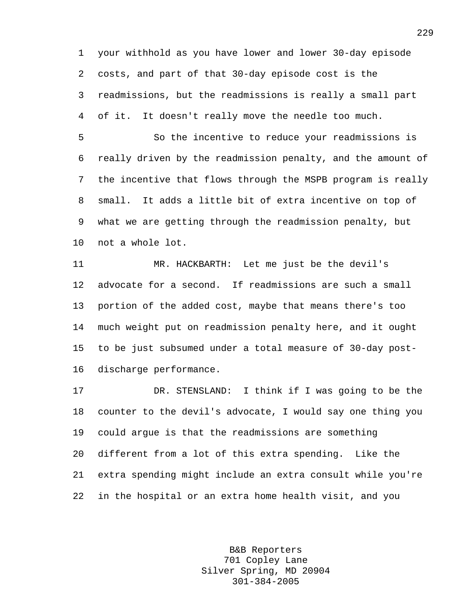1 your withhold as you have lower and lower 30-day episode 2 costs, and part of that 30-day episode cost is the 3 readmissions, but the readmissions is really a small part 4 of it. It doesn't really move the needle too much.

5 So the incentive to reduce your readmissions is 6 really driven by the readmission penalty, and the amount of 7 the incentive that flows through the MSPB program is really 8 small. It adds a little bit of extra incentive on top of 9 what we are getting through the readmission penalty, but 10 not a whole lot.

11 MR. HACKBARTH: Let me just be the devil's 12 advocate for a second. If readmissions are such a small 13 portion of the added cost, maybe that means there's too 14 much weight put on readmission penalty here, and it ought 15 to be just subsumed under a total measure of 30-day post-16 discharge performance.

17 DR. STENSLAND: I think if I was going to be the 18 counter to the devil's advocate, I would say one thing you 19 could argue is that the readmissions are something 20 different from a lot of this extra spending. Like the 21 extra spending might include an extra consult while you're 22 in the hospital or an extra home health visit, and you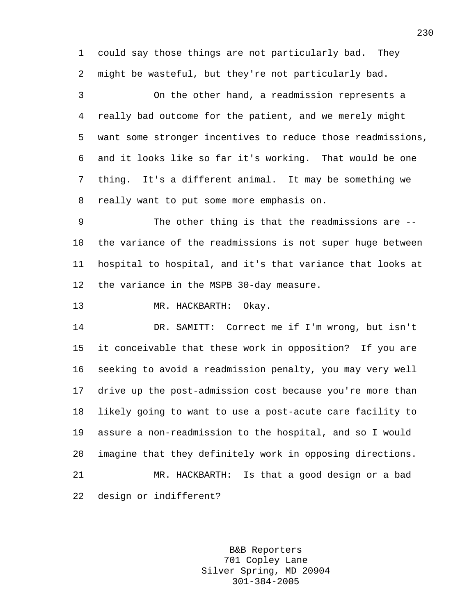1 could say those things are not particularly bad. They 2 might be wasteful, but they're not particularly bad.

3 On the other hand, a readmission represents a 4 really bad outcome for the patient, and we merely might 5 want some stronger incentives to reduce those readmissions, 6 and it looks like so far it's working. That would be one 7 thing. It's a different animal. It may be something we 8 really want to put some more emphasis on.

9 The other thing is that the readmissions are -- 10 the variance of the readmissions is not super huge between 11 hospital to hospital, and it's that variance that looks at 12 the variance in the MSPB 30-day measure.

13 MR. HACKBARTH: Okay.

14 DR. SAMITT: Correct me if I'm wrong, but isn't 15 it conceivable that these work in opposition? If you are 16 seeking to avoid a readmission penalty, you may very well 17 drive up the post-admission cost because you're more than 18 likely going to want to use a post-acute care facility to 19 assure a non-readmission to the hospital, and so I would 20 imagine that they definitely work in opposing directions. 21 MR. HACKBARTH: Is that a good design or a bad 22 design or indifferent?

> B&B Reporters 701 Copley Lane Silver Spring, MD 20904 301-384-2005

230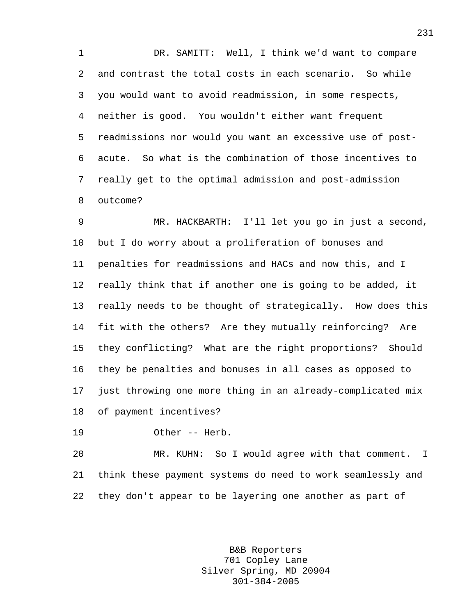1 DR. SAMITT: Well, I think we'd want to compare 2 and contrast the total costs in each scenario. So while 3 you would want to avoid readmission, in some respects, 4 neither is good. You wouldn't either want frequent 5 readmissions nor would you want an excessive use of post-6 acute. So what is the combination of those incentives to 7 really get to the optimal admission and post-admission 8 outcome?

9 MR. HACKBARTH: I'll let you go in just a second, 10 but I do worry about a proliferation of bonuses and 11 penalties for readmissions and HACs and now this, and I 12 really think that if another one is going to be added, it 13 really needs to be thought of strategically. How does this 14 fit with the others? Are they mutually reinforcing? Are 15 they conflicting? What are the right proportions? Should 16 they be penalties and bonuses in all cases as opposed to 17 just throwing one more thing in an already-complicated mix 18 of payment incentives?

19 Other -- Herb.

20 MR. KUHN: So I would agree with that comment. I 21 think these payment systems do need to work seamlessly and 22 they don't appear to be layering one another as part of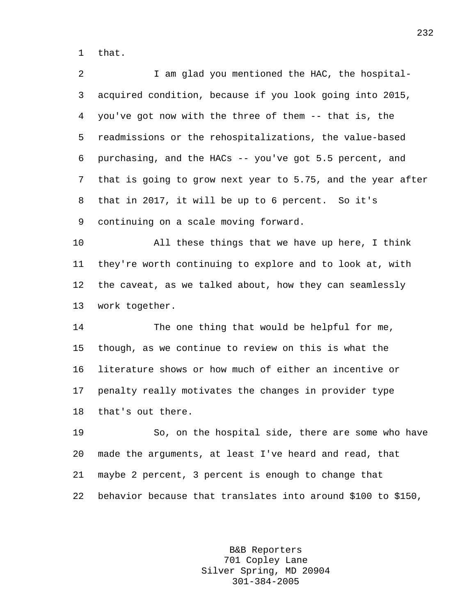1 that.

2 I am glad you mentioned the HAC, the hospital-3 acquired condition, because if you look going into 2015, 4 you've got now with the three of them -- that is, the 5 readmissions or the rehospitalizations, the value-based 6 purchasing, and the HACs -- you've got 5.5 percent, and 7 that is going to grow next year to 5.75, and the year after 8 that in 2017, it will be up to 6 percent. So it's 9 continuing on a scale moving forward.

10 All these things that we have up here, I think 11 they're worth continuing to explore and to look at, with 12 the caveat, as we talked about, how they can seamlessly 13 work together.

14 The one thing that would be helpful for me, 15 though, as we continue to review on this is what the 16 literature shows or how much of either an incentive or 17 penalty really motivates the changes in provider type 18 that's out there.

19 So, on the hospital side, there are some who have 20 made the arguments, at least I've heard and read, that 21 maybe 2 percent, 3 percent is enough to change that 22 behavior because that translates into around \$100 to \$150,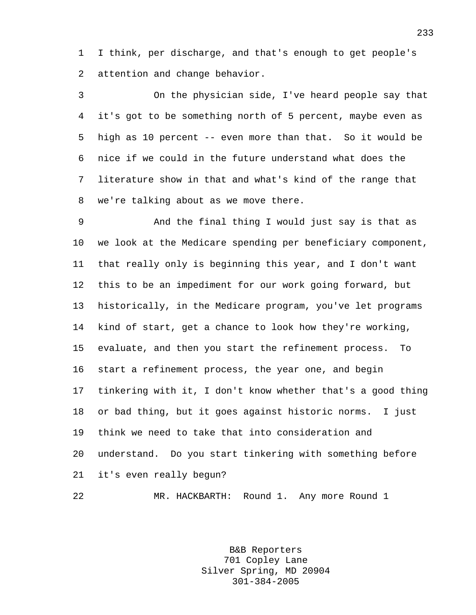1 I think, per discharge, and that's enough to get people's 2 attention and change behavior.

3 On the physician side, I've heard people say that 4 it's got to be something north of 5 percent, maybe even as 5 high as 10 percent -- even more than that. So it would be 6 nice if we could in the future understand what does the 7 literature show in that and what's kind of the range that 8 we're talking about as we move there.

9 And the final thing I would just say is that as 10 we look at the Medicare spending per beneficiary component, 11 that really only is beginning this year, and I don't want 12 this to be an impediment for our work going forward, but 13 historically, in the Medicare program, you've let programs 14 kind of start, get a chance to look how they're working, 15 evaluate, and then you start the refinement process. To 16 start a refinement process, the year one, and begin 17 tinkering with it, I don't know whether that's a good thing 18 or bad thing, but it goes against historic norms. I just 19 think we need to take that into consideration and 20 understand. Do you start tinkering with something before 21 it's even really begun?

22 MR. HACKBARTH: Round 1. Any more Round 1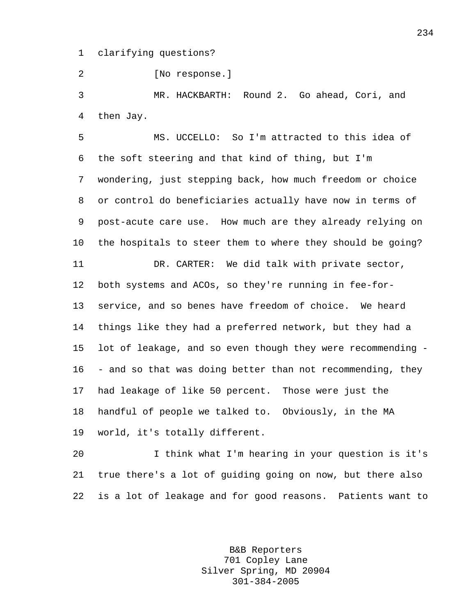1 clarifying questions?

2 [No response.]

3 MR. HACKBARTH: Round 2. Go ahead, Cori, and 4 then Jay.

5 MS. UCCELLO: So I'm attracted to this idea of 6 the soft steering and that kind of thing, but I'm 7 wondering, just stepping back, how much freedom or choice 8 or control do beneficiaries actually have now in terms of 9 post-acute care use. How much are they already relying on 10 the hospitals to steer them to where they should be going? 11 DR. CARTER: We did talk with private sector, 12 both systems and ACOs, so they're running in fee-for-13 service, and so benes have freedom of choice. We heard 14 things like they had a preferred network, but they had a 15 lot of leakage, and so even though they were recommending - 16 - and so that was doing better than not recommending, they 17 had leakage of like 50 percent. Those were just the 18 handful of people we talked to. Obviously, in the MA 19 world, it's totally different.

20 I think what I'm hearing in your question is it's 21 true there's a lot of guiding going on now, but there also 22 is a lot of leakage and for good reasons. Patients want to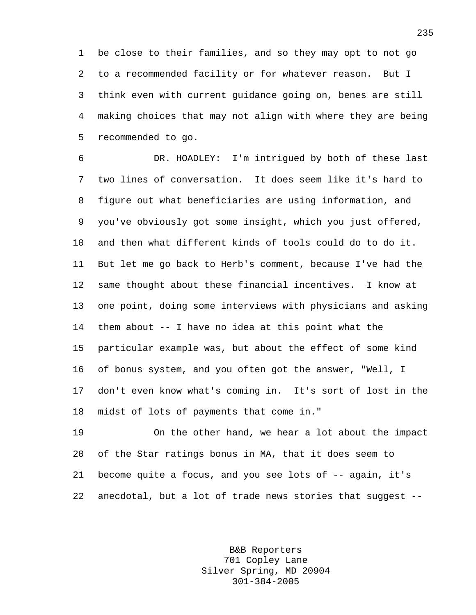1 be close to their families, and so they may opt to not go 2 to a recommended facility or for whatever reason. But I 3 think even with current guidance going on, benes are still 4 making choices that may not align with where they are being 5 recommended to go.

6 DR. HOADLEY: I'm intrigued by both of these last 7 two lines of conversation. It does seem like it's hard to 8 figure out what beneficiaries are using information, and 9 you've obviously got some insight, which you just offered, 10 and then what different kinds of tools could do to do it. 11 But let me go back to Herb's comment, because I've had the 12 same thought about these financial incentives. I know at 13 one point, doing some interviews with physicians and asking 14 them about -- I have no idea at this point what the 15 particular example was, but about the effect of some kind 16 of bonus system, and you often got the answer, "Well, I 17 don't even know what's coming in. It's sort of lost in the 18 midst of lots of payments that come in."

19 On the other hand, we hear a lot about the impact 20 of the Star ratings bonus in MA, that it does seem to 21 become quite a focus, and you see lots of -- again, it's 22 anecdotal, but a lot of trade news stories that suggest --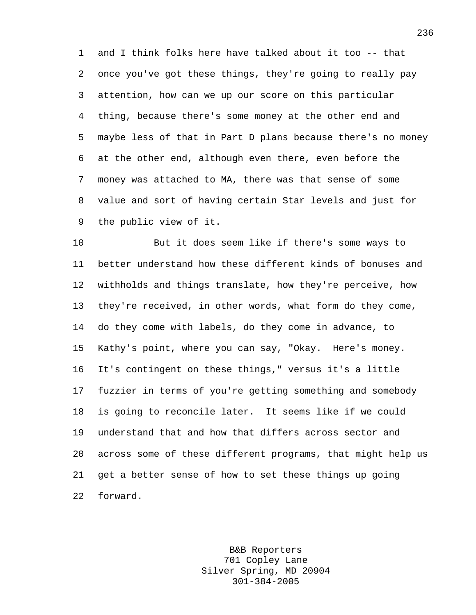1 and I think folks here have talked about it too -- that 2 once you've got these things, they're going to really pay 3 attention, how can we up our score on this particular 4 thing, because there's some money at the other end and 5 maybe less of that in Part D plans because there's no money 6 at the other end, although even there, even before the 7 money was attached to MA, there was that sense of some 8 value and sort of having certain Star levels and just for 9 the public view of it.

10 But it does seem like if there's some ways to 11 better understand how these different kinds of bonuses and 12 withholds and things translate, how they're perceive, how 13 they're received, in other words, what form do they come, 14 do they come with labels, do they come in advance, to 15 Kathy's point, where you can say, "Okay. Here's money. 16 It's contingent on these things," versus it's a little 17 fuzzier in terms of you're getting something and somebody 18 is going to reconcile later. It seems like if we could 19 understand that and how that differs across sector and 20 across some of these different programs, that might help us 21 get a better sense of how to set these things up going 22 forward.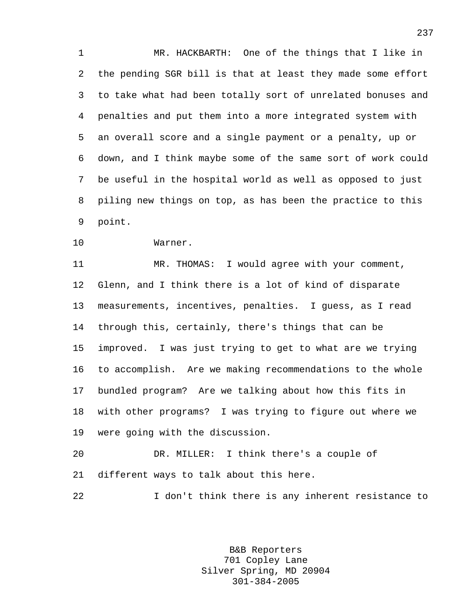1 MR. HACKBARTH: One of the things that I like in 2 the pending SGR bill is that at least they made some effort 3 to take what had been totally sort of unrelated bonuses and 4 penalties and put them into a more integrated system with 5 an overall score and a single payment or a penalty, up or 6 down, and I think maybe some of the same sort of work could 7 be useful in the hospital world as well as opposed to just 8 piling new things on top, as has been the practice to this 9 point.

10 Warner.

11 MR. THOMAS: I would agree with your comment, 12 Glenn, and I think there is a lot of kind of disparate 13 measurements, incentives, penalties. I guess, as I read 14 through this, certainly, there's things that can be 15 improved. I was just trying to get to what are we trying 16 to accomplish. Are we making recommendations to the whole 17 bundled program? Are we talking about how this fits in 18 with other programs? I was trying to figure out where we 19 were going with the discussion.

20 DR. MILLER: I think there's a couple of 21 different ways to talk about this here.

22 I don't think there is any inherent resistance to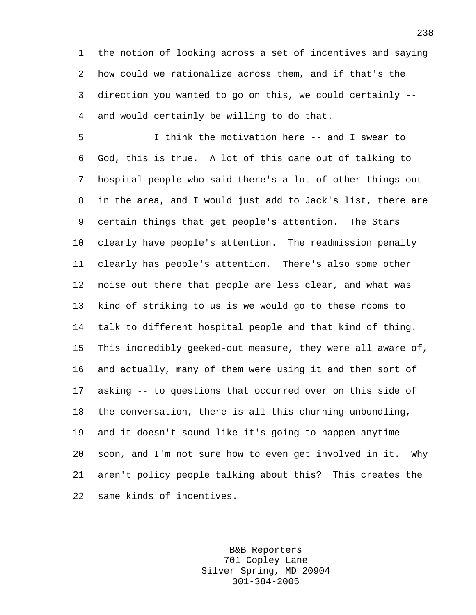1 the notion of looking across a set of incentives and saying 2 how could we rationalize across them, and if that's the 3 direction you wanted to go on this, we could certainly -- 4 and would certainly be willing to do that.

5 I think the motivation here -- and I swear to 6 God, this is true. A lot of this came out of talking to 7 hospital people who said there's a lot of other things out 8 in the area, and I would just add to Jack's list, there are 9 certain things that get people's attention. The Stars 10 clearly have people's attention. The readmission penalty 11 clearly has people's attention. There's also some other 12 noise out there that people are less clear, and what was 13 kind of striking to us is we would go to these rooms to 14 talk to different hospital people and that kind of thing. 15 This incredibly geeked-out measure, they were all aware of, 16 and actually, many of them were using it and then sort of 17 asking -- to questions that occurred over on this side of 18 the conversation, there is all this churning unbundling, 19 and it doesn't sound like it's going to happen anytime 20 soon, and I'm not sure how to even get involved in it. Why 21 aren't policy people talking about this? This creates the 22 same kinds of incentives.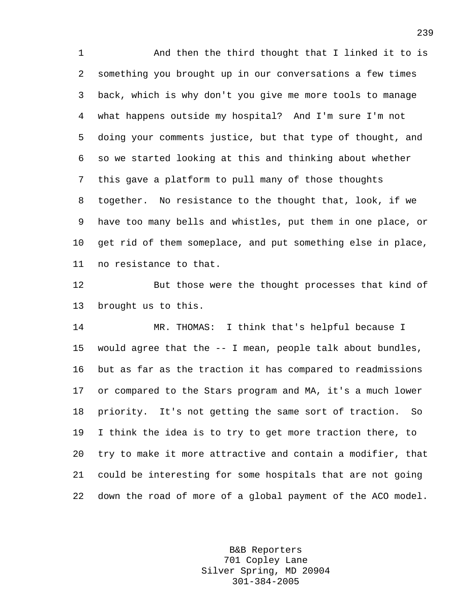1 And then the third thought that I linked it to is 2 something you brought up in our conversations a few times 3 back, which is why don't you give me more tools to manage 4 what happens outside my hospital? And I'm sure I'm not 5 doing your comments justice, but that type of thought, and 6 so we started looking at this and thinking about whether 7 this gave a platform to pull many of those thoughts 8 together. No resistance to the thought that, look, if we 9 have too many bells and whistles, put them in one place, or 10 get rid of them someplace, and put something else in place, 11 no resistance to that.

12 But those were the thought processes that kind of 13 brought us to this.

14 MR. THOMAS: I think that's helpful because I 15 would agree that the -- I mean, people talk about bundles, 16 but as far as the traction it has compared to readmissions 17 or compared to the Stars program and MA, it's a much lower 18 priority. It's not getting the same sort of traction. So 19 I think the idea is to try to get more traction there, to 20 try to make it more attractive and contain a modifier, that 21 could be interesting for some hospitals that are not going 22 down the road of more of a global payment of the ACO model.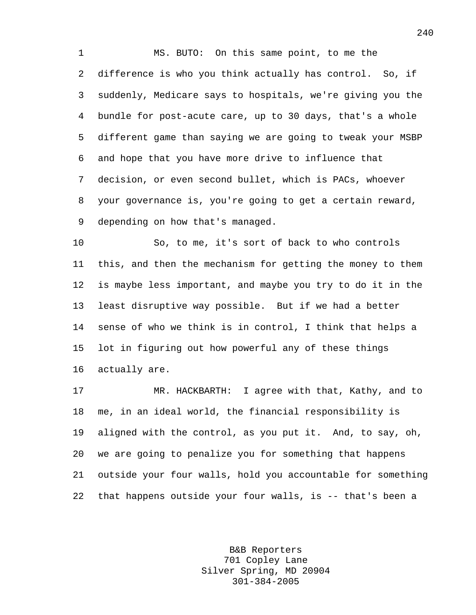1 MS. BUTO: On this same point, to me the 2 difference is who you think actually has control. So, if 3 suddenly, Medicare says to hospitals, we're giving you the 4 bundle for post-acute care, up to 30 days, that's a whole 5 different game than saying we are going to tweak your MSBP 6 and hope that you have more drive to influence that 7 decision, or even second bullet, which is PACs, whoever 8 your governance is, you're going to get a certain reward, 9 depending on how that's managed.

10 So, to me, it's sort of back to who controls 11 this, and then the mechanism for getting the money to them 12 is maybe less important, and maybe you try to do it in the 13 least disruptive way possible. But if we had a better 14 sense of who we think is in control, I think that helps a 15 lot in figuring out how powerful any of these things 16 actually are.

17 MR. HACKBARTH: I agree with that, Kathy, and to 18 me, in an ideal world, the financial responsibility is 19 aligned with the control, as you put it. And, to say, oh, 20 we are going to penalize you for something that happens 21 outside your four walls, hold you accountable for something 22 that happens outside your four walls, is -- that's been a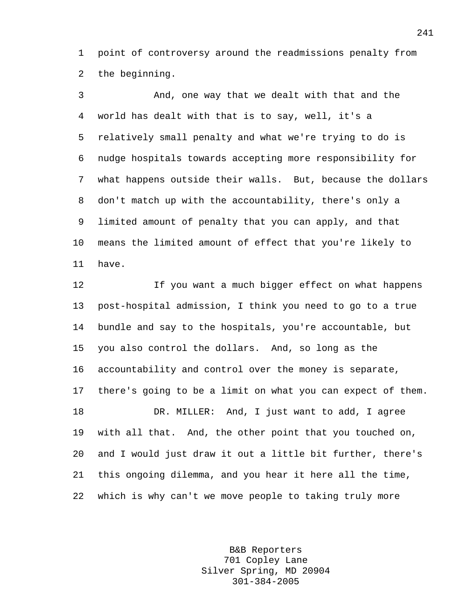1 point of controversy around the readmissions penalty from 2 the beginning.

3 And, one way that we dealt with that and the 4 world has dealt with that is to say, well, it's a 5 relatively small penalty and what we're trying to do is 6 nudge hospitals towards accepting more responsibility for 7 what happens outside their walls. But, because the dollars 8 don't match up with the accountability, there's only a 9 limited amount of penalty that you can apply, and that 10 means the limited amount of effect that you're likely to 11 have.

12 12 If you want a much bigger effect on what happens 13 post-hospital admission, I think you need to go to a true 14 bundle and say to the hospitals, you're accountable, but 15 you also control the dollars. And, so long as the 16 accountability and control over the money is separate, 17 there's going to be a limit on what you can expect of them. 18 DR. MILLER: And, I just want to add, I agree 19 with all that. And, the other point that you touched on, 20 and I would just draw it out a little bit further, there's 21 this ongoing dilemma, and you hear it here all the time, 22 which is why can't we move people to taking truly more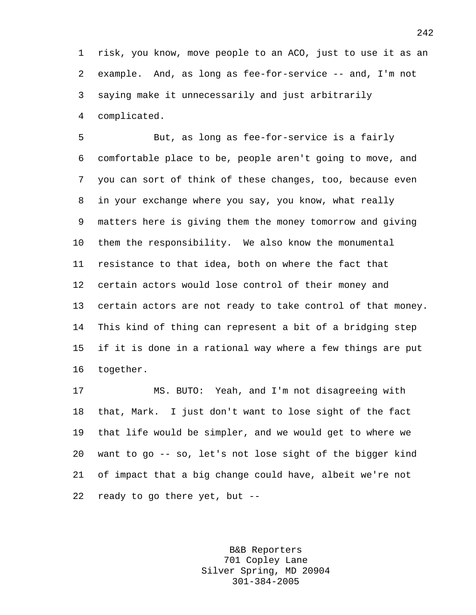1 risk, you know, move people to an ACO, just to use it as an 2 example. And, as long as fee-for-service -- and, I'm not 3 saying make it unnecessarily and just arbitrarily 4 complicated.

5 But, as long as fee-for-service is a fairly 6 comfortable place to be, people aren't going to move, and 7 you can sort of think of these changes, too, because even 8 in your exchange where you say, you know, what really 9 matters here is giving them the money tomorrow and giving 10 them the responsibility. We also know the monumental 11 resistance to that idea, both on where the fact that 12 certain actors would lose control of their money and 13 certain actors are not ready to take control of that money. 14 This kind of thing can represent a bit of a bridging step 15 if it is done in a rational way where a few things are put 16 together.

17 MS. BUTO: Yeah, and I'm not disagreeing with 18 that, Mark. I just don't want to lose sight of the fact 19 that life would be simpler, and we would get to where we 20 want to go -- so, let's not lose sight of the bigger kind 21 of impact that a big change could have, albeit we're not 22 ready to go there yet, but --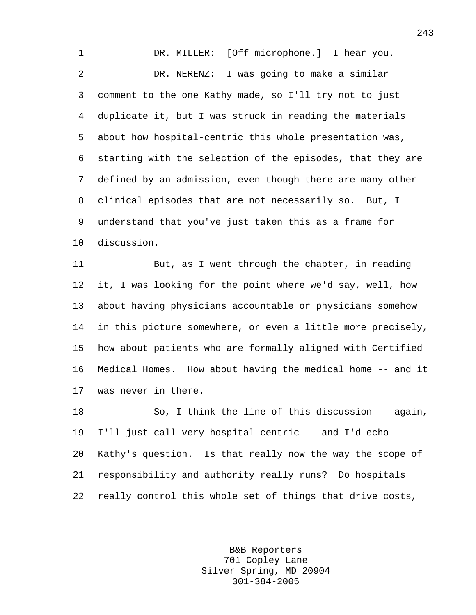1 DR. MILLER: [Off microphone.] I hear you. 2 DR. NERENZ: I was going to make a similar 3 comment to the one Kathy made, so I'll try not to just 4 duplicate it, but I was struck in reading the materials 5 about how hospital-centric this whole presentation was, 6 starting with the selection of the episodes, that they are 7 defined by an admission, even though there are many other 8 clinical episodes that are not necessarily so. But, I 9 understand that you've just taken this as a frame for 10 discussion.

11 But, as I went through the chapter, in reading 12 it, I was looking for the point where we'd say, well, how 13 about having physicians accountable or physicians somehow 14 in this picture somewhere, or even a little more precisely, 15 how about patients who are formally aligned with Certified 16 Medical Homes. How about having the medical home -- and it 17 was never in there.

18 So, I think the line of this discussion -- again, 19 I'll just call very hospital-centric -- and I'd echo 20 Kathy's question. Is that really now the way the scope of 21 responsibility and authority really runs? Do hospitals 22 really control this whole set of things that drive costs,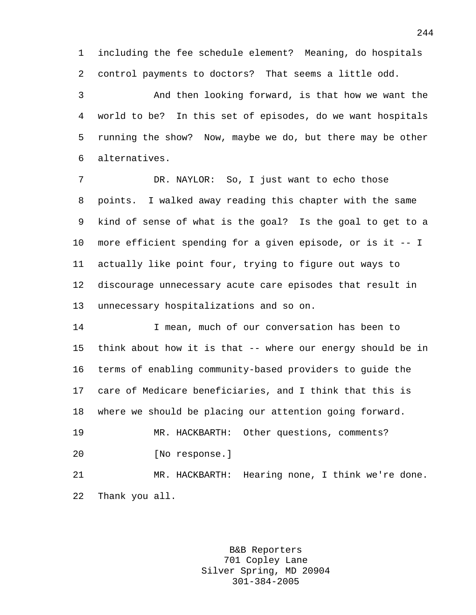1 including the fee schedule element? Meaning, do hospitals 2 control payments to doctors? That seems a little odd.

3 And then looking forward, is that how we want the 4 world to be? In this set of episodes, do we want hospitals 5 running the show? Now, maybe we do, but there may be other 6 alternatives.

7 DR. NAYLOR: So, I just want to echo those 8 points. I walked away reading this chapter with the same 9 kind of sense of what is the goal? Is the goal to get to a 10 more efficient spending for a given episode, or is it -- I 11 actually like point four, trying to figure out ways to 12 discourage unnecessary acute care episodes that result in 13 unnecessary hospitalizations and so on.

14 I mean, much of our conversation has been to 15 think about how it is that -- where our energy should be in 16 terms of enabling community-based providers to guide the 17 care of Medicare beneficiaries, and I think that this is 18 where we should be placing our attention going forward.

19 MR. HACKBARTH: Other questions, comments? 20 [No response.]

21 MR. HACKBARTH: Hearing none, I think we're done. 22 Thank you all.

> B&B Reporters 701 Copley Lane Silver Spring, MD 20904 301-384-2005

244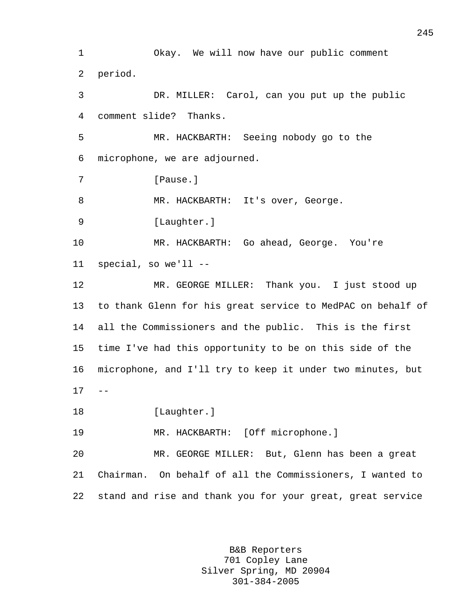1 Okay. We will now have our public comment 2 period. 3 DR. MILLER: Carol, can you put up the public 4 comment slide? Thanks. 5 MR. HACKBARTH: Seeing nobody go to the 6 microphone, we are adjourned. 7 [Pause.] 8 MR. HACKBARTH: It's over, George. 9 [Laughter.] 10 MR. HACKBARTH: Go ahead, George. You're 11 special, so we'll -- 12 MR. GEORGE MILLER: Thank you. I just stood up 13 to thank Glenn for his great service to MedPAC on behalf of 14 all the Commissioners and the public. This is the first 15 time I've had this opportunity to be on this side of the 16 microphone, and I'll try to keep it under two minutes, but  $17 - -$ 18 [Laughter.] 19 MR. HACKBARTH: [Off microphone.] 20 MR. GEORGE MILLER: But, Glenn has been a great 21 Chairman. On behalf of all the Commissioners, I wanted to 22 stand and rise and thank you for your great, great service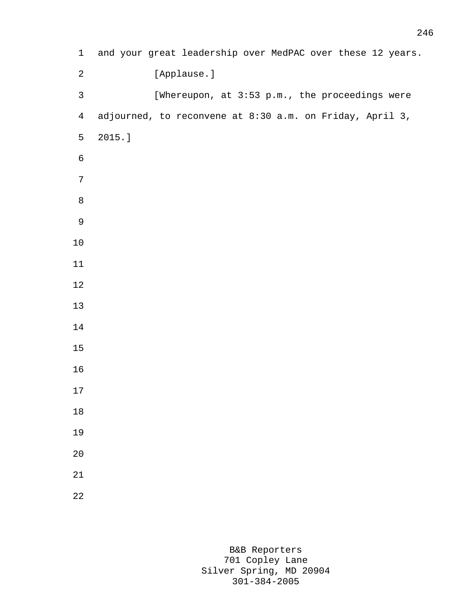1 and your great leadership over MedPAC over these 12 years. 2 [Applause.] 3 [Whereupon, at 3:53 p.m., the proceedings were 4 adjourned, to reconvene at 8:30 a.m. on Friday, April 3, 5 2015.]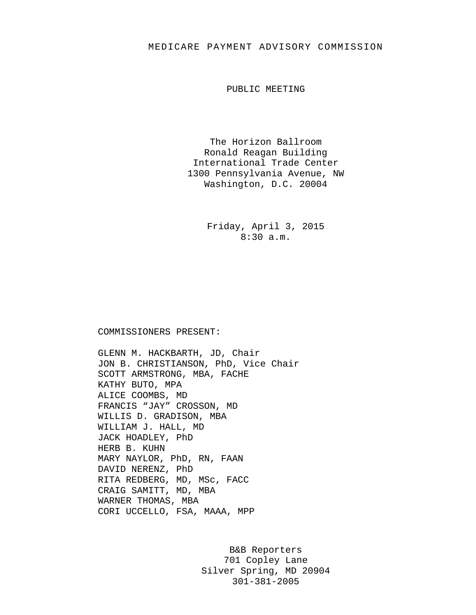## MEDICARE PAYMENT ADVISORY COMMISSION

PUBLIC MEETING

The Horizon Ballroom Ronald Reagan Building International Trade Center 1300 Pennsylvania Avenue, NW Washington, D.C. 20004

> Friday, April 3, 2015 8:30 a.m.

## COMMISSIONERS PRESENT:

GLENN M. HACKBARTH, JD, Chair JON B. CHRISTIANSON, PhD, Vice Chair SCOTT ARMSTRONG, MBA, FACHE KATHY BUTO, MPA ALICE COOMBS, MD FRANCIS "JAY" CROSSON, MD WILLIS D. GRADISON, MBA WILLIAM J. HALL, MD JACK HOADLEY, PhD HERB B. KUHN MARY NAYLOR, PhD, RN, FAAN DAVID NERENZ, PhD RITA REDBERG, MD, MSc, FACC CRAIG SAMITT, MD, MBA WARNER THOMAS, MBA CORI UCCELLO, FSA, MAAA, MPP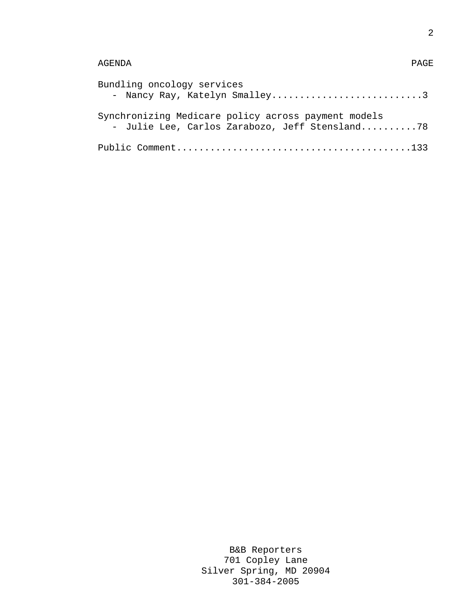## AGENDA PAGE

| Bundling oncology services<br>- Nancy Ray, Katelyn Smalley3                                           |
|-------------------------------------------------------------------------------------------------------|
| Synchronizing Medicare policy across payment models<br>- Julie Lee, Carlos Zarabozo, Jeff Stensland78 |
|                                                                                                       |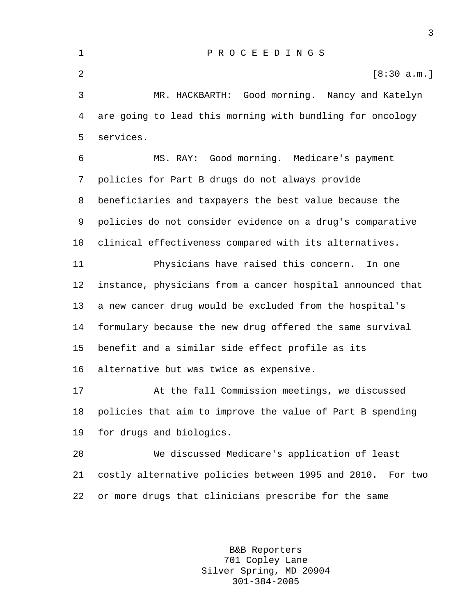2  $[8:30 \text{ a.m.}]$ 

3 MR. HACKBARTH: Good morning. Nancy and Katelyn 4 are going to lead this morning with bundling for oncology 5 services.

6 MS. RAY: Good morning. Medicare's payment 7 policies for Part B drugs do not always provide 8 beneficiaries and taxpayers the best value because the 9 policies do not consider evidence on a drug's comparative 10 clinical effectiveness compared with its alternatives. 11 Physicians have raised this concern. In one 12 instance, physicians from a cancer hospital announced that 13 a new cancer drug would be excluded from the hospital's 14 formulary because the new drug offered the same survival 15 benefit and a similar side effect profile as its 16 alternative but was twice as expensive. 17 At the fall Commission meetings, we discussed 18 policies that aim to improve the value of Part B spending 19 for drugs and biologics.

20 We discussed Medicare's application of least 21 costly alternative policies between 1995 and 2010. For two 22 or more drugs that clinicians prescribe for the same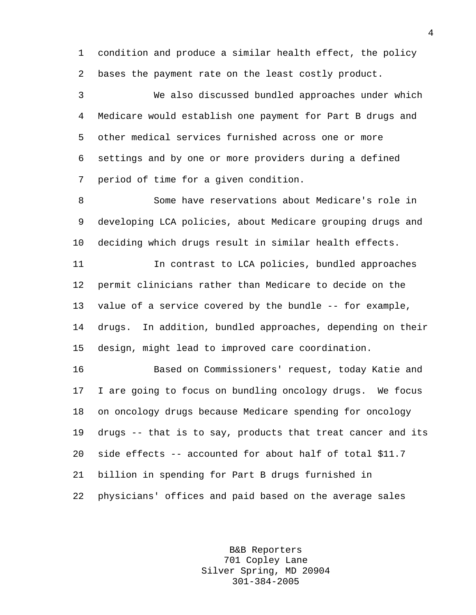1 condition and produce a similar health effect, the policy 2 bases the payment rate on the least costly product.

3 We also discussed bundled approaches under which 4 Medicare would establish one payment for Part B drugs and 5 other medical services furnished across one or more 6 settings and by one or more providers during a defined 7 period of time for a given condition.

8 Some have reservations about Medicare's role in 9 developing LCA policies, about Medicare grouping drugs and 10 deciding which drugs result in similar health effects.

11 In contrast to LCA policies, bundled approaches 12 permit clinicians rather than Medicare to decide on the 13 value of a service covered by the bundle -- for example, 14 drugs. In addition, bundled approaches, depending on their 15 design, might lead to improved care coordination.

16 Based on Commissioners' request, today Katie and 17 I are going to focus on bundling oncology drugs. We focus 18 on oncology drugs because Medicare spending for oncology 19 drugs -- that is to say, products that treat cancer and its 20 side effects -- accounted for about half of total \$11.7 21 billion in spending for Part B drugs furnished in 22 physicians' offices and paid based on the average sales

> B&B Reporters 701 Copley Lane Silver Spring, MD 20904 301-384-2005

4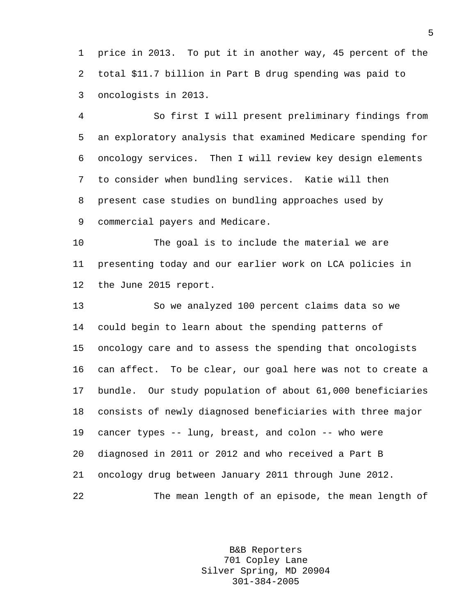1 price in 2013. To put it in another way, 45 percent of the 2 total \$11.7 billion in Part B drug spending was paid to 3 oncologists in 2013.

4 So first I will present preliminary findings from 5 an exploratory analysis that examined Medicare spending for 6 oncology services. Then I will review key design elements 7 to consider when bundling services. Katie will then 8 present case studies on bundling approaches used by 9 commercial payers and Medicare.

10 The goal is to include the material we are 11 presenting today and our earlier work on LCA policies in 12 the June 2015 report.

13 So we analyzed 100 percent claims data so we 14 could begin to learn about the spending patterns of 15 oncology care and to assess the spending that oncologists 16 can affect. To be clear, our goal here was not to create a 17 bundle. Our study population of about 61,000 beneficiaries 18 consists of newly diagnosed beneficiaries with three major 19 cancer types -- lung, breast, and colon -- who were 20 diagnosed in 2011 or 2012 and who received a Part B 21 oncology drug between January 2011 through June 2012. 22 The mean length of an episode, the mean length of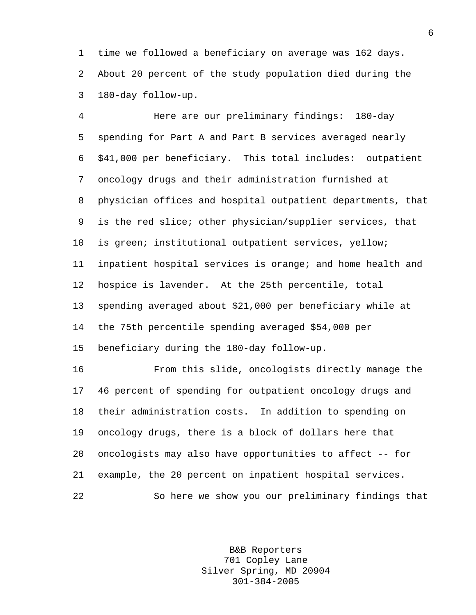1 time we followed a beneficiary on average was 162 days. 2 About 20 percent of the study population died during the 3 180-day follow-up.

4 Here are our preliminary findings: 180-day 5 spending for Part A and Part B services averaged nearly 6 \$41,000 per beneficiary. This total includes: outpatient 7 oncology drugs and their administration furnished at 8 physician offices and hospital outpatient departments, that 9 is the red slice; other physician/supplier services, that 10 is green; institutional outpatient services, yellow; 11 inpatient hospital services is orange; and home health and 12 hospice is lavender. At the 25th percentile, total 13 spending averaged about \$21,000 per beneficiary while at 14 the 75th percentile spending averaged \$54,000 per 15 beneficiary during the 180-day follow-up.

16 From this slide, oncologists directly manage the 17 46 percent of spending for outpatient oncology drugs and 18 their administration costs. In addition to spending on 19 oncology drugs, there is a block of dollars here that 20 oncologists may also have opportunities to affect -- for 21 example, the 20 percent on inpatient hospital services. 22 So here we show you our preliminary findings that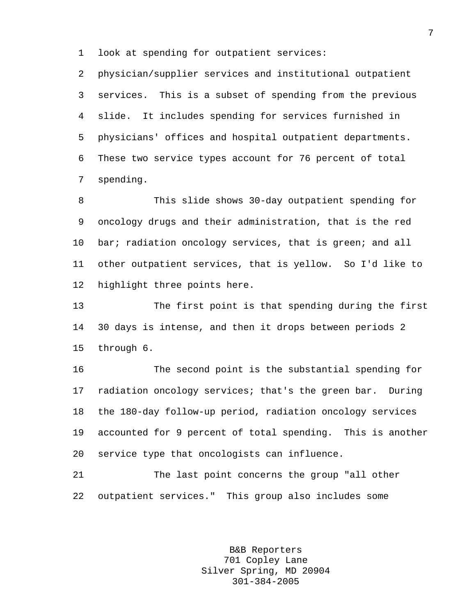1 look at spending for outpatient services:

2 physician/supplier services and institutional outpatient 3 services. This is a subset of spending from the previous 4 slide. It includes spending for services furnished in 5 physicians' offices and hospital outpatient departments. 6 These two service types account for 76 percent of total 7 spending.

8 This slide shows 30-day outpatient spending for 9 oncology drugs and their administration, that is the red 10 bar; radiation oncology services, that is green; and all 11 other outpatient services, that is yellow. So I'd like to 12 highlight three points here.

13 The first point is that spending during the first 14 30 days is intense, and then it drops between periods 2 15 through 6.

16 The second point is the substantial spending for 17 radiation oncology services; that's the green bar. During 18 the 180-day follow-up period, radiation oncology services 19 accounted for 9 percent of total spending. This is another 20 service type that oncologists can influence.

21 The last point concerns the group "all other 22 outpatient services." This group also includes some

> B&B Reporters 701 Copley Lane Silver Spring, MD 20904 301-384-2005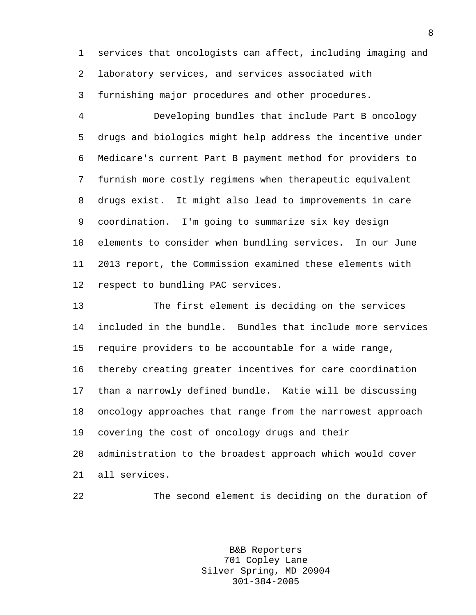1 services that oncologists can affect, including imaging and 2 laboratory services, and services associated with 3 furnishing major procedures and other procedures.

4 Developing bundles that include Part B oncology 5 drugs and biologics might help address the incentive under 6 Medicare's current Part B payment method for providers to 7 furnish more costly regimens when therapeutic equivalent 8 drugs exist. It might also lead to improvements in care 9 coordination. I'm going to summarize six key design 10 elements to consider when bundling services. In our June 11 2013 report, the Commission examined these elements with 12 respect to bundling PAC services.

13 The first element is deciding on the services 14 included in the bundle. Bundles that include more services 15 require providers to be accountable for a wide range, 16 thereby creating greater incentives for care coordination 17 than a narrowly defined bundle. Katie will be discussing 18 oncology approaches that range from the narrowest approach 19 covering the cost of oncology drugs and their 20 administration to the broadest approach which would cover 21 all services.

22 The second element is deciding on the duration of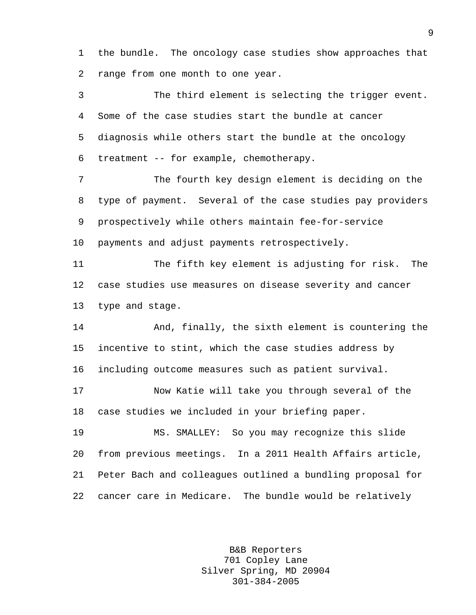1 the bundle. The oncology case studies show approaches that 2 range from one month to one year.

3 The third element is selecting the trigger event. 4 Some of the case studies start the bundle at cancer 5 diagnosis while others start the bundle at the oncology 6 treatment -- for example, chemotherapy. 7 The fourth key design element is deciding on the 8 type of payment. Several of the case studies pay providers 9 prospectively while others maintain fee-for-service 10 payments and adjust payments retrospectively. 11 The fifth key element is adjusting for risk. The 12 case studies use measures on disease severity and cancer 13 type and stage. 14 And, finally, the sixth element is countering the 15 incentive to stint, which the case studies address by 16 including outcome measures such as patient survival. 17 Now Katie will take you through several of the 18 case studies we included in your briefing paper. 19 MS. SMALLEY: So you may recognize this slide 20 from previous meetings. In a 2011 Health Affairs article, 21 Peter Bach and colleagues outlined a bundling proposal for 22 cancer care in Medicare. The bundle would be relatively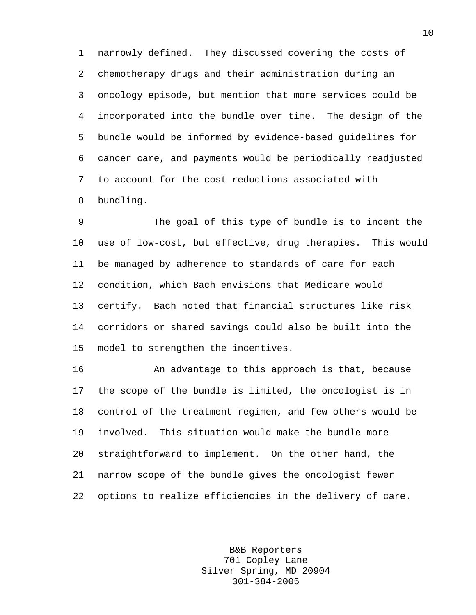1 narrowly defined. They discussed covering the costs of 2 chemotherapy drugs and their administration during an 3 oncology episode, but mention that more services could be 4 incorporated into the bundle over time. The design of the 5 bundle would be informed by evidence-based guidelines for 6 cancer care, and payments would be periodically readjusted 7 to account for the cost reductions associated with 8 bundling.

9 The goal of this type of bundle is to incent the 10 use of low-cost, but effective, drug therapies. This would 11 be managed by adherence to standards of care for each 12 condition, which Bach envisions that Medicare would 13 certify. Bach noted that financial structures like risk 14 corridors or shared savings could also be built into the 15 model to strengthen the incentives.

16 An advantage to this approach is that, because 17 the scope of the bundle is limited, the oncologist is in 18 control of the treatment regimen, and few others would be 19 involved. This situation would make the bundle more 20 straightforward to implement. On the other hand, the 21 narrow scope of the bundle gives the oncologist fewer 22 options to realize efficiencies in the delivery of care.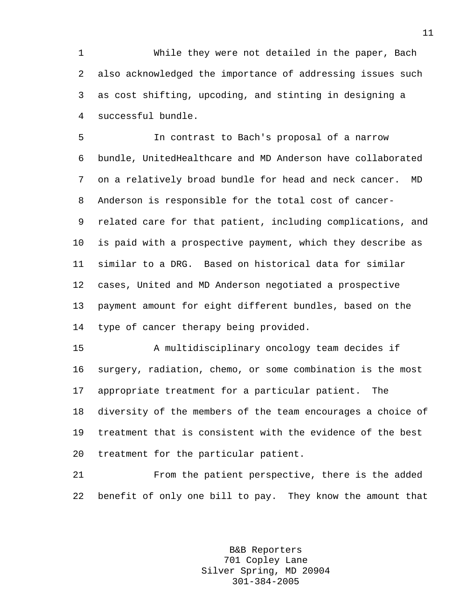1 While they were not detailed in the paper, Bach 2 also acknowledged the importance of addressing issues such 3 as cost shifting, upcoding, and stinting in designing a 4 successful bundle.

5 In contrast to Bach's proposal of a narrow 6 bundle, UnitedHealthcare and MD Anderson have collaborated 7 on a relatively broad bundle for head and neck cancer. MD 8 Anderson is responsible for the total cost of cancer-9 related care for that patient, including complications, and 10 is paid with a prospective payment, which they describe as 11 similar to a DRG. Based on historical data for similar 12 cases, United and MD Anderson negotiated a prospective 13 payment amount for eight different bundles, based on the 14 type of cancer therapy being provided.

15 A multidisciplinary oncology team decides if 16 surgery, radiation, chemo, or some combination is the most 17 appropriate treatment for a particular patient. The 18 diversity of the members of the team encourages a choice of 19 treatment that is consistent with the evidence of the best 20 treatment for the particular patient.

21 From the patient perspective, there is the added 22 benefit of only one bill to pay. They know the amount that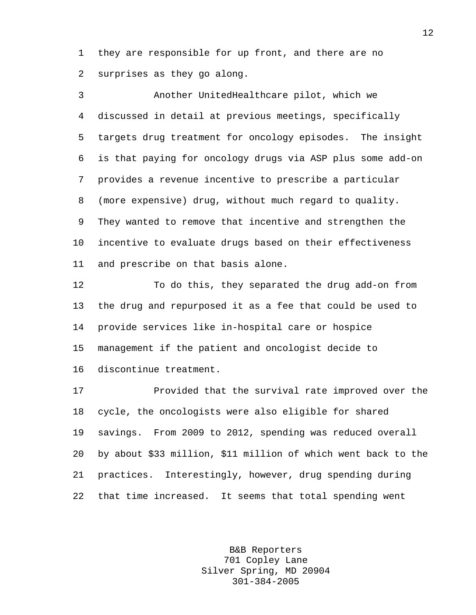1 they are responsible for up front, and there are no 2 surprises as they go along.

3 Another UnitedHealthcare pilot, which we 4 discussed in detail at previous meetings, specifically 5 targets drug treatment for oncology episodes. The insight 6 is that paying for oncology drugs via ASP plus some add-on 7 provides a revenue incentive to prescribe a particular 8 (more expensive) drug, without much regard to quality. 9 They wanted to remove that incentive and strengthen the 10 incentive to evaluate drugs based on their effectiveness 11 and prescribe on that basis alone.

12 To do this, they separated the drug add-on from 13 the drug and repurposed it as a fee that could be used to 14 provide services like in-hospital care or hospice 15 management if the patient and oncologist decide to 16 discontinue treatment.

17 Provided that the survival rate improved over the 18 cycle, the oncologists were also eligible for shared 19 savings. From 2009 to 2012, spending was reduced overall 20 by about \$33 million, \$11 million of which went back to the 21 practices. Interestingly, however, drug spending during 22 that time increased. It seems that total spending went

> B&B Reporters 701 Copley Lane Silver Spring, MD 20904 301-384-2005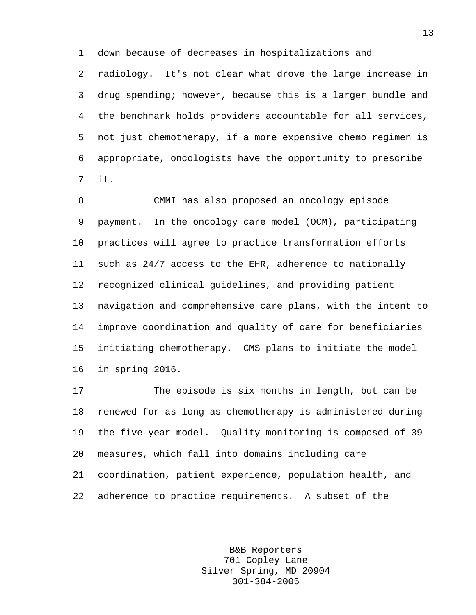1 down because of decreases in hospitalizations and

2 radiology. It's not clear what drove the large increase in 3 drug spending; however, because this is a larger bundle and 4 the benchmark holds providers accountable for all services, 5 not just chemotherapy, if a more expensive chemo regimen is 6 appropriate, oncologists have the opportunity to prescribe 7 it.

8 CMMI has also proposed an oncology episode 9 payment. In the oncology care model (OCM), participating 10 practices will agree to practice transformation efforts 11 such as 24/7 access to the EHR, adherence to nationally 12 recognized clinical guidelines, and providing patient 13 navigation and comprehensive care plans, with the intent to 14 improve coordination and quality of care for beneficiaries 15 initiating chemotherapy. CMS plans to initiate the model 16 in spring 2016.

17 The episode is six months in length, but can be 18 renewed for as long as chemotherapy is administered during 19 the five-year model. Quality monitoring is composed of 39 20 measures, which fall into domains including care 21 coordination, patient experience, population health, and 22 adherence to practice requirements. A subset of the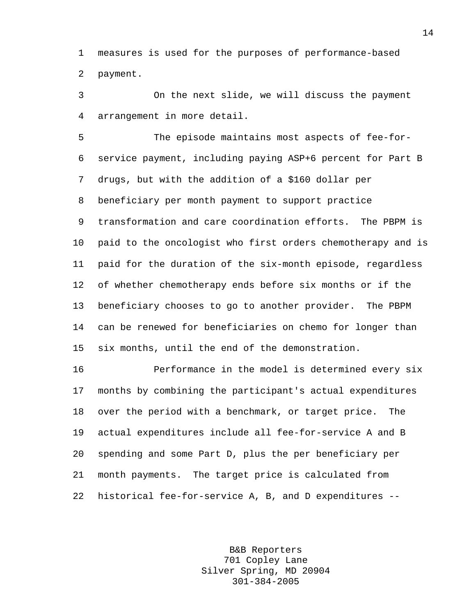1 measures is used for the purposes of performance-based 2 payment.

3 On the next slide, we will discuss the payment 4 arrangement in more detail.

5 The episode maintains most aspects of fee-for-6 service payment, including paying ASP+6 percent for Part B 7 drugs, but with the addition of a \$160 dollar per 8 beneficiary per month payment to support practice 9 transformation and care coordination efforts. The PBPM is 10 paid to the oncologist who first orders chemotherapy and is 11 paid for the duration of the six-month episode, regardless 12 of whether chemotherapy ends before six months or if the 13 beneficiary chooses to go to another provider. The PBPM 14 can be renewed for beneficiaries on chemo for longer than 15 six months, until the end of the demonstration.

16 Performance in the model is determined every six 17 months by combining the participant's actual expenditures 18 over the period with a benchmark, or target price. The 19 actual expenditures include all fee-for-service A and B 20 spending and some Part D, plus the per beneficiary per 21 month payments. The target price is calculated from 22 historical fee-for-service A, B, and D expenditures --

> B&B Reporters 701 Copley Lane Silver Spring, MD 20904 301-384-2005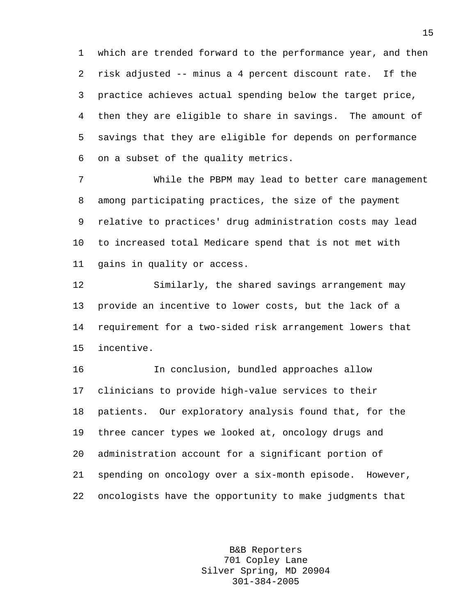1 which are trended forward to the performance year, and then 2 risk adjusted -- minus a 4 percent discount rate. If the 3 practice achieves actual spending below the target price, 4 then they are eligible to share in savings. The amount of 5 savings that they are eligible for depends on performance 6 on a subset of the quality metrics.

7 While the PBPM may lead to better care management 8 among participating practices, the size of the payment 9 relative to practices' drug administration costs may lead 10 to increased total Medicare spend that is not met with 11 gains in quality or access.

12 Similarly, the shared savings arrangement may 13 provide an incentive to lower costs, but the lack of a 14 requirement for a two-sided risk arrangement lowers that 15 incentive.

16 In conclusion, bundled approaches allow 17 clinicians to provide high-value services to their 18 patients. Our exploratory analysis found that, for the 19 three cancer types we looked at, oncology drugs and 20 administration account for a significant portion of 21 spending on oncology over a six-month episode. However, 22 oncologists have the opportunity to make judgments that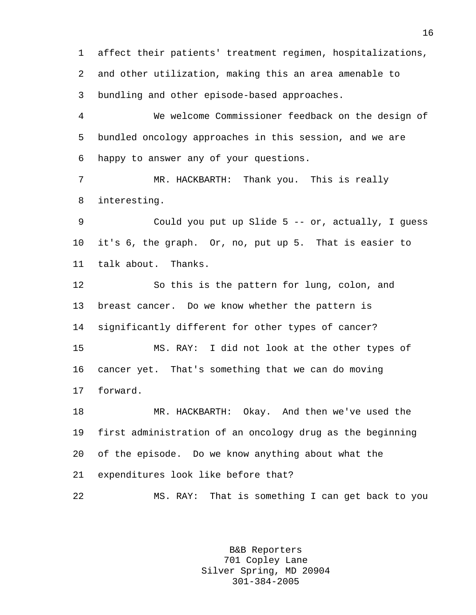1 affect their patients' treatment regimen, hospitalizations, 2 and other utilization, making this an area amenable to 3 bundling and other episode-based approaches.

4 We welcome Commissioner feedback on the design of 5 bundled oncology approaches in this session, and we are 6 happy to answer any of your questions.

7 MR. HACKBARTH: Thank you. This is really 8 interesting.

9 Could you put up Slide 5 -- or, actually, I guess 10 it's 6, the graph. Or, no, put up 5. That is easier to 11 talk about. Thanks.

12 So this is the pattern for lung, colon, and 13 breast cancer. Do we know whether the pattern is 14 significantly different for other types of cancer? 15 MS. RAY: I did not look at the other types of 16 cancer yet. That's something that we can do moving 17 forward. 18 MR. HACKBARTH: Okay. And then we've used the

19 first administration of an oncology drug as the beginning 20 of the episode. Do we know anything about what the 21 expenditures look like before that?

22 MS. RAY: That is something I can get back to you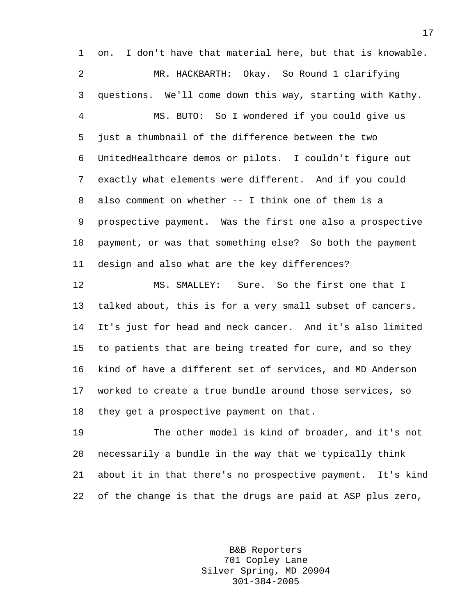1 on. I don't have that material here, but that is knowable. 2 MR. HACKBARTH: Okay. So Round 1 clarifying 3 questions. We'll come down this way, starting with Kathy. 4 MS. BUTO: So I wondered if you could give us 5 just a thumbnail of the difference between the two 6 UnitedHealthcare demos or pilots. I couldn't figure out 7 exactly what elements were different. And if you could 8 also comment on whether -- I think one of them is a 9 prospective payment. Was the first one also a prospective 10 payment, or was that something else? So both the payment 11 design and also what are the key differences?

12 MS. SMALLEY: Sure. So the first one that I 13 talked about, this is for a very small subset of cancers. 14 It's just for head and neck cancer. And it's also limited 15 to patients that are being treated for cure, and so they 16 kind of have a different set of services, and MD Anderson 17 worked to create a true bundle around those services, so 18 they get a prospective payment on that.

19 The other model is kind of broader, and it's not 20 necessarily a bundle in the way that we typically think 21 about it in that there's no prospective payment. It's kind 22 of the change is that the drugs are paid at ASP plus zero,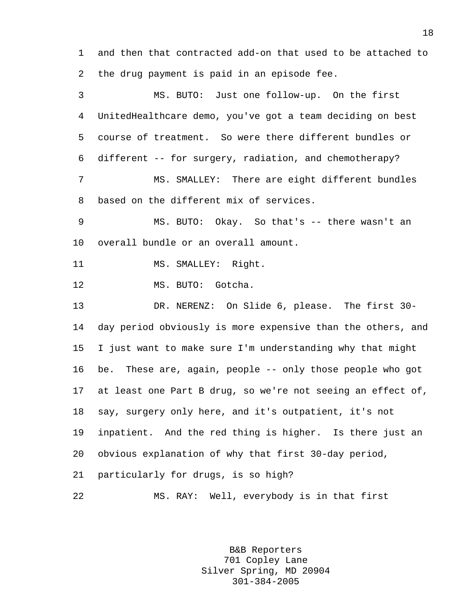1 and then that contracted add-on that used to be attached to 2 the drug payment is paid in an episode fee.

3 MS. BUTO: Just one follow-up. On the first 4 UnitedHealthcare demo, you've got a team deciding on best 5 course of treatment. So were there different bundles or 6 different -- for surgery, radiation, and chemotherapy? 7 MS. SMALLEY: There are eight different bundles 8 based on the different mix of services. 9 MS. BUTO: Okay. So that's -- there wasn't an 10 overall bundle or an overall amount. 11 MS. SMALLEY: Right. 12 MS. BUTO: Gotcha. 13 DR. NERENZ: On Slide 6, please. The first 30- 14 day period obviously is more expensive than the others, and 15 I just want to make sure I'm understanding why that might 16 be. These are, again, people -- only those people who got 17 at least one Part B drug, so we're not seeing an effect of, 18 say, surgery only here, and it's outpatient, it's not 19 inpatient. And the red thing is higher. Is there just an 20 obvious explanation of why that first 30-day period, 21 particularly for drugs, is so high? 22 MS. RAY: Well, everybody is in that first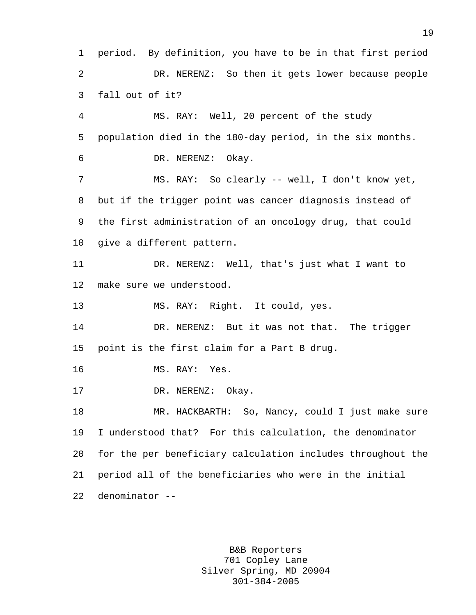1 period. By definition, you have to be in that first period 2 DR. NERENZ: So then it gets lower because people 3 fall out of it? 4 MS. RAY: Well, 20 percent of the study 5 population died in the 180-day period, in the six months. 6 DR. NERENZ: Okay. 7 MS. RAY: So clearly -- well, I don't know yet, 8 but if the trigger point was cancer diagnosis instead of 9 the first administration of an oncology drug, that could 10 give a different pattern. 11 DR. NERENZ: Well, that's just what I want to 12 make sure we understood. 13 MS. RAY: Right. It could, yes. 14 DR. NERENZ: But it was not that. The trigger 15 point is the first claim for a Part B drug. 16 MS. RAY: Yes. 17 DR. NERENZ: Okay. 18 MR. HACKBARTH: So, Nancy, could I just make sure 19 I understood that? For this calculation, the denominator 20 for the per beneficiary calculation includes throughout the 21 period all of the beneficiaries who were in the initial 22 denominator --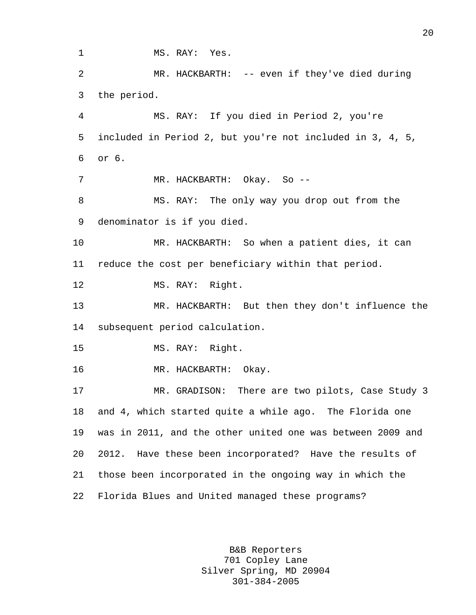1 MS. RAY: Yes. 2 MR. HACKBARTH: -- even if they've died during 3 the period. 4 MS. RAY: If you died in Period 2, you're 5 included in Period 2, but you're not included in 3, 4, 5, 6 or 6. 7 MR. HACKBARTH: Okay. So --8 MS. RAY: The only way you drop out from the 9 denominator is if you died. 10 MR. HACKBARTH: So when a patient dies, it can 11 reduce the cost per beneficiary within that period. 12 MS. RAY: Right. 13 MR. HACKBARTH: But then they don't influence the 14 subsequent period calculation. 15 MS. RAY: Right. 16 MR. HACKBARTH: Okay. 17 MR. GRADISON: There are two pilots, Case Study 3 18 and 4, which started quite a while ago. The Florida one 19 was in 2011, and the other united one was between 2009 and 20 2012. Have these been incorporated? Have the results of 21 those been incorporated in the ongoing way in which the 22 Florida Blues and United managed these programs?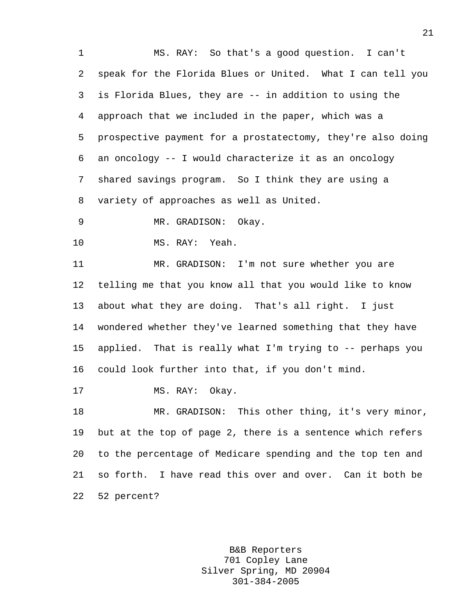1 MS. RAY: So that's a good question. I can't 2 speak for the Florida Blues or United. What I can tell you 3 is Florida Blues, they are -- in addition to using the 4 approach that we included in the paper, which was a 5 prospective payment for a prostatectomy, they're also doing 6 an oncology -- I would characterize it as an oncology 7 shared savings program. So I think they are using a 8 variety of approaches as well as United. 9 MR. GRADISON: Okay. 10 MS. RAY: Yeah. 11 MR. GRADISON: I'm not sure whether you are 12 telling me that you know all that you would like to know 13 about what they are doing. That's all right. I just 14 wondered whether they've learned something that they have 15 applied. That is really what I'm trying to -- perhaps you 16 could look further into that, if you don't mind. 17 MS. RAY: Okay. 18 MR. GRADISON: This other thing, it's very minor, 19 but at the top of page 2, there is a sentence which refers 20 to the percentage of Medicare spending and the top ten and 21 so forth. I have read this over and over. Can it both be 22 52 percent?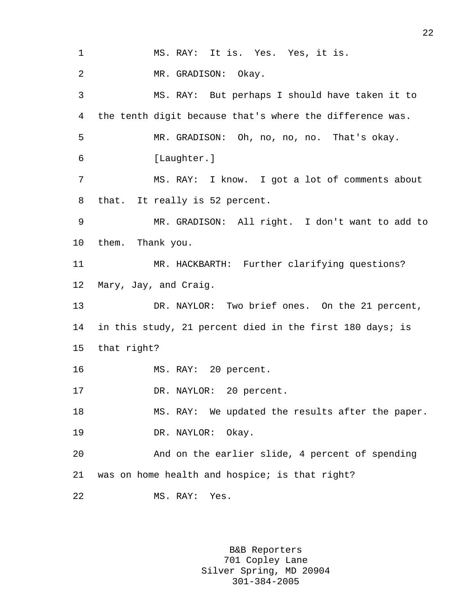| $\mathbf 1$ | MS. RAY: It is. Yes. Yes, it is.                         |
|-------------|----------------------------------------------------------|
| 2           | MR. GRADISON:<br>Okay.                                   |
| 3           | MS. RAY: But perhaps I should have taken it to           |
| 4           | the tenth digit because that's where the difference was. |
| 5           | MR. GRADISON: Oh, no, no, no. That's okay.               |
| 6           | [Laughter.]                                              |
| 7           | MS. RAY: I know. I got a lot of comments about           |
| 8           | that. It really is 52 percent.                           |
| $\mathsf 9$ | MR. GRADISON: All right. I don't want to add to          |
| 10          | them. Thank you.                                         |
| 11          | MR. HACKBARTH: Further clarifying questions?             |
| 12          | Mary, Jay, and Craig.                                    |
| 13          | DR. NAYLOR: Two brief ones. On the 21 percent,           |
| 14          | in this study, 21 percent died in the first 180 days; is |
| 15          | that right?                                              |
| 16          | MS. RAY: 20 percent.                                     |
| 17          | DR. NAYLOR: 20 percent.                                  |
| 18          | MS. RAY: We updated the results after the paper.         |
| 19          | DR. NAYLOR: Okay.                                        |
| 20          | And on the earlier slide, 4 percent of spending          |
| 21          | was on home health and hospice; is that right?           |
|             |                                                          |

B&B Reporters 701 Copley Lane Silver Spring, MD 20904 301-384-2005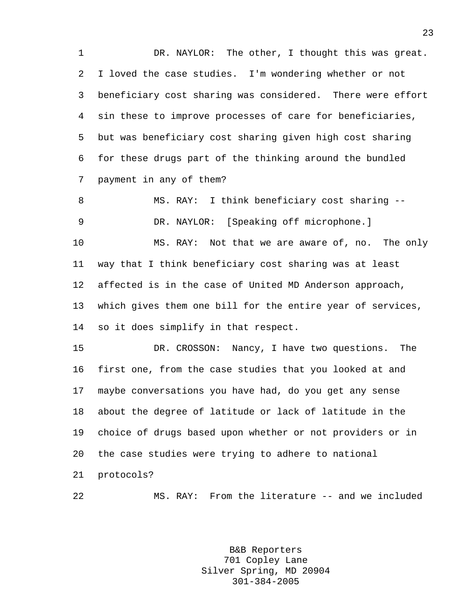1 DR. NAYLOR: The other, I thought this was great. 2 I loved the case studies. I'm wondering whether or not 3 beneficiary cost sharing was considered. There were effort 4 sin these to improve processes of care for beneficiaries, 5 but was beneficiary cost sharing given high cost sharing 6 for these drugs part of the thinking around the bundled 7 payment in any of them?

8 MS. RAY: I think beneficiary cost sharing --9 DR. NAYLOR: [Speaking off microphone.] 10 MS. RAY: Not that we are aware of, no. The only 11 way that I think beneficiary cost sharing was at least 12 affected is in the case of United MD Anderson approach, 13 which gives them one bill for the entire year of services,

14 so it does simplify in that respect.

15 DR. CROSSON: Nancy, I have two questions. The 16 first one, from the case studies that you looked at and 17 maybe conversations you have had, do you get any sense 18 about the degree of latitude or lack of latitude in the 19 choice of drugs based upon whether or not providers or in 20 the case studies were trying to adhere to national 21 protocols?

22 MS. RAY: From the literature -- and we included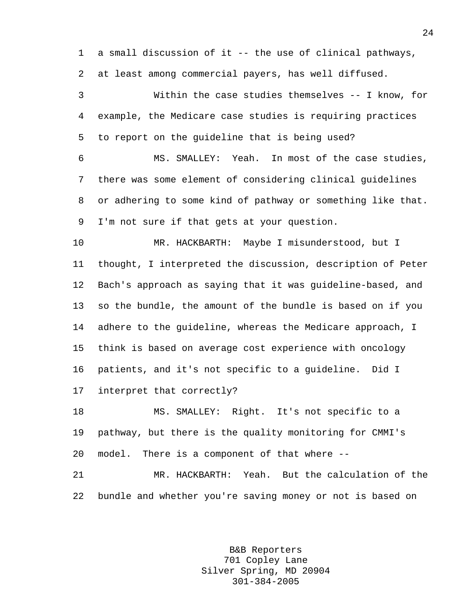1 a small discussion of it -- the use of clinical pathways, 2 at least among commercial payers, has well diffused.

3 Within the case studies themselves -- I know, for 4 example, the Medicare case studies is requiring practices 5 to report on the guideline that is being used?

6 MS. SMALLEY: Yeah. In most of the case studies, 7 there was some element of considering clinical guidelines 8 or adhering to some kind of pathway or something like that. 9 I'm not sure if that gets at your question.

10 MR. HACKBARTH: Maybe I misunderstood, but I 11 thought, I interpreted the discussion, description of Peter 12 Bach's approach as saying that it was guideline-based, and 13 so the bundle, the amount of the bundle is based on if you 14 adhere to the guideline, whereas the Medicare approach, I 15 think is based on average cost experience with oncology 16 patients, and it's not specific to a guideline. Did I 17 interpret that correctly?

18 MS. SMALLEY: Right. It's not specific to a 19 pathway, but there is the quality monitoring for CMMI's 20 model. There is a component of that where --

21 MR. HACKBARTH: Yeah. But the calculation of the 22 bundle and whether you're saving money or not is based on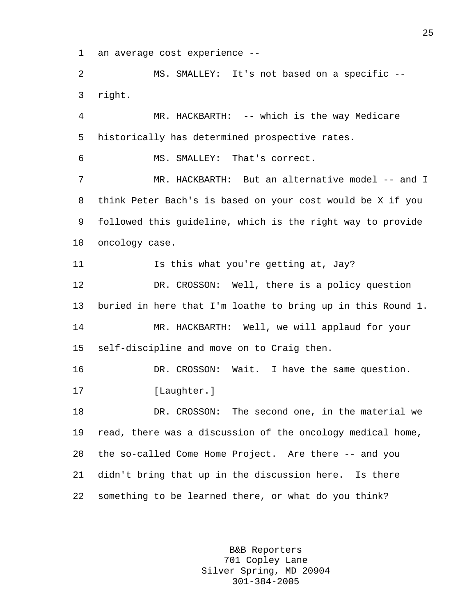1 an average cost experience --

2 MS. SMALLEY: It's not based on a specific -- 3 right.

4 MR. HACKBARTH: -- which is the way Medicare 5 historically has determined prospective rates.

6 MS. SMALLEY: That's correct.

7 MR. HACKBARTH: But an alternative model -- and I 8 think Peter Bach's is based on your cost would be X if you 9 followed this guideline, which is the right way to provide 10 oncology case.

11 Is this what you're getting at, Jay?

12 DR. CROSSON: Well, there is a policy question 13 buried in here that I'm loathe to bring up in this Round 1. 14 MR. HACKBARTH: Well, we will applaud for your 15 self-discipline and move on to Craig then.

16 DR. CROSSON: Wait. I have the same question. 17 [Laughter.]

18 DR. CROSSON: The second one, in the material we 19 read, there was a discussion of the oncology medical home, 20 the so-called Come Home Project. Are there -- and you 21 didn't bring that up in the discussion here. Is there 22 something to be learned there, or what do you think?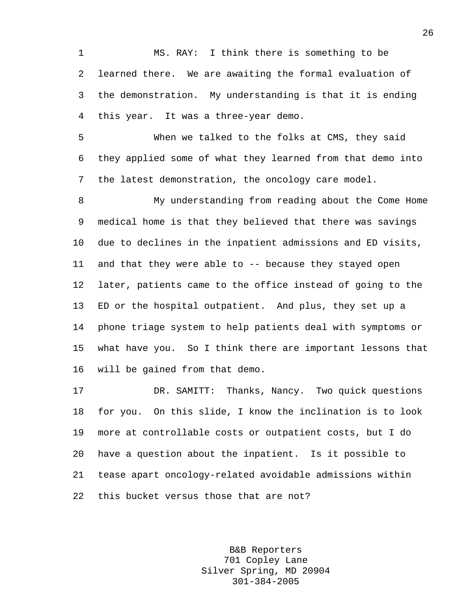1 MS. RAY: I think there is something to be 2 learned there. We are awaiting the formal evaluation of 3 the demonstration. My understanding is that it is ending 4 this year. It was a three-year demo.

5 When we talked to the folks at CMS, they said 6 they applied some of what they learned from that demo into 7 the latest demonstration, the oncology care model.

8 My understanding from reading about the Come Home 9 medical home is that they believed that there was savings 10 due to declines in the inpatient admissions and ED visits, 11 and that they were able to -- because they stayed open 12 later, patients came to the office instead of going to the 13 ED or the hospital outpatient. And plus, they set up a 14 phone triage system to help patients deal with symptoms or 15 what have you. So I think there are important lessons that 16 will be gained from that demo.

17 DR. SAMITT: Thanks, Nancy. Two quick questions 18 for you. On this slide, I know the inclination is to look 19 more at controllable costs or outpatient costs, but I do 20 have a question about the inpatient. Is it possible to 21 tease apart oncology-related avoidable admissions within 22 this bucket versus those that are not?

> B&B Reporters 701 Copley Lane Silver Spring, MD 20904 301-384-2005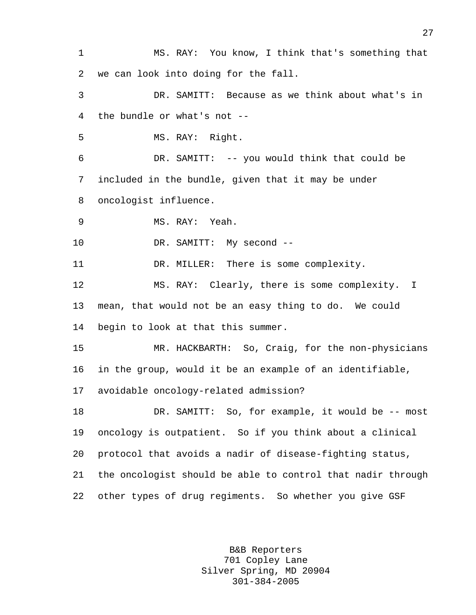1 MS. RAY: You know, I think that's something that 2 we can look into doing for the fall. 3 DR. SAMITT: Because as we think about what's in 4 the bundle or what's not -- 5 MS. RAY: Right. 6 DR. SAMITT: -- you would think that could be 7 included in the bundle, given that it may be under 8 oncologist influence. 9 MS. RAY: Yeah. 10 DR. SAMITT: My second --11 DR. MILLER: There is some complexity. 12 MS. RAY: Clearly, there is some complexity. I 13 mean, that would not be an easy thing to do. We could 14 begin to look at that this summer. 15 MR. HACKBARTH: So, Craig, for the non-physicians 16 in the group, would it be an example of an identifiable, 17 avoidable oncology-related admission? 18 DR. SAMITT: So, for example, it would be -- most 19 oncology is outpatient. So if you think about a clinical 20 protocol that avoids a nadir of disease-fighting status, 21 the oncologist should be able to control that nadir through 22 other types of drug regiments. So whether you give GSF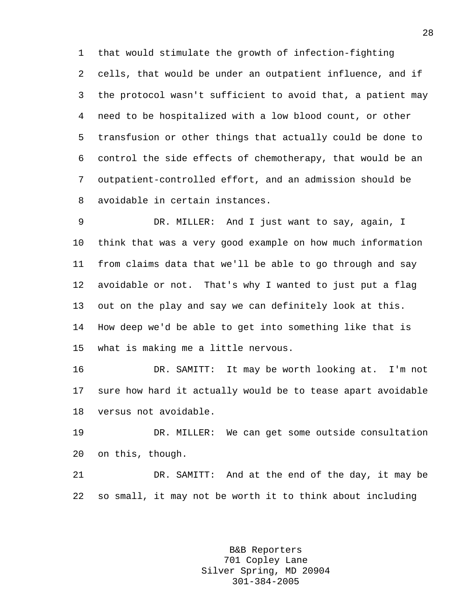1 that would stimulate the growth of infection-fighting 2 cells, that would be under an outpatient influence, and if 3 the protocol wasn't sufficient to avoid that, a patient may 4 need to be hospitalized with a low blood count, or other 5 transfusion or other things that actually could be done to 6 control the side effects of chemotherapy, that would be an 7 outpatient-controlled effort, and an admission should be 8 avoidable in certain instances.

9 DR. MILLER: And I just want to say, again, I 10 think that was a very good example on how much information 11 from claims data that we'll be able to go through and say 12 avoidable or not. That's why I wanted to just put a flag 13 out on the play and say we can definitely look at this. 14 How deep we'd be able to get into something like that is 15 what is making me a little nervous.

16 DR. SAMITT: It may be worth looking at. I'm not 17 sure how hard it actually would be to tease apart avoidable 18 versus not avoidable.

19 DR. MILLER: We can get some outside consultation 20 on this, though.

21 DR. SAMITT: And at the end of the day, it may be 22 so small, it may not be worth it to think about including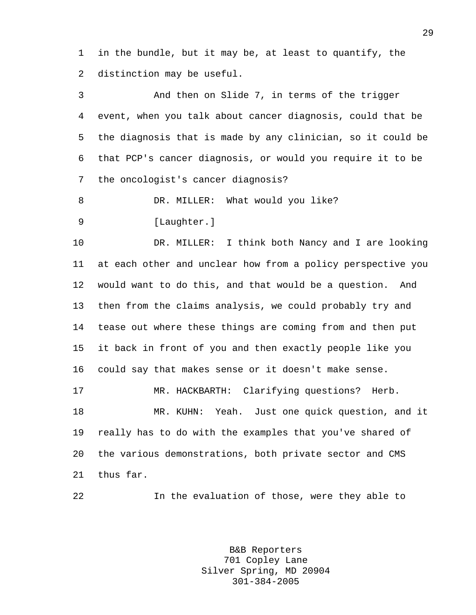1 in the bundle, but it may be, at least to quantify, the 2 distinction may be useful.

3 And then on Slide 7, in terms of the trigger 4 event, when you talk about cancer diagnosis, could that be 5 the diagnosis that is made by any clinician, so it could be 6 that PCP's cancer diagnosis, or would you require it to be 7 the oncologist's cancer diagnosis?

8 DR. MILLER: What would you like?

9 [Laughter.]

10 DR. MILLER: I think both Nancy and I are looking 11 at each other and unclear how from a policy perspective you 12 would want to do this, and that would be a question. And 13 then from the claims analysis, we could probably try and 14 tease out where these things are coming from and then put 15 it back in front of you and then exactly people like you 16 could say that makes sense or it doesn't make sense. 17 MR. HACKBARTH: Clarifying questions? Herb. 18 MR. KUHN: Yeah. Just one quick question, and it 19 really has to do with the examples that you've shared of 20 the various demonstrations, both private sector and CMS

21 thus far.

22 In the evaluation of those, were they able to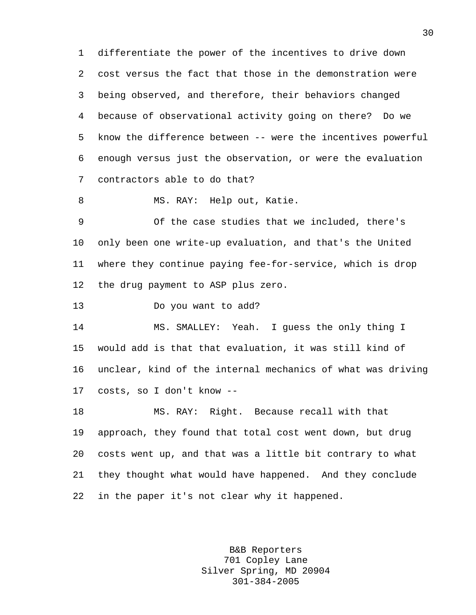1 differentiate the power of the incentives to drive down 2 cost versus the fact that those in the demonstration were 3 being observed, and therefore, their behaviors changed 4 because of observational activity going on there? Do we 5 know the difference between -- were the incentives powerful 6 enough versus just the observation, or were the evaluation 7 contractors able to do that?

8 MS. RAY: Help out, Katie.

9 Of the case studies that we included, there's 10 only been one write-up evaluation, and that's the United 11 where they continue paying fee-for-service, which is drop 12 the drug payment to ASP plus zero.

13 Do you want to add?

14 MS. SMALLEY: Yeah. I guess the only thing I 15 would add is that that evaluation, it was still kind of 16 unclear, kind of the internal mechanics of what was driving 17 costs, so I don't know --

18 MS. RAY: Right. Because recall with that 19 approach, they found that total cost went down, but drug 20 costs went up, and that was a little bit contrary to what 21 they thought what would have happened. And they conclude 22 in the paper it's not clear why it happened.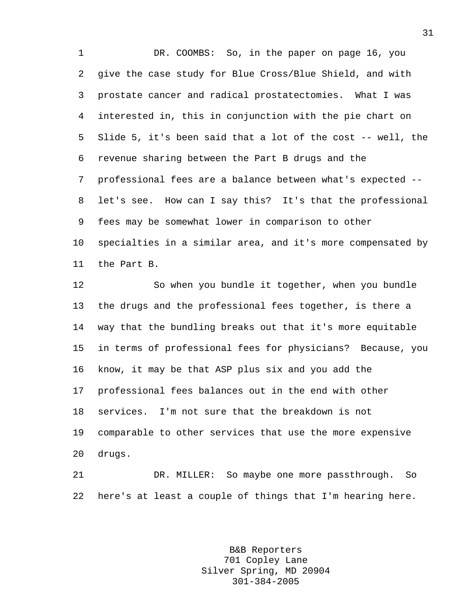1 DR. COOMBS: So, in the paper on page 16, you 2 give the case study for Blue Cross/Blue Shield, and with 3 prostate cancer and radical prostatectomies. What I was 4 interested in, this in conjunction with the pie chart on 5 Slide 5, it's been said that a lot of the cost -- well, the 6 revenue sharing between the Part B drugs and the 7 professional fees are a balance between what's expected -- 8 let's see. How can I say this? It's that the professional 9 fees may be somewhat lower in comparison to other 10 specialties in a similar area, and it's more compensated by 11 the Part B.

12 So when you bundle it together, when you bundle 13 the drugs and the professional fees together, is there a 14 way that the bundling breaks out that it's more equitable 15 in terms of professional fees for physicians? Because, you 16 know, it may be that ASP plus six and you add the 17 professional fees balances out in the end with other 18 services. I'm not sure that the breakdown is not 19 comparable to other services that use the more expensive 20 drugs.

21 DR. MILLER: So maybe one more passthrough. So 22 here's at least a couple of things that I'm hearing here.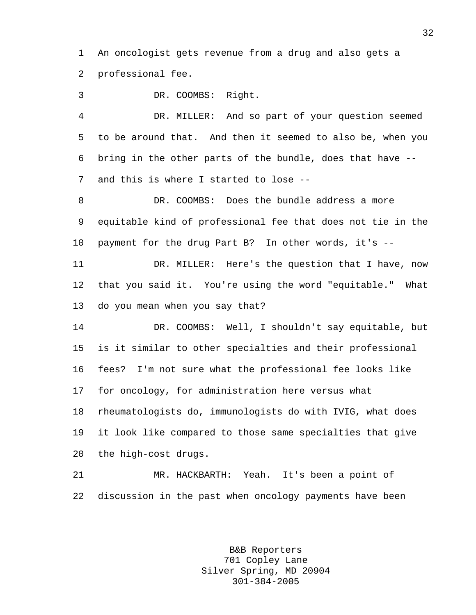1 An oncologist gets revenue from a drug and also gets a 2 professional fee.

3 DR. COOMBS: Right.

4 DR. MILLER: And so part of your question seemed 5 to be around that. And then it seemed to also be, when you 6 bring in the other parts of the bundle, does that have -- 7 and this is where I started to lose --

8 DR. COOMBS: Does the bundle address a more 9 equitable kind of professional fee that does not tie in the 10 payment for the drug Part B? In other words, it's --

11 DR. MILLER: Here's the question that I have, now 12 that you said it. You're using the word "equitable." What 13 do you mean when you say that?

14 DR. COOMBS: Well, I shouldn't say equitable, but 15 is it similar to other specialties and their professional 16 fees? I'm not sure what the professional fee looks like 17 for oncology, for administration here versus what 18 rheumatologists do, immunologists do with IVIG, what does 19 it look like compared to those same specialties that give 20 the high-cost drugs.

21 MR. HACKBARTH: Yeah. It's been a point of 22 discussion in the past when oncology payments have been

> B&B Reporters 701 Copley Lane Silver Spring, MD 20904 301-384-2005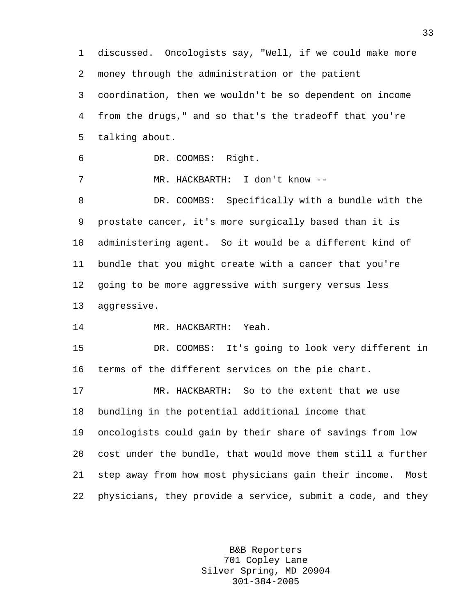1 discussed. Oncologists say, "Well, if we could make more 2 money through the administration or the patient 3 coordination, then we wouldn't be so dependent on income 4 from the drugs," and so that's the tradeoff that you're 5 talking about. 6 DR. COOMBS: Right. 7 MR. HACKBARTH: I don't know -- 8 DR. COOMBS: Specifically with a bundle with the 9 prostate cancer, it's more surgically based than it is 10 administering agent. So it would be a different kind of 11 bundle that you might create with a cancer that you're 12 going to be more aggressive with surgery versus less 13 aggressive. 14 MR. HACKBARTH: Yeah. 15 DR. COOMBS: It's going to look very different in 16 terms of the different services on the pie chart. 17 MR. HACKBARTH: So to the extent that we use 18 bundling in the potential additional income that 19 oncologists could gain by their share of savings from low 20 cost under the bundle, that would move them still a further 21 step away from how most physicians gain their income. Most 22 physicians, they provide a service, submit a code, and they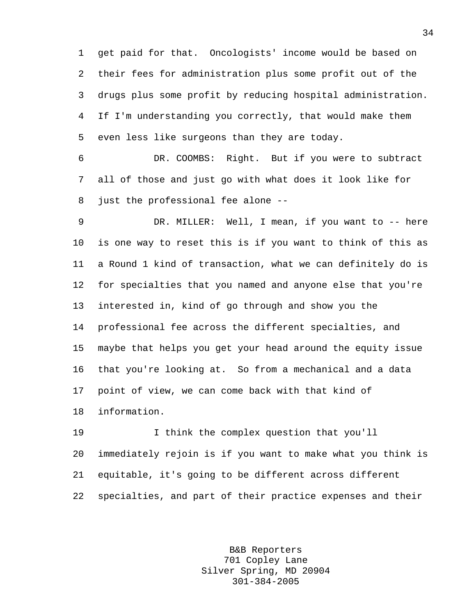1 get paid for that. Oncologists' income would be based on 2 their fees for administration plus some profit out of the 3 drugs plus some profit by reducing hospital administration. 4 If I'm understanding you correctly, that would make them 5 even less like surgeons than they are today.

6 DR. COOMBS: Right. But if you were to subtract 7 all of those and just go with what does it look like for 8 just the professional fee alone --

9 DR. MILLER: Well, I mean, if you want to -- here 10 is one way to reset this is if you want to think of this as 11 a Round 1 kind of transaction, what we can definitely do is 12 for specialties that you named and anyone else that you're 13 interested in, kind of go through and show you the 14 professional fee across the different specialties, and 15 maybe that helps you get your head around the equity issue 16 that you're looking at. So from a mechanical and a data 17 point of view, we can come back with that kind of 18 information.

19 I think the complex question that you'll 20 immediately rejoin is if you want to make what you think is 21 equitable, it's going to be different across different 22 specialties, and part of their practice expenses and their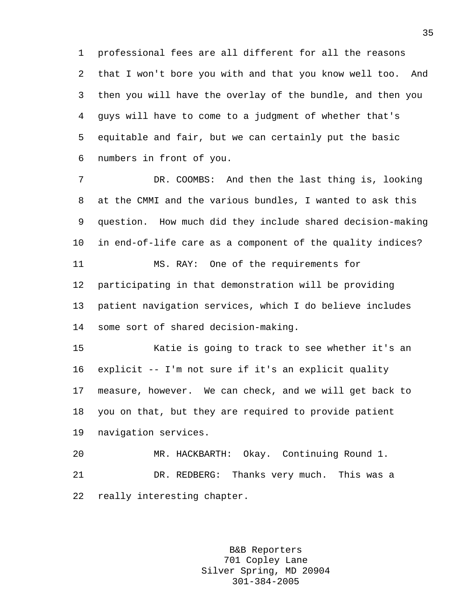1 professional fees are all different for all the reasons 2 that I won't bore you with and that you know well too. And 3 then you will have the overlay of the bundle, and then you 4 guys will have to come to a judgment of whether that's 5 equitable and fair, but we can certainly put the basic 6 numbers in front of you.

7 DR. COOMBS: And then the last thing is, looking 8 at the CMMI and the various bundles, I wanted to ask this 9 question. How much did they include shared decision-making 10 in end-of-life care as a component of the quality indices? 11 MS. RAY: One of the requirements for 12 participating in that demonstration will be providing 13 patient navigation services, which I do believe includes 14 some sort of shared decision-making.

15 Katie is going to track to see whether it's an 16 explicit -- I'm not sure if it's an explicit quality 17 measure, however. We can check, and we will get back to 18 you on that, but they are required to provide patient 19 navigation services.

20 MR. HACKBARTH: Okay. Continuing Round 1. 21 DR. REDBERG: Thanks very much. This was a 22 really interesting chapter.

> B&B Reporters 701 Copley Lane Silver Spring, MD 20904 301-384-2005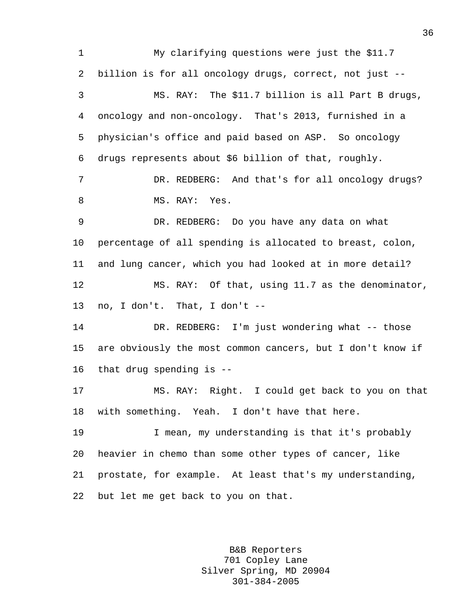1 My clarifying questions were just the \$11.7 2 billion is for all oncology drugs, correct, not just -- 3 MS. RAY: The \$11.7 billion is all Part B drugs, 4 oncology and non-oncology. That's 2013, furnished in a 5 physician's office and paid based on ASP. So oncology 6 drugs represents about \$6 billion of that, roughly. 7 DR. REDBERG: And that's for all oncology drugs? 8 MS. RAY: Yes. 9 DR. REDBERG: Do you have any data on what 10 percentage of all spending is allocated to breast, colon, 11 and lung cancer, which you had looked at in more detail? 12 MS. RAY: Of that, using 11.7 as the denominator, 13 no, I don't. That, I don't -- 14 DR. REDBERG: I'm just wondering what -- those 15 are obviously the most common cancers, but I don't know if 16 that drug spending is -- 17 MS. RAY: Right. I could get back to you on that 18 with something. Yeah. I don't have that here. 19 I mean, my understanding is that it's probably 20 heavier in chemo than some other types of cancer, like 21 prostate, for example. At least that's my understanding, 22 but let me get back to you on that.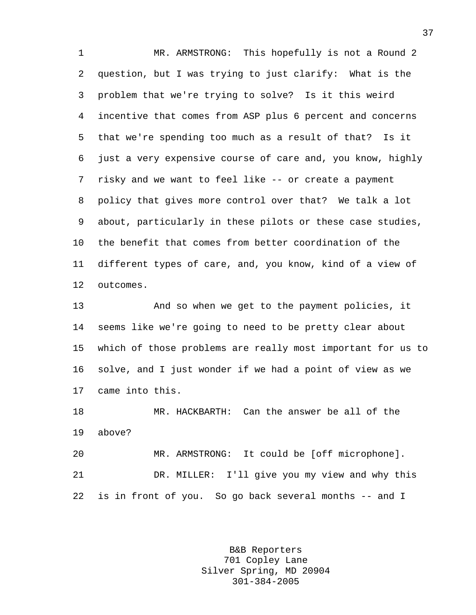1 MR. ARMSTRONG: This hopefully is not a Round 2 2 question, but I was trying to just clarify: What is the 3 problem that we're trying to solve? Is it this weird 4 incentive that comes from ASP plus 6 percent and concerns 5 that we're spending too much as a result of that? Is it 6 just a very expensive course of care and, you know, highly 7 risky and we want to feel like -- or create a payment 8 policy that gives more control over that? We talk a lot 9 about, particularly in these pilots or these case studies, 10 the benefit that comes from better coordination of the 11 different types of care, and, you know, kind of a view of 12 outcomes.

13 And so when we get to the payment policies, it 14 seems like we're going to need to be pretty clear about 15 which of those problems are really most important for us to 16 solve, and I just wonder if we had a point of view as we 17 came into this.

18 MR. HACKBARTH: Can the answer be all of the 19 above?

20 MR. ARMSTRONG: It could be [off microphone]. 21 DR. MILLER: I'll give you my view and why this 22 is in front of you. So go back several months -- and I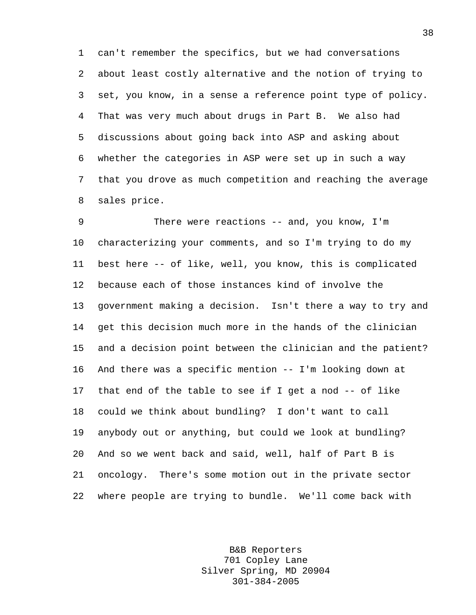1 can't remember the specifics, but we had conversations 2 about least costly alternative and the notion of trying to 3 set, you know, in a sense a reference point type of policy. 4 That was very much about drugs in Part B. We also had 5 discussions about going back into ASP and asking about 6 whether the categories in ASP were set up in such a way 7 that you drove as much competition and reaching the average 8 sales price.

9 There were reactions -- and, you know, I'm 10 characterizing your comments, and so I'm trying to do my 11 best here -- of like, well, you know, this is complicated 12 because each of those instances kind of involve the 13 government making a decision. Isn't there a way to try and 14 get this decision much more in the hands of the clinician 15 and a decision point between the clinician and the patient? 16 And there was a specific mention -- I'm looking down at 17 that end of the table to see if I get a nod -- of like 18 could we think about bundling? I don't want to call 19 anybody out or anything, but could we look at bundling? 20 And so we went back and said, well, half of Part B is 21 oncology. There's some motion out in the private sector 22 where people are trying to bundle. We'll come back with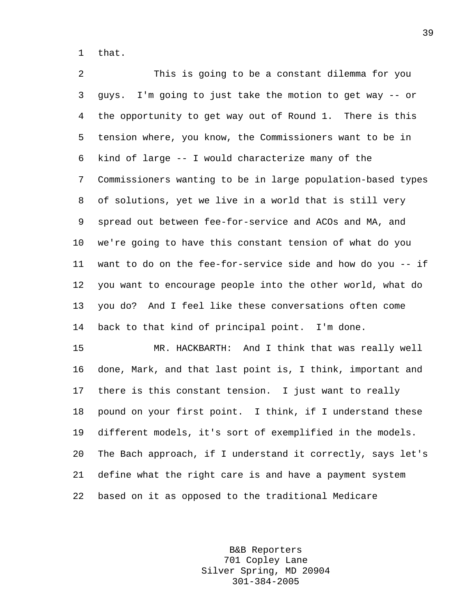1 that.

2 This is going to be a constant dilemma for you 3 guys. I'm going to just take the motion to get way -- or 4 the opportunity to get way out of Round 1. There is this 5 tension where, you know, the Commissioners want to be in 6 kind of large -- I would characterize many of the 7 Commissioners wanting to be in large population-based types 8 of solutions, yet we live in a world that is still very 9 spread out between fee-for-service and ACOs and MA, and 10 we're going to have this constant tension of what do you 11 want to do on the fee-for-service side and how do you -- if 12 you want to encourage people into the other world, what do 13 you do? And I feel like these conversations often come 14 back to that kind of principal point. I'm done. 15 MR. HACKBARTH: And I think that was really well

16 done, Mark, and that last point is, I think, important and 17 there is this constant tension. I just want to really 18 pound on your first point. I think, if I understand these 19 different models, it's sort of exemplified in the models. 20 The Bach approach, if I understand it correctly, says let's 21 define what the right care is and have a payment system 22 based on it as opposed to the traditional Medicare

> B&B Reporters 701 Copley Lane Silver Spring, MD 20904 301-384-2005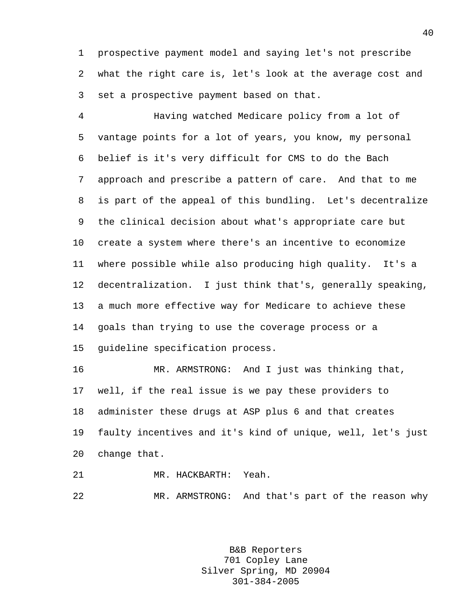1 prospective payment model and saying let's not prescribe 2 what the right care is, let's look at the average cost and 3 set a prospective payment based on that.

4 Having watched Medicare policy from a lot of 5 vantage points for a lot of years, you know, my personal 6 belief is it's very difficult for CMS to do the Bach 7 approach and prescribe a pattern of care. And that to me 8 is part of the appeal of this bundling. Let's decentralize 9 the clinical decision about what's appropriate care but 10 create a system where there's an incentive to economize 11 where possible while also producing high quality. It's a 12 decentralization. I just think that's, generally speaking, 13 a much more effective way for Medicare to achieve these 14 goals than trying to use the coverage process or a 15 guideline specification process.

16 MR. ARMSTRONG: And I just was thinking that, 17 well, if the real issue is we pay these providers to 18 administer these drugs at ASP plus 6 and that creates 19 faulty incentives and it's kind of unique, well, let's just 20 change that.

21 MR. HACKBARTH: Yeah.

22 MR. ARMSTRONG: And that's part of the reason why

B&B Reporters 701 Copley Lane Silver Spring, MD 20904 301-384-2005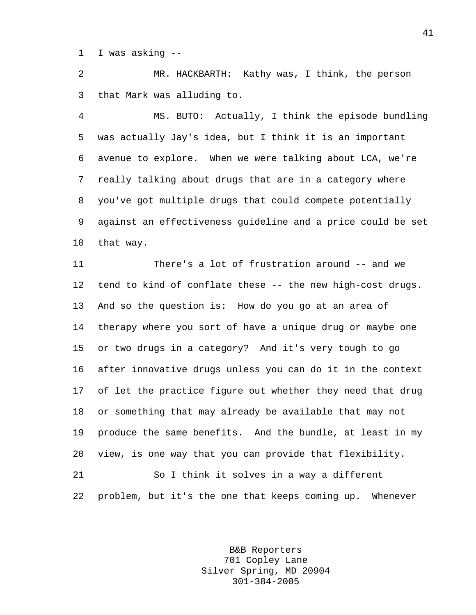1 I was asking --

2 MR. HACKBARTH: Kathy was, I think, the person 3 that Mark was alluding to.

4 MS. BUTO: Actually, I think the episode bundling 5 was actually Jay's idea, but I think it is an important 6 avenue to explore. When we were talking about LCA, we're 7 really talking about drugs that are in a category where 8 you've got multiple drugs that could compete potentially 9 against an effectiveness guideline and a price could be set 10 that way.

11 There's a lot of frustration around -- and we 12 tend to kind of conflate these -- the new high-cost drugs. 13 And so the question is: How do you go at an area of 14 therapy where you sort of have a unique drug or maybe one 15 or two drugs in a category? And it's very tough to go 16 after innovative drugs unless you can do it in the context 17 of let the practice figure out whether they need that drug 18 or something that may already be available that may not 19 produce the same benefits. And the bundle, at least in my 20 view, is one way that you can provide that flexibility. 21 So I think it solves in a way a different

22 problem, but it's the one that keeps coming up. Whenever

B&B Reporters 701 Copley Lane Silver Spring, MD 20904 301-384-2005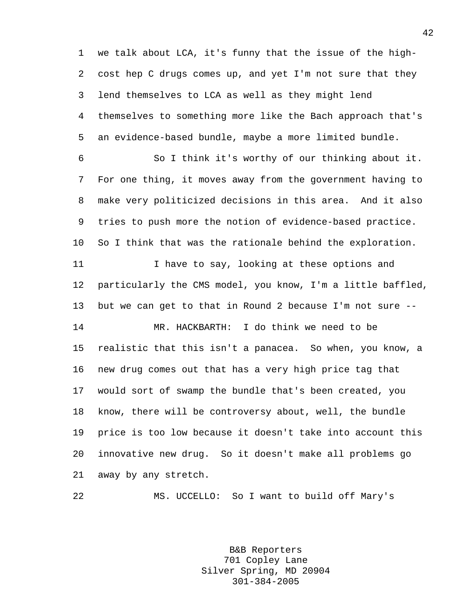1 we talk about LCA, it's funny that the issue of the high-2 cost hep C drugs comes up, and yet I'm not sure that they 3 lend themselves to LCA as well as they might lend 4 themselves to something more like the Bach approach that's 5 an evidence-based bundle, maybe a more limited bundle.

6 So I think it's worthy of our thinking about it. 7 For one thing, it moves away from the government having to 8 make very politicized decisions in this area. And it also 9 tries to push more the notion of evidence-based practice. 10 So I think that was the rationale behind the exploration.

11 I have to say, looking at these options and 12 particularly the CMS model, you know, I'm a little baffled, 13 but we can get to that in Round 2 because I'm not sure --

14 MR. HACKBARTH: I do think we need to be 15 realistic that this isn't a panacea. So when, you know, a 16 new drug comes out that has a very high price tag that 17 would sort of swamp the bundle that's been created, you 18 know, there will be controversy about, well, the bundle 19 price is too low because it doesn't take into account this 20 innovative new drug. So it doesn't make all problems go 21 away by any stretch.

22 MS. UCCELLO: So I want to build off Mary's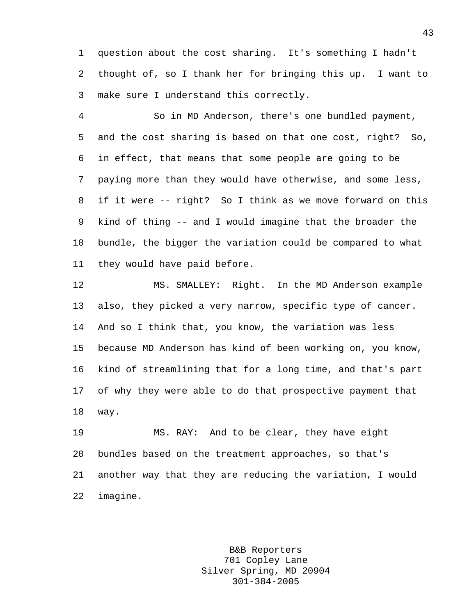1 question about the cost sharing. It's something I hadn't 2 thought of, so I thank her for bringing this up. I want to 3 make sure I understand this correctly.

4 So in MD Anderson, there's one bundled payment, 5 and the cost sharing is based on that one cost, right? So, 6 in effect, that means that some people are going to be 7 paying more than they would have otherwise, and some less, 8 if it were -- right? So I think as we move forward on this 9 kind of thing -- and I would imagine that the broader the 10 bundle, the bigger the variation could be compared to what 11 they would have paid before.

12 MS. SMALLEY: Right. In the MD Anderson example 13 also, they picked a very narrow, specific type of cancer. 14 And so I think that, you know, the variation was less 15 because MD Anderson has kind of been working on, you know, 16 kind of streamlining that for a long time, and that's part 17 of why they were able to do that prospective payment that 18 way.

19 MS. RAY: And to be clear, they have eight 20 bundles based on the treatment approaches, so that's 21 another way that they are reducing the variation, I would 22 imagine.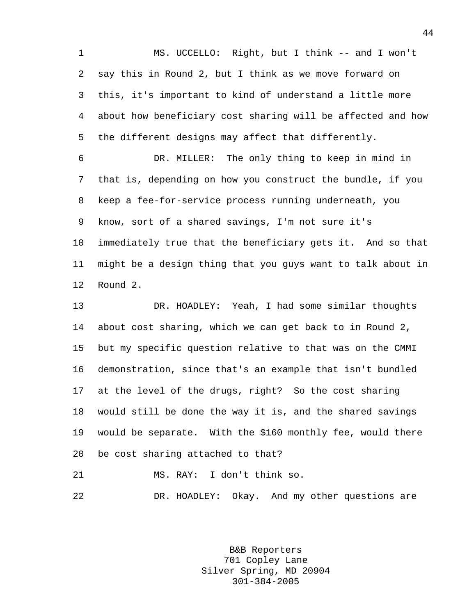1 MS. UCCELLO: Right, but I think -- and I won't 2 say this in Round 2, but I think as we move forward on 3 this, it's important to kind of understand a little more 4 about how beneficiary cost sharing will be affected and how 5 the different designs may affect that differently.

6 DR. MILLER: The only thing to keep in mind in 7 that is, depending on how you construct the bundle, if you 8 keep a fee-for-service process running underneath, you 9 know, sort of a shared savings, I'm not sure it's 10 immediately true that the beneficiary gets it. And so that 11 might be a design thing that you guys want to talk about in 12 Round 2.

13 DR. HOADLEY: Yeah, I had some similar thoughts 14 about cost sharing, which we can get back to in Round 2, 15 but my specific question relative to that was on the CMMI 16 demonstration, since that's an example that isn't bundled 17 at the level of the drugs, right? So the cost sharing 18 would still be done the way it is, and the shared savings 19 would be separate. With the \$160 monthly fee, would there 20 be cost sharing attached to that?

21 MS. RAY: I don't think so.

22 DR. HOADLEY: Okay. And my other questions are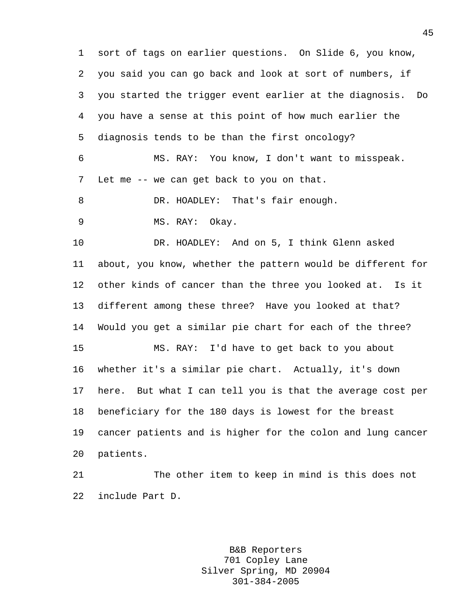1 sort of tags on earlier questions. On Slide 6, you know, 2 you said you can go back and look at sort of numbers, if 3 you started the trigger event earlier at the diagnosis. Do 4 you have a sense at this point of how much earlier the 5 diagnosis tends to be than the first oncology? 6 MS. RAY: You know, I don't want to misspeak. 7 Let me -- we can get back to you on that. 8 DR. HOADLEY: That's fair enough. 9 MS. RAY: Okay. 10 DR. HOADLEY: And on 5, I think Glenn asked 11 about, you know, whether the pattern would be different for 12 other kinds of cancer than the three you looked at. Is it 13 different among these three? Have you looked at that? 14 Would you get a similar pie chart for each of the three? 15 MS. RAY: I'd have to get back to you about 16 whether it's a similar pie chart. Actually, it's down 17 here. But what I can tell you is that the average cost per 18 beneficiary for the 180 days is lowest for the breast 19 cancer patients and is higher for the colon and lung cancer 20 patients. 21 The other item to keep in mind is this does not 22 include Part D.

> B&B Reporters 701 Copley Lane Silver Spring, MD 20904 301-384-2005

45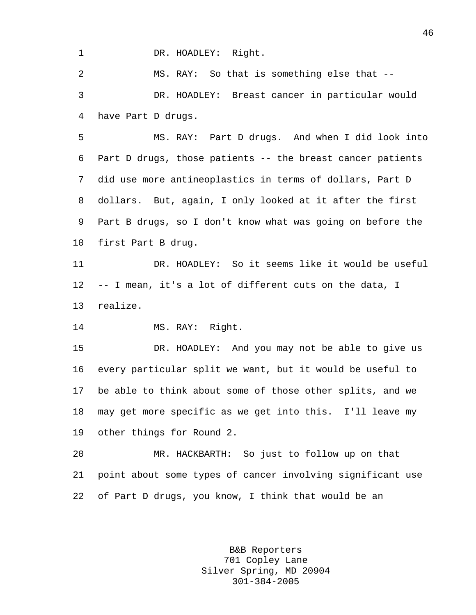1 DR. HOADLEY: Right.

2 MS. RAY: So that is something else that -- 3 DR. HOADLEY: Breast cancer in particular would 4 have Part D drugs.

5 MS. RAY: Part D drugs. And when I did look into 6 Part D drugs, those patients -- the breast cancer patients 7 did use more antineoplastics in terms of dollars, Part D 8 dollars. But, again, I only looked at it after the first 9 Part B drugs, so I don't know what was going on before the 10 first Part B drug.

11 DR. HOADLEY: So it seems like it would be useful 12 -- I mean, it's a lot of different cuts on the data, I 13 realize.

14 MS. RAY: Right.

15 DR. HOADLEY: And you may not be able to give us 16 every particular split we want, but it would be useful to 17 be able to think about some of those other splits, and we 18 may get more specific as we get into this. I'll leave my 19 other things for Round 2.

20 MR. HACKBARTH: So just to follow up on that 21 point about some types of cancer involving significant use 22 of Part D drugs, you know, I think that would be an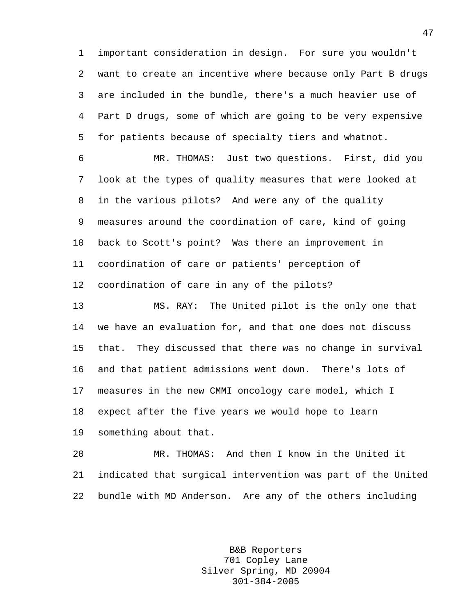1 important consideration in design. For sure you wouldn't 2 want to create an incentive where because only Part B drugs 3 are included in the bundle, there's a much heavier use of 4 Part D drugs, some of which are going to be very expensive 5 for patients because of specialty tiers and whatnot.

6 MR. THOMAS: Just two questions. First, did you 7 look at the types of quality measures that were looked at 8 in the various pilots? And were any of the quality 9 measures around the coordination of care, kind of going 10 back to Scott's point? Was there an improvement in 11 coordination of care or patients' perception of 12 coordination of care in any of the pilots?

13 MS. RAY: The United pilot is the only one that 14 we have an evaluation for, and that one does not discuss 15 that. They discussed that there was no change in survival 16 and that patient admissions went down. There's lots of 17 measures in the new CMMI oncology care model, which I 18 expect after the five years we would hope to learn 19 something about that.

20 MR. THOMAS: And then I know in the United it 21 indicated that surgical intervention was part of the United 22 bundle with MD Anderson. Are any of the others including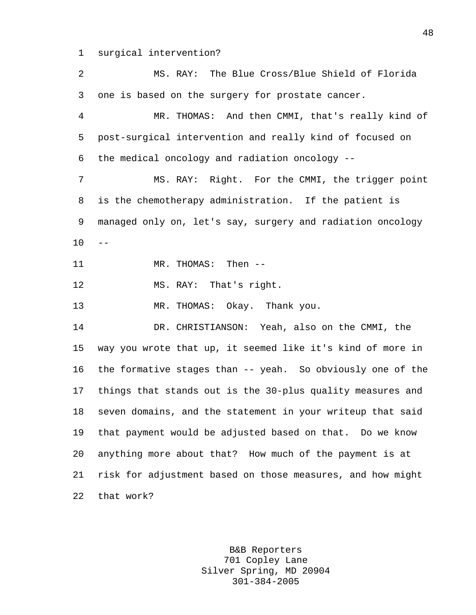1 surgical intervention?

2 MS. RAY: The Blue Cross/Blue Shield of Florida 3 one is based on the surgery for prostate cancer. 4 MR. THOMAS: And then CMMI, that's really kind of 5 post-surgical intervention and really kind of focused on 6 the medical oncology and radiation oncology -- 7 MS. RAY: Right. For the CMMI, the trigger point 8 is the chemotherapy administration. If the patient is 9 managed only on, let's say, surgery and radiation oncology  $10 - -$ 11 MR. THOMAS: Then -- 12 MS. RAY: That's right. 13 MR. THOMAS: Okay. Thank you. 14 DR. CHRISTIANSON: Yeah, also on the CMMI, the 15 way you wrote that up, it seemed like it's kind of more in 16 the formative stages than -- yeah. So obviously one of the 17 things that stands out is the 30-plus quality measures and 18 seven domains, and the statement in your writeup that said 19 that payment would be adjusted based on that. Do we know 20 anything more about that? How much of the payment is at 21 risk for adjustment based on those measures, and how might 22 that work?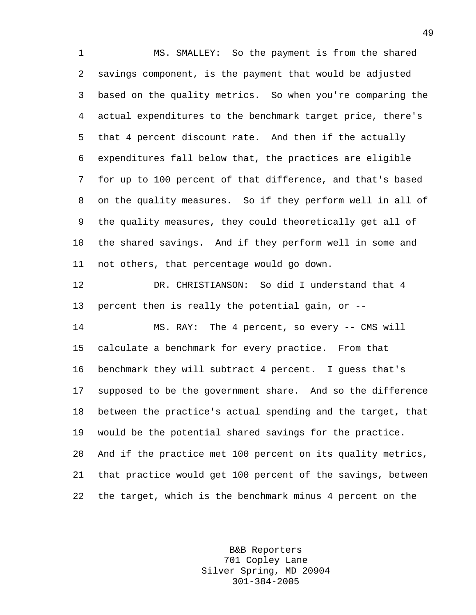1 MS. SMALLEY: So the payment is from the shared 2 savings component, is the payment that would be adjusted 3 based on the quality metrics. So when you're comparing the 4 actual expenditures to the benchmark target price, there's 5 that 4 percent discount rate. And then if the actually 6 expenditures fall below that, the practices are eligible 7 for up to 100 percent of that difference, and that's based 8 on the quality measures. So if they perform well in all of 9 the quality measures, they could theoretically get all of 10 the shared savings. And if they perform well in some and 11 not others, that percentage would go down. 12 DR. CHRISTIANSON: So did I understand that 4 13 percent then is really the potential gain, or --

14 MS. RAY: The 4 percent, so every -- CMS will 15 calculate a benchmark for every practice. From that 16 benchmark they will subtract 4 percent. I guess that's 17 supposed to be the government share. And so the difference 18 between the practice's actual spending and the target, that 19 would be the potential shared savings for the practice. 20 And if the practice met 100 percent on its quality metrics, 21 that practice would get 100 percent of the savings, between 22 the target, which is the benchmark minus 4 percent on the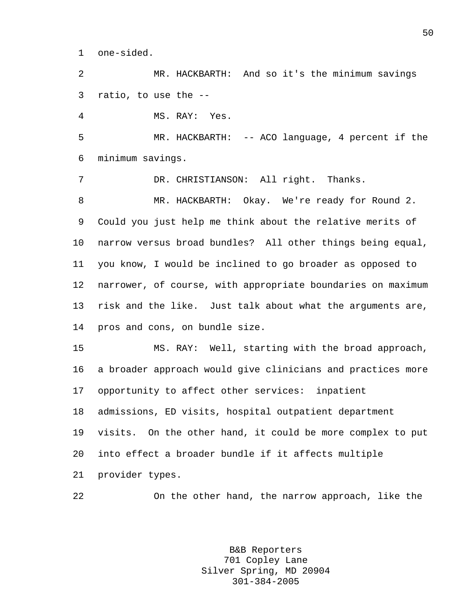1 one-sided.

2 MR. HACKBARTH: And so it's the minimum savings 3 ratio, to use the --

4 MS. RAY: Yes.

5 MR. HACKBARTH: -- ACO language, 4 percent if the 6 minimum savings.

7 DR. CHRISTIANSON: All right. Thanks.

8 MR. HACKBARTH: Okay. We're ready for Round 2. 9 Could you just help me think about the relative merits of 10 narrow versus broad bundles? All other things being equal, 11 you know, I would be inclined to go broader as opposed to 12 narrower, of course, with appropriate boundaries on maximum 13 risk and the like. Just talk about what the arguments are, 14 pros and cons, on bundle size.

15 MS. RAY: Well, starting with the broad approach, 16 a broader approach would give clinicians and practices more 17 opportunity to affect other services: inpatient 18 admissions, ED visits, hospital outpatient department 19 visits. On the other hand, it could be more complex to put 20 into effect a broader bundle if it affects multiple 21 provider types.

22 On the other hand, the narrow approach, like the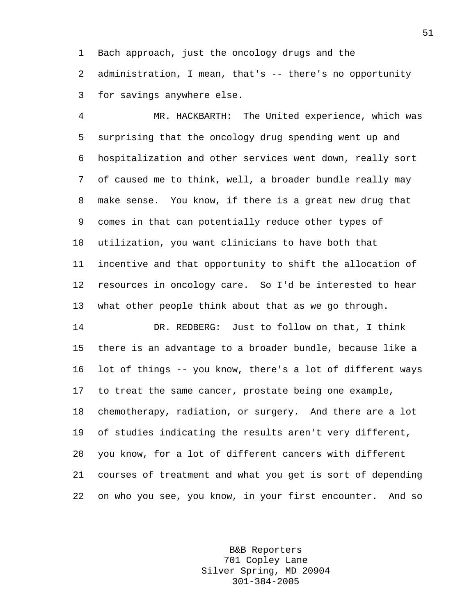1 Bach approach, just the oncology drugs and the 2 administration, I mean, that's -- there's no opportunity 3 for savings anywhere else.

4 MR. HACKBARTH: The United experience, which was 5 surprising that the oncology drug spending went up and 6 hospitalization and other services went down, really sort 7 of caused me to think, well, a broader bundle really may 8 make sense. You know, if there is a great new drug that 9 comes in that can potentially reduce other types of 10 utilization, you want clinicians to have both that 11 incentive and that opportunity to shift the allocation of 12 resources in oncology care. So I'd be interested to hear 13 what other people think about that as we go through. 14 DR. REDBERG: Just to follow on that, I think

15 there is an advantage to a broader bundle, because like a 16 lot of things -- you know, there's a lot of different ways 17 to treat the same cancer, prostate being one example, 18 chemotherapy, radiation, or surgery. And there are a lot 19 of studies indicating the results aren't very different, 20 you know, for a lot of different cancers with different 21 courses of treatment and what you get is sort of depending 22 on who you see, you know, in your first encounter. And so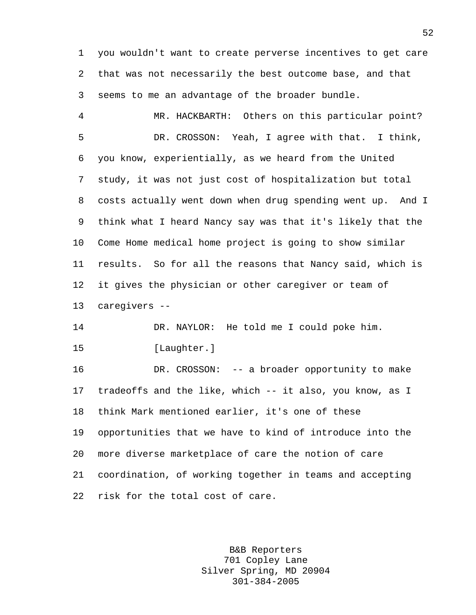1 you wouldn't want to create perverse incentives to get care 2 that was not necessarily the best outcome base, and that 3 seems to me an advantage of the broader bundle.

4 MR. HACKBARTH: Others on this particular point? 5 DR. CROSSON: Yeah, I agree with that. I think, 6 you know, experientially, as we heard from the United 7 study, it was not just cost of hospitalization but total 8 costs actually went down when drug spending went up. And I 9 think what I heard Nancy say was that it's likely that the 10 Come Home medical home project is going to show similar 11 results. So for all the reasons that Nancy said, which is 12 it gives the physician or other caregiver or team of 13 caregivers --

14 DR. NAYLOR: He told me I could poke him. 15 [Laughter.]

16 DR. CROSSON: -- a broader opportunity to make 17 tradeoffs and the like, which -- it also, you know, as I 18 think Mark mentioned earlier, it's one of these 19 opportunities that we have to kind of introduce into the 20 more diverse marketplace of care the notion of care 21 coordination, of working together in teams and accepting 22 risk for the total cost of care.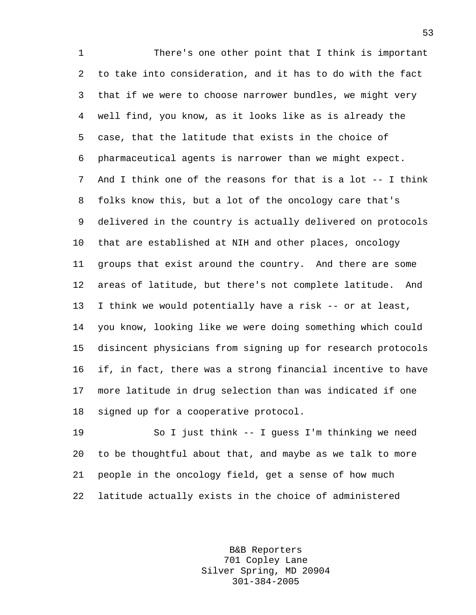1 There's one other point that I think is important 2 to take into consideration, and it has to do with the fact 3 that if we were to choose narrower bundles, we might very 4 well find, you know, as it looks like as is already the 5 case, that the latitude that exists in the choice of 6 pharmaceutical agents is narrower than we might expect. 7 And I think one of the reasons for that is a lot -- I think 8 folks know this, but a lot of the oncology care that's 9 delivered in the country is actually delivered on protocols 10 that are established at NIH and other places, oncology 11 groups that exist around the country. And there are some 12 areas of latitude, but there's not complete latitude. And 13 I think we would potentially have a risk -- or at least, 14 you know, looking like we were doing something which could 15 disincent physicians from signing up for research protocols 16 if, in fact, there was a strong financial incentive to have 17 more latitude in drug selection than was indicated if one 18 signed up for a cooperative protocol.

19 So I just think -- I guess I'm thinking we need 20 to be thoughtful about that, and maybe as we talk to more 21 people in the oncology field, get a sense of how much 22 latitude actually exists in the choice of administered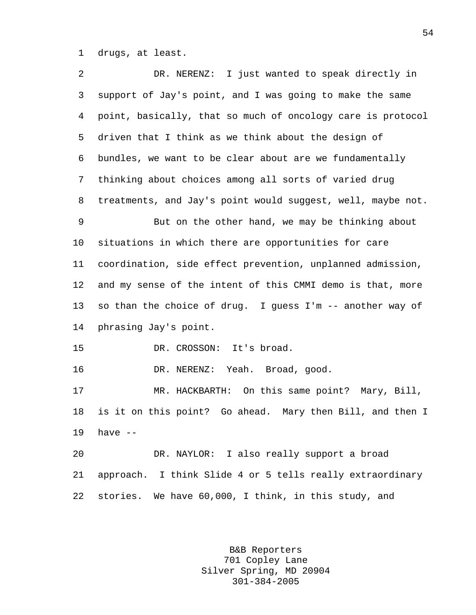1 drugs, at least.

2 DR. NERENZ: I just wanted to speak directly in 3 support of Jay's point, and I was going to make the same 4 point, basically, that so much of oncology care is protocol 5 driven that I think as we think about the design of 6 bundles, we want to be clear about are we fundamentally 7 thinking about choices among all sorts of varied drug 8 treatments, and Jay's point would suggest, well, maybe not. 9 But on the other hand, we may be thinking about 10 situations in which there are opportunities for care 11 coordination, side effect prevention, unplanned admission, 12 and my sense of the intent of this CMMI demo is that, more 13 so than the choice of drug. I guess I'm -- another way of 14 phrasing Jay's point. 15 DR. CROSSON: It's broad. 16 DR. NERENZ: Yeah. Broad, good. 17 MR. HACKBARTH: On this same point? Mary, Bill, 18 is it on this point? Go ahead. Mary then Bill, and then I 19 have -- 20 DR. NAYLOR: I also really support a broad 21 approach. I think Slide 4 or 5 tells really extraordinary 22 stories. We have 60,000, I think, in this study, and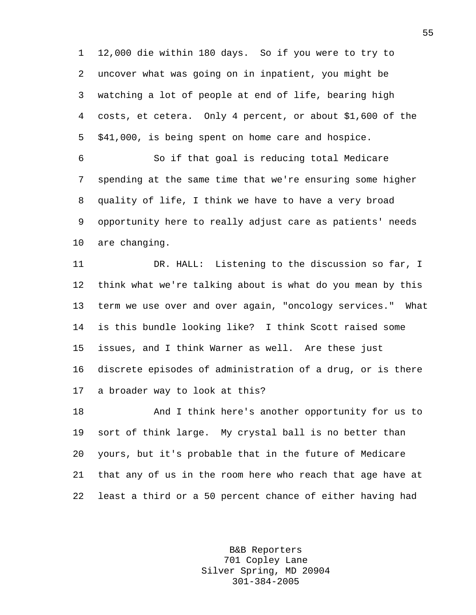1 12,000 die within 180 days. So if you were to try to 2 uncover what was going on in inpatient, you might be 3 watching a lot of people at end of life, bearing high 4 costs, et cetera. Only 4 percent, or about \$1,600 of the 5 \$41,000, is being spent on home care and hospice.

6 So if that goal is reducing total Medicare 7 spending at the same time that we're ensuring some higher 8 quality of life, I think we have to have a very broad 9 opportunity here to really adjust care as patients' needs 10 are changing.

11 DR. HALL: Listening to the discussion so far, I 12 think what we're talking about is what do you mean by this 13 term we use over and over again, "oncology services." What 14 is this bundle looking like? I think Scott raised some 15 issues, and I think Warner as well. Are these just 16 discrete episodes of administration of a drug, or is there 17 a broader way to look at this?

18 And I think here's another opportunity for us to 19 sort of think large. My crystal ball is no better than 20 yours, but it's probable that in the future of Medicare 21 that any of us in the room here who reach that age have at 22 least a third or a 50 percent chance of either having had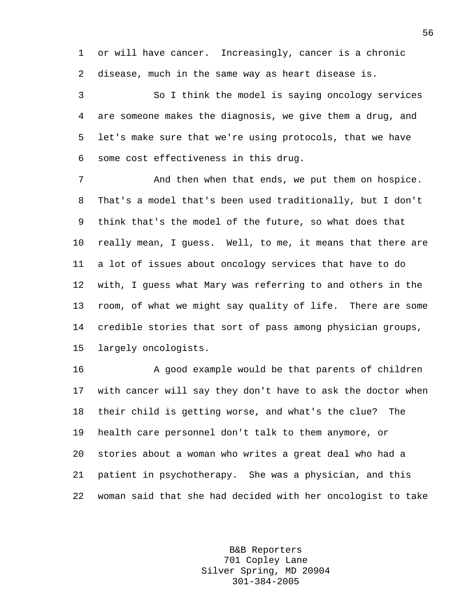1 or will have cancer. Increasingly, cancer is a chronic 2 disease, much in the same way as heart disease is.

3 So I think the model is saying oncology services 4 are someone makes the diagnosis, we give them a drug, and 5 let's make sure that we're using protocols, that we have 6 some cost effectiveness in this drug.

7 And then when that ends, we put them on hospice. 8 That's a model that's been used traditionally, but I don't 9 think that's the model of the future, so what does that 10 really mean, I guess. Well, to me, it means that there are 11 a lot of issues about oncology services that have to do 12 with, I guess what Mary was referring to and others in the 13 room, of what we might say quality of life. There are some 14 credible stories that sort of pass among physician groups, 15 largely oncologists.

16 A good example would be that parents of children 17 with cancer will say they don't have to ask the doctor when 18 their child is getting worse, and what's the clue? The 19 health care personnel don't talk to them anymore, or 20 stories about a woman who writes a great deal who had a 21 patient in psychotherapy. She was a physician, and this 22 woman said that she had decided with her oncologist to take

> B&B Reporters 701 Copley Lane Silver Spring, MD 20904 301-384-2005

56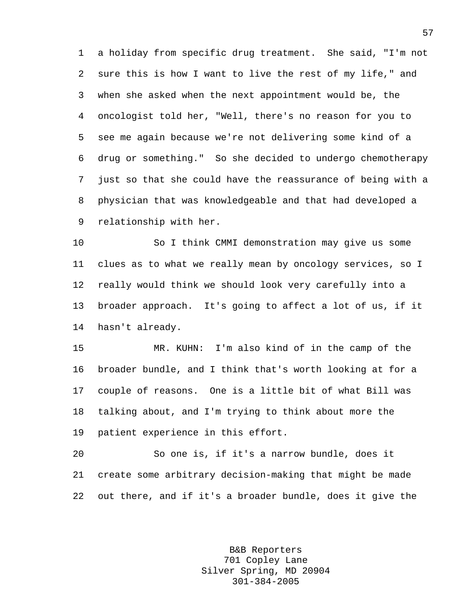1 a holiday from specific drug treatment. She said, "I'm not 2 sure this is how I want to live the rest of my life," and 3 when she asked when the next appointment would be, the 4 oncologist told her, "Well, there's no reason for you to 5 see me again because we're not delivering some kind of a 6 drug or something." So she decided to undergo chemotherapy 7 just so that she could have the reassurance of being with a 8 physician that was knowledgeable and that had developed a 9 relationship with her.

10 So I think CMMI demonstration may give us some 11 clues as to what we really mean by oncology services, so I 12 really would think we should look very carefully into a 13 broader approach. It's going to affect a lot of us, if it 14 hasn't already.

15 MR. KUHN: I'm also kind of in the camp of the 16 broader bundle, and I think that's worth looking at for a 17 couple of reasons. One is a little bit of what Bill was 18 talking about, and I'm trying to think about more the 19 patient experience in this effort.

20 So one is, if it's a narrow bundle, does it 21 create some arbitrary decision-making that might be made 22 out there, and if it's a broader bundle, does it give the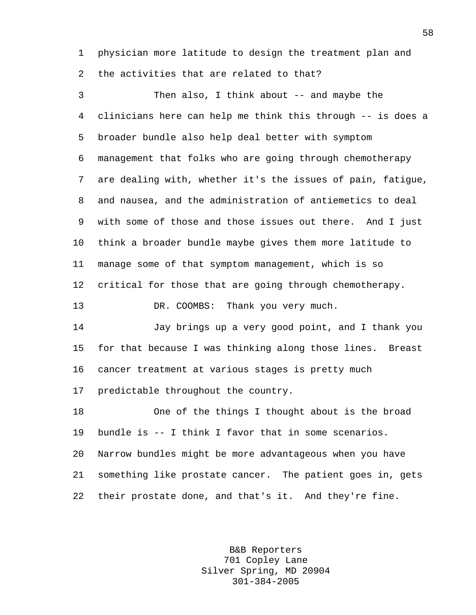1 physician more latitude to design the treatment plan and 2 the activities that are related to that?

3 Then also, I think about -- and maybe the 4 clinicians here can help me think this through -- is does a 5 broader bundle also help deal better with symptom 6 management that folks who are going through chemotherapy 7 are dealing with, whether it's the issues of pain, fatigue, 8 and nausea, and the administration of antiemetics to deal 9 with some of those and those issues out there. And I just 10 think a broader bundle maybe gives them more latitude to 11 manage some of that symptom management, which is so 12 critical for those that are going through chemotherapy. 13 DR. COOMBS: Thank you very much. 14 Jay brings up a very good point, and I thank you 15 for that because I was thinking along those lines. Breast 16 cancer treatment at various stages is pretty much 17 predictable throughout the country. 18 One of the things I thought about is the broad 19 bundle is -- I think I favor that in some scenarios. 20 Narrow bundles might be more advantageous when you have 21 something like prostate cancer. The patient goes in, gets 22 their prostate done, and that's it. And they're fine.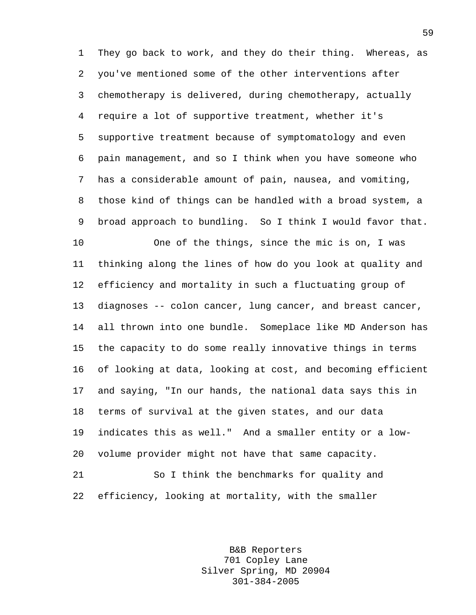1 They go back to work, and they do their thing. Whereas, as 2 you've mentioned some of the other interventions after 3 chemotherapy is delivered, during chemotherapy, actually 4 require a lot of supportive treatment, whether it's 5 supportive treatment because of symptomatology and even 6 pain management, and so I think when you have someone who 7 has a considerable amount of pain, nausea, and vomiting, 8 those kind of things can be handled with a broad system, a 9 broad approach to bundling. So I think I would favor that.

10 One of the things, since the mic is on, I was 11 thinking along the lines of how do you look at quality and 12 efficiency and mortality in such a fluctuating group of 13 diagnoses -- colon cancer, lung cancer, and breast cancer, 14 all thrown into one bundle. Someplace like MD Anderson has 15 the capacity to do some really innovative things in terms 16 of looking at data, looking at cost, and becoming efficient 17 and saying, "In our hands, the national data says this in 18 terms of survival at the given states, and our data 19 indicates this as well." And a smaller entity or a low-20 volume provider might not have that same capacity. 21 So I think the benchmarks for quality and

22 efficiency, looking at mortality, with the smaller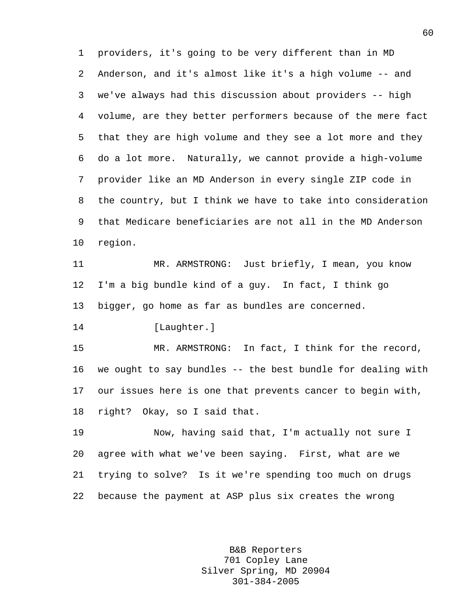1 providers, it's going to be very different than in MD 2 Anderson, and it's almost like it's a high volume -- and 3 we've always had this discussion about providers -- high 4 volume, are they better performers because of the mere fact 5 that they are high volume and they see a lot more and they 6 do a lot more. Naturally, we cannot provide a high-volume 7 provider like an MD Anderson in every single ZIP code in 8 the country, but I think we have to take into consideration 9 that Medicare beneficiaries are not all in the MD Anderson 10 region.

11 MR. ARMSTRONG: Just briefly, I mean, you know 12 I'm a big bundle kind of a guy. In fact, I think go 13 bigger, go home as far as bundles are concerned.

14 [Laughter.]

15 MR. ARMSTRONG: In fact, I think for the record, 16 we ought to say bundles -- the best bundle for dealing with 17 our issues here is one that prevents cancer to begin with, 18 right? Okay, so I said that.

19 Now, having said that, I'm actually not sure I 20 agree with what we've been saying. First, what are we 21 trying to solve? Is it we're spending too much on drugs 22 because the payment at ASP plus six creates the wrong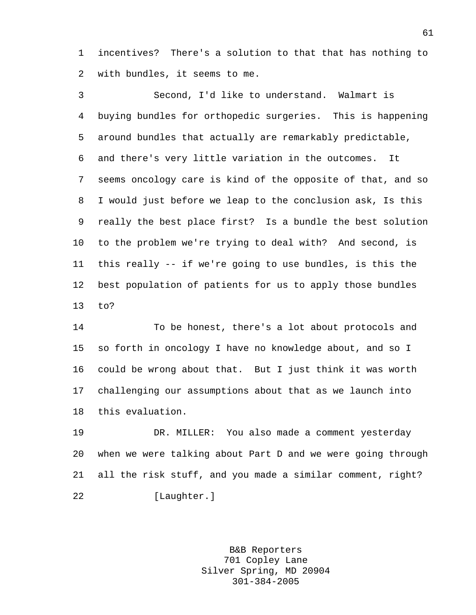1 incentives? There's a solution to that that has nothing to 2 with bundles, it seems to me.

3 Second, I'd like to understand. Walmart is 4 buying bundles for orthopedic surgeries. This is happening 5 around bundles that actually are remarkably predictable, 6 and there's very little variation in the outcomes. It 7 seems oncology care is kind of the opposite of that, and so 8 I would just before we leap to the conclusion ask, Is this 9 really the best place first? Is a bundle the best solution 10 to the problem we're trying to deal with? And second, is 11 this really -- if we're going to use bundles, is this the 12 best population of patients for us to apply those bundles 13 to?

14 To be honest, there's a lot about protocols and 15 so forth in oncology I have no knowledge about, and so I 16 could be wrong about that. But I just think it was worth 17 challenging our assumptions about that as we launch into 18 this evaluation.

19 DR. MILLER: You also made a comment yesterday 20 when we were talking about Part D and we were going through 21 all the risk stuff, and you made a similar comment, right? 22 [Laughter.]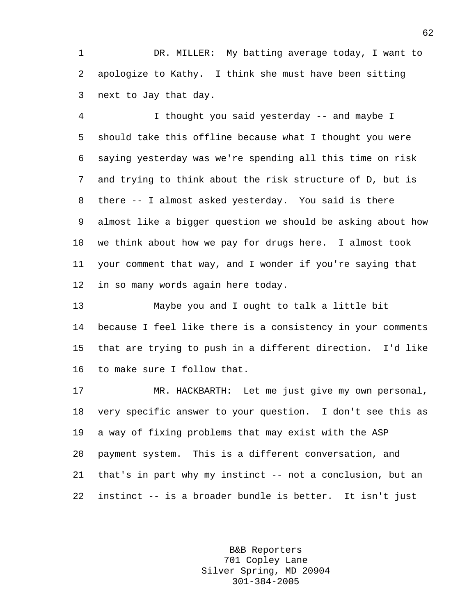1 DR. MILLER: My batting average today, I want to 2 apologize to Kathy. I think she must have been sitting 3 next to Jay that day.

4 I thought you said yesterday -- and maybe I 5 should take this offline because what I thought you were 6 saying yesterday was we're spending all this time on risk 7 and trying to think about the risk structure of D, but is 8 there -- I almost asked yesterday. You said is there 9 almost like a bigger question we should be asking about how 10 we think about how we pay for drugs here. I almost took 11 your comment that way, and I wonder if you're saying that 12 in so many words again here today.

13 Maybe you and I ought to talk a little bit 14 because I feel like there is a consistency in your comments 15 that are trying to push in a different direction. I'd like 16 to make sure I follow that.

17 MR. HACKBARTH: Let me just give my own personal, 18 very specific answer to your question. I don't see this as 19 a way of fixing problems that may exist with the ASP 20 payment system. This is a different conversation, and 21 that's in part why my instinct -- not a conclusion, but an 22 instinct -- is a broader bundle is better. It isn't just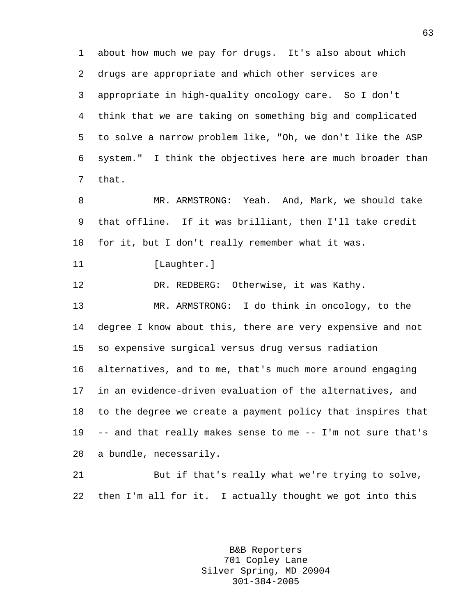1 about how much we pay for drugs. It's also about which 2 drugs are appropriate and which other services are 3 appropriate in high-quality oncology care. So I don't 4 think that we are taking on something big and complicated 5 to solve a narrow problem like, "Oh, we don't like the ASP 6 system." I think the objectives here are much broader than 7 that. 8 MR. ARMSTRONG: Yeah. And, Mark, we should take 9 that offline. If it was brilliant, then I'll take credit 10 for it, but I don't really remember what it was. 11 [Laughter.] 12 DR. REDBERG: Otherwise, it was Kathy. 13 MR. ARMSTRONG: I do think in oncology, to the 14 degree I know about this, there are very expensive and not 15 so expensive surgical versus drug versus radiation 16 alternatives, and to me, that's much more around engaging 17 in an evidence-driven evaluation of the alternatives, and 18 to the degree we create a payment policy that inspires that 19 -- and that really makes sense to me -- I'm not sure that's 20 a bundle, necessarily. 21 But if that's really what we're trying to solve,

22 then I'm all for it. I actually thought we got into this

B&B Reporters 701 Copley Lane Silver Spring, MD 20904 301-384-2005

63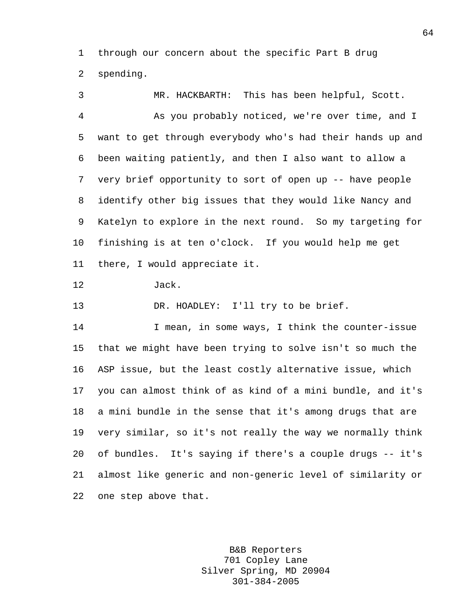1 through our concern about the specific Part B drug 2 spending.

3 MR. HACKBARTH: This has been helpful, Scott. 4 As you probably noticed, we're over time, and I 5 want to get through everybody who's had their hands up and 6 been waiting patiently, and then I also want to allow a 7 very brief opportunity to sort of open up -- have people 8 identify other big issues that they would like Nancy and 9 Katelyn to explore in the next round. So my targeting for 10 finishing is at ten o'clock. If you would help me get 11 there, I would appreciate it.

12 Jack.

13 DR. HOADLEY: I'll try to be brief.

14 I mean, in some ways, I think the counter-issue 15 that we might have been trying to solve isn't so much the 16 ASP issue, but the least costly alternative issue, which 17 you can almost think of as kind of a mini bundle, and it's 18 a mini bundle in the sense that it's among drugs that are 19 very similar, so it's not really the way we normally think 20 of bundles. It's saying if there's a couple drugs -- it's 21 almost like generic and non-generic level of similarity or 22 one step above that.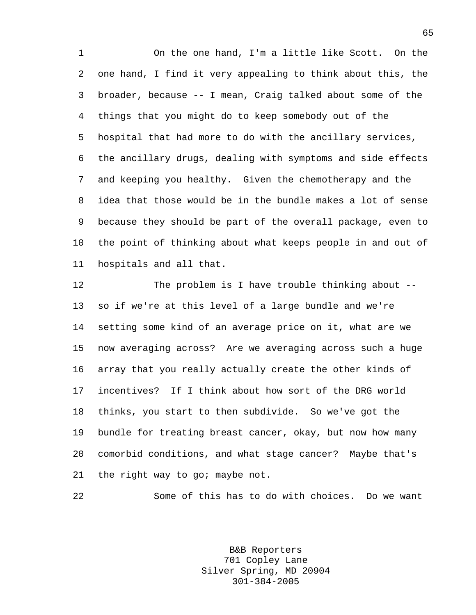1 On the one hand, I'm a little like Scott. On the 2 one hand, I find it very appealing to think about this, the 3 broader, because -- I mean, Craig talked about some of the 4 things that you might do to keep somebody out of the 5 hospital that had more to do with the ancillary services, 6 the ancillary drugs, dealing with symptoms and side effects 7 and keeping you healthy. Given the chemotherapy and the 8 idea that those would be in the bundle makes a lot of sense 9 because they should be part of the overall package, even to 10 the point of thinking about what keeps people in and out of 11 hospitals and all that.

12 The problem is I have trouble thinking about -- 13 so if we're at this level of a large bundle and we're 14 setting some kind of an average price on it, what are we 15 now averaging across? Are we averaging across such a huge 16 array that you really actually create the other kinds of 17 incentives? If I think about how sort of the DRG world 18 thinks, you start to then subdivide. So we've got the 19 bundle for treating breast cancer, okay, but now how many 20 comorbid conditions, and what stage cancer? Maybe that's 21 the right way to go; maybe not.

22 Some of this has to do with choices. Do we want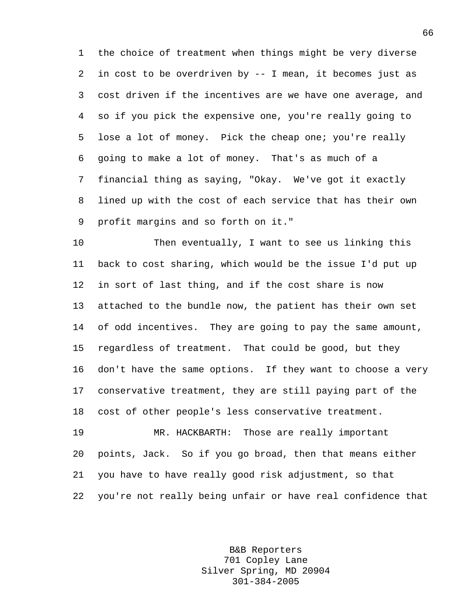1 the choice of treatment when things might be very diverse 2 in cost to be overdriven by -- I mean, it becomes just as 3 cost driven if the incentives are we have one average, and 4 so if you pick the expensive one, you're really going to 5 lose a lot of money. Pick the cheap one; you're really 6 going to make a lot of money. That's as much of a 7 financial thing as saying, "Okay. We've got it exactly 8 lined up with the cost of each service that has their own 9 profit margins and so forth on it."

10 Then eventually, I want to see us linking this 11 back to cost sharing, which would be the issue I'd put up 12 in sort of last thing, and if the cost share is now 13 attached to the bundle now, the patient has their own set 14 of odd incentives. They are going to pay the same amount, 15 regardless of treatment. That could be good, but they 16 don't have the same options. If they want to choose a very 17 conservative treatment, they are still paying part of the 18 cost of other people's less conservative treatment.

19 MR. HACKBARTH: Those are really important 20 points, Jack. So if you go broad, then that means either 21 you have to have really good risk adjustment, so that 22 you're not really being unfair or have real confidence that

> B&B Reporters 701 Copley Lane Silver Spring, MD 20904 301-384-2005

66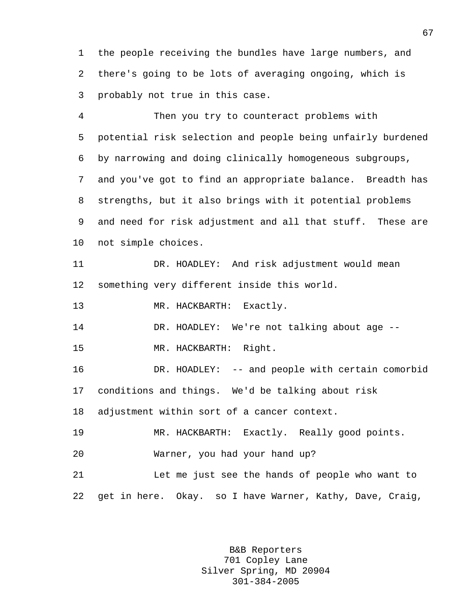1 the people receiving the bundles have large numbers, and 2 there's going to be lots of averaging ongoing, which is 3 probably not true in this case.

4 Then you try to counteract problems with 5 potential risk selection and people being unfairly burdened 6 by narrowing and doing clinically homogeneous subgroups, 7 and you've got to find an appropriate balance. Breadth has 8 strengths, but it also brings with it potential problems 9 and need for risk adjustment and all that stuff. These are 10 not simple choices.

11 DR. HOADLEY: And risk adjustment would mean 12 something very different inside this world.

13 MR. HACKBARTH: Exactly.

14 DR. HOADLEY: We're not talking about age --

15 MR. HACKBARTH: Right.

16 DR. HOADLEY: -- and people with certain comorbid 17 conditions and things. We'd be talking about risk 18 adjustment within sort of a cancer context.

19 MR. HACKBARTH: Exactly. Really good points.

20 Warner, you had your hand up?

21 Let me just see the hands of people who want to 22 get in here. Okay. so I have Warner, Kathy, Dave, Craig,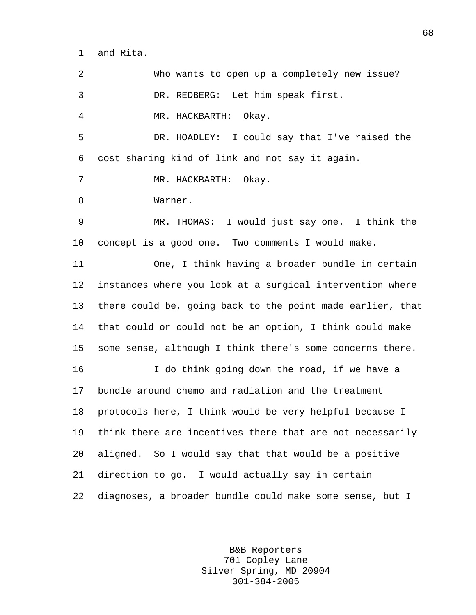1 and Rita.

2 Who wants to open up a completely new issue? 3 DR. REDBERG: Let him speak first. 4 MR. HACKBARTH: Okay. 5 DR. HOADLEY: I could say that I've raised the 6 cost sharing kind of link and not say it again. 7 MR. HACKBARTH: Okay. 8 Warner. 9 MR. THOMAS: I would just say one. I think the 10 concept is a good one. Two comments I would make. 11 One, I think having a broader bundle in certain 12 instances where you look at a surgical intervention where 13 there could be, going back to the point made earlier, that 14 that could or could not be an option, I think could make 15 some sense, although I think there's some concerns there. 16 I do think going down the road, if we have a 17 bundle around chemo and radiation and the treatment 18 protocols here, I think would be very helpful because I 19 think there are incentives there that are not necessarily 20 aligned. So I would say that that would be a positive 21 direction to go. I would actually say in certain 22 diagnoses, a broader bundle could make some sense, but I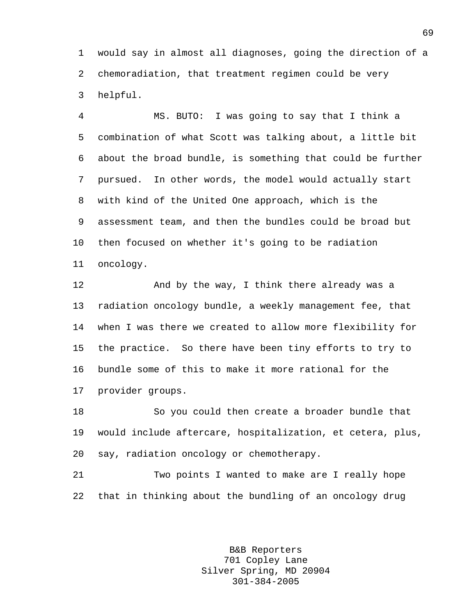1 would say in almost all diagnoses, going the direction of a 2 chemoradiation, that treatment regimen could be very 3 helpful.

4 MS. BUTO: I was going to say that I think a 5 combination of what Scott was talking about, a little bit 6 about the broad bundle, is something that could be further 7 pursued. In other words, the model would actually start 8 with kind of the United One approach, which is the 9 assessment team, and then the bundles could be broad but 10 then focused on whether it's going to be radiation 11 oncology.

12 And by the way, I think there already was a 13 radiation oncology bundle, a weekly management fee, that 14 when I was there we created to allow more flexibility for 15 the practice. So there have been tiny efforts to try to 16 bundle some of this to make it more rational for the 17 provider groups.

18 So you could then create a broader bundle that 19 would include aftercare, hospitalization, et cetera, plus, 20 say, radiation oncology or chemotherapy.

21 Two points I wanted to make are I really hope 22 that in thinking about the bundling of an oncology drug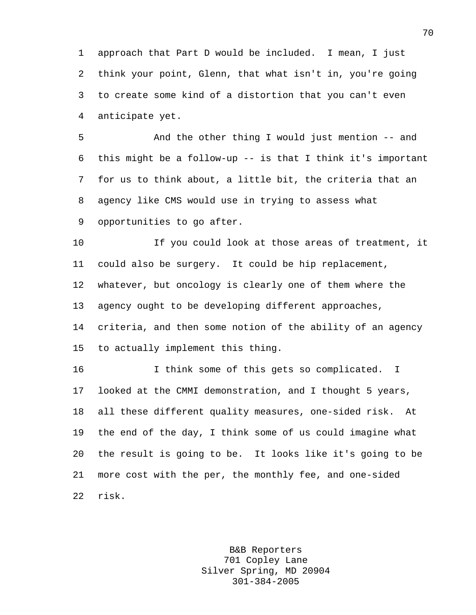1 approach that Part D would be included. I mean, I just 2 think your point, Glenn, that what isn't in, you're going 3 to create some kind of a distortion that you can't even 4 anticipate yet.

5 And the other thing I would just mention -- and 6 this might be a follow-up -- is that I think it's important 7 for us to think about, a little bit, the criteria that an 8 agency like CMS would use in trying to assess what 9 opportunities to go after.

10 If you could look at those areas of treatment, it 11 could also be surgery. It could be hip replacement, 12 whatever, but oncology is clearly one of them where the 13 agency ought to be developing different approaches, 14 criteria, and then some notion of the ability of an agency 15 to actually implement this thing.

16 I think some of this gets so complicated. I 17 looked at the CMMI demonstration, and I thought 5 years, 18 all these different quality measures, one-sided risk. At 19 the end of the day, I think some of us could imagine what 20 the result is going to be. It looks like it's going to be 21 more cost with the per, the monthly fee, and one-sided 22 risk.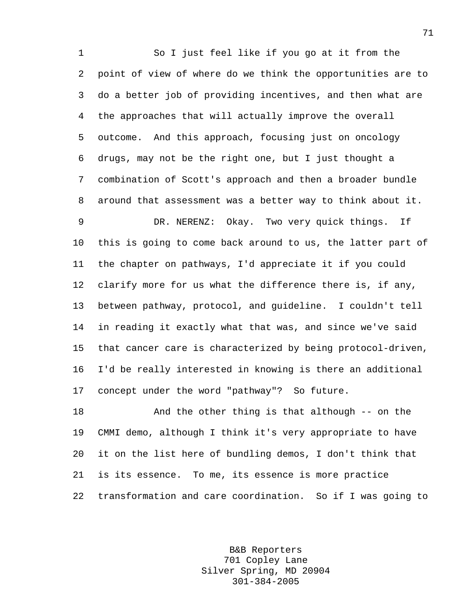1 So I just feel like if you go at it from the 2 point of view of where do we think the opportunities are to 3 do a better job of providing incentives, and then what are 4 the approaches that will actually improve the overall 5 outcome. And this approach, focusing just on oncology 6 drugs, may not be the right one, but I just thought a 7 combination of Scott's approach and then a broader bundle 8 around that assessment was a better way to think about it. 9 DR. NERENZ: Okay. Two very quick things. If 10 this is going to come back around to us, the latter part of 11 the chapter on pathways, I'd appreciate it if you could 12 clarify more for us what the difference there is, if any, 13 between pathway, protocol, and guideline. I couldn't tell 14 in reading it exactly what that was, and since we've said 15 that cancer care is characterized by being protocol-driven, 16 I'd be really interested in knowing is there an additional 17 concept under the word "pathway"? So future.

18 And the other thing is that although -- on the 19 CMMI demo, although I think it's very appropriate to have 20 it on the list here of bundling demos, I don't think that 21 is its essence. To me, its essence is more practice 22 transformation and care coordination. So if I was going to

> B&B Reporters 701 Copley Lane Silver Spring, MD 20904 301-384-2005

71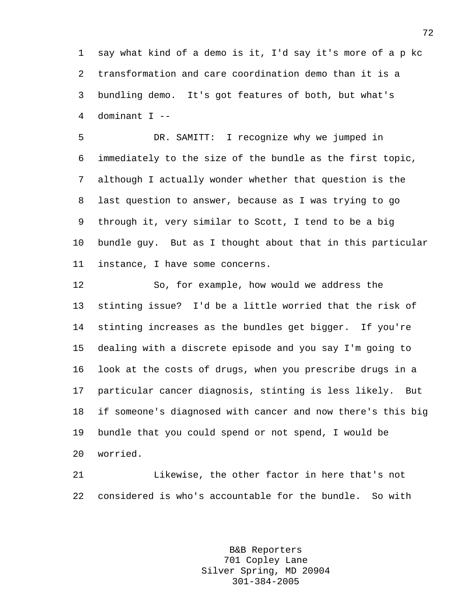1 say what kind of a demo is it, I'd say it's more of a p kc 2 transformation and care coordination demo than it is a 3 bundling demo. It's got features of both, but what's 4 dominant I --

5 DR. SAMITT: I recognize why we jumped in 6 immediately to the size of the bundle as the first topic, 7 although I actually wonder whether that question is the 8 last question to answer, because as I was trying to go 9 through it, very similar to Scott, I tend to be a big 10 bundle guy. But as I thought about that in this particular 11 instance, I have some concerns.

12 So, for example, how would we address the 13 stinting issue? I'd be a little worried that the risk of 14 stinting increases as the bundles get bigger. If you're 15 dealing with a discrete episode and you say I'm going to 16 look at the costs of drugs, when you prescribe drugs in a 17 particular cancer diagnosis, stinting is less likely. But 18 if someone's diagnosed with cancer and now there's this big 19 bundle that you could spend or not spend, I would be 20 worried.

21 Likewise, the other factor in here that's not 22 considered is who's accountable for the bundle. So with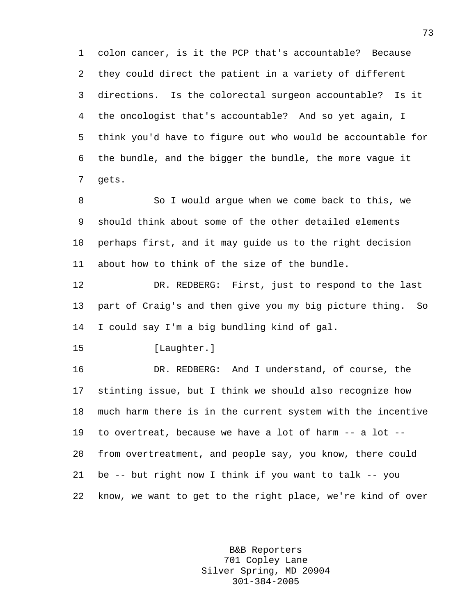1 colon cancer, is it the PCP that's accountable? Because 2 they could direct the patient in a variety of different 3 directions. Is the colorectal surgeon accountable? Is it 4 the oncologist that's accountable? And so yet again, I 5 think you'd have to figure out who would be accountable for 6 the bundle, and the bigger the bundle, the more vague it 7 gets.

8 So I would argue when we come back to this, we 9 should think about some of the other detailed elements 10 perhaps first, and it may guide us to the right decision 11 about how to think of the size of the bundle.

12 DR. REDBERG: First, just to respond to the last 13 part of Craig's and then give you my big picture thing. So 14 I could say I'm a big bundling kind of gal.

15 [Laughter.]

16 DR. REDBERG: And I understand, of course, the 17 stinting issue, but I think we should also recognize how 18 much harm there is in the current system with the incentive 19 to overtreat, because we have a lot of harm -- a lot -- 20 from overtreatment, and people say, you know, there could 21 be -- but right now I think if you want to talk -- you 22 know, we want to get to the right place, we're kind of over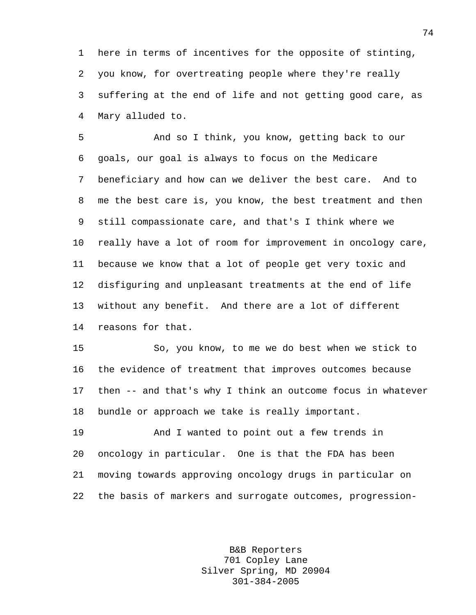1 here in terms of incentives for the opposite of stinting, 2 you know, for overtreating people where they're really 3 suffering at the end of life and not getting good care, as 4 Mary alluded to.

5 And so I think, you know, getting back to our 6 goals, our goal is always to focus on the Medicare 7 beneficiary and how can we deliver the best care. And to 8 me the best care is, you know, the best treatment and then 9 still compassionate care, and that's I think where we 10 really have a lot of room for improvement in oncology care, 11 because we know that a lot of people get very toxic and 12 disfiguring and unpleasant treatments at the end of life 13 without any benefit. And there are a lot of different 14 reasons for that.

15 So, you know, to me we do best when we stick to 16 the evidence of treatment that improves outcomes because 17 then -- and that's why I think an outcome focus in whatever 18 bundle or approach we take is really important.

19 And I wanted to point out a few trends in 20 oncology in particular. One is that the FDA has been 21 moving towards approving oncology drugs in particular on 22 the basis of markers and surrogate outcomes, progression-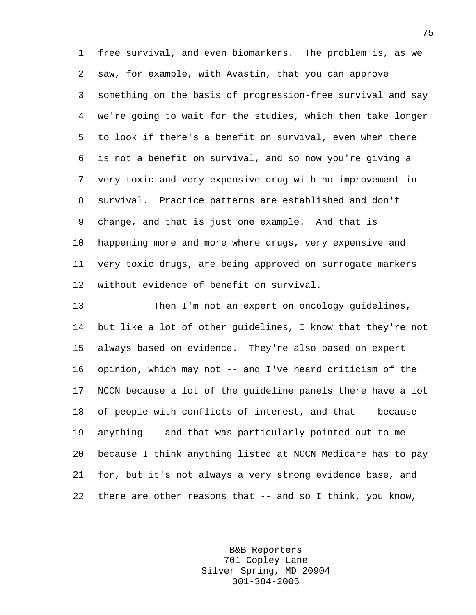1 free survival, and even biomarkers. The problem is, as we 2 saw, for example, with Avastin, that you can approve 3 something on the basis of progression-free survival and say 4 we're going to wait for the studies, which then take longer 5 to look if there's a benefit on survival, even when there 6 is not a benefit on survival, and so now you're giving a 7 very toxic and very expensive drug with no improvement in 8 survival. Practice patterns are established and don't 9 change, and that is just one example. And that is 10 happening more and more where drugs, very expensive and 11 very toxic drugs, are being approved on surrogate markers 12 without evidence of benefit on survival.

13 Then I'm not an expert on oncology guidelines, 14 but like a lot of other guidelines, I know that they're not 15 always based on evidence. They're also based on expert 16 opinion, which may not -- and I've heard criticism of the 17 NCCN because a lot of the guideline panels there have a lot 18 of people with conflicts of interest, and that -- because 19 anything -- and that was particularly pointed out to me 20 because I think anything listed at NCCN Medicare has to pay 21 for, but it's not always a very strong evidence base, and 22 there are other reasons that -- and so I think, you know,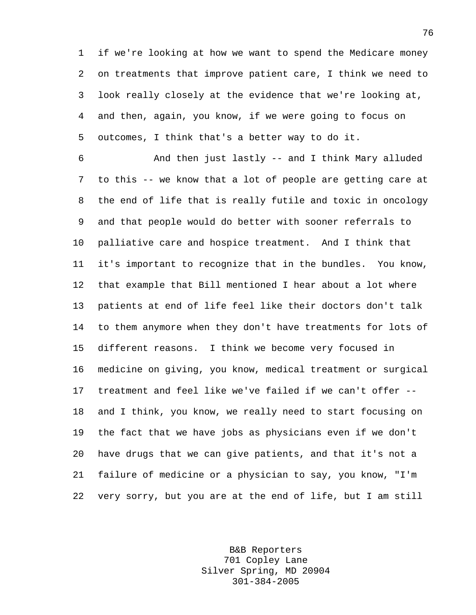1 if we're looking at how we want to spend the Medicare money 2 on treatments that improve patient care, I think we need to 3 look really closely at the evidence that we're looking at, 4 and then, again, you know, if we were going to focus on 5 outcomes, I think that's a better way to do it.

6 And then just lastly -- and I think Mary alluded 7 to this -- we know that a lot of people are getting care at 8 the end of life that is really futile and toxic in oncology 9 and that people would do better with sooner referrals to 10 palliative care and hospice treatment. And I think that 11 it's important to recognize that in the bundles. You know, 12 that example that Bill mentioned I hear about a lot where 13 patients at end of life feel like their doctors don't talk 14 to them anymore when they don't have treatments for lots of 15 different reasons. I think we become very focused in 16 medicine on giving, you know, medical treatment or surgical 17 treatment and feel like we've failed if we can't offer -- 18 and I think, you know, we really need to start focusing on 19 the fact that we have jobs as physicians even if we don't 20 have drugs that we can give patients, and that it's not a 21 failure of medicine or a physician to say, you know, "I'm 22 very sorry, but you are at the end of life, but I am still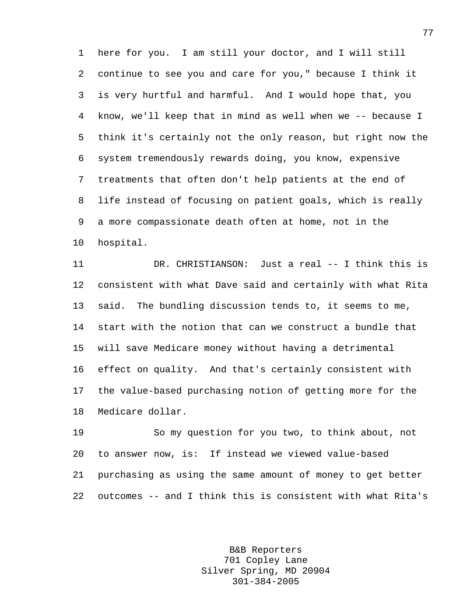1 here for you. I am still your doctor, and I will still 2 continue to see you and care for you," because I think it 3 is very hurtful and harmful. And I would hope that, you 4 know, we'll keep that in mind as well when we -- because I 5 think it's certainly not the only reason, but right now the 6 system tremendously rewards doing, you know, expensive 7 treatments that often don't help patients at the end of 8 life instead of focusing on patient goals, which is really 9 a more compassionate death often at home, not in the 10 hospital.

11 DR. CHRISTIANSON: Just a real -- I think this is 12 consistent with what Dave said and certainly with what Rita 13 said. The bundling discussion tends to, it seems to me, 14 start with the notion that can we construct a bundle that 15 will save Medicare money without having a detrimental 16 effect on quality. And that's certainly consistent with 17 the value-based purchasing notion of getting more for the 18 Medicare dollar.

19 So my question for you two, to think about, not 20 to answer now, is: If instead we viewed value-based 21 purchasing as using the same amount of money to get better 22 outcomes -- and I think this is consistent with what Rita's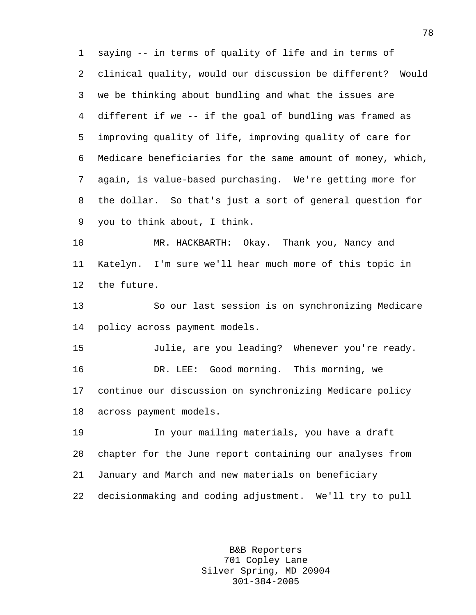1 saying -- in terms of quality of life and in terms of 2 clinical quality, would our discussion be different? Would 3 we be thinking about bundling and what the issues are 4 different if we -- if the goal of bundling was framed as 5 improving quality of life, improving quality of care for 6 Medicare beneficiaries for the same amount of money, which, 7 again, is value-based purchasing. We're getting more for 8 the dollar. So that's just a sort of general question for 9 you to think about, I think.

10 MR. HACKBARTH: Okay. Thank you, Nancy and 11 Katelyn. I'm sure we'll hear much more of this topic in 12 the future.

13 So our last session is on synchronizing Medicare 14 policy across payment models.

15 Julie, are you leading? Whenever you're ready. 16 DR. LEE: Good morning. This morning, we 17 continue our discussion on synchronizing Medicare policy 18 across payment models.

19 In your mailing materials, you have a draft 20 chapter for the June report containing our analyses from 21 January and March and new materials on beneficiary 22 decisionmaking and coding adjustment. We'll try to pull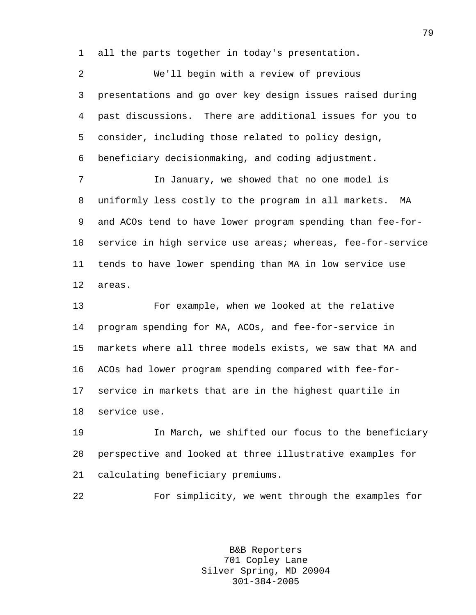1 all the parts together in today's presentation.

2 We'll begin with a review of previous 3 presentations and go over key design issues raised during 4 past discussions. There are additional issues for you to 5 consider, including those related to policy design, 6 beneficiary decisionmaking, and coding adjustment. 7 In January, we showed that no one model is 8 uniformly less costly to the program in all markets. MA 9 and ACOs tend to have lower program spending than fee-for-10 service in high service use areas; whereas, fee-for-service 11 tends to have lower spending than MA in low service use 12 areas. 13 For example, when we looked at the relative 14 program spending for MA, ACOs, and fee-for-service in 15 markets where all three models exists, we saw that MA and 16 ACOs had lower program spending compared with fee-for-17 service in markets that are in the highest quartile in 18 service use. 19 In March, we shifted our focus to the beneficiary

20 perspective and looked at three illustrative examples for 21 calculating beneficiary premiums.

22 For simplicity, we went through the examples for

B&B Reporters 701 Copley Lane Silver Spring, MD 20904 301-384-2005

79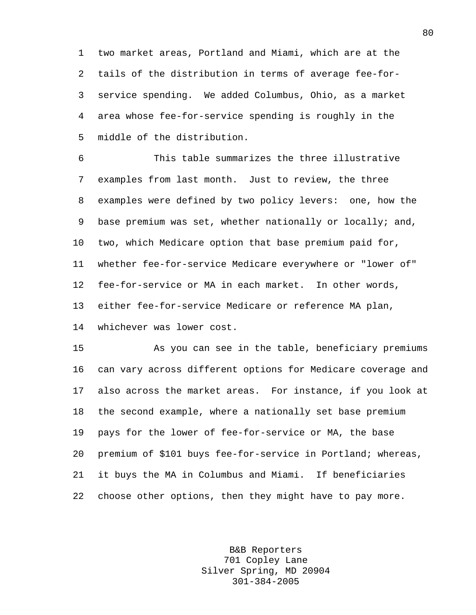1 two market areas, Portland and Miami, which are at the 2 tails of the distribution in terms of average fee-for-3 service spending. We added Columbus, Ohio, as a market 4 area whose fee-for-service spending is roughly in the 5 middle of the distribution.

6 This table summarizes the three illustrative 7 examples from last month. Just to review, the three 8 examples were defined by two policy levers: one, how the 9 base premium was set, whether nationally or locally; and, 10 two, which Medicare option that base premium paid for, 11 whether fee-for-service Medicare everywhere or "lower of" 12 fee-for-service or MA in each market. In other words, 13 either fee-for-service Medicare or reference MA plan, 14 whichever was lower cost.

15 As you can see in the table, beneficiary premiums 16 can vary across different options for Medicare coverage and 17 also across the market areas. For instance, if you look at 18 the second example, where a nationally set base premium 19 pays for the lower of fee-for-service or MA, the base 20 premium of \$101 buys fee-for-service in Portland; whereas, 21 it buys the MA in Columbus and Miami. If beneficiaries 22 choose other options, then they might have to pay more.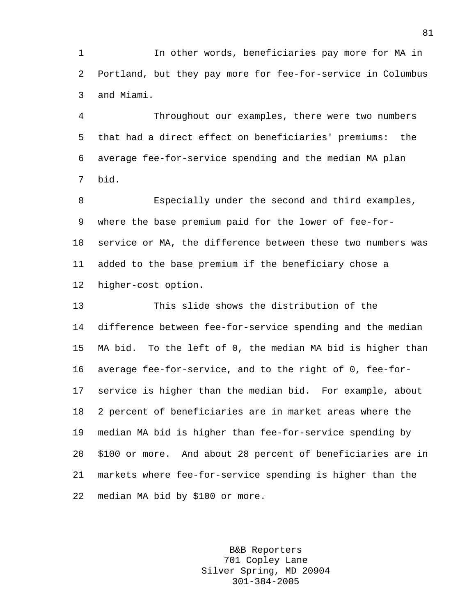1 In other words, beneficiaries pay more for MA in 2 Portland, but they pay more for fee-for-service in Columbus 3 and Miami.

4 Throughout our examples, there were two numbers 5 that had a direct effect on beneficiaries' premiums: the 6 average fee-for-service spending and the median MA plan 7 bid.

8 Especially under the second and third examples, 9 where the base premium paid for the lower of fee-for-10 service or MA, the difference between these two numbers was 11 added to the base premium if the beneficiary chose a 12 higher-cost option.

13 This slide shows the distribution of the 14 difference between fee-for-service spending and the median 15 MA bid. To the left of 0, the median MA bid is higher than 16 average fee-for-service, and to the right of 0, fee-for-17 service is higher than the median bid. For example, about 18 2 percent of beneficiaries are in market areas where the 19 median MA bid is higher than fee-for-service spending by 20 \$100 or more. And about 28 percent of beneficiaries are in 21 markets where fee-for-service spending is higher than the 22 median MA bid by \$100 or more.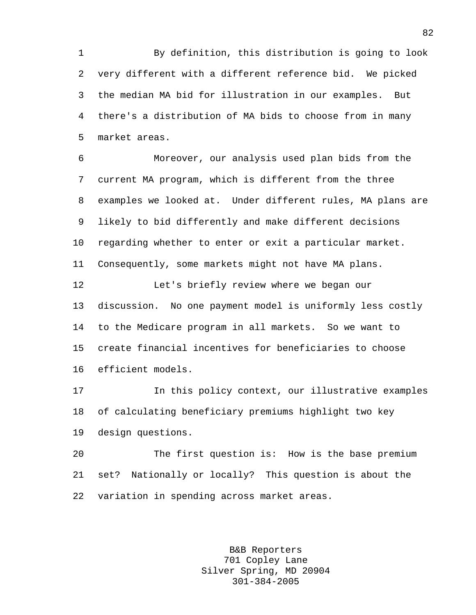1 By definition, this distribution is going to look 2 very different with a different reference bid. We picked 3 the median MA bid for illustration in our examples. But 4 there's a distribution of MA bids to choose from in many 5 market areas.

6 Moreover, our analysis used plan bids from the 7 current MA program, which is different from the three 8 examples we looked at. Under different rules, MA plans are 9 likely to bid differently and make different decisions 10 regarding whether to enter or exit a particular market. 11 Consequently, some markets might not have MA plans.

12 Let's briefly review where we began our 13 discussion. No one payment model is uniformly less costly 14 to the Medicare program in all markets. So we want to 15 create financial incentives for beneficiaries to choose 16 efficient models.

17 In this policy context, our illustrative examples 18 of calculating beneficiary premiums highlight two key 19 design questions.

20 The first question is: How is the base premium 21 set? Nationally or locally? This question is about the 22 variation in spending across market areas.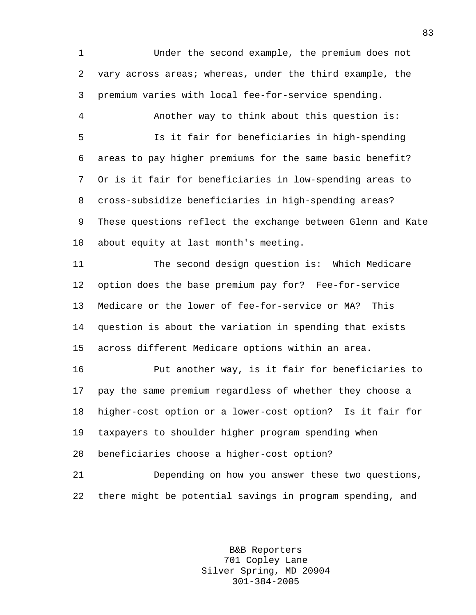1 Under the second example, the premium does not 2 vary across areas; whereas, under the third example, the 3 premium varies with local fee-for-service spending. 4 Another way to think about this question is: 5 Is it fair for beneficiaries in high-spending 6 areas to pay higher premiums for the same basic benefit? 7 Or is it fair for beneficiaries in low-spending areas to 8 cross-subsidize beneficiaries in high-spending areas? 9 These questions reflect the exchange between Glenn and Kate 10 about equity at last month's meeting.

11 The second design question is: Which Medicare 12 option does the base premium pay for? Fee-for-service 13 Medicare or the lower of fee-for-service or MA? This 14 question is about the variation in spending that exists 15 across different Medicare options within an area.

16 Put another way, is it fair for beneficiaries to 17 pay the same premium regardless of whether they choose a 18 higher-cost option or a lower-cost option? Is it fair for 19 taxpayers to shoulder higher program spending when 20 beneficiaries choose a higher-cost option?

21 Depending on how you answer these two questions, 22 there might be potential savings in program spending, and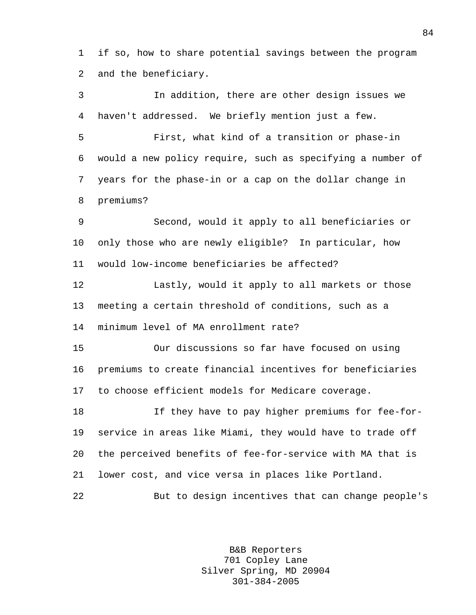1 if so, how to share potential savings between the program 2 and the beneficiary.

3 In addition, there are other design issues we 4 haven't addressed. We briefly mention just a few. 5 First, what kind of a transition or phase-in 6 would a new policy require, such as specifying a number of 7 years for the phase-in or a cap on the dollar change in 8 premiums? 9 Second, would it apply to all beneficiaries or 10 only those who are newly eligible? In particular, how 11 would low-income beneficiaries be affected? 12 Lastly, would it apply to all markets or those 13 meeting a certain threshold of conditions, such as a 14 minimum level of MA enrollment rate? 15 Our discussions so far have focused on using 16 premiums to create financial incentives for beneficiaries 17 to choose efficient models for Medicare coverage. 18 If they have to pay higher premiums for fee-for-19 service in areas like Miami, they would have to trade off 20 the perceived benefits of fee-for-service with MA that is 21 lower cost, and vice versa in places like Portland. 22 But to design incentives that can change people's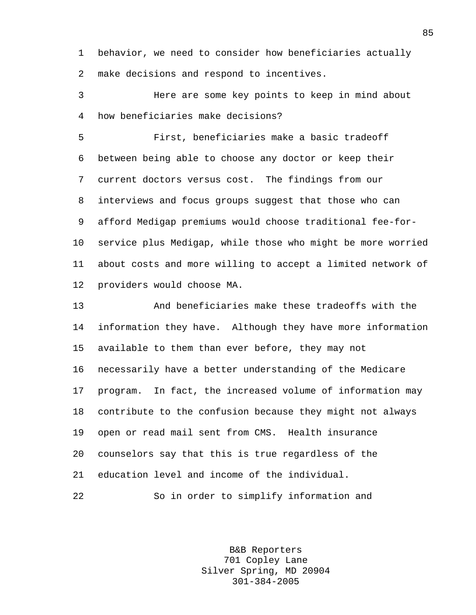1 behavior, we need to consider how beneficiaries actually 2 make decisions and respond to incentives.

3 Here are some key points to keep in mind about 4 how beneficiaries make decisions?

5 First, beneficiaries make a basic tradeoff 6 between being able to choose any doctor or keep their 7 current doctors versus cost. The findings from our 8 interviews and focus groups suggest that those who can 9 afford Medigap premiums would choose traditional fee-for-10 service plus Medigap, while those who might be more worried 11 about costs and more willing to accept a limited network of 12 providers would choose MA.

13 And beneficiaries make these tradeoffs with the 14 information they have. Although they have more information 15 available to them than ever before, they may not 16 necessarily have a better understanding of the Medicare 17 program. In fact, the increased volume of information may 18 contribute to the confusion because they might not always 19 open or read mail sent from CMS. Health insurance 20 counselors say that this is true regardless of the 21 education level and income of the individual.

22 So in order to simplify information and

B&B Reporters 701 Copley Lane Silver Spring, MD 20904 301-384-2005

85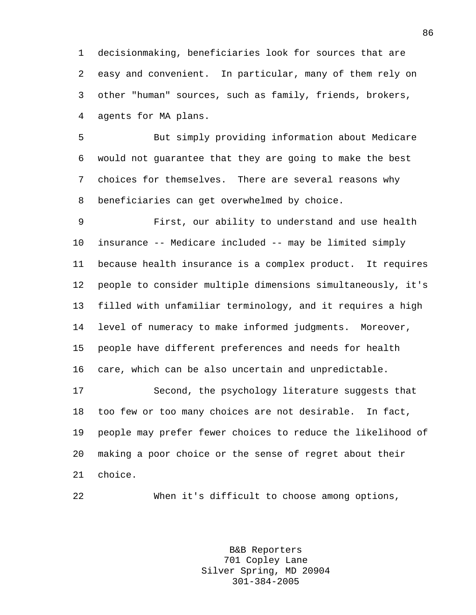1 decisionmaking, beneficiaries look for sources that are 2 easy and convenient. In particular, many of them rely on 3 other "human" sources, such as family, friends, brokers, 4 agents for MA plans.

5 But simply providing information about Medicare 6 would not guarantee that they are going to make the best 7 choices for themselves. There are several reasons why 8 beneficiaries can get overwhelmed by choice.

9 First, our ability to understand and use health 10 insurance -- Medicare included -- may be limited simply 11 because health insurance is a complex product. It requires 12 people to consider multiple dimensions simultaneously, it's 13 filled with unfamiliar terminology, and it requires a high 14 level of numeracy to make informed judgments. Moreover, 15 people have different preferences and needs for health 16 care, which can be also uncertain and unpredictable.

17 Second, the psychology literature suggests that 18 too few or too many choices are not desirable. In fact, 19 people may prefer fewer choices to reduce the likelihood of 20 making a poor choice or the sense of regret about their 21 choice.

22 When it's difficult to choose among options,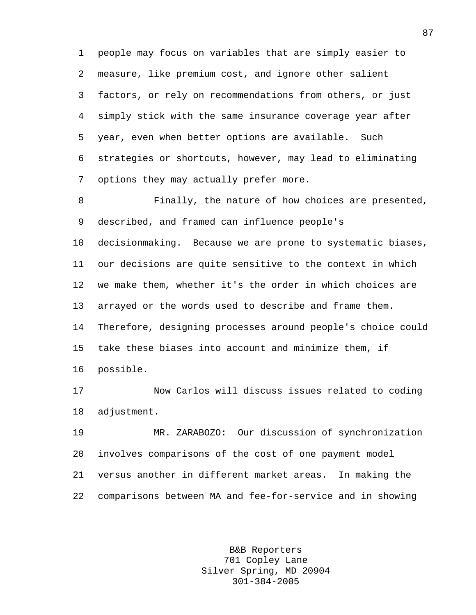1 people may focus on variables that are simply easier to 2 measure, like premium cost, and ignore other salient 3 factors, or rely on recommendations from others, or just 4 simply stick with the same insurance coverage year after 5 year, even when better options are available. Such 6 strategies or shortcuts, however, may lead to eliminating 7 options they may actually prefer more.

8 Finally, the nature of how choices are presented, 9 described, and framed can influence people's

10 decisionmaking. Because we are prone to systematic biases, 11 our decisions are quite sensitive to the context in which 12 we make them, whether it's the order in which choices are 13 arrayed or the words used to describe and frame them. 14 Therefore, designing processes around people's choice could 15 take these biases into account and minimize them, if 16 possible.

17 Now Carlos will discuss issues related to coding 18 adjustment.

19 MR. ZARABOZO: Our discussion of synchronization 20 involves comparisons of the cost of one payment model 21 versus another in different market areas. In making the 22 comparisons between MA and fee-for-service and in showing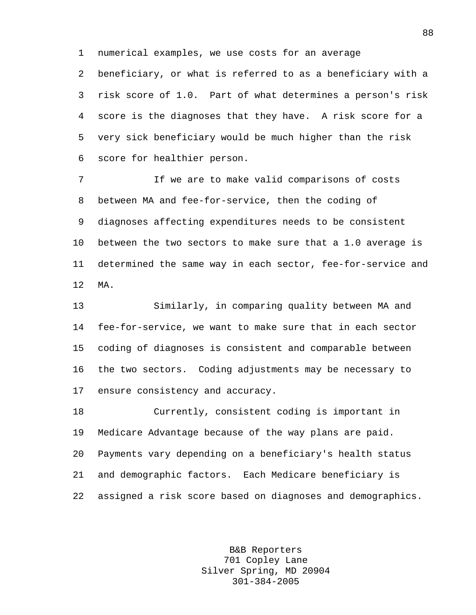1 numerical examples, we use costs for an average

2 beneficiary, or what is referred to as a beneficiary with a 3 risk score of 1.0. Part of what determines a person's risk 4 score is the diagnoses that they have. A risk score for a 5 very sick beneficiary would be much higher than the risk 6 score for healthier person.

7 If we are to make valid comparisons of costs 8 between MA and fee-for-service, then the coding of 9 diagnoses affecting expenditures needs to be consistent 10 between the two sectors to make sure that a 1.0 average is 11 determined the same way in each sector, fee-for-service and 12 MA.

13 Similarly, in comparing quality between MA and 14 fee-for-service, we want to make sure that in each sector 15 coding of diagnoses is consistent and comparable between 16 the two sectors. Coding adjustments may be necessary to 17 ensure consistency and accuracy.

18 Currently, consistent coding is important in 19 Medicare Advantage because of the way plans are paid. 20 Payments vary depending on a beneficiary's health status 21 and demographic factors. Each Medicare beneficiary is 22 assigned a risk score based on diagnoses and demographics.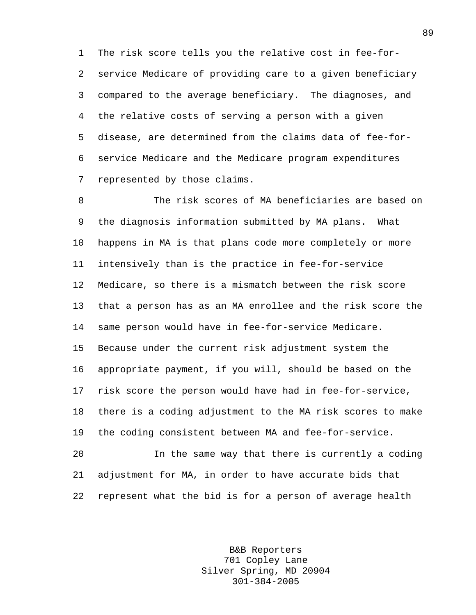1 The risk score tells you the relative cost in fee-for-2 service Medicare of providing care to a given beneficiary 3 compared to the average beneficiary. The diagnoses, and 4 the relative costs of serving a person with a given 5 disease, are determined from the claims data of fee-for-6 service Medicare and the Medicare program expenditures 7 represented by those claims.

8 The risk scores of MA beneficiaries are based on 9 the diagnosis information submitted by MA plans. What 10 happens in MA is that plans code more completely or more 11 intensively than is the practice in fee-for-service 12 Medicare, so there is a mismatch between the risk score 13 that a person has as an MA enrollee and the risk score the 14 same person would have in fee-for-service Medicare. 15 Because under the current risk adjustment system the 16 appropriate payment, if you will, should be based on the 17 risk score the person would have had in fee-for-service, 18 there is a coding adjustment to the MA risk scores to make 19 the coding consistent between MA and fee-for-service.

20 In the same way that there is currently a coding 21 adjustment for MA, in order to have accurate bids that 22 represent what the bid is for a person of average health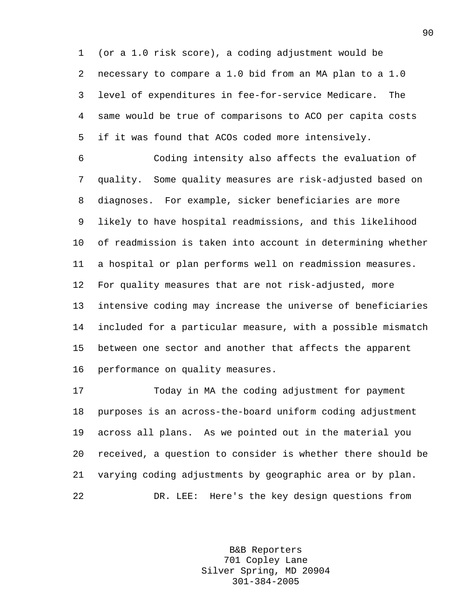1 (or a 1.0 risk score), a coding adjustment would be 2 necessary to compare a 1.0 bid from an MA plan to a 1.0 3 level of expenditures in fee-for-service Medicare. The 4 same would be true of comparisons to ACO per capita costs 5 if it was found that ACOs coded more intensively.

6 Coding intensity also affects the evaluation of 7 quality. Some quality measures are risk-adjusted based on 8 diagnoses. For example, sicker beneficiaries are more 9 likely to have hospital readmissions, and this likelihood 10 of readmission is taken into account in determining whether 11 a hospital or plan performs well on readmission measures. 12 For quality measures that are not risk-adjusted, more 13 intensive coding may increase the universe of beneficiaries 14 included for a particular measure, with a possible mismatch 15 between one sector and another that affects the apparent 16 performance on quality measures.

17 Today in MA the coding adjustment for payment 18 purposes is an across-the-board uniform coding adjustment 19 across all plans. As we pointed out in the material you 20 received, a question to consider is whether there should be 21 varying coding adjustments by geographic area or by plan. 22 DR. LEE: Here's the key design questions from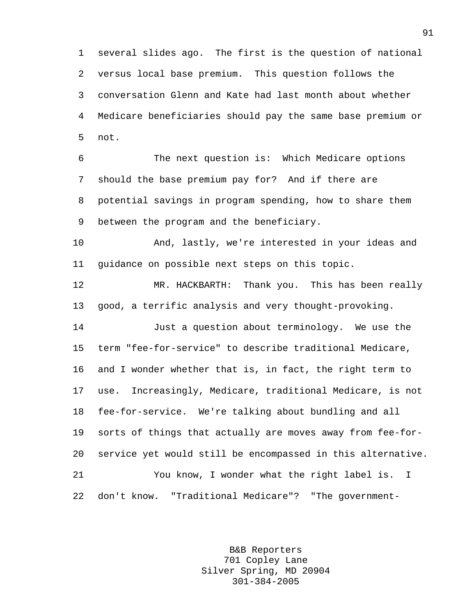1 several slides ago. The first is the question of national 2 versus local base premium. This question follows the 3 conversation Glenn and Kate had last month about whether 4 Medicare beneficiaries should pay the same base premium or 5 not.

6 The next question is: Which Medicare options 7 should the base premium pay for? And if there are 8 potential savings in program spending, how to share them 9 between the program and the beneficiary.

10 And, lastly, we're interested in your ideas and 11 guidance on possible next steps on this topic.

12 MR. HACKBARTH: Thank you. This has been really 13 good, a terrific analysis and very thought-provoking.

14 Just a question about terminology. We use the 15 term "fee-for-service" to describe traditional Medicare, 16 and I wonder whether that is, in fact, the right term to 17 use. Increasingly, Medicare, traditional Medicare, is not 18 fee-for-service. We're talking about bundling and all 19 sorts of things that actually are moves away from fee-for-20 service yet would still be encompassed in this alternative. 21 You know, I wonder what the right label is. I 22 don't know. "Traditional Medicare"? "The government-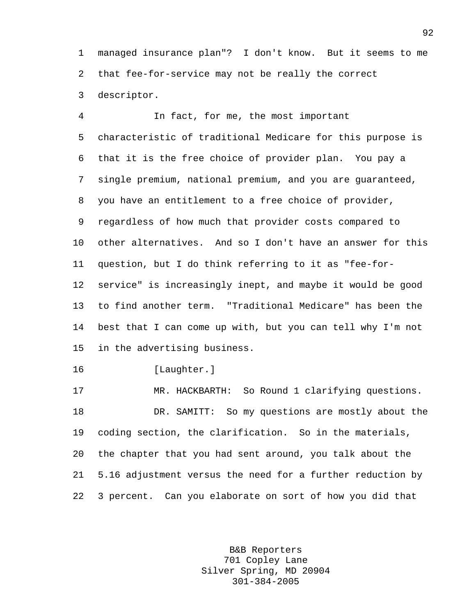1 managed insurance plan"? I don't know. But it seems to me 2 that fee-for-service may not be really the correct 3 descriptor.

4 In fact, for me, the most important 5 characteristic of traditional Medicare for this purpose is 6 that it is the free choice of provider plan. You pay a 7 single premium, national premium, and you are guaranteed, 8 you have an entitlement to a free choice of provider, 9 regardless of how much that provider costs compared to 10 other alternatives. And so I don't have an answer for this 11 question, but I do think referring to it as "fee-for-12 service" is increasingly inept, and maybe it would be good 13 to find another term. "Traditional Medicare" has been the 14 best that I can come up with, but you can tell why I'm not 15 in the advertising business.

16 [Laughter.]

17 MR. HACKBARTH: So Round 1 clarifying questions. 18 DR. SAMITT: So my questions are mostly about the 19 coding section, the clarification. So in the materials, 20 the chapter that you had sent around, you talk about the 21 5.16 adjustment versus the need for a further reduction by 22 3 percent. Can you elaborate on sort of how you did that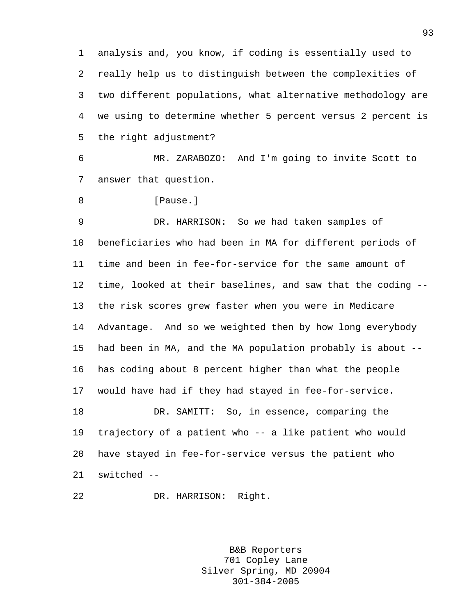1 analysis and, you know, if coding is essentially used to 2 really help us to distinguish between the complexities of 3 two different populations, what alternative methodology are 4 we using to determine whether 5 percent versus 2 percent is 5 the right adjustment?

6 MR. ZARABOZO: And I'm going to invite Scott to 7 answer that question.

8 [Pause.]

9 DR. HARRISON: So we had taken samples of 10 beneficiaries who had been in MA for different periods of 11 time and been in fee-for-service for the same amount of 12 time, looked at their baselines, and saw that the coding -- 13 the risk scores grew faster when you were in Medicare 14 Advantage. And so we weighted then by how long everybody 15 had been in MA, and the MA population probably is about -- 16 has coding about 8 percent higher than what the people 17 would have had if they had stayed in fee-for-service. 18 DR. SAMITT: So, in essence, comparing the 19 trajectory of a patient who -- a like patient who would 20 have stayed in fee-for-service versus the patient who 21 switched --

22 DR. HARRISON: Right.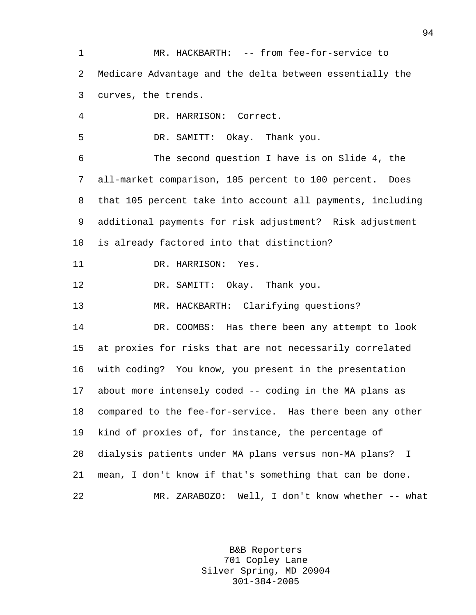1 MR. HACKBARTH: -- from fee-for-service to 2 Medicare Advantage and the delta between essentially the 3 curves, the trends.

4 DR. HARRISON: Correct.

5 DR. SAMITT: Okay. Thank you.

6 The second question I have is on Slide 4, the 7 all-market comparison, 105 percent to 100 percent. Does 8 that 105 percent take into account all payments, including 9 additional payments for risk adjustment? Risk adjustment 10 is already factored into that distinction?

11 DR. HARRISON: Yes.

12 DR. SAMITT: Okay. Thank you.

13 MR. HACKBARTH: Clarifying questions?

14 DR. COOMBS: Has there been any attempt to look 15 at proxies for risks that are not necessarily correlated 16 with coding? You know, you present in the presentation 17 about more intensely coded -- coding in the MA plans as 18 compared to the fee-for-service. Has there been any other 19 kind of proxies of, for instance, the percentage of 20 dialysis patients under MA plans versus non-MA plans? I 21 mean, I don't know if that's something that can be done. 22 MR. ZARABOZO: Well, I don't know whether -- what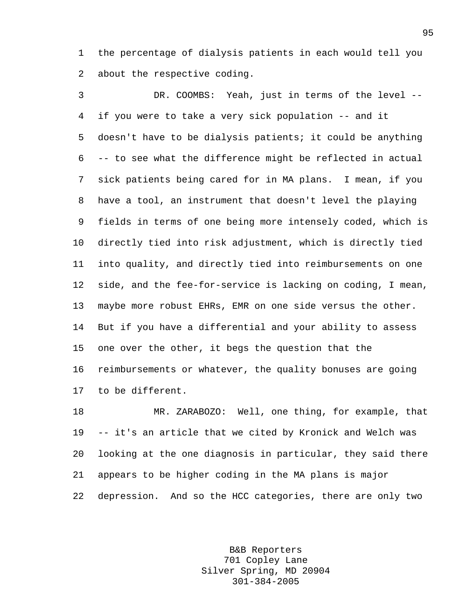1 the percentage of dialysis patients in each would tell you 2 about the respective coding.

3 DR. COOMBS: Yeah, just in terms of the level -- 4 if you were to take a very sick population -- and it 5 doesn't have to be dialysis patients; it could be anything 6 -- to see what the difference might be reflected in actual 7 sick patients being cared for in MA plans. I mean, if you 8 have a tool, an instrument that doesn't level the playing 9 fields in terms of one being more intensely coded, which is 10 directly tied into risk adjustment, which is directly tied 11 into quality, and directly tied into reimbursements on one 12 side, and the fee-for-service is lacking on coding, I mean, 13 maybe more robust EHRs, EMR on one side versus the other. 14 But if you have a differential and your ability to assess 15 one over the other, it begs the question that the 16 reimbursements or whatever, the quality bonuses are going 17 to be different.

18 MR. ZARABOZO: Well, one thing, for example, that 19 -- it's an article that we cited by Kronick and Welch was 20 looking at the one diagnosis in particular, they said there 21 appears to be higher coding in the MA plans is major 22 depression. And so the HCC categories, there are only two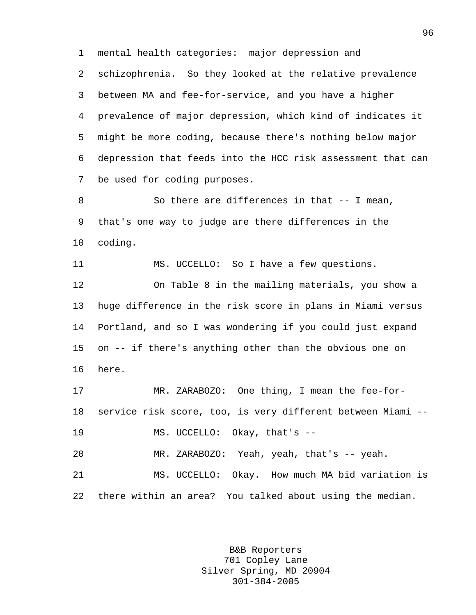1 mental health categories: major depression and 2 schizophrenia. So they looked at the relative prevalence 3 between MA and fee-for-service, and you have a higher 4 prevalence of major depression, which kind of indicates it 5 might be more coding, because there's nothing below major 6 depression that feeds into the HCC risk assessment that can 7 be used for coding purposes.

8 So there are differences in that -- I mean, 9 that's one way to judge are there differences in the 10 coding.

11 MS. UCCELLO: So I have a few questions.

12 On Table 8 in the mailing materials, you show a 13 huge difference in the risk score in plans in Miami versus 14 Portland, and so I was wondering if you could just expand 15 on -- if there's anything other than the obvious one on 16 here.

17 MR. ZARABOZO: One thing, I mean the fee-for-18 service risk score, too, is very different between Miami --

19 MS. UCCELLO: Okay, that's --

20 MR. ZARABOZO: Yeah, yeah, that's -- yeah.

21 MS. UCCELLO: Okay. How much MA bid variation is 22 there within an area? You talked about using the median.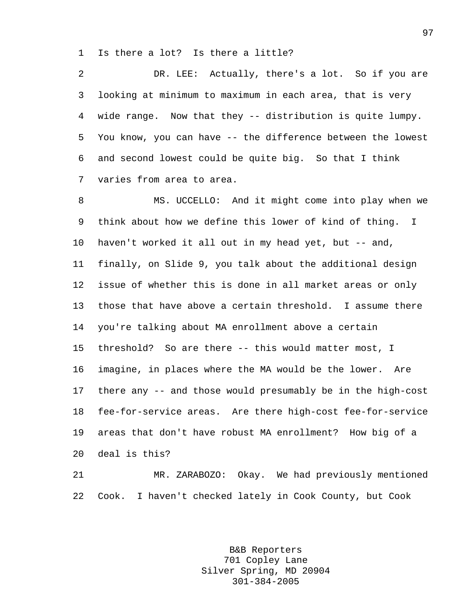1 Is there a lot? Is there a little?

2 DR. LEE: Actually, there's a lot. So if you are 3 looking at minimum to maximum in each area, that is very 4 wide range. Now that they -- distribution is quite lumpy. 5 You know, you can have -- the difference between the lowest 6 and second lowest could be quite big. So that I think 7 varies from area to area.

8 MS. UCCELLO: And it might come into play when we 9 think about how we define this lower of kind of thing. I 10 haven't worked it all out in my head yet, but -- and, 11 finally, on Slide 9, you talk about the additional design 12 issue of whether this is done in all market areas or only 13 those that have above a certain threshold. I assume there 14 you're talking about MA enrollment above a certain 15 threshold? So are there -- this would matter most, I 16 imagine, in places where the MA would be the lower. Are 17 there any -- and those would presumably be in the high-cost 18 fee-for-service areas. Are there high-cost fee-for-service 19 areas that don't have robust MA enrollment? How big of a 20 deal is this?

21 MR. ZARABOZO: Okay. We had previously mentioned 22 Cook. I haven't checked lately in Cook County, but Cook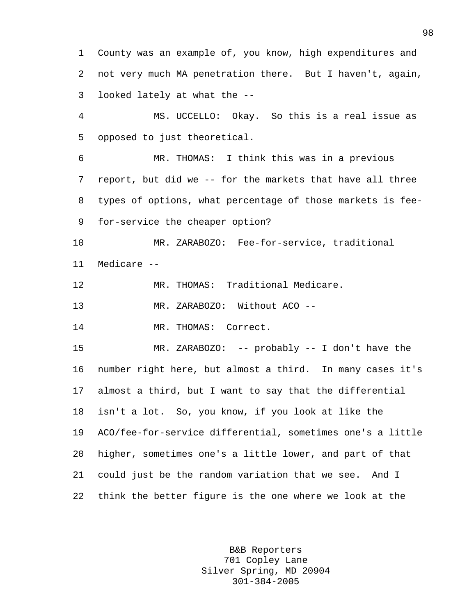1 County was an example of, you know, high expenditures and 2 not very much MA penetration there. But I haven't, again, 3 looked lately at what the --

4 MS. UCCELLO: Okay. So this is a real issue as 5 opposed to just theoretical.

6 MR. THOMAS: I think this was in a previous 7 report, but did we -- for the markets that have all three 8 types of options, what percentage of those markets is fee-9 for-service the cheaper option?

10 MR. ZARABOZO: Fee-for-service, traditional 11 Medicare --

12 MR. THOMAS: Traditional Medicare.

13 MR. ZARABOZO: Without ACO --

14 MR. THOMAS: Correct.

15 MR. ZARABOZO: -- probably -- I don't have the 16 number right here, but almost a third. In many cases it's 17 almost a third, but I want to say that the differential 18 isn't a lot. So, you know, if you look at like the 19 ACO/fee-for-service differential, sometimes one's a little 20 higher, sometimes one's a little lower, and part of that 21 could just be the random variation that we see. And I 22 think the better figure is the one where we look at the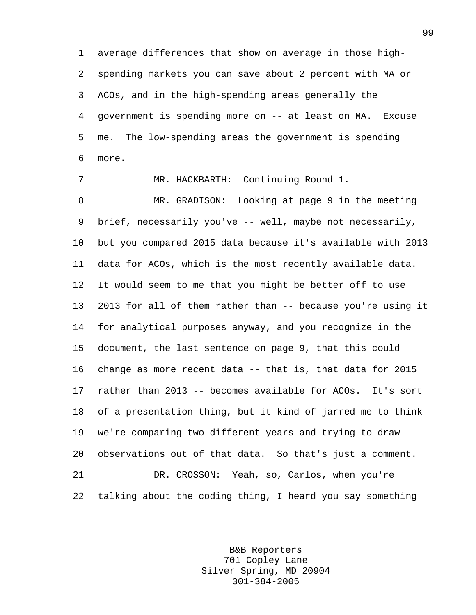1 average differences that show on average in those high-2 spending markets you can save about 2 percent with MA or 3 ACOs, and in the high-spending areas generally the 4 government is spending more on -- at least on MA. Excuse 5 me. The low-spending areas the government is spending 6 more.

7 MR. HACKBARTH: Continuing Round 1. 8 MR. GRADISON: Looking at page 9 in the meeting 9 brief, necessarily you've -- well, maybe not necessarily, 10 but you compared 2015 data because it's available with 2013 11 data for ACOs, which is the most recently available data. 12 It would seem to me that you might be better off to use 13 2013 for all of them rather than -- because you're using it 14 for analytical purposes anyway, and you recognize in the 15 document, the last sentence on page 9, that this could 16 change as more recent data -- that is, that data for 2015 17 rather than 2013 -- becomes available for ACOs. It's sort 18 of a presentation thing, but it kind of jarred me to think 19 we're comparing two different years and trying to draw 20 observations out of that data. So that's just a comment. 21 DR. CROSSON: Yeah, so, Carlos, when you're 22 talking about the coding thing, I heard you say something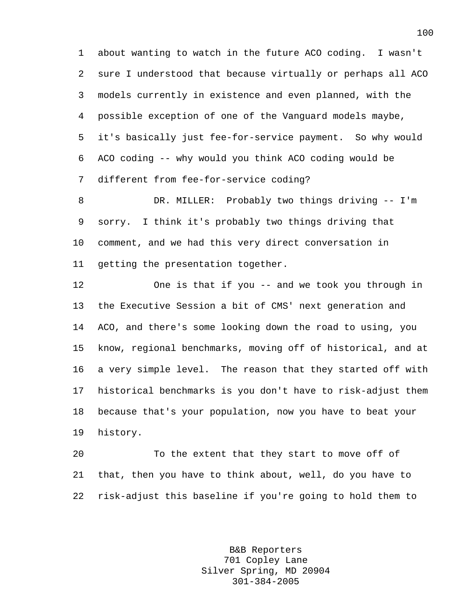1 about wanting to watch in the future ACO coding. I wasn't 2 sure I understood that because virtually or perhaps all ACO 3 models currently in existence and even planned, with the 4 possible exception of one of the Vanguard models maybe, 5 it's basically just fee-for-service payment. So why would 6 ACO coding -- why would you think ACO coding would be 7 different from fee-for-service coding?

8 DR. MILLER: Probably two things driving -- I'm 9 sorry. I think it's probably two things driving that 10 comment, and we had this very direct conversation in 11 getting the presentation together.

12 One is that if you -- and we took you through in 13 the Executive Session a bit of CMS' next generation and 14 ACO, and there's some looking down the road to using, you 15 know, regional benchmarks, moving off of historical, and at 16 a very simple level. The reason that they started off with 17 historical benchmarks is you don't have to risk-adjust them 18 because that's your population, now you have to beat your 19 history.

20 To the extent that they start to move off of 21 that, then you have to think about, well, do you have to 22 risk-adjust this baseline if you're going to hold them to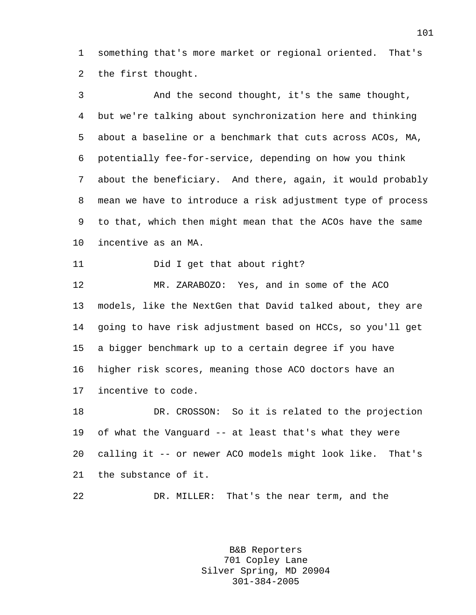1 something that's more market or regional oriented. That's 2 the first thought.

3 And the second thought, it's the same thought, 4 but we're talking about synchronization here and thinking 5 about a baseline or a benchmark that cuts across ACOs, MA, 6 potentially fee-for-service, depending on how you think 7 about the beneficiary. And there, again, it would probably 8 mean we have to introduce a risk adjustment type of process 9 to that, which then might mean that the ACOs have the same 10 incentive as an MA. 11 Did I get that about right? 12 MR. ZARABOZO: Yes, and in some of the ACO 13 models, like the NextGen that David talked about, they are 14 going to have risk adjustment based on HCCs, so you'll get 15 a bigger benchmark up to a certain degree if you have 16 higher risk scores, meaning those ACO doctors have an 17 incentive to code. 18 DR. CROSSON: So it is related to the projection

19 of what the Vanguard -- at least that's what they were 20 calling it -- or newer ACO models might look like. That's 21 the substance of it.

22 DR. MILLER: That's the near term, and the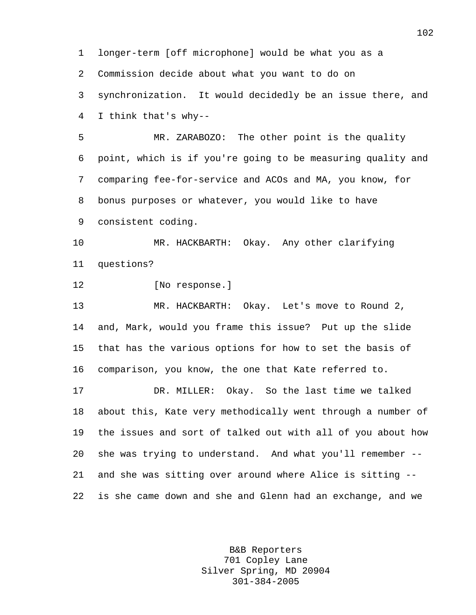1 longer-term [off microphone] would be what you as a 2 Commission decide about what you want to do on 3 synchronization. It would decidedly be an issue there, and 4 I think that's why-- 5 MR. ZARABOZO: The other point is the quality 6 point, which is if you're going to be measuring quality and 7 comparing fee-for-service and ACOs and MA, you know, for 8 bonus purposes or whatever, you would like to have 9 consistent coding. 10 MR. HACKBARTH: Okay. Any other clarifying 11 questions? 12 [No response.] 13 MR. HACKBARTH: Okay. Let's move to Round 2, 14 and, Mark, would you frame this issue? Put up the slide 15 that has the various options for how to set the basis of 16 comparison, you know, the one that Kate referred to. 17 DR. MILLER: Okay. So the last time we talked 18 about this, Kate very methodically went through a number of 19 the issues and sort of talked out with all of you about how 20 she was trying to understand. And what you'll remember -- 21 and she was sitting over around where Alice is sitting -- 22 is she came down and she and Glenn had an exchange, and we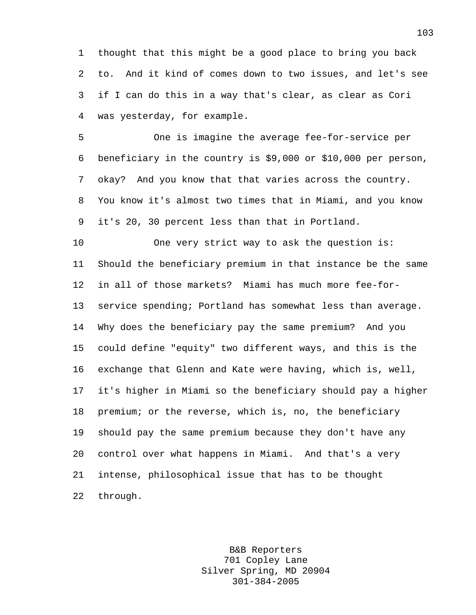1 thought that this might be a good place to bring you back 2 to. And it kind of comes down to two issues, and let's see 3 if I can do this in a way that's clear, as clear as Cori 4 was yesterday, for example.

5 One is imagine the average fee-for-service per 6 beneficiary in the country is \$9,000 or \$10,000 per person, 7 okay? And you know that that varies across the country. 8 You know it's almost two times that in Miami, and you know 9 it's 20, 30 percent less than that in Portland.

10 One very strict way to ask the question is: 11 Should the beneficiary premium in that instance be the same 12 in all of those markets? Miami has much more fee-for-13 service spending; Portland has somewhat less than average. 14 Why does the beneficiary pay the same premium? And you 15 could define "equity" two different ways, and this is the 16 exchange that Glenn and Kate were having, which is, well, 17 it's higher in Miami so the beneficiary should pay a higher 18 premium; or the reverse, which is, no, the beneficiary 19 should pay the same premium because they don't have any 20 control over what happens in Miami. And that's a very 21 intense, philosophical issue that has to be thought 22 through.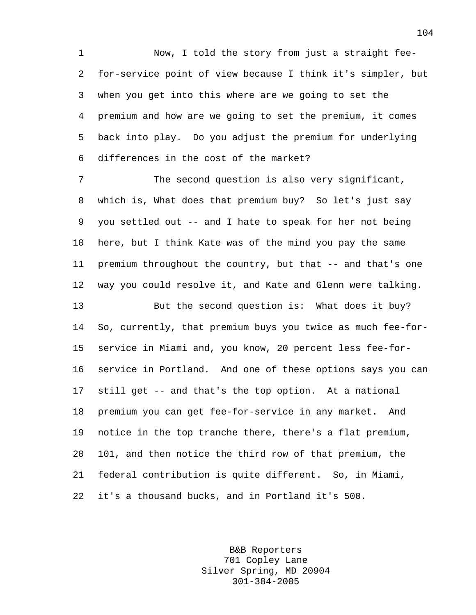1 Now, I told the story from just a straight fee-2 for-service point of view because I think it's simpler, but 3 when you get into this where are we going to set the 4 premium and how are we going to set the premium, it comes 5 back into play. Do you adjust the premium for underlying 6 differences in the cost of the market?

7 The second question is also very significant, 8 which is, What does that premium buy? So let's just say 9 you settled out -- and I hate to speak for her not being 10 here, but I think Kate was of the mind you pay the same 11 premium throughout the country, but that -- and that's one 12 way you could resolve it, and Kate and Glenn were talking. 13 But the second question is: What does it buy? 14 So, currently, that premium buys you twice as much fee-for-15 service in Miami and, you know, 20 percent less fee-for-16 service in Portland. And one of these options says you can 17 still get -- and that's the top option. At a national 18 premium you can get fee-for-service in any market. And 19 notice in the top tranche there, there's a flat premium, 20 101, and then notice the third row of that premium, the 21 federal contribution is quite different. So, in Miami, 22 it's a thousand bucks, and in Portland it's 500.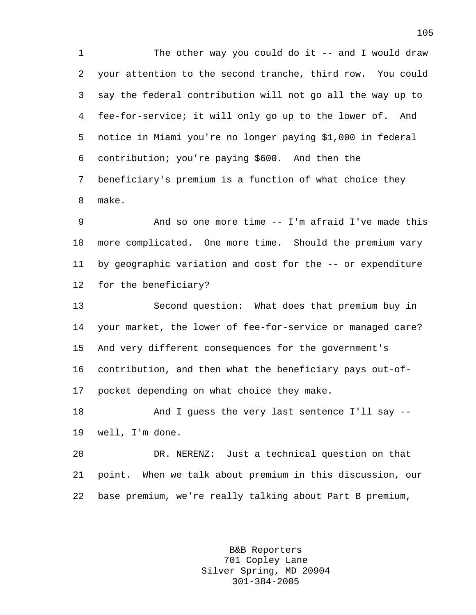1 The other way you could do it -- and I would draw 2 your attention to the second tranche, third row. You could 3 say the federal contribution will not go all the way up to 4 fee-for-service; it will only go up to the lower of. And 5 notice in Miami you're no longer paying \$1,000 in federal 6 contribution; you're paying \$600. And then the 7 beneficiary's premium is a function of what choice they 8 make.

9 And so one more time -- I'm afraid I've made this 10 more complicated. One more time. Should the premium vary 11 by geographic variation and cost for the -- or expenditure 12 for the beneficiary?

13 Second question: What does that premium buy in 14 your market, the lower of fee-for-service or managed care? 15 And very different consequences for the government's 16 contribution, and then what the beneficiary pays out-of-17 pocket depending on what choice they make.

18 And I guess the very last sentence I'll say --19 well, I'm done.

20 DR. NERENZ: Just a technical question on that 21 point. When we talk about premium in this discussion, our 22 base premium, we're really talking about Part B premium,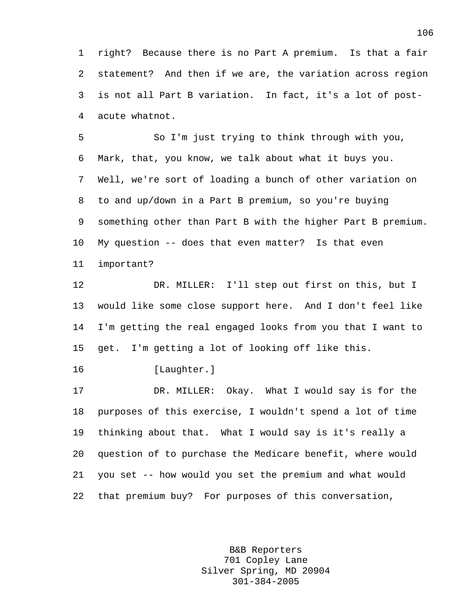1 right? Because there is no Part A premium. Is that a fair 2 statement? And then if we are, the variation across region 3 is not all Part B variation. In fact, it's a lot of post-4 acute whatnot.

5 So I'm just trying to think through with you, 6 Mark, that, you know, we talk about what it buys you. 7 Well, we're sort of loading a bunch of other variation on 8 to and up/down in a Part B premium, so you're buying 9 something other than Part B with the higher Part B premium. 10 My question -- does that even matter? Is that even 11 important?

12 DR. MILLER: I'll step out first on this, but I 13 would like some close support here. And I don't feel like 14 I'm getting the real engaged looks from you that I want to 15 get. I'm getting a lot of looking off like this.

16 [Laughter.]

17 DR. MILLER: Okay. What I would say is for the 18 purposes of this exercise, I wouldn't spend a lot of time 19 thinking about that. What I would say is it's really a 20 question of to purchase the Medicare benefit, where would 21 you set -- how would you set the premium and what would 22 that premium buy? For purposes of this conversation,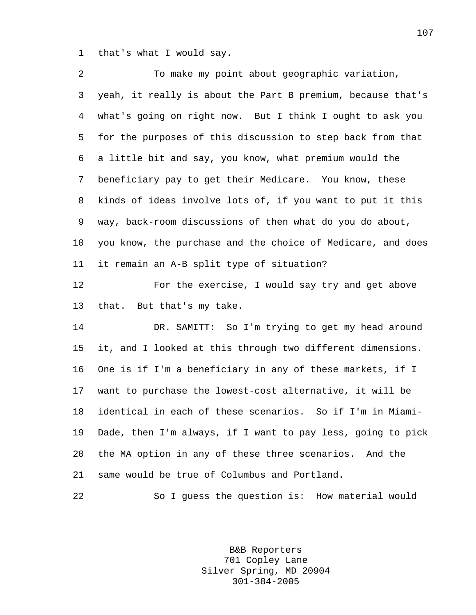1 that's what I would say.

| 2       | To make my point about geographic variation,                |
|---------|-------------------------------------------------------------|
| 3       | yeah, it really is about the Part B premium, because that's |
| 4       | what's going on right now. But I think I ought to ask you   |
| 5       | for the purposes of this discussion to step back from that  |
| 6       | a little bit and say, you know, what premium would the      |
| 7       | beneficiary pay to get their Medicare. You know, these      |
| 8       | kinds of ideas involve lots of, if you want to put it this  |
| 9       | way, back-room discussions of then what do you do about,    |
| $10 \,$ | you know, the purchase and the choice of Medicare, and does |
| 11      | it remain an A-B split type of situation?                   |
| 12      | For the exercise, I would say try and get above             |
| 13      | that. But that's my take.                                   |
| 14      | DR. SAMITT: So I'm trying to get my head around             |
| 15      | it, and I looked at this through two different dimensions.  |
| 16      | One is if I'm a beneficiary in any of these markets, if I   |
| 17      | want to purchase the lowest-cost alternative, it will be    |
| 18      | identical in each of these scenarios. So if I'm in Miami-   |
| 19      | Dade, then I'm always, if I want to pay less, going to pick |
| 20      | the MA option in any of these three scenarios. And the      |
| 21      | same would be true of Columbus and Portland.                |
| 22      | So I guess the question is: How material would              |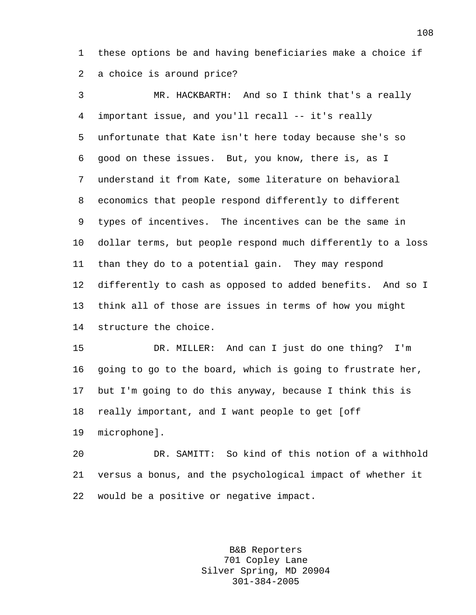1 these options be and having beneficiaries make a choice if 2 a choice is around price?

3 MR. HACKBARTH: And so I think that's a really 4 important issue, and you'll recall -- it's really 5 unfortunate that Kate isn't here today because she's so 6 good on these issues. But, you know, there is, as I 7 understand it from Kate, some literature on behavioral 8 economics that people respond differently to different 9 types of incentives. The incentives can be the same in 10 dollar terms, but people respond much differently to a loss 11 than they do to a potential gain. They may respond 12 differently to cash as opposed to added benefits. And so I 13 think all of those are issues in terms of how you might 14 structure the choice.

15 DR. MILLER: And can I just do one thing? I'm 16 going to go to the board, which is going to frustrate her, 17 but I'm going to do this anyway, because I think this is 18 really important, and I want people to get [off 19 microphone].

20 DR. SAMITT: So kind of this notion of a withhold 21 versus a bonus, and the psychological impact of whether it 22 would be a positive or negative impact.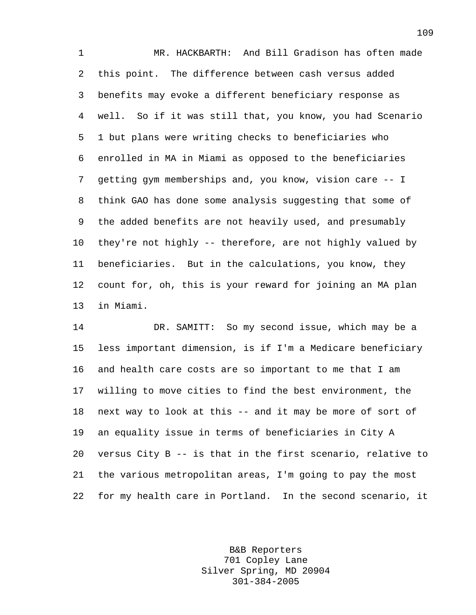1 MR. HACKBARTH: And Bill Gradison has often made 2 this point. The difference between cash versus added 3 benefits may evoke a different beneficiary response as 4 well. So if it was still that, you know, you had Scenario 5 1 but plans were writing checks to beneficiaries who 6 enrolled in MA in Miami as opposed to the beneficiaries 7 getting gym memberships and, you know, vision care -- I 8 think GAO has done some analysis suggesting that some of 9 the added benefits are not heavily used, and presumably 10 they're not highly -- therefore, are not highly valued by 11 beneficiaries. But in the calculations, you know, they 12 count for, oh, this is your reward for joining an MA plan 13 in Miami.

14 DR. SAMITT: So my second issue, which may be a 15 less important dimension, is if I'm a Medicare beneficiary 16 and health care costs are so important to me that I am 17 willing to move cities to find the best environment, the 18 next way to look at this -- and it may be more of sort of 19 an equality issue in terms of beneficiaries in City A 20 versus City B -- is that in the first scenario, relative to 21 the various metropolitan areas, I'm going to pay the most 22 for my health care in Portland. In the second scenario, it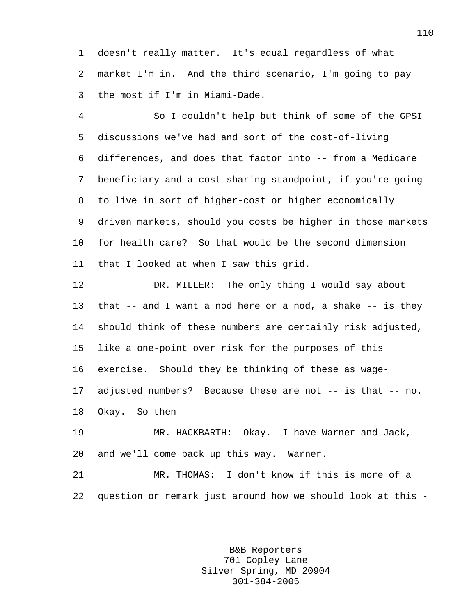1 doesn't really matter. It's equal regardless of what 2 market I'm in. And the third scenario, I'm going to pay 3 the most if I'm in Miami-Dade.

4 So I couldn't help but think of some of the GPSI 5 discussions we've had and sort of the cost-of-living 6 differences, and does that factor into -- from a Medicare 7 beneficiary and a cost-sharing standpoint, if you're going 8 to live in sort of higher-cost or higher economically 9 driven markets, should you costs be higher in those markets 10 for health care? So that would be the second dimension 11 that I looked at when I saw this grid.

12 DR. MILLER: The only thing I would say about 13 that -- and I want a nod here or a nod, a shake -- is they 14 should think of these numbers are certainly risk adjusted, 15 like a one-point over risk for the purposes of this 16 exercise. Should they be thinking of these as wage-17 adjusted numbers? Because these are not -- is that -- no. 18 Okay. So then --

19 MR. HACKBARTH: Okay. I have Warner and Jack, 20 and we'll come back up this way. Warner.

21 MR. THOMAS: I don't know if this is more of a 22 question or remark just around how we should look at this -

> B&B Reporters 701 Copley Lane Silver Spring, MD 20904 301-384-2005

110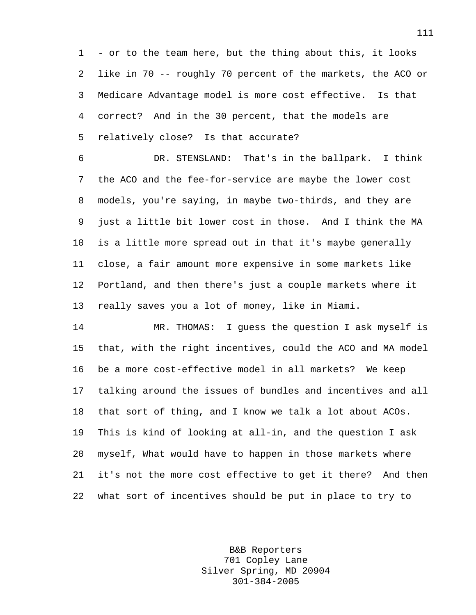1 - or to the team here, but the thing about this, it looks 2 like in 70 -- roughly 70 percent of the markets, the ACO or 3 Medicare Advantage model is more cost effective. Is that 4 correct? And in the 30 percent, that the models are 5 relatively close? Is that accurate?

6 DR. STENSLAND: That's in the ballpark. I think 7 the ACO and the fee-for-service are maybe the lower cost 8 models, you're saying, in maybe two-thirds, and they are 9 just a little bit lower cost in those. And I think the MA 10 is a little more spread out in that it's maybe generally 11 close, a fair amount more expensive in some markets like 12 Portland, and then there's just a couple markets where it 13 really saves you a lot of money, like in Miami.

14 MR. THOMAS: I guess the question I ask myself is 15 that, with the right incentives, could the ACO and MA model 16 be a more cost-effective model in all markets? We keep 17 talking around the issues of bundles and incentives and all 18 that sort of thing, and I know we talk a lot about ACOs. 19 This is kind of looking at all-in, and the question I ask 20 myself, What would have to happen in those markets where 21 it's not the more cost effective to get it there? And then 22 what sort of incentives should be put in place to try to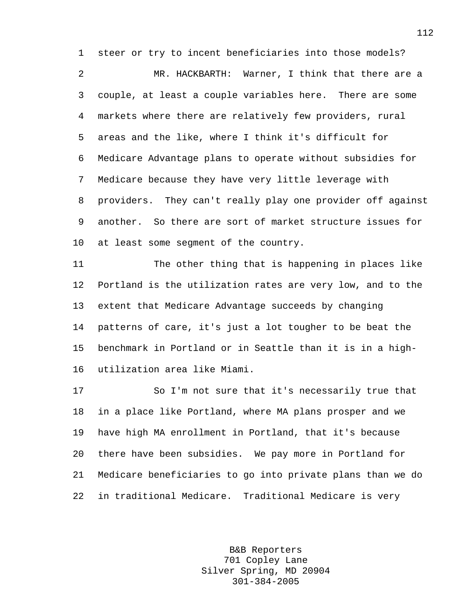1 steer or try to incent beneficiaries into those models?

2 MR. HACKBARTH: Warner, I think that there are a 3 couple, at least a couple variables here. There are some 4 markets where there are relatively few providers, rural 5 areas and the like, where I think it's difficult for 6 Medicare Advantage plans to operate without subsidies for 7 Medicare because they have very little leverage with 8 providers. They can't really play one provider off against 9 another. So there are sort of market structure issues for 10 at least some segment of the country.

11 The other thing that is happening in places like 12 Portland is the utilization rates are very low, and to the 13 extent that Medicare Advantage succeeds by changing 14 patterns of care, it's just a lot tougher to be beat the 15 benchmark in Portland or in Seattle than it is in a high-16 utilization area like Miami.

17 So I'm not sure that it's necessarily true that 18 in a place like Portland, where MA plans prosper and we 19 have high MA enrollment in Portland, that it's because 20 there have been subsidies. We pay more in Portland for 21 Medicare beneficiaries to go into private plans than we do 22 in traditional Medicare. Traditional Medicare is very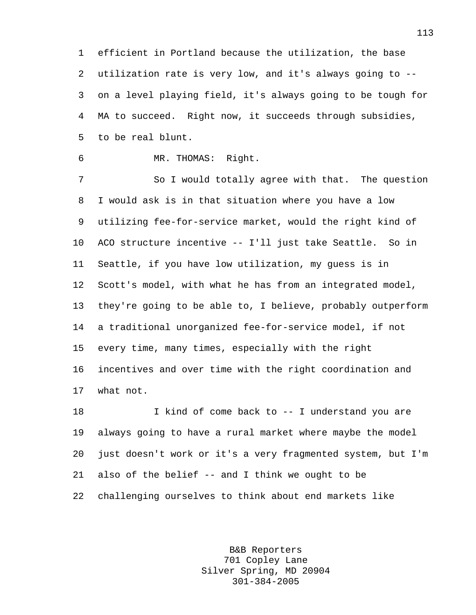1 efficient in Portland because the utilization, the base 2 utilization rate is very low, and it's always going to -- 3 on a level playing field, it's always going to be tough for 4 MA to succeed. Right now, it succeeds through subsidies, 5 to be real blunt.

6 MR. THOMAS: Right.

7 So I would totally agree with that. The question 8 I would ask is in that situation where you have a low 9 utilizing fee-for-service market, would the right kind of 10 ACO structure incentive -- I'll just take Seattle. So in 11 Seattle, if you have low utilization, my guess is in 12 Scott's model, with what he has from an integrated model, 13 they're going to be able to, I believe, probably outperform 14 a traditional unorganized fee-for-service model, if not 15 every time, many times, especially with the right 16 incentives and over time with the right coordination and 17 what not.

18 I kind of come back to -- I understand you are 19 always going to have a rural market where maybe the model 20 just doesn't work or it's a very fragmented system, but I'm 21 also of the belief -- and I think we ought to be 22 challenging ourselves to think about end markets like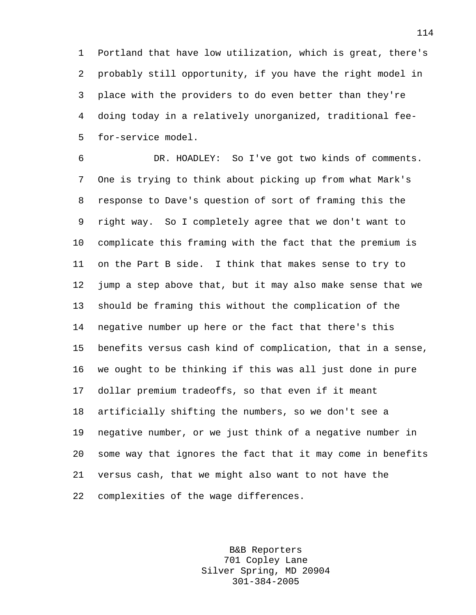1 Portland that have low utilization, which is great, there's 2 probably still opportunity, if you have the right model in 3 place with the providers to do even better than they're 4 doing today in a relatively unorganized, traditional fee-5 for-service model.

6 DR. HOADLEY: So I've got two kinds of comments. 7 One is trying to think about picking up from what Mark's 8 response to Dave's question of sort of framing this the 9 right way. So I completely agree that we don't want to 10 complicate this framing with the fact that the premium is 11 on the Part B side. I think that makes sense to try to 12 jump a step above that, but it may also make sense that we 13 should be framing this without the complication of the 14 negative number up here or the fact that there's this 15 benefits versus cash kind of complication, that in a sense, 16 we ought to be thinking if this was all just done in pure 17 dollar premium tradeoffs, so that even if it meant 18 artificially shifting the numbers, so we don't see a 19 negative number, or we just think of a negative number in 20 some way that ignores the fact that it may come in benefits 21 versus cash, that we might also want to not have the 22 complexities of the wage differences.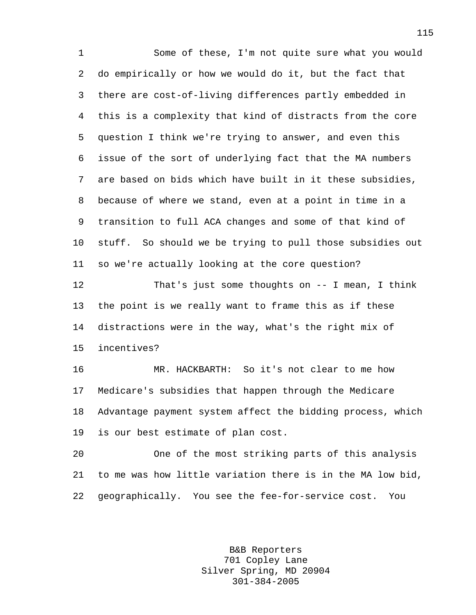1 Some of these, I'm not quite sure what you would 2 do empirically or how we would do it, but the fact that 3 there are cost-of-living differences partly embedded in 4 this is a complexity that kind of distracts from the core 5 question I think we're trying to answer, and even this 6 issue of the sort of underlying fact that the MA numbers 7 are based on bids which have built in it these subsidies, 8 because of where we stand, even at a point in time in a 9 transition to full ACA changes and some of that kind of 10 stuff. So should we be trying to pull those subsidies out 11 so we're actually looking at the core question?

12 That's just some thoughts on -- I mean, I think 13 the point is we really want to frame this as if these 14 distractions were in the way, what's the right mix of 15 incentives?

16 MR. HACKBARTH: So it's not clear to me how 17 Medicare's subsidies that happen through the Medicare 18 Advantage payment system affect the bidding process, which 19 is our best estimate of plan cost.

20 One of the most striking parts of this analysis 21 to me was how little variation there is in the MA low bid, 22 geographically. You see the fee-for-service cost. You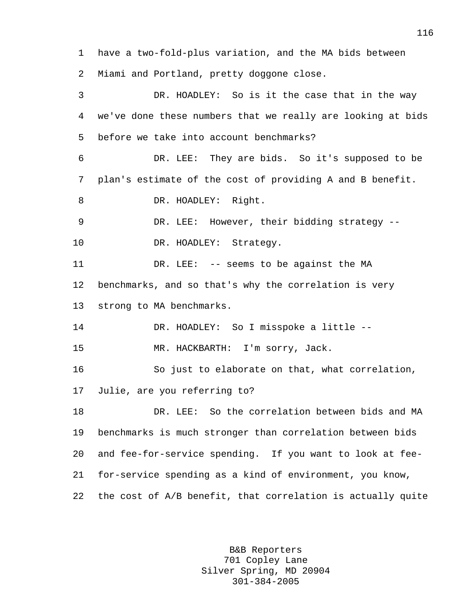1 have a two-fold-plus variation, and the MA bids between 2 Miami and Portland, pretty doggone close. 3 DR. HOADLEY: So is it the case that in the way 4 we've done these numbers that we really are looking at bids 5 before we take into account benchmarks? 6 DR. LEE: They are bids. So it's supposed to be 7 plan's estimate of the cost of providing A and B benefit. 8 DR. HOADLEY: Right. 9 DR. LEE: However, their bidding strategy -- 10 DR. HOADLEY: Strategy. 11 DR. LEE: -- seems to be against the MA 12 benchmarks, and so that's why the correlation is very 13 strong to MA benchmarks. 14 DR. HOADLEY: So I misspoke a little -- 15 MR. HACKBARTH: I'm sorry, Jack. 16 So just to elaborate on that, what correlation, 17 Julie, are you referring to? 18 DR. LEE: So the correlation between bids and MA 19 benchmarks is much stronger than correlation between bids 20 and fee-for-service spending. If you want to look at fee-21 for-service spending as a kind of environment, you know, 22 the cost of A/B benefit, that correlation is actually quite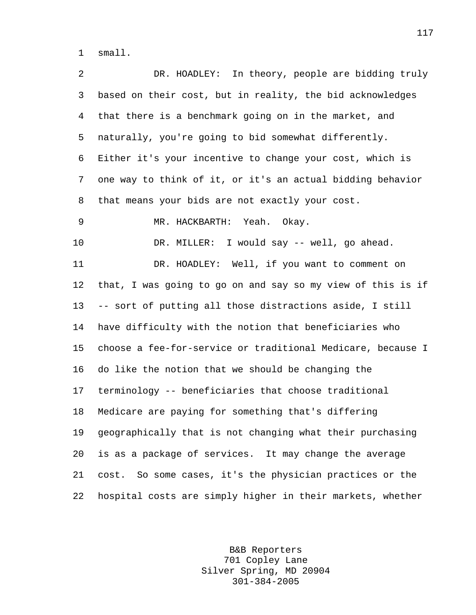1 small.

2 DR. HOADLEY: In theory, people are bidding truly 3 based on their cost, but in reality, the bid acknowledges 4 that there is a benchmark going on in the market, and 5 naturally, you're going to bid somewhat differently. 6 Either it's your incentive to change your cost, which is 7 one way to think of it, or it's an actual bidding behavior 8 that means your bids are not exactly your cost. 9 MR. HACKBARTH: Yeah. Okay. 10 DR. MILLER: I would say -- well, go ahead. 11 DR. HOADLEY: Well, if you want to comment on 12 that, I was going to go on and say so my view of this is if 13 -- sort of putting all those distractions aside, I still 14 have difficulty with the notion that beneficiaries who 15 choose a fee-for-service or traditional Medicare, because I 16 do like the notion that we should be changing the 17 terminology -- beneficiaries that choose traditional 18 Medicare are paying for something that's differing 19 geographically that is not changing what their purchasing 20 is as a package of services. It may change the average 21 cost. So some cases, it's the physician practices or the 22 hospital costs are simply higher in their markets, whether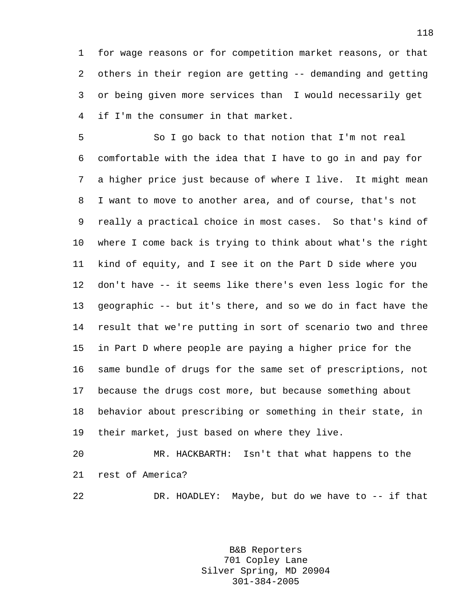1 for wage reasons or for competition market reasons, or that 2 others in their region are getting -- demanding and getting 3 or being given more services than I would necessarily get 4 if I'm the consumer in that market.

5 So I go back to that notion that I'm not real 6 comfortable with the idea that I have to go in and pay for 7 a higher price just because of where I live. It might mean 8 I want to move to another area, and of course, that's not 9 really a practical choice in most cases. So that's kind of 10 where I come back is trying to think about what's the right 11 kind of equity, and I see it on the Part D side where you 12 don't have -- it seems like there's even less logic for the 13 geographic -- but it's there, and so we do in fact have the 14 result that we're putting in sort of scenario two and three 15 in Part D where people are paying a higher price for the 16 same bundle of drugs for the same set of prescriptions, not 17 because the drugs cost more, but because something about 18 behavior about prescribing or something in their state, in 19 their market, just based on where they live.

20 MR. HACKBARTH: Isn't that what happens to the 21 rest of America?

22 DR. HOADLEY: Maybe, but do we have to -- if that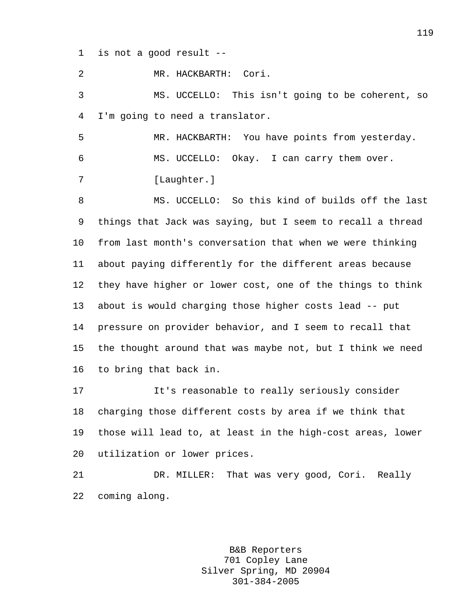1 is not a good result --

2 MR. HACKBARTH: Cori. 3 MS. UCCELLO: This isn't going to be coherent, so 4 I'm going to need a translator. 5 MR. HACKBARTH: You have points from yesterday. 6 MS. UCCELLO: Okay. I can carry them over. 7 [Laughter.] 8 MS. UCCELLO: So this kind of builds off the last 9 things that Jack was saying, but I seem to recall a thread 10 from last month's conversation that when we were thinking 11 about paying differently for the different areas because 12 they have higher or lower cost, one of the things to think 13 about is would charging those higher costs lead -- put 14 pressure on provider behavior, and I seem to recall that 15 the thought around that was maybe not, but I think we need 16 to bring that back in. 17 It's reasonable to really seriously consider 18 charging those different costs by area if we think that 19 those will lead to, at least in the high-cost areas, lower 20 utilization or lower prices.

21 DR. MILLER: That was very good, Cori. Really 22 coming along.

> B&B Reporters 701 Copley Lane Silver Spring, MD 20904 301-384-2005

119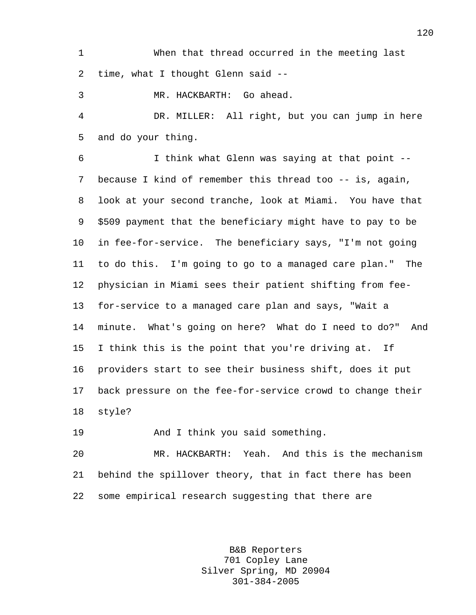1 When that thread occurred in the meeting last 2 time, what I thought Glenn said --

3 MR. HACKBARTH: Go ahead.

4 DR. MILLER: All right, but you can jump in here 5 and do your thing.

6 I think what Glenn was saying at that point -- 7 because I kind of remember this thread too -- is, again, 8 look at your second tranche, look at Miami. You have that 9 \$509 payment that the beneficiary might have to pay to be 10 in fee-for-service. The beneficiary says, "I'm not going 11 to do this. I'm going to go to a managed care plan." The 12 physician in Miami sees their patient shifting from fee-13 for-service to a managed care plan and says, "Wait a 14 minute. What's going on here? What do I need to do?" And 15 I think this is the point that you're driving at. If 16 providers start to see their business shift, does it put 17 back pressure on the fee-for-service crowd to change their 18 style?

19 And I think you said something.

20 MR. HACKBARTH: Yeah. And this is the mechanism 21 behind the spillover theory, that in fact there has been 22 some empirical research suggesting that there are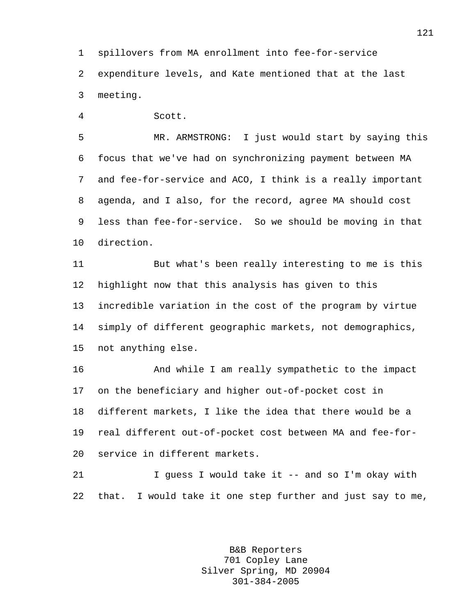1 spillovers from MA enrollment into fee-for-service 2 expenditure levels, and Kate mentioned that at the last 3 meeting.

4 Scott.

5 MR. ARMSTRONG: I just would start by saying this 6 focus that we've had on synchronizing payment between MA 7 and fee-for-service and ACO, I think is a really important 8 agenda, and I also, for the record, agree MA should cost 9 less than fee-for-service. So we should be moving in that 10 direction.

11 But what's been really interesting to me is this 12 highlight now that this analysis has given to this 13 incredible variation in the cost of the program by virtue 14 simply of different geographic markets, not demographics, 15 not anything else.

16 And while I am really sympathetic to the impact 17 on the beneficiary and higher out-of-pocket cost in 18 different markets, I like the idea that there would be a 19 real different out-of-pocket cost between MA and fee-for-20 service in different markets.

21 I guess I would take it -- and so I'm okay with 22 that. I would take it one step further and just say to me,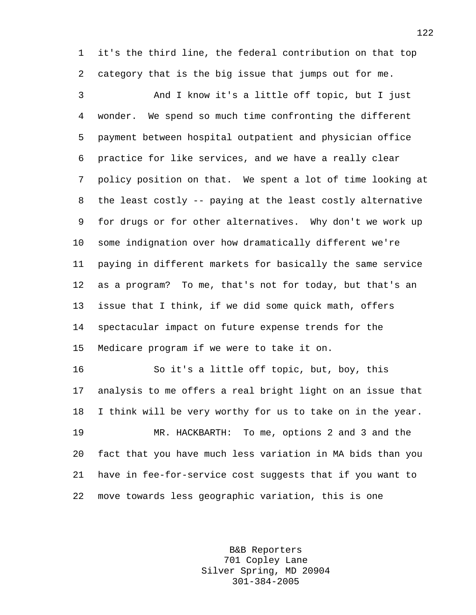1 it's the third line, the federal contribution on that top 2 category that is the big issue that jumps out for me.

3 And I know it's a little off topic, but I just 4 wonder. We spend so much time confronting the different 5 payment between hospital outpatient and physician office 6 practice for like services, and we have a really clear 7 policy position on that. We spent a lot of time looking at 8 the least costly -- paying at the least costly alternative 9 for drugs or for other alternatives. Why don't we work up 10 some indignation over how dramatically different we're 11 paying in different markets for basically the same service 12 as a program? To me, that's not for today, but that's an 13 issue that I think, if we did some quick math, offers 14 spectacular impact on future expense trends for the 15 Medicare program if we were to take it on.

16 So it's a little off topic, but, boy, this 17 analysis to me offers a real bright light on an issue that 18 I think will be very worthy for us to take on in the year. 19 MR. HACKBARTH: To me, options 2 and 3 and the 20 fact that you have much less variation in MA bids than you 21 have in fee-for-service cost suggests that if you want to

22 move towards less geographic variation, this is one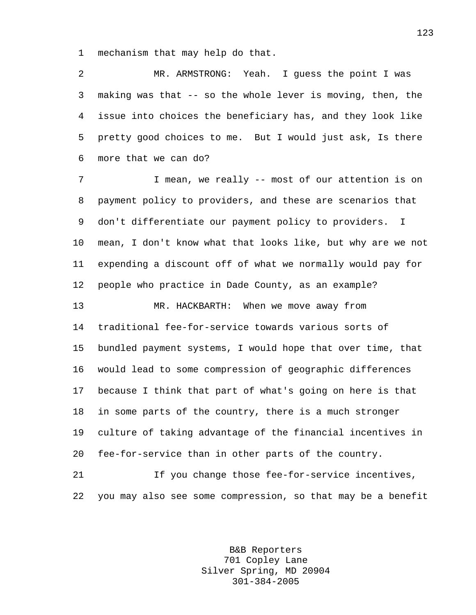1 mechanism that may help do that.

2 MR. ARMSTRONG: Yeah. I guess the point I was 3 making was that -- so the whole lever is moving, then, the 4 issue into choices the beneficiary has, and they look like 5 pretty good choices to me. But I would just ask, Is there 6 more that we can do?

7 T mean, we really -- most of our attention is on 8 payment policy to providers, and these are scenarios that 9 don't differentiate our payment policy to providers. I 10 mean, I don't know what that looks like, but why are we not 11 expending a discount off of what we normally would pay for 12 people who practice in Dade County, as an example? 13 MR. HACKBARTH: When we move away from 14 traditional fee-for-service towards various sorts of 15 bundled payment systems, I would hope that over time, that 16 would lead to some compression of geographic differences 17 because I think that part of what's going on here is that 18 in some parts of the country, there is a much stronger 19 culture of taking advantage of the financial incentives in 20 fee-for-service than in other parts of the country. 21 If you change those fee-for-service incentives,

22 you may also see some compression, so that may be a benefit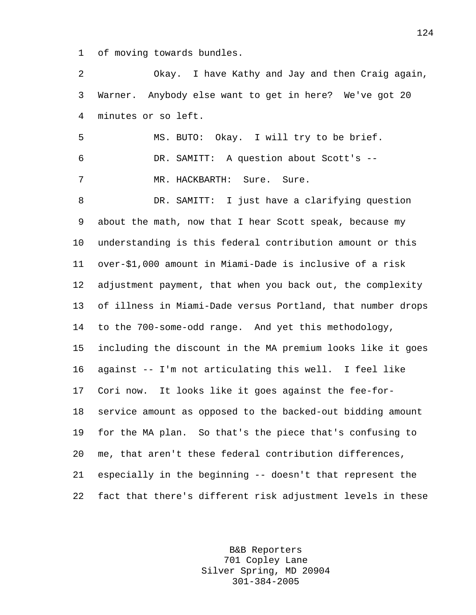1 of moving towards bundles.

2 Okay. I have Kathy and Jay and then Craig again, 3 Warner. Anybody else want to get in here? We've got 20 4 minutes or so left. 5 MS. BUTO: Okay. I will try to be brief. 6 DR. SAMITT: A question about Scott's -- 7 MR. HACKBARTH: Sure. Sure. 8 DR. SAMITT: I just have a clarifying question 9 about the math, now that I hear Scott speak, because my 10 understanding is this federal contribution amount or this 11 over-\$1,000 amount in Miami-Dade is inclusive of a risk 12 adjustment payment, that when you back out, the complexity 13 of illness in Miami-Dade versus Portland, that number drops 14 to the 700-some-odd range. And yet this methodology, 15 including the discount in the MA premium looks like it goes 16 against -- I'm not articulating this well. I feel like 17 Cori now. It looks like it goes against the fee-for-18 service amount as opposed to the backed-out bidding amount 19 for the MA plan. So that's the piece that's confusing to 20 me, that aren't these federal contribution differences, 21 especially in the beginning -- doesn't that represent the 22 fact that there's different risk adjustment levels in these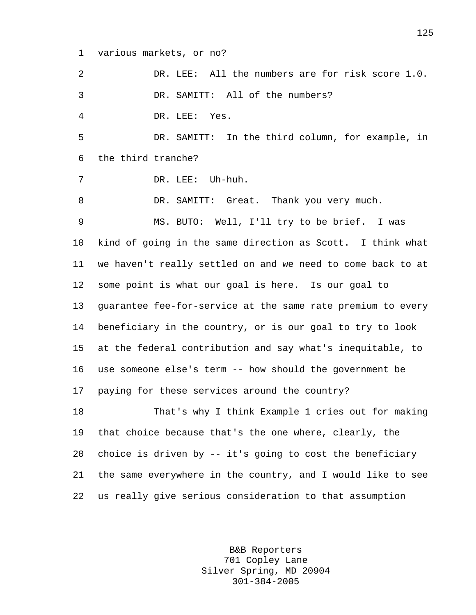1 various markets, or no?

| 2  | DR. LEE: All the numbers are for risk score 1.0.            |
|----|-------------------------------------------------------------|
| 3  | DR. SAMITT: All of the numbers?                             |
| 4  | DR. LEE: Yes.                                               |
| 5  | DR. SAMITT: In the third column, for example, in            |
| 6  | the third tranche?                                          |
| 7  | DR. LEE: Uh-huh.                                            |
| 8  | DR. SAMITT: Great. Thank you very much.                     |
| 9  | MS. BUTO: Well, I'll try to be brief. I was                 |
| 10 | kind of going in the same direction as Scott. I think what  |
| 11 | we haven't really settled on and we need to come back to at |
| 12 | some point is what our goal is here. Is our goal to         |
| 13 | guarantee fee-for-service at the same rate premium to every |
| 14 | beneficiary in the country, or is our goal to try to look   |
| 15 | at the federal contribution and say what's inequitable, to  |
| 16 | use someone else's term -- how should the government be     |
| 17 | paying for these services around the country?               |
| 18 | That's why I think Example 1 cries out for making           |
| 19 | that choice because that's the one where, clearly, the      |
| 20 | choice is driven by -- it's going to cost the beneficiary   |
| 21 | the same everywhere in the country, and I would like to see |
| 22 | us really give serious consideration to that assumption     |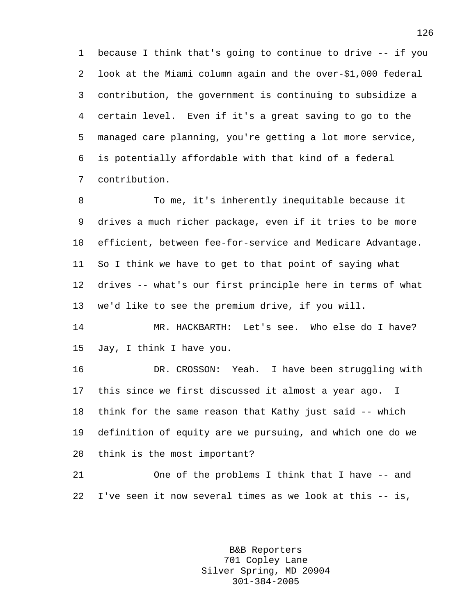1 because I think that's going to continue to drive -- if you 2 look at the Miami column again and the over-\$1,000 federal 3 contribution, the government is continuing to subsidize a 4 certain level. Even if it's a great saving to go to the 5 managed care planning, you're getting a lot more service, 6 is potentially affordable with that kind of a federal 7 contribution.

8 To me, it's inherently inequitable because it 9 drives a much richer package, even if it tries to be more 10 efficient, between fee-for-service and Medicare Advantage. 11 So I think we have to get to that point of saying what 12 drives -- what's our first principle here in terms of what 13 we'd like to see the premium drive, if you will.

14 MR. HACKBARTH: Let's see. Who else do I have? 15 Jay, I think I have you.

16 DR. CROSSON: Yeah. I have been struggling with 17 this since we first discussed it almost a year ago. I 18 think for the same reason that Kathy just said -- which 19 definition of equity are we pursuing, and which one do we 20 think is the most important?

21 One of the problems I think that I have -- and 22 I've seen it now several times as we look at this -- is,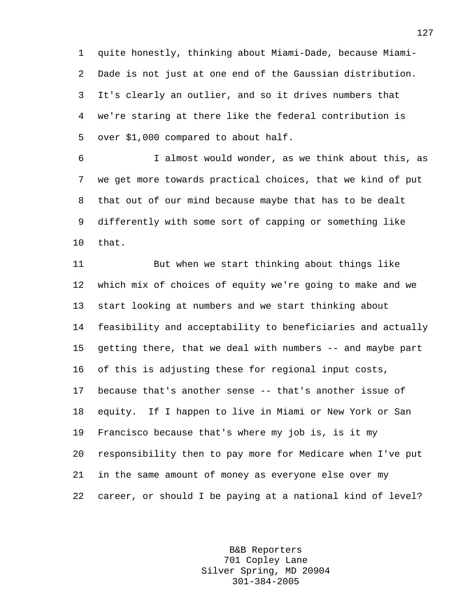1 quite honestly, thinking about Miami-Dade, because Miami-2 Dade is not just at one end of the Gaussian distribution. 3 It's clearly an outlier, and so it drives numbers that 4 we're staring at there like the federal contribution is 5 over \$1,000 compared to about half.

6 I almost would wonder, as we think about this, as 7 we get more towards practical choices, that we kind of put 8 that out of our mind because maybe that has to be dealt 9 differently with some sort of capping or something like 10 that.

11 But when we start thinking about things like 12 which mix of choices of equity we're going to make and we 13 start looking at numbers and we start thinking about 14 feasibility and acceptability to beneficiaries and actually 15 getting there, that we deal with numbers -- and maybe part 16 of this is adjusting these for regional input costs, 17 because that's another sense -- that's another issue of 18 equity. If I happen to live in Miami or New York or San 19 Francisco because that's where my job is, is it my 20 responsibility then to pay more for Medicare when I've put 21 in the same amount of money as everyone else over my 22 career, or should I be paying at a national kind of level?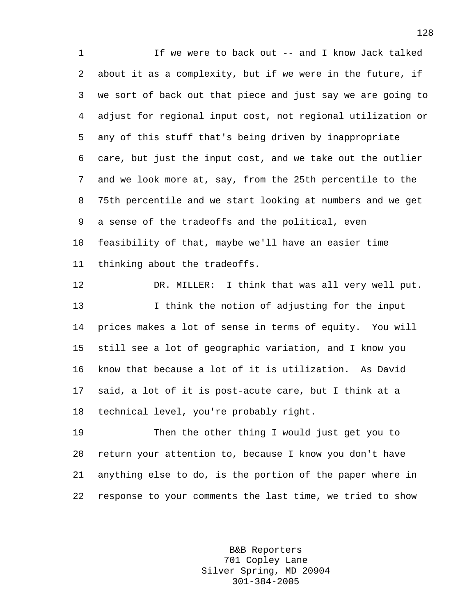1 If we were to back out -- and I know Jack talked 2 about it as a complexity, but if we were in the future, if 3 we sort of back out that piece and just say we are going to 4 adjust for regional input cost, not regional utilization or 5 any of this stuff that's being driven by inappropriate 6 care, but just the input cost, and we take out the outlier 7 and we look more at, say, from the 25th percentile to the 8 75th percentile and we start looking at numbers and we get 9 a sense of the tradeoffs and the political, even 10 feasibility of that, maybe we'll have an easier time 11 thinking about the tradeoffs.

12 DR. MILLER: I think that was all very well put. 13 I think the notion of adjusting for the input 14 prices makes a lot of sense in terms of equity. You will 15 still see a lot of geographic variation, and I know you 16 know that because a lot of it is utilization. As David 17 said, a lot of it is post-acute care, but I think at a 18 technical level, you're probably right.

19 Then the other thing I would just get you to 20 return your attention to, because I know you don't have 21 anything else to do, is the portion of the paper where in 22 response to your comments the last time, we tried to show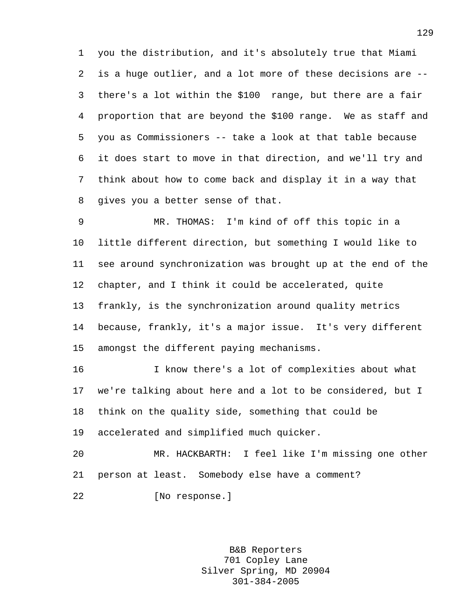1 you the distribution, and it's absolutely true that Miami 2 is a huge outlier, and a lot more of these decisions are -- 3 there's a lot within the \$100 range, but there are a fair 4 proportion that are beyond the \$100 range. We as staff and 5 you as Commissioners -- take a look at that table because 6 it does start to move in that direction, and we'll try and 7 think about how to come back and display it in a way that 8 gives you a better sense of that.

9 MR. THOMAS: I'm kind of off this topic in a 10 little different direction, but something I would like to 11 see around synchronization was brought up at the end of the 12 chapter, and I think it could be accelerated, quite 13 frankly, is the synchronization around quality metrics 14 because, frankly, it's a major issue. It's very different 15 amongst the different paying mechanisms.

16 I know there's a lot of complexities about what 17 we're talking about here and a lot to be considered, but I 18 think on the quality side, something that could be 19 accelerated and simplified much quicker.

20 MR. HACKBARTH: I feel like I'm missing one other 21 person at least. Somebody else have a comment?

22 [No response.]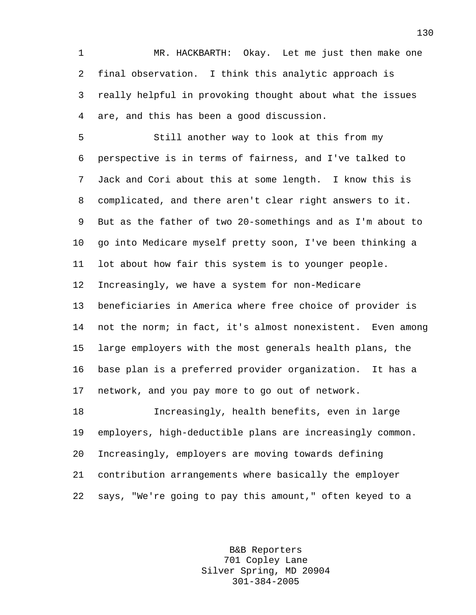1 MR. HACKBARTH: Okay. Let me just then make one 2 final observation. I think this analytic approach is 3 really helpful in provoking thought about what the issues 4 are, and this has been a good discussion.

5 Still another way to look at this from my 6 perspective is in terms of fairness, and I've talked to 7 Jack and Cori about this at some length. I know this is 8 complicated, and there aren't clear right answers to it. 9 But as the father of two 20-somethings and as I'm about to 10 go into Medicare myself pretty soon, I've been thinking a 11 lot about how fair this system is to younger people. 12 Increasingly, we have a system for non-Medicare 13 beneficiaries in America where free choice of provider is 14 not the norm; in fact, it's almost nonexistent. Even among 15 large employers with the most generals health plans, the 16 base plan is a preferred provider organization. It has a 17 network, and you pay more to go out of network.

18 Increasingly, health benefits, even in large 19 employers, high-deductible plans are increasingly common. 20 Increasingly, employers are moving towards defining 21 contribution arrangements where basically the employer 22 says, "We're going to pay this amount," often keyed to a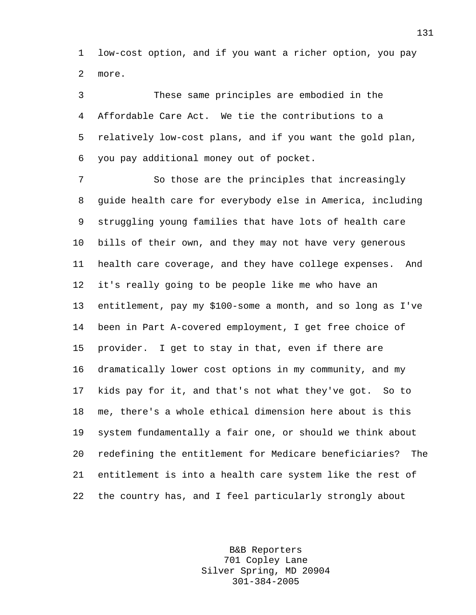1 low-cost option, and if you want a richer option, you pay 2 more.

3 These same principles are embodied in the 4 Affordable Care Act. We tie the contributions to a 5 relatively low-cost plans, and if you want the gold plan, 6 you pay additional money out of pocket.

7 So those are the principles that increasingly 8 guide health care for everybody else in America, including 9 struggling young families that have lots of health care 10 bills of their own, and they may not have very generous 11 health care coverage, and they have college expenses. And 12 it's really going to be people like me who have an 13 entitlement, pay my \$100-some a month, and so long as I've 14 been in Part A-covered employment, I get free choice of 15 provider. I get to stay in that, even if there are 16 dramatically lower cost options in my community, and my 17 kids pay for it, and that's not what they've got. So to 18 me, there's a whole ethical dimension here about is this 19 system fundamentally a fair one, or should we think about 20 redefining the entitlement for Medicare beneficiaries? The 21 entitlement is into a health care system like the rest of 22 the country has, and I feel particularly strongly about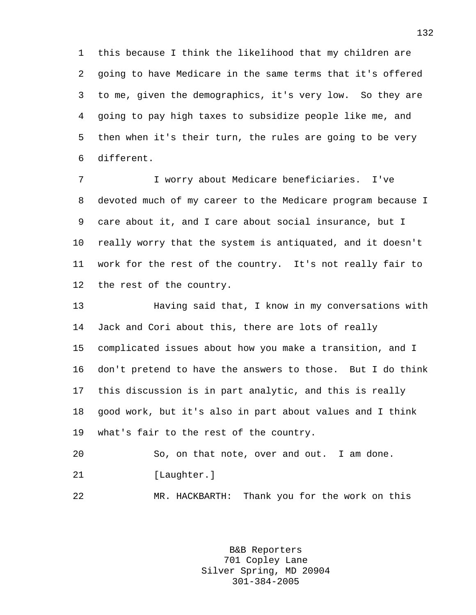1 this because I think the likelihood that my children are 2 going to have Medicare in the same terms that it's offered 3 to me, given the demographics, it's very low. So they are 4 going to pay high taxes to subsidize people like me, and 5 then when it's their turn, the rules are going to be very 6 different.

7 I worry about Medicare beneficiaries. I've 8 devoted much of my career to the Medicare program because I 9 care about it, and I care about social insurance, but I 10 really worry that the system is antiquated, and it doesn't 11 work for the rest of the country. It's not really fair to 12 the rest of the country.

13 Having said that, I know in my conversations with 14 Jack and Cori about this, there are lots of really 15 complicated issues about how you make a transition, and I 16 don't pretend to have the answers to those. But I do think 17 this discussion is in part analytic, and this is really 18 good work, but it's also in part about values and I think 19 what's fair to the rest of the country.

20 So, on that note, over and out. I am done. 21 [Laughter.]

22 MR. HACKBARTH: Thank you for the work on this